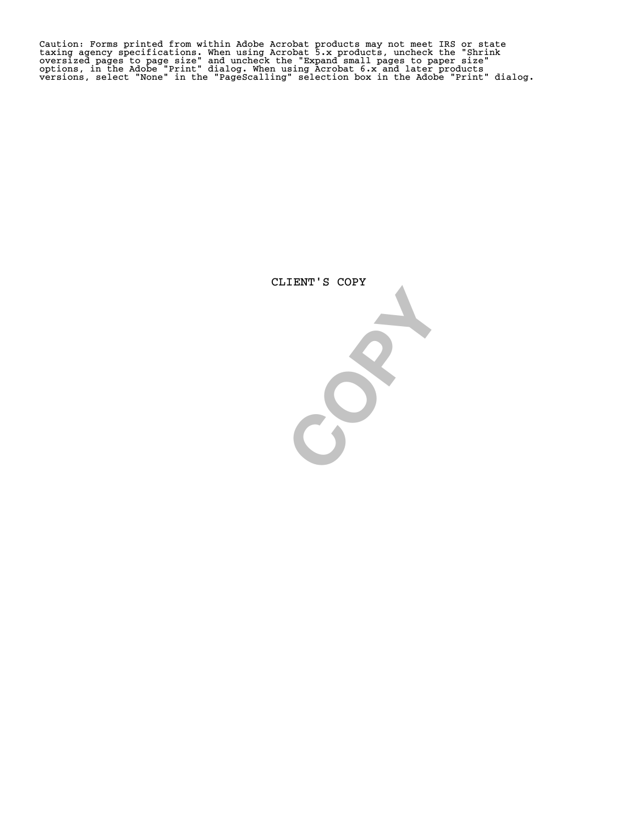Caution: Forms printed from within Adobe Acrobat products may not meet IRS or state<br>taxing agency specifications. When using Acrobat 5.x products, uncheck the "Shrink<br>oversized pages to page size" and uncheck the "Expand s

CLIENT'S COPY

**COPY**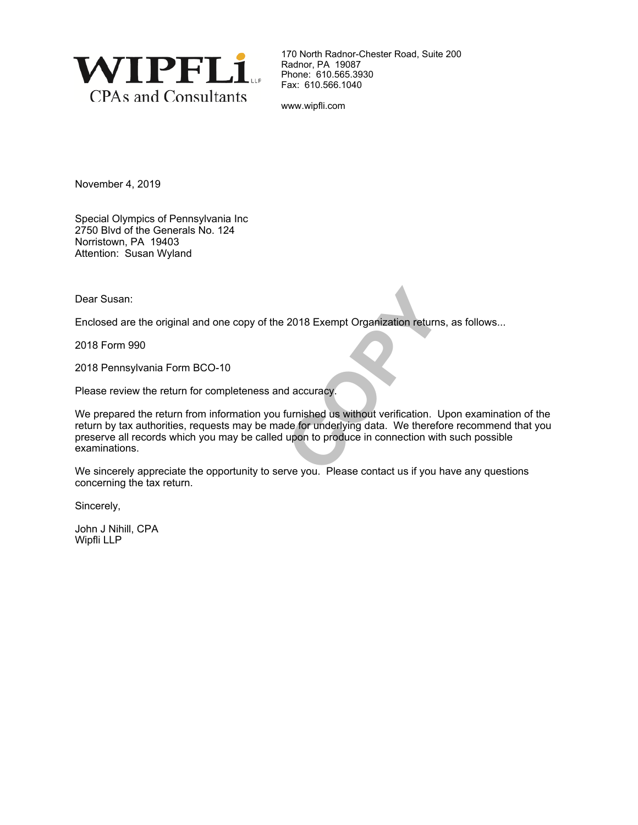

170 North Radnor-Chester Road, Suite 200 Radnor, PA 19087 Phone: 610.565.3930 Fax: 610.566.1040

www.wipfli.com

November 4, 2019

Special Olympics of Pennsylvania Inc 2750 Blvd of the Generals No. 124 Norristown, PA 19403 Attention: Susan Wyland

Dear Susan:

Enclosed are the original and one copy of the 2018 Exempt Organization returns, as follows...

2018 Form 990

2018 Pennsylvania Form BCO-10

Please review the return for completeness and accuracy.

2018 Exempt Organization returns<br>
d accuracy.<br>
furnished us without verification. L<br>
de for underlying data. We therefor<br>
upon to produce in connection with<br>
the vou. Please contact us if you h We prepared the return from information you furnished us without verification. Upon examination of the return by tax authorities, requests may be made for underlying data. We therefore recommend that you preserve all records which you may be called upon to produce in connection with such possible examinations.

We sincerely appreciate the opportunity to serve you. Please contact us if you have any questions concerning the tax return.

Sincerely,

John J Nihill, CPA Wipfli LLP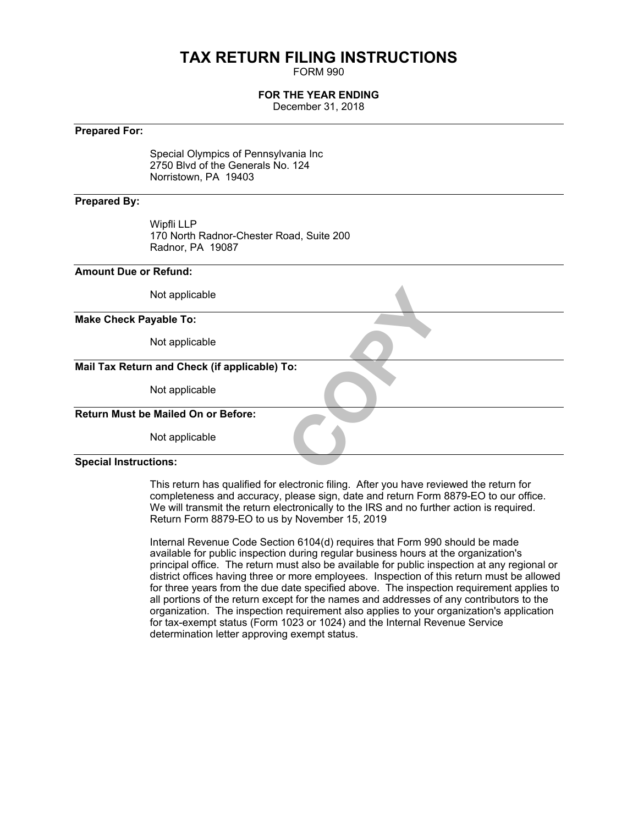## **TAX RETURN FILING INSTRUCTIONS**

FORM 990

#### **FOR THE YEAR ENDING**

December 31, 2018

#### **Prepared For:**

Special Olympics of Pennsylvania Inc 2750 Blvd of the Generals No. 124 Norristown, PA 19403

#### **Prepared By:**

Wipfli LLP 170 North Radnor-Chester Road, Suite 200 Radnor, PA 19087

#### **Amount Due or Refund:**

| Not applicable                                |  |
|-----------------------------------------------|--|
| <b>Make Check Payable To:</b>                 |  |
| Not applicable                                |  |
| Mail Tax Return and Check (if applicable) To: |  |
| Not applicable                                |  |
| <b>Return Must be Mailed On or Before:</b>    |  |
| Not applicable                                |  |
| <b>Special Instructions:</b>                  |  |

This return has qualified for electronic filing. After you have reviewed the return for completeness and accuracy, please sign, date and return Form 8879-EO to our office. We will transmit the return electronically to the IRS and no further action is required. Return Form 8879-EO to us by November 15, 2019

Internal Revenue Code Section 6104(d) requires that Form 990 should be made available for public inspection during regular business hours at the organization's principal office. The return must also be available for public inspection at any regional or district offices having three or more employees. Inspection of this return must be allowed for three years from the due date specified above. The inspection requirement applies to all portions of the return except for the names and addresses of any contributors to the organization. The inspection requirement also applies to your organization's application for tax-exempt status (Form 1023 or 1024) and the Internal Revenue Service determination letter approving exempt status.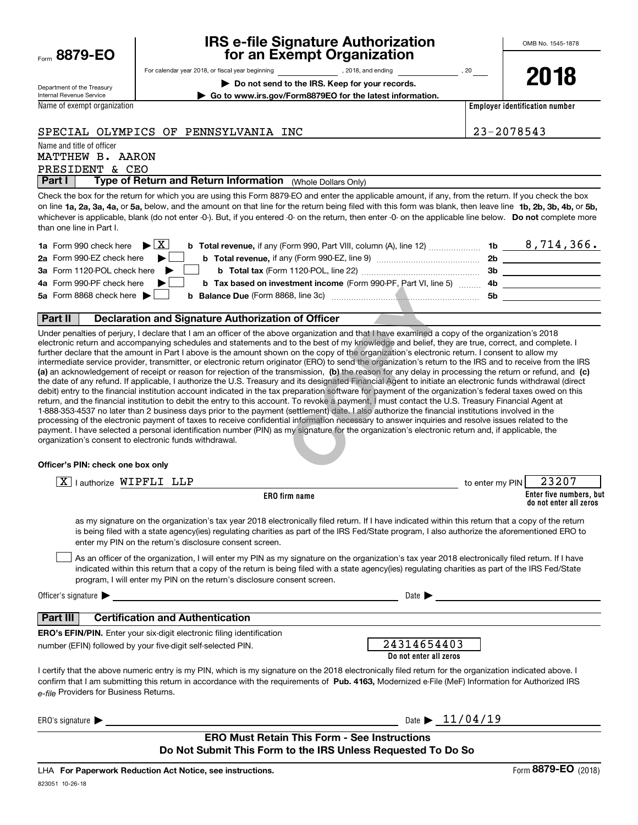|      | 8879-EO |  |  |
|------|---------|--|--|
| Form |         |  |  |

## **IRS e-file Signature Authorization for an Exempt Organization**

Department of the Treasury Internal Revenue Service

For calendar year 2018, or fiscal year beginning and the state of the state of 2018, and ending calendary pear of 20

**| Do not send to the IRS. Keep for your records. | Go to www.irs.gov/Form8879EO for the latest information.** **2018**

Name of exempt organization

**Employer identification number**

#### SPECIAL OLYMPICS OF PENNSYLVANIA INC 23-2078543

Name and title of officer

PRESIDENT & CEO MATTHEW B. AARON

**Part I** | Type of Return and Return Information (Whole Dollars Only)

on line **1a, 2a, 3a, 4a,** or **5a,** below, and the amount on that line for the return being filed with this form was blank, then leave line **1b, 2b, 3b, 4b,** or **5b,** whichever is applicable, blank (do not enter -0-). But, if you entered -0- on the return, then enter -0- on the applicable line below. **Do not** complete more Check the box for the return for which you are using this Form 8879-EO and enter the applicable amount, if any, from the return. If you check the box than one line in Part I.

| <b>1a</b> Form 990 check here $\blacktriangleright$ $\boxed{\text{X}}$<br><b>b Total revenue,</b> if any (Form 990, Part VIII, column (A), line 12) | 1b | 8,714,366. |
|-----------------------------------------------------------------------------------------------------------------------------------------------------|----|------------|
| 2a Form 990-EZ check here $\blacktriangleright$<br>b Total revenue, if any (Form 990-EZ, line 9)                                                    | 2b |            |
| 3a Form 1120-POL check here                                                                                                                         | 3b |            |
| 4a Form 990-PF check here $\blacktriangleright$<br><b>b</b> Tax based on investment income (Form 990-PF, Part VI, line 5) 4b                        |    |            |
| 5a Form 8868 check here $\blacktriangleright$                                                                                                       | 5b |            |
|                                                                                                                                                     |    |            |

#### **Part II Declaration and Signature Authorization of Officer**

**(a)** an acknowledgement of receipt or reason for rejection of the transmission, (b) the reason for any delay in processing the return or refund, and (c) Under penalties of perjury, I declare that I am an officer of the above organization and that I have examined a copy of the organization's 2018 electronic return and accompanying schedules and statements and to the best of my knowledge and belief, they are true, correct, and complete. I further declare that the amount in Part I above is the amount shown on the copy of the organization's electronic return. I consent to allow my intermediate service provider, transmitter, or electronic return originator (ERO) to send the organization's return to the IRS and to receive from the IRS the date of any refund. If applicable, I authorize the U.S. Treasury and its designated Financial Agent to initiate an electronic funds withdrawal (direct debit) entry to the financial institution account indicated in the tax preparation software for payment of the organization's federal taxes owed on this return, and the financial institution to debit the entry to this account. To revoke a payment, I must contact the U.S. Treasury Financial Agent at 1-888-353-4537 no later than 2 business days prior to the payment (settlement) date. I also authorize the financial institutions involved in the processing of the electronic payment of taxes to receive confidential information necessary to answer inquiries and resolve issues related to the payment. I have selected a personal identification number (PIN) as my signature for the organization's electronic return and, if applicable, the organization's consent to electronic funds withdrawal. **COPY AND THE CONSUMER CONSUMED THE CONSUMED CONSUMED CONSUMED CONSUMIDED**<br> **COPY** COPY AND COPY AND COPY AND CONSUMED A CONSUMED A CONSUMED TO SAFET A CONSUMED TO SET A CONSUMED TO SET A COPY AND THAT A COPY AND INTERPRET

#### **Officer's PIN: check one box only**

| lauthorize WIPFLI LLP<br>ΧI                                                                                                                                                                                                                                                                                                                                                      | to enter my PIN | 23207                                             |
|----------------------------------------------------------------------------------------------------------------------------------------------------------------------------------------------------------------------------------------------------------------------------------------------------------------------------------------------------------------------------------|-----------------|---------------------------------------------------|
| <b>ERO</b> firm name                                                                                                                                                                                                                                                                                                                                                             |                 | Enter five numbers, but<br>do not enter all zeros |
| as my signature on the organization's tax year 2018 electronically filed return. If I have indicated within this return that a copy of the return<br>is being filed with a state agency(ies) regulating charities as part of the IRS Fed/State program, I also authorize the aforementioned ERO to<br>enter my PIN on the return's disclosure consent screen.                    |                 |                                                   |
| As an officer of the organization, I will enter my PIN as my signature on the organization's tax year 2018 electronically filed return. If I have<br>indicated within this return that a copy of the return is being filed with a state agency(ies) regulating charities as part of the IRS Fed/State<br>program, I will enter my PIN on the return's disclosure consent screen. |                 |                                                   |
| Officer's signature $\blacktriangleright$<br>Date $\blacktriangleright$                                                                                                                                                                                                                                                                                                          |                 |                                                   |
| Part III<br><b>Certification and Authentication</b>                                                                                                                                                                                                                                                                                                                              |                 |                                                   |
| <b>ERO's EFIN/PIN.</b> Enter your six-digit electronic filing identification<br>24314654403<br>number (EFIN) followed by your five-digit self-selected PIN.<br>Do not enter all zeros                                                                                                                                                                                            |                 |                                                   |
| I certify that the above numeric entry is my PIN, which is my signature on the 2018 electronically filed return for the organization indicated above. I<br>confirm that I am submitting this return in accordance with the requirements of Pub. 4163, Modernized e-File (MeF) Information for Authorized IRS<br>e-file Providers for Business Returns.                           |                 |                                                   |
| Date $\triangleright$ 11/04/19<br>ERO's signature $\blacktriangleright$                                                                                                                                                                                                                                                                                                          |                 |                                                   |
| <b>ERO Must Retain This Form - See Instructions</b><br>Do Not Submit This Form to the IRS Unless Requested To Do So                                                                                                                                                                                                                                                              |                 |                                                   |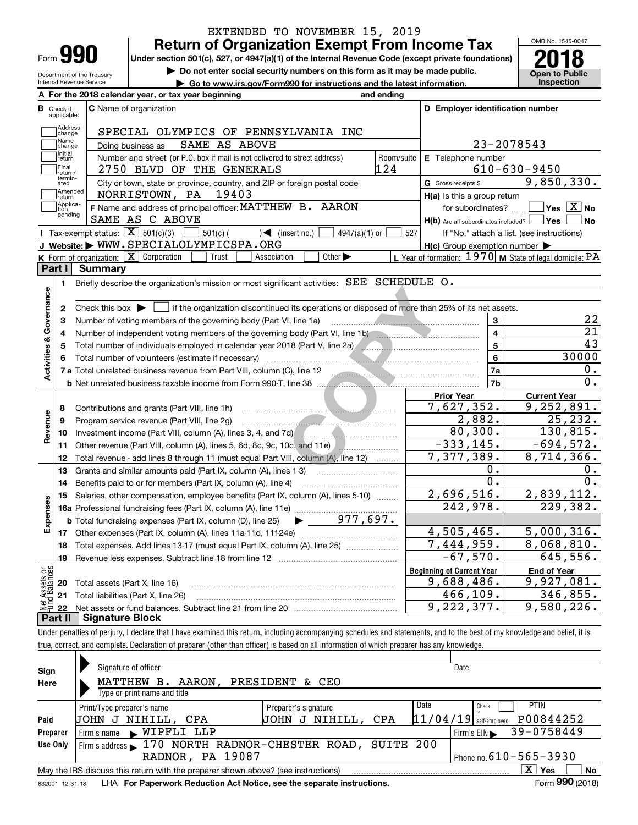|                                                 |                                                                                                    | EXTENDED TO NOVEMBER 15, 2019                                                                                                                  |                   |                                                           |                                                                  |
|-------------------------------------------------|----------------------------------------------------------------------------------------------------|------------------------------------------------------------------------------------------------------------------------------------------------|-------------------|-----------------------------------------------------------|------------------------------------------------------------------|
|                                                 |                                                                                                    | <b>Return of Organization Exempt From Income Tax</b>                                                                                           |                   |                                                           | OMB No. 1545-0047                                                |
| Form <b>990</b>                                 | Under section 501(c), 527, or 4947(a)(1) of the Internal Revenue Code (except private foundations) |                                                                                                                                                |                   |                                                           |                                                                  |
| Department of the Treasury                      |                                                                                                    | Do not enter social security numbers on this form as it may be made public.                                                                    |                   |                                                           | <b>Open to Public</b>                                            |
| Internal Revenue Service                        |                                                                                                    | ► Go to www.irs.gov/Form990 for instructions and the latest information.                                                                       |                   |                                                           | Inspection                                                       |
|                                                 |                                                                                                    | A For the 2018 calendar year, or tax year beginning                                                                                            | and ending        |                                                           |                                                                  |
| <b>B</b> Check if<br>applicable:                |                                                                                                    | C Name of organization                                                                                                                         |                   | D Employer identification number                          |                                                                  |
| Address                                         |                                                                                                    |                                                                                                                                                |                   |                                                           |                                                                  |
| change<br>Name                                  |                                                                                                    | SPECIAL OLYMPICS OF PENNSYLVANIA INC<br>SAME AS ABOVE                                                                                          |                   | 23-2078543                                                |                                                                  |
| change<br>Initial                               | Doing business as                                                                                  |                                                                                                                                                |                   |                                                           |                                                                  |
| return<br>Final                                 |                                                                                                    | Number and street (or P.O. box if mail is not delivered to street address)<br>2750 BLVD OF THE GENERALS                                        | Room/suite<br>124 | E Telephone number                                        | $610 - 630 - 9450$                                               |
| return/<br>termin-                              |                                                                                                    |                                                                                                                                                |                   | G Gross receipts \$                                       | 9,850,330.                                                       |
| ated<br>Amended                                 |                                                                                                    | City or town, state or province, country, and ZIP or foreign postal code<br>NORRISTOWN, PA<br>19403                                            |                   |                                                           |                                                                  |
| return<br>Applica-                              |                                                                                                    | F Name and address of principal officer: MATTHEW B. AARON                                                                                      |                   | H(a) Is this a group return<br>for subordinates?          | $\sqrt{}$ Yes $\sqrt{X}$ No                                      |
| tion<br>pending                                 |                                                                                                    | SAME AS C ABOVE                                                                                                                                |                   | $H(b)$ Are all subordinates included? $\Box$ Yes $\Box$   | ∣No                                                              |
|                                                 | Tax-exempt status: $\boxed{\mathbf{X}}$ 501(c)(3)                                                  | $501(c)$ (<br>$\sqrt{ }$ (insert no.)<br>$4947(a)(1)$ or                                                                                       | 527               |                                                           | If "No," attach a list. (see instructions)                       |
|                                                 |                                                                                                    | J Website: WWW.SPECIALOLYMPICSPA.ORG                                                                                                           |                   | $H(c)$ Group exemption number $\blacktriangleright$       |                                                                  |
|                                                 |                                                                                                    | K Form of organization: X Corporation<br>Trust<br>Association<br>Other $\blacktriangleright$                                                   |                   | L Year of formation: 1970   M State of legal domicile: PA |                                                                  |
| Part I                                          | <b>Summary</b>                                                                                     |                                                                                                                                                |                   |                                                           |                                                                  |
| 1.                                              |                                                                                                    | Briefly describe the organization's mission or most significant activities: SEE SCHEDULE O.                                                    |                   |                                                           |                                                                  |
|                                                 |                                                                                                    |                                                                                                                                                |                   |                                                           |                                                                  |
| 2                                               |                                                                                                    | Check this box $\triangleright$ $\blacksquare$ if the organization discontinued its operations or disposed of more than 25% of its net assets. |                   |                                                           |                                                                  |
| з                                               |                                                                                                    | Number of voting members of the governing body (Part VI, line 1a)                                                                              |                   | 3                                                         | 22                                                               |
| 4                                               |                                                                                                    | Number of independent voting members of the governing body (Part VI, line 1b)                                                                  |                   | $\overline{\mathbf{4}}$                                   | 21                                                               |
| 5                                               |                                                                                                    |                                                                                                                                                |                   | 5                                                         | 43                                                               |
|                                                 |                                                                                                    |                                                                                                                                                |                   | 6                                                         | 30000                                                            |
| Activities & Governance                         |                                                                                                    | 7 a Total unrelated business revenue from Part VIII, column (C), line 12                                                                       |                   | 7a                                                        | 0.                                                               |
|                                                 |                                                                                                    |                                                                                                                                                |                   | 7b                                                        | $\overline{0}$ .                                                 |
|                                                 |                                                                                                    |                                                                                                                                                |                   | <b>Prior Year</b>                                         | <b>Current Year</b>                                              |
| 8                                               |                                                                                                    | Contributions and grants (Part VIII, line 1h)                                                                                                  |                   | 7,627,352.                                                | 9,252,891.                                                       |
| Revenue<br>9                                    |                                                                                                    | Program service revenue (Part VIII, line 2g)                                                                                                   |                   | 2,882.                                                    | 25,232.                                                          |
| 10                                              |                                                                                                    | Investment income (Part VIII, column (A), lines 3, 4, and 7d)                                                                                  |                   | 80, 300.                                                  | 130,815.                                                         |
| 11                                              |                                                                                                    |                                                                                                                                                |                   | $-333,145.$                                               | $-694,572.$                                                      |
| 12                                              |                                                                                                    | Total revenue - add lines 8 through 11 (must equal Part VIII, column (A), line 12)                                                             |                   | 7,377,389.                                                | 8,714,366.                                                       |
| 13                                              |                                                                                                    | Grants and similar amounts paid (Part IX, column (A), lines 1-3)                                                                               |                   | Ο.                                                        | 0.                                                               |
| 14                                              |                                                                                                    | Benefits paid to or for members (Part IX, column (A), line 4)                                                                                  |                   | 0.                                                        | 0.                                                               |
|                                                 |                                                                                                    |                                                                                                                                                |                   | 2,696,516.                                                | 2,839,112.                                                       |
| Expenses                                        |                                                                                                    | 15 Salaries, other compensation, employee benefits (Part IX, column (A), lines 5-10)                                                           |                   | 242,978.                                                  | 229,382.                                                         |
|                                                 |                                                                                                    |                                                                                                                                                |                   |                                                           |                                                                  |
|                                                 |                                                                                                    |                                                                                                                                                |                   |                                                           |                                                                  |
|                                                 |                                                                                                    |                                                                                                                                                |                   | $\overline{4,505,465}$ .                                  |                                                                  |
| 18                                              |                                                                                                    | Total expenses. Add lines 13-17 (must equal Part IX, column (A), line 25) [                                                                    |                   | 7,444,959.                                                |                                                                  |
| 19                                              |                                                                                                    | Revenue less expenses. Subtract line 18 from line 12                                                                                           |                   | $-67,570.$                                                |                                                                  |
|                                                 |                                                                                                    |                                                                                                                                                |                   | <b>Beginning of Current Year</b>                          | <b>End of Year</b>                                               |
| 20                                              | Total assets (Part X, line 16)                                                                     |                                                                                                                                                |                   | 9,688,486.                                                | 5,000,316.<br>8,068,810.<br>$\overline{6}$ 45,556.<br>9,927,081. |
| 21                                              |                                                                                                    | Total liabilities (Part X, line 26)                                                                                                            |                   | 466, 109.                                                 | 346, 855.                                                        |
| Net Assets or<br>Fund Balances<br>22<br>Part II | <b>Signature Block</b>                                                                             |                                                                                                                                                |                   | 9,222,377.                                                | $\overline{9,580,226}$ .                                         |

true, correct, and complete. Declaration of preparer (other than officer) is based on all information of which preparer has any knowledge.

| Sign     | Signature of officer                                                                                         |                       | Date                                  |    |  |  |  |  |
|----------|--------------------------------------------------------------------------------------------------------------|-----------------------|---------------------------------------|----|--|--|--|--|
| Here     | MATTHEW<br>B. AARON,                                                                                         | PRESIDENT & CEO       |                                       |    |  |  |  |  |
|          | Type or print name and title                                                                                 |                       |                                       |    |  |  |  |  |
|          | Print/Type preparer's name                                                                                   | Preparer's signature  | Date<br><b>PTIN</b><br>Check          |    |  |  |  |  |
| Paid     | UOHN J NIHILL, CPA                                                                                           | J NIHILL, CPA<br>UOHN | P00844252<br>$11/04/19$ self-employed |    |  |  |  |  |
| Preparer | WIPFLI LLP<br>Firm's name<br>$\mathbf{K}$                                                                    |                       | 39-0758449<br>Firm's $EIN$            |    |  |  |  |  |
| Use Only | Firm's address 170 NORTH RADNOR-CHESTER ROAD, SUITE 200                                                      |                       |                                       |    |  |  |  |  |
|          | Phone no. $610 - 565 - 3930$<br><b>RADNOR, PA 19087</b>                                                      |                       |                                       |    |  |  |  |  |
|          | May the IRS discuss this return with the preparer shown above? (see instructions)                            |                       | X.<br>Yes                             | No |  |  |  |  |
|          | Form 990 (2018)<br>LHA For Paperwork Reduction Act Notice, see the separate instructions.<br>832001 12-31-18 |                       |                                       |    |  |  |  |  |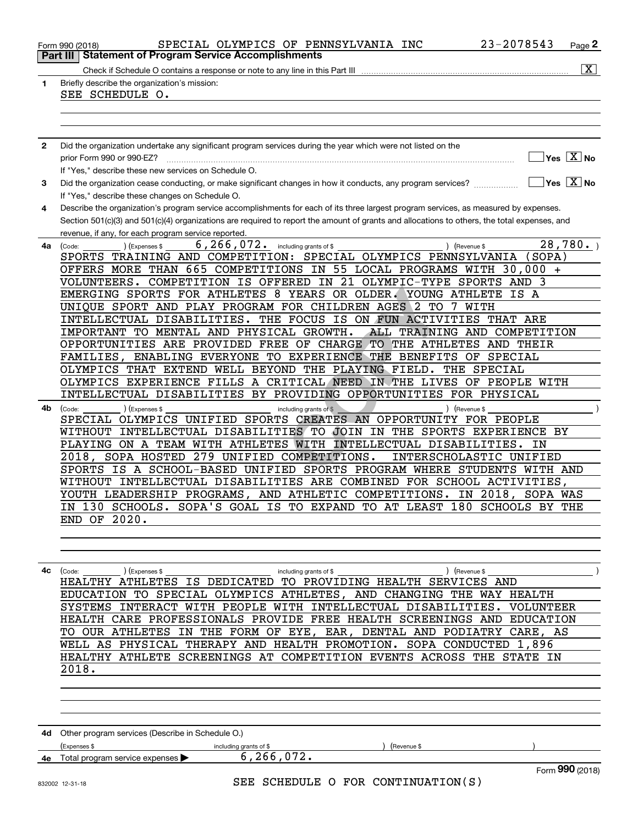|              | 23-2078543<br>SPECIAL OLYMPICS OF PENNSYLVANIA INC<br>Page 2<br>Form 990 (2018)                                                              |
|--------------|----------------------------------------------------------------------------------------------------------------------------------------------|
| Part III     | <b>Statement of Program Service Accomplishments</b>                                                                                          |
|              | $\overline{\mathbf{x}}$                                                                                                                      |
| 1            | Briefly describe the organization's mission:                                                                                                 |
|              | SEE SCHEDULE O.                                                                                                                              |
|              |                                                                                                                                              |
|              |                                                                                                                                              |
|              |                                                                                                                                              |
| $\mathbf{2}$ | Did the organization undertake any significant program services during the year which were not listed on the                                 |
|              | $Yes \quad X$ No<br>prior Form 990 or 990-EZ?                                                                                                |
|              | If "Yes," describe these new services on Schedule O.                                                                                         |
| 3            | $\Box$ Yes $\Box$ No<br>Did the organization cease conducting, or make significant changes in how it conducts, any program services?         |
|              | If "Yes," describe these changes on Schedule O.                                                                                              |
| 4            | Describe the organization's program service accomplishments for each of its three largest program services, as measured by expenses.         |
|              | Section 501(c)(3) and 501(c)(4) organizations are required to report the amount of grants and allocations to others, the total expenses, and |
|              | revenue, if any, for each program service reported.                                                                                          |
| 4a           | $\overline{28}$ , 780.<br>6, 266, 072. including grants of \$<br>(Expenses \$<br>) (Revenue \$<br>(Code:                                     |
|              | SPORTS TRAINING AND COMPETITION: SPECIAL OLYMPICS PENNSYLVANIA<br>(SOPA)                                                                     |
|              | OFFERS MORE THAN 665 COMPETITIONS IN 55 LOCAL PROGRAMS WITH 30,000 +                                                                         |
|              | COMPETITION IS OFFERED IN 21 OLYMPIC-TYPE SPORTS AND 3                                                                                       |
|              | VOLUNTEERS.                                                                                                                                  |
|              | EMERGING SPORTS FOR ATHLETES 8 YEARS OR OLDER. YOUNG ATHLETE IS A                                                                            |
|              | UNIQUE SPORT AND PLAY PROGRAM FOR CHILDREN AGES 2 TO<br>7 WITH                                                                               |
|              | INTELLECTUAL DISABILITIES. THE FOCUS IS ON FUN ACTIVITIES<br>THAT ARE                                                                        |
|              | IMPORTANT TO MENTAL AND PHYSICAL GROWTH.<br>ALL TRAINING AND COMPETITION                                                                     |
|              | OPPORTUNITIES ARE PROVIDED FREE OF CHARGE TO THE ATHLETES AND THEIR                                                                          |
|              | FAMILIES, ENABLING EVERYONE TO EXPERIENCE THE BENEFITS OF SPECIAL                                                                            |
|              | OLYMPICS THAT EXTEND WELL BEYOND THE PLAYING FIELD.<br>THE SPECIAL                                                                           |
|              | OLYMPICS EXPERIENCE FILLS A CRITICAL NEED IN THE LIVES OF PEOPLE WITH                                                                        |
|              | INTELLECTUAL DISABILITIES BY PROVIDING OPPORTUNITIES FOR PHYSICAL                                                                            |
| 4b.          | including grants of \$<br>) (Expenses \$<br>) (Revenue \$<br>(Code:                                                                          |
|              | SPECIAL OLYMPICS UNIFIED SPORTS CREATES AN OPPORTUNITY FOR PEOPLE                                                                            |
|              | WITHOUT INTELLECTUAL DISABILITIES TO JOIN IN THE SPORTS EXPERIENCE BY                                                                        |
|              | PLAYING ON A TEAM WITH ATHLETES WITH INTELLECTUAL DISABILITIES.<br>ΙN                                                                        |
|              | 279 UNIFIED COMPETITIONS.<br>2018, SOPA HOSTED<br>INTERSCHOLASTIC UNIFIED                                                                    |
|              | SPORTS IS A SCHOOL-BASED UNIFIED SPORTS PROGRAM WHERE STUDENTS WITH AND                                                                      |
|              | WITHOUT INTELLECTUAL DISABILITIES ARE COMBINED FOR SCHOOL ACTIVITIES,                                                                        |
|              |                                                                                                                                              |
|              | YOUTH LEADERSHIP PROGRAMS, AND ATHLETIC COMPETITIONS. IN 2018, SOPA WAS                                                                      |
|              | IN 130 SCHOOLS. SOPA'S GOAL IS TO EXPAND TO AT LEAST 180 SCHOOLS BY THE                                                                      |
|              | <b>END OF 2020.</b>                                                                                                                          |
|              |                                                                                                                                              |
|              |                                                                                                                                              |
|              |                                                                                                                                              |
| 4с           | ) (Expenses \$<br>) (Revenue \$<br>(Code:<br>including grants of \$                                                                          |
|              | HEALTHY ATHLETES IS DEDICATED TO PROVIDING HEALTH SERVICES AND                                                                               |
|              | EDUCATION TO SPECIAL OLYMPICS ATHLETES, AND CHANGING THE WAY HEALTH                                                                          |
|              | SYSTEMS INTERACT WITH PEOPLE WITH INTELLECTUAL DISABILITIES. VOLUNTEER                                                                       |
|              | HEALTH CARE PROFESSIONALS PROVIDE FREE HEALTH SCREENINGS AND EDUCATION                                                                       |
|              | TO OUR ATHLETES IN THE FORM OF EYE, EAR, DENTAL AND PODIATRY CARE, AS                                                                        |
|              | WELL AS PHYSICAL THERAPY AND HEALTH PROMOTION. SOPA CONDUCTED 1,896                                                                          |
|              | HEALTHY ATHLETE SCREENINGS AT COMPETITION EVENTS ACROSS THE STATE IN                                                                         |
|              | 2018.                                                                                                                                        |
|              |                                                                                                                                              |
|              |                                                                                                                                              |
|              |                                                                                                                                              |
|              |                                                                                                                                              |
|              |                                                                                                                                              |
|              | 4d Other program services (Describe in Schedule O.)                                                                                          |
|              | (Expenses \$<br>(Revenue \$<br>including grants of \$                                                                                        |
| 4e           | 6, 266, 072.<br>Total program service expenses                                                                                               |
|              | Form 990 (2018)                                                                                                                              |
|              | SEE SCHEDULE O FOR CONTINUATION(S)<br>832002 12-31-18                                                                                        |
|              |                                                                                                                                              |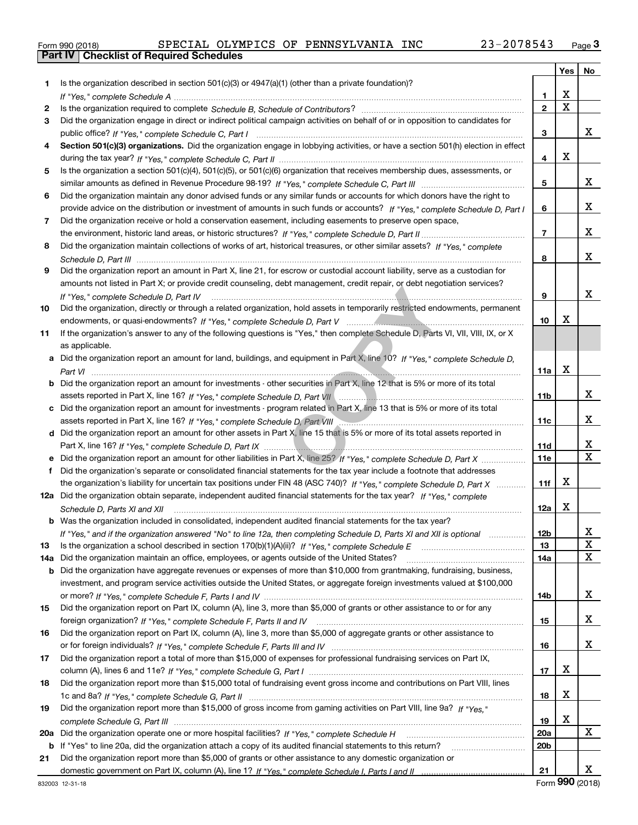|  | Form 990 (2018) |  |
|--|-----------------|--|

|     |                                                                                                                                  |                 | Yes                     | No                    |
|-----|----------------------------------------------------------------------------------------------------------------------------------|-----------------|-------------------------|-----------------------|
| 1.  | Is the organization described in section $501(c)(3)$ or $4947(a)(1)$ (other than a private foundation)?                          |                 |                         |                       |
|     |                                                                                                                                  | 1               | х                       |                       |
| 2   |                                                                                                                                  | $\mathbf{2}$    | $\overline{\mathbf{x}}$ |                       |
| 3   | Did the organization engage in direct or indirect political campaign activities on behalf of or in opposition to candidates for  |                 |                         |                       |
|     |                                                                                                                                  | 3               |                         | X.                    |
| 4   | Section 501(c)(3) organizations. Did the organization engage in lobbying activities, or have a section 501(h) election in effect |                 |                         |                       |
|     |                                                                                                                                  | 4               | х                       |                       |
| 5   | Is the organization a section 501(c)(4), 501(c)(5), or 501(c)(6) organization that receives membership dues, assessments, or     |                 |                         |                       |
|     |                                                                                                                                  | 5               |                         | X.                    |
| 6   | Did the organization maintain any donor advised funds or any similar funds or accounts for which donors have the right to        |                 |                         |                       |
|     | provide advice on the distribution or investment of amounts in such funds or accounts? If "Yes," complete Schedule D, Part I     | 6               |                         | X.                    |
| 7   | Did the organization receive or hold a conservation easement, including easements to preserve open space,                        |                 |                         |                       |
|     |                                                                                                                                  | $\overline{7}$  |                         | x                     |
| 8   | Did the organization maintain collections of works of art, historical treasures, or other similar assets? If "Yes," complete     |                 |                         |                       |
|     |                                                                                                                                  | 8               |                         | x                     |
| 9   | Did the organization report an amount in Part X, line 21, for escrow or custodial account liability, serve as a custodian for    |                 |                         |                       |
|     | amounts not listed in Part X; or provide credit counseling, debt management, credit repair, or debt negotiation services?        |                 |                         |                       |
|     | If "Yes." complete Schedule D. Part IV                                                                                           | 9               |                         | x                     |
| 10  | Did the organization, directly or through a related organization, hold assets in temporarily restricted endowments, permanent    |                 |                         |                       |
|     |                                                                                                                                  | 10              | х                       |                       |
| 11  | If the organization's answer to any of the following questions is "Yes," then complete Schedule D, Parts VI, VII, VIII, IX, or X |                 |                         |                       |
|     | as applicable.                                                                                                                   |                 |                         |                       |
| а   | Did the organization report an amount for land, buildings, and equipment in Part X, line 10? If "Yes," complete Schedule D,      |                 | x                       |                       |
|     |                                                                                                                                  | 11a             |                         |                       |
| b   | Did the organization report an amount for investments - other securities in Part X, line 12 that is 5% or more of its total      |                 |                         | x                     |
|     |                                                                                                                                  | 11b             |                         |                       |
| с   | Did the organization report an amount for investments - program related in Part X, line 13 that is 5% or more of its total       | 11c             |                         | X.                    |
| d   | Did the organization report an amount for other assets in Part X, line 15 that is 5% or more of its total assets reported in     |                 |                         |                       |
|     |                                                                                                                                  | 11d             |                         | X                     |
| е   | Did the organization report an amount for other liabilities in Part X, line 25? If "Yes," complete Schedule D, Part X            | <b>11e</b>      |                         | $\overline{\text{x}}$ |
| f   | Did the organization's separate or consolidated financial statements for the tax year include a footnote that addresses          |                 |                         |                       |
|     | the organization's liability for uncertain tax positions under FIN 48 (ASC 740)? If "Yes," complete Schedule D, Part X           | 11f             | x                       |                       |
|     | 12a Did the organization obtain separate, independent audited financial statements for the tax year? If "Yes," complete          |                 |                         |                       |
|     | Schedule D, Parts XI and XII                                                                                                     | 12a             | x                       |                       |
| b   | Was the organization included in consolidated, independent audited financial statements for the tax year?                        |                 |                         |                       |
|     | If "Yes," and if the organization answered "No" to line 12a, then completing Schedule D, Parts XI and XII is optional            | 12 <sub>b</sub> |                         | Χ                     |
| 13  |                                                                                                                                  | 13              |                         | X                     |
| 14a | Did the organization maintain an office, employees, or agents outside of the United States?                                      | 14a             |                         | X                     |
| b   | Did the organization have aggregate revenues or expenses of more than \$10,000 from grantmaking, fundraising, business,          |                 |                         |                       |
|     | investment, and program service activities outside the United States, or aggregate foreign investments valued at \$100,000       |                 |                         |                       |
|     |                                                                                                                                  | 14b             |                         | X.                    |
| 15  | Did the organization report on Part IX, column (A), line 3, more than \$5,000 of grants or other assistance to or for any        |                 |                         |                       |
|     |                                                                                                                                  | 15              |                         | X.                    |
| 16  | Did the organization report on Part IX, column (A), line 3, more than \$5,000 of aggregate grants or other assistance to         |                 |                         |                       |
|     |                                                                                                                                  | 16              |                         | X.                    |
| 17  | Did the organization report a total of more than \$15,000 of expenses for professional fundraising services on Part IX,          |                 |                         |                       |
|     |                                                                                                                                  | 17              | х                       |                       |
| 18  | Did the organization report more than \$15,000 total of fundraising event gross income and contributions on Part VIII, lines     |                 |                         |                       |
|     |                                                                                                                                  | 18              | x                       |                       |
| 19  | Did the organization report more than \$15,000 of gross income from gaming activities on Part VIII, line 9a? If "Yes."           |                 |                         |                       |
|     |                                                                                                                                  | 19              | х                       |                       |
| 20a |                                                                                                                                  | 20a             |                         | X                     |
| b   | If "Yes" to line 20a, did the organization attach a copy of its audited financial statements to this return?                     | 20b             |                         |                       |
| 21  | Did the organization report more than \$5,000 of grants or other assistance to any domestic organization or                      |                 |                         |                       |
|     |                                                                                                                                  | 21              |                         | x                     |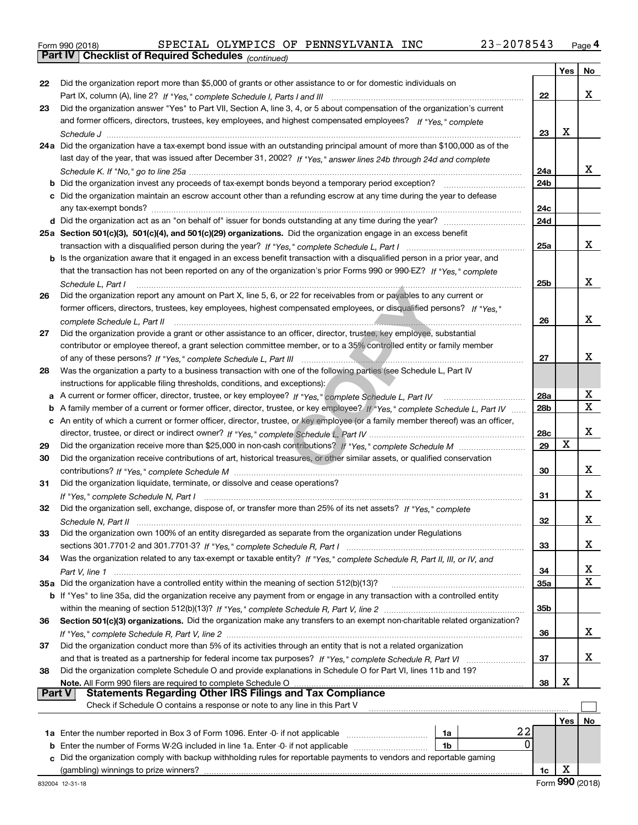|  | Form 990 (2018) |
|--|-----------------|
|  |                 |

*(continued)*

|               |                                                                                                                                   |                 | Yes | No               |
|---------------|-----------------------------------------------------------------------------------------------------------------------------------|-----------------|-----|------------------|
| 22            | Did the organization report more than \$5,000 of grants or other assistance to or for domestic individuals on                     |                 |     |                  |
|               |                                                                                                                                   | 22              |     | x                |
| 23            | Did the organization answer "Yes" to Part VII, Section A, line 3, 4, or 5 about compensation of the organization's current        |                 |     |                  |
|               | and former officers, directors, trustees, key employees, and highest compensated employees? If "Yes," complete                    |                 |     |                  |
|               |                                                                                                                                   | 23              | X   |                  |
|               | 24a Did the organization have a tax-exempt bond issue with an outstanding principal amount of more than \$100,000 as of the       |                 |     |                  |
|               | last day of the year, that was issued after December 31, 2002? If "Yes," answer lines 24b through 24d and complete                |                 |     |                  |
|               |                                                                                                                                   | 24a             |     | x                |
|               |                                                                                                                                   | 24 <sub>b</sub> |     |                  |
|               | c Did the organization maintain an escrow account other than a refunding escrow at any time during the year to defease            |                 |     |                  |
|               |                                                                                                                                   | 24c             |     |                  |
|               |                                                                                                                                   | 24d             |     |                  |
|               | 25a Section 501(c)(3), 501(c)(4), and 501(c)(29) organizations. Did the organization engage in an excess benefit                  |                 |     |                  |
|               |                                                                                                                                   | 25a             |     | x                |
|               | b Is the organization aware that it engaged in an excess benefit transaction with a disqualified person in a prior year, and      |                 |     |                  |
|               | that the transaction has not been reported on any of the organization's prior Forms 990 or 990-EZ? If "Yes," complete             |                 |     |                  |
|               | Schedule L. Part I                                                                                                                | 25b             |     | x                |
| 26            | Did the organization report any amount on Part X, line 5, 6, or 22 for receivables from or payables to any current or             |                 |     |                  |
|               | former officers, directors, trustees, key employees, highest compensated employees, or disqualified persons? If "Yes."            |                 |     |                  |
|               | complete Schedule L, Part II                                                                                                      | 26              |     | x                |
| 27            | Did the organization provide a grant or other assistance to an officer, director, trustee, key employee, substantial              |                 |     |                  |
|               | contributor or employee thereof, a grant selection committee member, or to a 35% controlled entity or family member               |                 |     |                  |
|               |                                                                                                                                   | 27              |     | x                |
| 28            | Was the organization a party to a business transaction with one of the following parties (see Schedule L, Part IV                 |                 |     |                  |
|               | instructions for applicable filing thresholds, conditions, and exceptions):                                                       |                 |     |                  |
|               | a A current or former officer, director, trustee, or key employee? If "Yes," complete Schedule L, Part IV                         | 28a             |     | х                |
|               | b A family member of a current or former officer, director, trustee, or key employee? If "Yes," complete Schedule L, Part IV      | 28 <sub>b</sub> |     | X                |
|               | c An entity of which a current or former officer, director, trustee, or key employee (or a family member thereof) was an officer, |                 |     |                  |
|               |                                                                                                                                   | <b>28c</b>      |     | x                |
| 29            |                                                                                                                                   | 29              | X   |                  |
| 30            | Did the organization receive contributions of art, historical treasures, or other similar assets, or qualified conservation       |                 |     |                  |
|               |                                                                                                                                   | 30              |     | x                |
| 31            | Did the organization liquidate, terminate, or dissolve and cease operations?                                                      |                 |     |                  |
|               | If "Yes," complete Schedule N, Part I                                                                                             | 31              |     | x                |
| 32            | Did the organization sell, exchange, dispose of, or transfer more than 25% of its net assets? If "Yes," complete                  |                 |     |                  |
|               |                                                                                                                                   | 32              |     | x                |
| 33            | Did the organization own 100% of an entity disregarded as separate from the organization under Regulations                        |                 |     |                  |
|               |                                                                                                                                   | 33              |     | x                |
| 34            | Was the organization related to any tax-exempt or taxable entity? If "Yes," complete Schedule R, Part II, III, or IV, and         |                 |     |                  |
|               |                                                                                                                                   | 34              |     | X<br>$\mathbf X$ |
|               | 35a Did the organization have a controlled entity within the meaning of section 512(b)(13)?                                       | 35a             |     |                  |
|               | b If "Yes" to line 35a, did the organization receive any payment from or engage in any transaction with a controlled entity       | 35 <sub>b</sub> |     |                  |
|               | Section 501(c)(3) organizations. Did the organization make any transfers to an exempt non-charitable related organization?        |                 |     |                  |
| 36            |                                                                                                                                   | 36              |     | x                |
| 37            | Did the organization conduct more than 5% of its activities through an entity that is not a related organization                  |                 |     |                  |
|               |                                                                                                                                   | 37              |     | х                |
| 38            | Did the organization complete Schedule O and provide explanations in Schedule O for Part VI, lines 11b and 19?                    |                 |     |                  |
|               |                                                                                                                                   | 38              | х   |                  |
| <b>Part V</b> | <b>Statements Regarding Other IRS Filings and Tax Compliance</b>                                                                  |                 |     |                  |
|               | Check if Schedule O contains a response or note to any line in this Part V                                                        |                 |     |                  |
|               |                                                                                                                                   |                 | Yes | No               |
|               | 22<br>1a                                                                                                                          |                 |     |                  |
| b             | 0<br>Enter the number of Forms W-2G included in line 1a. Enter -0- if not applicable<br>1b                                        |                 |     |                  |
| c             | Did the organization comply with backup withholding rules for reportable payments to vendors and reportable gaming                |                 |     |                  |
|               |                                                                                                                                   | 1c              | х   |                  |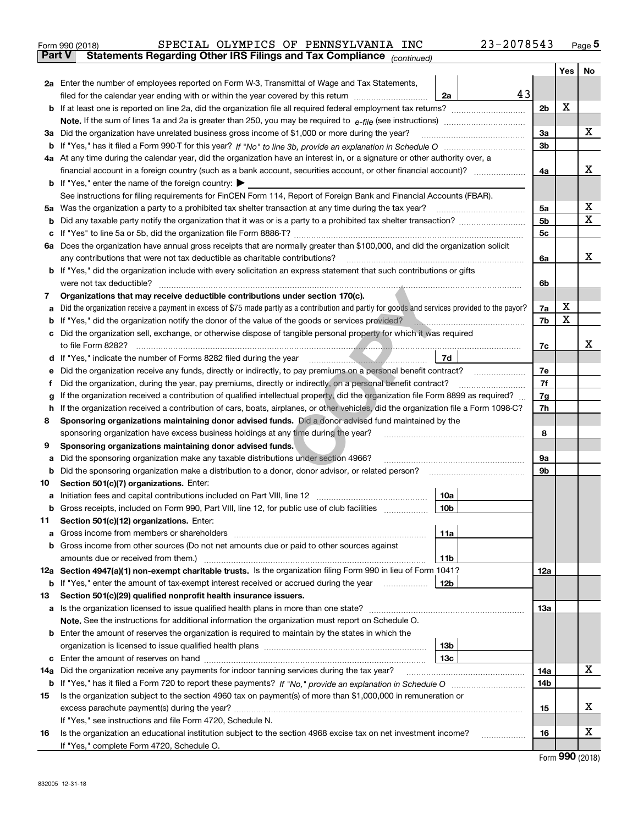|               | SPECIAL OLYMPICS OF PENNSYLVANIA INC<br>Form 990 (2018)                                                                                         | 23-2078543 |     | Page $5$ |
|---------------|-------------------------------------------------------------------------------------------------------------------------------------------------|------------|-----|----------|
| <b>Part V</b> | Statements Regarding Other IRS Filings and Tax Compliance (continued)                                                                           |            |     |          |
|               |                                                                                                                                                 |            | Yes | No       |
|               | 2a Enter the number of employees reported on Form W-3, Transmittal of Wage and Tax Statements,                                                  |            |     |          |
|               | filed for the calendar year ending with or within the year covered by this return [[[[[[[[[[[[[[[[[[[[[[[[[[[<br>2a                             | 43         |     |          |
|               |                                                                                                                                                 | 2b         | х   |          |
|               |                                                                                                                                                 |            |     |          |
|               | 3a Did the organization have unrelated business gross income of \$1,000 or more during the year?                                                | 3a         |     | X        |
| b             |                                                                                                                                                 | 3b         |     |          |
|               | 4a At any time during the calendar year, did the organization have an interest in, or a signature or other authority over, a                    |            |     |          |
|               |                                                                                                                                                 | 4a         |     | x        |
|               | <b>b</b> If "Yes," enter the name of the foreign country: $\blacktriangleright$                                                                 |            |     |          |
|               | See instructions for filing requirements for FinCEN Form 114, Report of Foreign Bank and Financial Accounts (FBAR).                             |            |     |          |
| 5a            | Was the organization a party to a prohibited tax shelter transaction at any time during the tax year?                                           | 5a         |     | х        |
| b             |                                                                                                                                                 | 5b         |     | X        |
| c             |                                                                                                                                                 | 5c         |     |          |
| 6а            | Does the organization have annual gross receipts that are normally greater than \$100,000, and did the organization solicit                     |            |     |          |
|               | any contributions that were not tax deductible as charitable contributions?                                                                     | 6a         |     | x        |
|               | <b>b</b> If "Yes," did the organization include with every solicitation an express statement that such contributions or gifts                   |            |     |          |
|               | were not tax deductible?                                                                                                                        | 6b         |     |          |
| 7             | Organizations that may receive deductible contributions under section 170(c).                                                                   |            |     |          |
| а             | Did the organization receive a payment in excess of \$75 made partly as a contribution and partly for goods and services provided to the payor? | 7a         | х   |          |
| b             | If "Yes," did the organization notify the donor of the value of the goods or services provided?                                                 | 7b         | x   |          |
|               | Did the organization sell, exchange, or otherwise dispose of tangible personal property for which it was required                               |            |     |          |
|               |                                                                                                                                                 | 7c         |     | х        |
| d             | 7d<br>If "Yes," indicate the number of Forms 8282 filed during the year manufactured material control of                                        |            |     |          |
| е             | Did the organization receive any funds, directly or indirectly, to pay premiums on a personal benefit contract?                                 | 7e         |     |          |
| f             | Did the organization, during the year, pay premiums, directly or indirectly, on a personal benefit contract?                                    | 7f         |     |          |
| g             | If the organization received a contribution of qualified intellectual property, did the organization file Form 8899 as required?                | 7g         |     |          |
| h             | If the organization received a contribution of cars, boats, airplanes, or other vehicles, did the organization file a Form 1098-C?              | 7h         |     |          |
| 8             | Sponsoring organizations maintaining donor advised funds. Did a donor advised fund maintained by the                                            |            |     |          |
|               | sponsoring organization have excess business holdings at any time during the year?                                                              | 8          |     |          |
| 9             | Sponsoring organizations maintaining donor advised funds.                                                                                       |            |     |          |
| a             | Did the sponsoring organization make any taxable distributions under section 4966?                                                              | 9а         |     |          |
| b             | Did the sponsoring organization make a distribution to a donor, donor advisor, or related person?                                               | 9b         |     |          |
| 10            | Section 501(c)(7) organizations. Enter:                                                                                                         |            |     |          |
|               | 10a<br> 10b                                                                                                                                     |            |     |          |
|               | Gross receipts, included on Form 990, Part VIII, line 12, for public use of club facilities                                                     |            |     |          |
| 11            | Section 501(c)(12) organizations. Enter:                                                                                                        |            |     |          |
| a<br>b        | 11a<br>Gross income from members or shareholders<br>Gross income from other sources (Do not net amounts due or paid to other sources against    |            |     |          |
|               | 11 <sub>b</sub><br>amounts due or received from them.)                                                                                          |            |     |          |
|               | 12a Section 4947(a)(1) non-exempt charitable trusts. Is the organization filing Form 990 in lieu of Form 1041?                                  | 12a        |     |          |
|               | <b>b</b> If "Yes," enter the amount of tax-exempt interest received or accrued during the year<br>12b                                           |            |     |          |
| 13            | Section 501(c)(29) qualified nonprofit health insurance issuers.                                                                                |            |     |          |
| a             | Is the organization licensed to issue qualified health plans in more than one state?                                                            | 13а        |     |          |
|               | Note. See the instructions for additional information the organization must report on Schedule O.                                               |            |     |          |
| b             | Enter the amount of reserves the organization is required to maintain by the states in which the                                                |            |     |          |
|               | 13 <sub>b</sub>                                                                                                                                 |            |     |          |
| c             | 13c                                                                                                                                             |            |     |          |
| 14a           | Did the organization receive any payments for indoor tanning services during the tax year?                                                      | 14a        |     | X        |
|               |                                                                                                                                                 | 14b        |     |          |
| 15            | Is the organization subject to the section 4960 tax on payment(s) of more than \$1,000,000 in remuneration or                                   |            |     |          |
|               |                                                                                                                                                 | 15         |     | x        |
|               | If "Yes," see instructions and file Form 4720, Schedule N.                                                                                      |            |     |          |
| 16            | Is the organization an educational institution subject to the section 4968 excise tax on net investment income?                                 | 16         |     | х        |
|               | If "Yes," complete Form 4720, Schedule O.                                                                                                       |            |     |          |
|               |                                                                                                                                                 |            | റററ |          |

Form (2018) **990**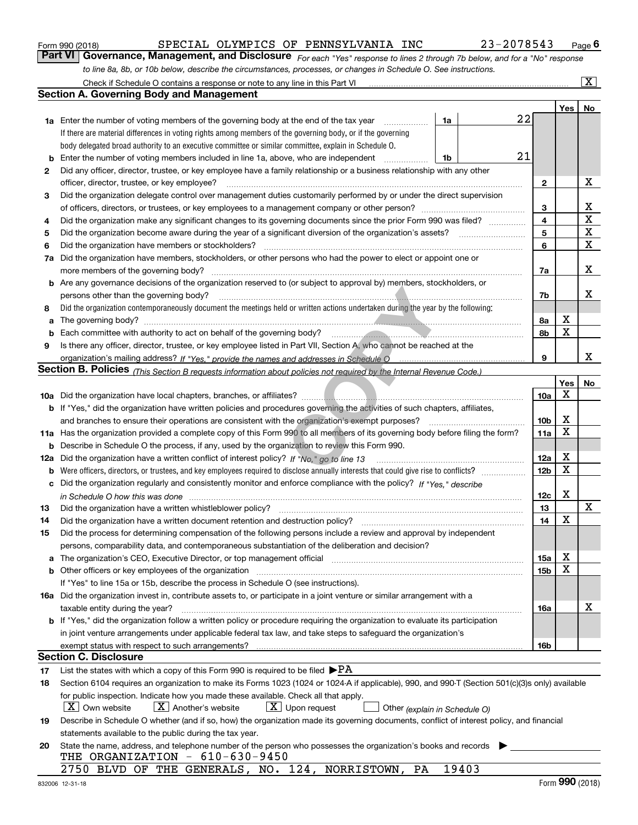|  | Form 990 (2018) |  |
|--|-----------------|--|
|  |                 |  |

| Form 990 (2018) |  |  | SPECIAL OLYMPICS OF PENNSYLVANIA INC                                                                             | 23-2078543                                                                                                                  | $P_{\text{aqe}}$ 6 |
|-----------------|--|--|------------------------------------------------------------------------------------------------------------------|-----------------------------------------------------------------------------------------------------------------------------|--------------------|
|                 |  |  |                                                                                                                  | Part VI Governance, Management, and Disclosure For each "Yes" response to lines 2 through 7b below, and for a "No" response |                    |
|                 |  |  | to line 8a, 8b, or 10b below, describe the circumstances, processes, or changes in Schedule O. See instructions. |                                                                                                                             |                    |

|     | Check if Schedule O contains a response or note to any line in this Part VI                                                                                                                                                    |    |       |                 |             | $\overline{\mathbf{x}}$ |
|-----|--------------------------------------------------------------------------------------------------------------------------------------------------------------------------------------------------------------------------------|----|-------|-----------------|-------------|-------------------------|
|     | <b>Section A. Governing Body and Management</b>                                                                                                                                                                                |    |       |                 |             |                         |
|     |                                                                                                                                                                                                                                |    |       |                 | Yes         | No                      |
|     | <b>1a</b> Enter the number of voting members of the governing body at the end of the tax year                                                                                                                                  | 1a |       | 22              |             |                         |
|     | If there are material differences in voting rights among members of the governing body, or if the governing                                                                                                                    |    |       |                 |             |                         |
|     | body delegated broad authority to an executive committee or similar committee, explain in Schedule O.                                                                                                                          |    |       |                 |             |                         |
| b   | Enter the number of voting members included in line 1a, above, who are independent                                                                                                                                             | 1b |       | 21              |             |                         |
| 2   | Did any officer, director, trustee, or key employee have a family relationship or a business relationship with any other                                                                                                       |    |       |                 |             |                         |
|     | officer, director, trustee, or key employee?                                                                                                                                                                                   |    |       | $\mathbf{2}$    |             | X                       |
| 3   | Did the organization delegate control over management duties customarily performed by or under the direct supervision                                                                                                          |    |       |                 |             |                         |
|     |                                                                                                                                                                                                                                |    |       | 3               |             | х                       |
| 4   | Did the organization make any significant changes to its governing documents since the prior Form 990 was filed?                                                                                                               |    |       | $\overline{4}$  |             | X                       |
| 5   |                                                                                                                                                                                                                                |    |       | 5               |             | $\mathbf X$             |
| 6   | Did the organization have members or stockholders?                                                                                                                                                                             |    |       | 6               |             | $\mathbf X$             |
| 7a  | Did the organization have members, stockholders, or other persons who had the power to elect or appoint one or                                                                                                                 |    |       |                 |             |                         |
|     | more members of the governing body?                                                                                                                                                                                            |    |       | 7a              |             | х                       |
| b   | Are any governance decisions of the organization reserved to (or subject to approval by) members, stockholders, or                                                                                                             |    |       |                 |             |                         |
|     | persons other than the governing body?                                                                                                                                                                                         |    |       | 7b              |             | x                       |
| 8   | Did the organization contemporaneously document the meetings held or written actions undertaken during the year by the following:                                                                                              |    |       |                 |             |                         |
| а   | The governing body? [11] matter contracts and contracts are contracted by the set of the set of the set of the set of the set of the set of the set of the set of the set of the set of the set of the set of the set of the s |    |       | 8a              | X           |                         |
| b   |                                                                                                                                                                                                                                |    |       | 8b              | $\mathbf X$ |                         |
| 9   | Is there any officer, director, trustee, or key employee listed in Part VII, Section A, who cannot be reached at the                                                                                                           |    |       |                 |             |                         |
|     |                                                                                                                                                                                                                                |    |       | 9               |             | х                       |
|     | Section B. Policies <sub>(This Section B requests information about policies not required by the Internal Revenue Code.)</sub>                                                                                                 |    |       |                 |             |                         |
|     |                                                                                                                                                                                                                                |    |       |                 | Yes         | No                      |
|     |                                                                                                                                                                                                                                |    |       | 10a             | X           |                         |
|     | <b>b</b> If "Yes," did the organization have written policies and procedures governing the activities of such chapters, affiliates,                                                                                            |    |       |                 |             |                         |
|     | and branches to ensure their operations are consistent with the organization's exempt purposes?                                                                                                                                |    |       | 10 <sub>b</sub> | X           |                         |
| 11a | Has the organization provided a complete copy of this Form 990 to all members of its governing body before filing the form?                                                                                                    |    |       | 11a             | X           |                         |
| b   | Describe in Schedule O the process, if any, used by the organization to review this Form 990.                                                                                                                                  |    |       |                 |             |                         |
| 12a | Did the organization have a written conflict of interest policy? If "No," go to line 13                                                                                                                                        |    |       | 12a             | X           |                         |
| b   |                                                                                                                                                                                                                                |    |       |                 |             |                         |
| с   | Did the organization regularly and consistently monitor and enforce compliance with the policy? If "Yes." describe                                                                                                             |    |       |                 |             |                         |
|     | in Schedule O how this was done <i>manually chedule O</i> how this was done                                                                                                                                                    |    |       | 12c             | X           |                         |
| 13  | Did the organization have a written whistleblower policy?                                                                                                                                                                      |    |       | 13              |             | X                       |
| 14  | Did the organization have a written document retention and destruction policy?                                                                                                                                                 |    |       | 14              | X           |                         |
| 15  | Did the process for determining compensation of the following persons include a review and approval by independent                                                                                                             |    |       |                 |             |                         |
|     | persons, comparability data, and contemporaneous substantiation of the deliberation and decision?                                                                                                                              |    |       |                 |             |                         |
| а   | The organization's CEO, Executive Director, or top management official manufactured content of the organization's CEO, Executive Director, or top management official                                                          |    |       | 15a             | х           |                         |
| b   | Other officers or key employees of the organization                                                                                                                                                                            |    |       | 15b             | X           |                         |
|     | If "Yes" to line 15a or 15b, describe the process in Schedule O (see instructions).                                                                                                                                            |    |       |                 |             |                         |
|     | 16a Did the organization invest in, contribute assets to, or participate in a joint venture or similar arrangement with a                                                                                                      |    |       |                 |             |                         |
|     | taxable entity during the year?                                                                                                                                                                                                |    |       | 16a             |             | х                       |
|     | b If "Yes," did the organization follow a written policy or procedure requiring the organization to evaluate its participation                                                                                                 |    |       |                 |             |                         |
|     | in joint venture arrangements under applicable federal tax law, and take steps to safeguard the organization's                                                                                                                 |    |       |                 |             |                         |
|     | exempt status with respect to such arrangements?                                                                                                                                                                               |    |       | 16b             |             |                         |
|     | <b>Section C. Disclosure</b>                                                                                                                                                                                                   |    |       |                 |             |                         |
| 17  | List the states with which a copy of this Form 990 is required to be filed $\blacktriangleright$ PA                                                                                                                            |    |       |                 |             |                         |
| 18  | Section 6104 requires an organization to make its Forms 1023 (1024 or 1024-A if applicable), 990, and 990-T (Section 501(c)(3)s only) available                                                                                |    |       |                 |             |                         |
|     | for public inspection. Indicate how you made these available. Check all that apply.                                                                                                                                            |    |       |                 |             |                         |
|     | $X$ Own website<br>$X$ Another's website<br>$X$ Upon request<br>Other (explain in Schedule O)                                                                                                                                  |    |       |                 |             |                         |
| 19  | Describe in Schedule O whether (and if so, how) the organization made its governing documents, conflict of interest policy, and financial                                                                                      |    |       |                 |             |                         |
|     | statements available to the public during the tax year.                                                                                                                                                                        |    |       |                 |             |                         |
| 20  | State the name, address, and telephone number of the person who possesses the organization's books and records                                                                                                                 |    |       |                 |             |                         |
|     | THE ORGANIZATION $-610-630-9450$                                                                                                                                                                                               |    |       |                 |             |                         |
|     | 2750 BLVD OF THE GENERALS, NO. 124, NORRISTOWN, PA                                                                                                                                                                             |    | 19403 |                 | ^^^         |                         |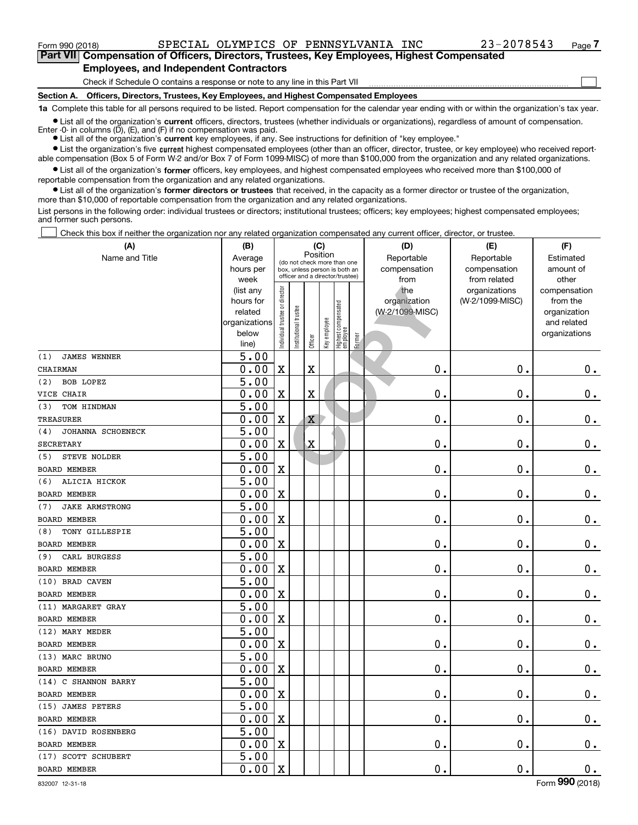$\mathcal{L}^{\text{max}}$ 

**7Part VII Compensation of Officers, Directors, Trustees, Key Employees, Highest Compensated Employees, and Independent Contractors**

Check if Schedule O contains a response or note to any line in this Part VII

**Section A. Officers, Directors, Trustees, Key Employees, and Highest Compensated Employees**

**1a**  Complete this table for all persons required to be listed. Report compensation for the calendar year ending with or within the organization's tax year.

**•** List all of the organization's current officers, directors, trustees (whether individuals or organizations), regardless of amount of compensation. Enter -0- in columns (D), (E), and (F) if no compensation was paid.

● List all of the organization's **current** key employees, if any. See instructions for definition of "key employee."

**•** List the organization's five current highest compensated employees (other than an officer, director, trustee, or key employee) who received reportable compensation (Box 5 of Form W-2 and/or Box 7 of Form 1099-MISC) of more than \$100,000 from the organization and any related organizations.

 $\bullet$  List all of the organization's **former** officers, key employees, and highest compensated employees who received more than \$100,000 of reportable compensation from the organization and any related organizations.

**•** List all of the organization's former directors or trustees that received, in the capacity as a former director or trustee of the organization, more than \$10,000 of reportable compensation from the organization and any related organizations.

List persons in the following order: individual trustees or directors; institutional trustees; officers; key employees; highest compensated employees; and former such persons.

Check this box if neither the organization nor any related organization compensated any current officer, director, or trustee.  $\mathcal{L}^{\text{max}}$ 

| (A)                          | (B)                                                                                 |                               |                      | (C)                             |              |                                 |        | (D)                  | (E)                          | (F)                |  |  |
|------------------------------|-------------------------------------------------------------------------------------|-------------------------------|----------------------|---------------------------------|--------------|---------------------------------|--------|----------------------|------------------------------|--------------------|--|--|
| Name and Title               | Position<br>Average<br>(do not check more than one<br>box, unless person is both an |                               |                      |                                 |              |                                 |        | Reportable           | Reportable                   | Estimated          |  |  |
|                              | hours per<br>week                                                                   |                               |                      | officer and a director/trustee) |              |                                 |        | compensation<br>from | compensation<br>from related | amount of<br>other |  |  |
|                              | (list any                                                                           |                               |                      |                                 |              |                                 |        | the                  | organizations                | compensation       |  |  |
|                              | hours for                                                                           |                               |                      |                                 |              |                                 |        | organization         | (W-2/1099-MISC)              | from the           |  |  |
|                              | related                                                                             |                               |                      |                                 |              |                                 |        | (W-2/1099-MISC)      |                              | organization       |  |  |
|                              | organizations                                                                       |                               |                      |                                 |              |                                 |        |                      |                              | and related        |  |  |
|                              | below                                                                               | ndividual trustee or director | nstitutional trustee | Officer                         | Key employee | Highest compensated<br>employee | Former |                      |                              | organizations      |  |  |
| (1)<br><b>JAMES WENNER</b>   | line)<br>5.00                                                                       |                               |                      |                                 |              |                                 |        |                      |                              |                    |  |  |
| <b>CHAIRMAN</b>              | 0.00                                                                                | $\mathbf X$                   |                      | X                               |              |                                 |        | $\mathbf 0$ .        | $\mathbf 0$ .                | $0$ .              |  |  |
| <b>BOB LOPEZ</b><br>(2)      | $\overline{5.00}$                                                                   |                               |                      |                                 |              |                                 |        |                      |                              |                    |  |  |
| VICE CHAIR                   | 0.00                                                                                | $\mathbf X$                   |                      | X                               |              |                                 |        | $\mathbf 0$ .        | $\mathbf 0$ .                | $\mathbf 0$ .      |  |  |
| (3)<br>TOM HINDMAN           | $\overline{5.00}$                                                                   |                               |                      |                                 |              |                                 |        |                      |                              |                    |  |  |
| <b>TREASURER</b>             | 0.00                                                                                | $\mathbf X$                   |                      | Χ                               |              |                                 |        | $\mathbf 0$ .        | $\mathbf 0$ .                | $\mathbf 0$ .      |  |  |
| JOHANNA SCHOENECK<br>(4)     | $\overline{5.00}$                                                                   |                               |                      |                                 |              |                                 |        |                      |                              |                    |  |  |
| <b>SECRETARY</b>             | 0.00                                                                                | $\mathbf X$                   |                      | $\mathbf X$                     |              |                                 |        | $\mathbf 0$ .        | $\mathbf 0$ .                | $\mathbf 0$ .      |  |  |
| STEVE NOLDER<br>(5)          | $\overline{5.00}$                                                                   |                               |                      |                                 |              |                                 |        |                      |                              |                    |  |  |
| <b>BOARD MEMBER</b>          | 0.00                                                                                | $\mathbf X$                   |                      |                                 |              |                                 |        | $\mathbf 0$ .        | $\mathbf 0$ .                | $\mathbf 0$ .      |  |  |
| ALICIA HICKOK<br>(6)         | $\overline{5.00}$                                                                   |                               |                      |                                 |              |                                 |        |                      |                              |                    |  |  |
| <b>BOARD MEMBER</b>          | 0.00                                                                                | $\mathbf X$                   |                      |                                 |              |                                 |        | $\mathbf 0$ .        | $\mathbf 0$ .                | $\mathbf 0$ .      |  |  |
| (7)<br><b>JAKE ARMSTRONG</b> | 5.00                                                                                |                               |                      |                                 |              |                                 |        |                      |                              |                    |  |  |
| <b>BOARD MEMBER</b>          | 0.00                                                                                | $\mathbf X$                   |                      |                                 |              |                                 |        | $\mathbf 0$ .        | $\mathbf 0$ .                | $\mathbf 0$ .      |  |  |
| TONY GILLESPIE<br>(8)        | $\overline{5.00}$                                                                   |                               |                      |                                 |              |                                 |        |                      |                              |                    |  |  |
| <b>BOARD MEMBER</b>          | 0.00                                                                                | $\overline{\textbf{X}}$       |                      |                                 |              |                                 |        | $\mathbf 0$ .        | $\mathbf 0$ .                | $\mathbf 0$ .      |  |  |
| CARL BURGESS<br>(9)          | $\overline{5.00}$                                                                   |                               |                      |                                 |              |                                 |        |                      |                              |                    |  |  |
| <b>BOARD MEMBER</b>          | 0.00                                                                                | $\mathbf X$                   |                      |                                 |              |                                 |        | $\mathbf 0$ .        | $\mathbf 0$ .                | $\mathbf 0$ .      |  |  |
| (10) BRAD CAVEN              | $\overline{5.00}$                                                                   |                               |                      |                                 |              |                                 |        |                      |                              |                    |  |  |
| <b>BOARD MEMBER</b>          | 0.00                                                                                | $\overline{\textbf{X}}$       |                      |                                 |              |                                 |        | $\mathbf 0$ .        | $\mathbf 0$ .                | $0$ .              |  |  |
| (11) MARGARET GRAY           | 5.00                                                                                |                               |                      |                                 |              |                                 |        |                      |                              |                    |  |  |
| <b>BOARD MEMBER</b>          | 0.00                                                                                | $\mathbf X$                   |                      |                                 |              |                                 |        | $\mathbf 0$ .        | $\mathbf 0$ .                | $\mathbf 0$ .      |  |  |
| (12) MARY MEDER              | $\overline{5.00}$                                                                   |                               |                      |                                 |              |                                 |        |                      |                              |                    |  |  |
| <b>BOARD MEMBER</b>          | 0.00                                                                                | $\mathbf X$                   |                      |                                 |              |                                 |        | $\mathbf 0$ .        | $\mathbf 0$ .                | $\mathbf 0$ .      |  |  |
| (13) MARC BRUNO              | 5.00                                                                                |                               |                      |                                 |              |                                 |        |                      |                              |                    |  |  |
| <b>BOARD MEMBER</b>          | 0.00                                                                                | $\mathbf X$                   |                      |                                 |              |                                 |        | $\mathbf 0$ .        | $\mathbf 0$ .                | 0.                 |  |  |
| (14) C SHANNON BARRY         | $\overline{5.00}$                                                                   |                               |                      |                                 |              |                                 |        |                      |                              |                    |  |  |
| <b>BOARD MEMBER</b>          | 0.00                                                                                | $\mathbf X$                   |                      |                                 |              |                                 |        | $0$ .                | $\mathbf 0$ .                | $\mathbf 0$ .      |  |  |
| (15) JAMES PETERS            | $\overline{5.00}$                                                                   |                               |                      |                                 |              |                                 |        |                      |                              |                    |  |  |
| <b>BOARD MEMBER</b>          | 0.00                                                                                | $\mathbf X$                   |                      |                                 |              |                                 |        | $\mathbf 0$ .        | $\mathbf 0$ .                | $\mathbf 0$ .      |  |  |
| (16) DAVID ROSENBERG         | $\overline{5.00}$                                                                   |                               |                      |                                 |              |                                 |        |                      |                              |                    |  |  |
| <b>BOARD MEMBER</b>          | 0.00                                                                                | $\mathbf X$                   |                      |                                 |              |                                 |        | $\mathbf 0$ .        | $\mathbf 0$ .                | 0.                 |  |  |
| (17) SCOTT SCHUBERT          | 5.00                                                                                |                               |                      |                                 |              |                                 |        |                      |                              |                    |  |  |
| <b>BOARD MEMBER</b>          | 0.00                                                                                | $\mathbf X$                   |                      |                                 |              |                                 |        | $\mathbf 0$ .        | $\mathbf 0$ .                | $\mathbf 0$ .      |  |  |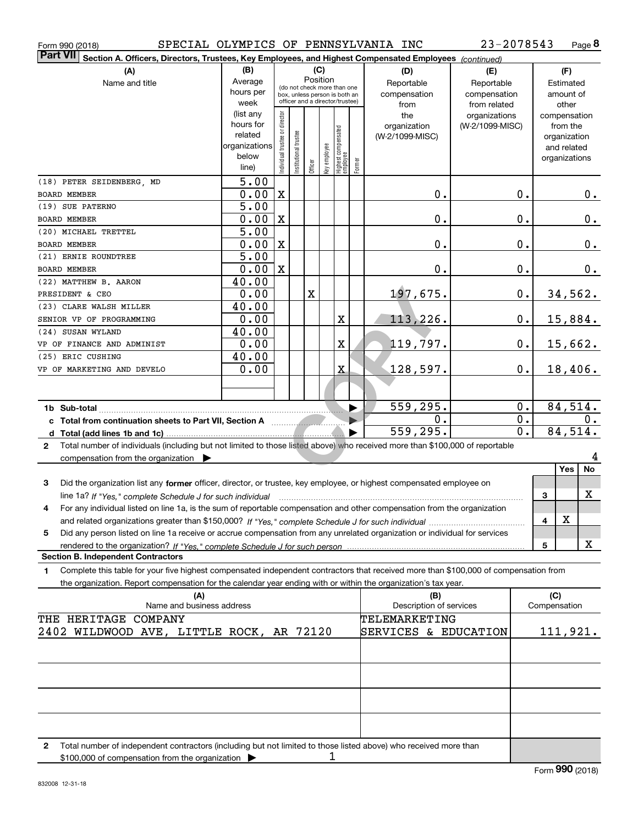| Form 990 (2018) |  |
|-----------------|--|
| n. 100          |  |

Form 990 (2018) SPECIAL OLYMPICS OF PENNSYLVANIA INC 23-2078543 Page

**8** 23-2078543

| <b>Part VII</b><br>Section A. Officers, Directors, Trustees, Key Employees, and Highest Compensated Employees (continued)                                                                                                                                                |                      |                                |                       |             |              |                                  |                       |                         |                 |                  |                             |                |
|--------------------------------------------------------------------------------------------------------------------------------------------------------------------------------------------------------------------------------------------------------------------------|----------------------|--------------------------------|-----------------------|-------------|--------------|----------------------------------|-----------------------|-------------------------|-----------------|------------------|-----------------------------|----------------|
| (A)                                                                                                                                                                                                                                                                      | (B)                  |                                |                       |             | (C)          |                                  |                       | (D)                     | (E)             |                  | (F)                         |                |
| Name and title                                                                                                                                                                                                                                                           | Average              |                                |                       | Position    |              | (do not check more than one      |                       | Reportable              | Reportable      |                  | Estimated                   |                |
|                                                                                                                                                                                                                                                                          | hours per            |                                |                       |             |              | box, unless person is both an    |                       | compensation            | compensation    |                  | amount of                   |                |
|                                                                                                                                                                                                                                                                          | week                 |                                |                       |             |              | officer and a director/trustee)  |                       | from                    | from related    |                  | other                       |                |
|                                                                                                                                                                                                                                                                          | (list any            |                                |                       |             |              |                                  |                       | the                     | organizations   |                  | compensation                |                |
|                                                                                                                                                                                                                                                                          | hours for<br>related |                                |                       |             |              |                                  |                       | organization            | (W-2/1099-MISC) |                  | from the                    |                |
|                                                                                                                                                                                                                                                                          | organizations        |                                |                       |             |              |                                  |                       | (W-2/1099-MISC)         |                 |                  | organization<br>and related |                |
|                                                                                                                                                                                                                                                                          | below                |                                |                       |             |              |                                  |                       |                         |                 |                  | organizations               |                |
|                                                                                                                                                                                                                                                                          | line)                | Individual trustee or director | Institutional trustee | Officer     | Key employee | Highest compensated<br> employee | Former                |                         |                 |                  |                             |                |
| (18) PETER SEIDENBERG, MD                                                                                                                                                                                                                                                | 5.00                 |                                |                       |             |              |                                  |                       |                         |                 |                  |                             |                |
| <b>BOARD MEMBER</b>                                                                                                                                                                                                                                                      | 0.00                 | $\mathbf X$                    |                       |             |              |                                  |                       | $\mathbf 0$ .           |                 | 0.               |                             | 0.             |
| (19) SUE PATERNO                                                                                                                                                                                                                                                         | 5.00                 |                                |                       |             |              |                                  |                       |                         |                 |                  |                             |                |
| BOARD MEMBER                                                                                                                                                                                                                                                             | 0.00                 | $\mathbf X$                    |                       |             |              |                                  |                       | $\mathbf 0$ .           |                 | 0.               |                             | 0.             |
| (20) MICHAEL TRETTEL                                                                                                                                                                                                                                                     | 5.00                 |                                |                       |             |              |                                  |                       |                         |                 |                  |                             |                |
| BOARD MEMBER                                                                                                                                                                                                                                                             | 0.00                 | $\mathbf X$                    |                       |             |              |                                  |                       | $\mathbf 0$ .           |                 | 0.               |                             | 0.             |
| (21) ERNIE ROUNDTREE                                                                                                                                                                                                                                                     | 5.00                 |                                |                       |             |              |                                  |                       |                         |                 |                  |                             |                |
| BOARD MEMBER                                                                                                                                                                                                                                                             | 0.00                 | $\mathbf X$                    |                       |             |              |                                  |                       | $\mathbf 0$ .           |                 | $0$ .            |                             | 0.             |
| (22) MATTHEW B. AARON                                                                                                                                                                                                                                                    | 40.00                |                                |                       |             |              |                                  |                       |                         |                 |                  |                             |                |
| PRESIDENT & CEO                                                                                                                                                                                                                                                          | 0.00                 |                                |                       | $\mathbf X$ |              |                                  |                       | 197,675.                |                 | $0$ .            |                             | <u>34,562.</u> |
| (23) CLARE WALSH MILLER                                                                                                                                                                                                                                                  | 40.00                |                                |                       |             |              |                                  |                       |                         |                 |                  |                             |                |
| SENIOR VP OF PROGRAMMING                                                                                                                                                                                                                                                 | 0.00                 |                                |                       |             |              | $\mathbf X$                      |                       | 113,226.                |                 | 0.               |                             | 15,884.        |
| (24) SUSAN WYLAND                                                                                                                                                                                                                                                        | 40.00                |                                |                       |             |              |                                  |                       |                         |                 |                  |                             |                |
| VP OF FINANCE AND ADMINIST                                                                                                                                                                                                                                               | 0.00                 |                                |                       |             |              | $\overline{\textbf{X}}$          |                       | 119,797.                |                 | 0.               |                             | 15,662.        |
| (25) ERIC CUSHING                                                                                                                                                                                                                                                        | 40.00                |                                |                       |             |              |                                  |                       |                         |                 |                  |                             |                |
| VP OF MARKETING AND DEVELO                                                                                                                                                                                                                                               | 0.00                 |                                |                       |             |              | $\mathbf x$                      |                       | 128,597.                |                 | $0$ .            |                             | 18,406.        |
|                                                                                                                                                                                                                                                                          |                      |                                |                       |             |              |                                  |                       |                         |                 |                  |                             |                |
|                                                                                                                                                                                                                                                                          |                      |                                |                       |             |              |                                  |                       |                         |                 |                  |                             |                |
|                                                                                                                                                                                                                                                                          |                      |                                |                       |             |              |                                  | $\blacktriangleright$ | 559,295.                |                 | 0.               |                             | 84,514.        |
|                                                                                                                                                                                                                                                                          |                      |                                |                       |             |              |                                  | $\blacktriangleright$ | 0.                      |                 | $\overline{0}$ . |                             | 0.             |
| c Total from continuation sheets to Part VII, Section A manuscription of                                                                                                                                                                                                 |                      |                                |                       |             |              |                                  |                       | 559,295.                |                 | $\overline{0}$ . |                             | 84,514.        |
| Total number of individuals (including but not limited to those listed above) who received more than \$100,000 of reportable<br>$\mathbf{2}$                                                                                                                             |                      |                                |                       |             |              |                                  |                       |                         |                 |                  |                             |                |
| compensation from the organization $\blacktriangleright$                                                                                                                                                                                                                 |                      |                                |                       |             |              |                                  |                       |                         |                 |                  |                             | 4              |
|                                                                                                                                                                                                                                                                          |                      |                                |                       |             |              |                                  |                       |                         |                 |                  | Yes                         | No             |
| 3<br>Did the organization list any former officer, director, or trustee, key employee, or highest compensated employee on                                                                                                                                                |                      |                                |                       |             |              |                                  |                       |                         |                 |                  |                             |                |
|                                                                                                                                                                                                                                                                          |                      |                                |                       |             |              |                                  |                       |                         |                 |                  | 3                           | х              |
| line 1a? If "Yes," complete Schedule J for such individual manufactured contained and the Yes," complete Schedule J for such individual<br>For any individual listed on line 1a, is the sum of reportable compensation and other compensation from the organization<br>4 |                      |                                |                       |             |              |                                  |                       |                         |                 |                  |                             |                |
|                                                                                                                                                                                                                                                                          |                      |                                |                       |             |              |                                  |                       |                         |                 |                  | $\mathbf X$<br>4            |                |
| Did any person listed on line 1a receive or accrue compensation from any unrelated organization or individual for services                                                                                                                                               |                      |                                |                       |             |              |                                  |                       |                         |                 |                  |                             |                |
| 5                                                                                                                                                                                                                                                                        |                      |                                |                       |             |              |                                  |                       |                         |                 |                  | 5                           | x              |
| rendered to the organization? If "Yes." complete Schedule J for such person<br><b>Section B. Independent Contractors</b>                                                                                                                                                 |                      |                                |                       |             |              |                                  |                       |                         |                 |                  |                             |                |
| Complete this table for your five highest compensated independent contractors that received more than \$100,000 of compensation from<br>1                                                                                                                                |                      |                                |                       |             |              |                                  |                       |                         |                 |                  |                             |                |
| the organization. Report compensation for the calendar year ending with or within the organization's tax year.                                                                                                                                                           |                      |                                |                       |             |              |                                  |                       |                         |                 |                  |                             |                |
| (A)                                                                                                                                                                                                                                                                      |                      |                                |                       |             |              |                                  |                       | (B)                     |                 |                  | (C)                         |                |
| Name and business address                                                                                                                                                                                                                                                |                      |                                |                       |             |              |                                  |                       | Description of services |                 |                  | Compensation                |                |
| THE HERITAGE COMPANY                                                                                                                                                                                                                                                     |                      |                                |                       |             |              |                                  |                       | TELEMARKETING           |                 |                  |                             |                |
| 2402 WILDWOOD AVE, LITTLE ROCK, AR 72120                                                                                                                                                                                                                                 |                      |                                |                       |             |              |                                  |                       | SERVICES & EDUCATION    |                 |                  |                             | 111,921.       |
|                                                                                                                                                                                                                                                                          |                      |                                |                       |             |              |                                  |                       |                         |                 |                  |                             |                |
|                                                                                                                                                                                                                                                                          |                      |                                |                       |             |              |                                  |                       |                         |                 |                  |                             |                |
|                                                                                                                                                                                                                                                                          |                      |                                |                       |             |              |                                  |                       |                         |                 |                  |                             |                |
|                                                                                                                                                                                                                                                                          |                      |                                |                       |             |              |                                  |                       |                         |                 |                  |                             |                |
|                                                                                                                                                                                                                                                                          |                      |                                |                       |             |              |                                  |                       |                         |                 |                  |                             |                |
|                                                                                                                                                                                                                                                                          |                      |                                |                       |             |              |                                  |                       |                         |                 |                  |                             |                |
|                                                                                                                                                                                                                                                                          |                      |                                |                       |             |              |                                  |                       |                         |                 |                  |                             |                |
|                                                                                                                                                                                                                                                                          |                      |                                |                       |             |              |                                  |                       |                         |                 |                  |                             |                |
| if independent contractors (including but not limited to these ligted above) who resolved                                                                                                                                                                                |                      |                                |                       |             |              |                                  |                       |                         |                 |                  |                             |                |

**2**Total number of independent contractors (including but not limited to those listed above) who received more than \$100,000 of compensation from the organization  $\blacktriangleright$ 1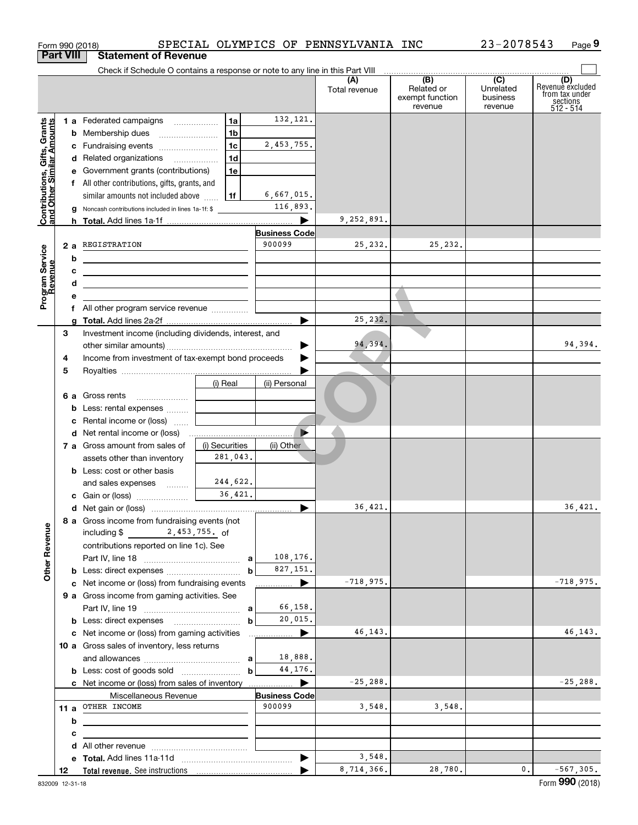|                                                           | Form 990 (2018)  |                                                                               |                |                                | SPECIAL OLYMPICS OF PENNSYLVANIA INC |                                                 | 23-2078543                                           | Page 9                                                             |
|-----------------------------------------------------------|------------------|-------------------------------------------------------------------------------|----------------|--------------------------------|--------------------------------------|-------------------------------------------------|------------------------------------------------------|--------------------------------------------------------------------|
|                                                           | <b>Part VIII</b> | <b>Statement of Revenue</b>                                                   |                |                                |                                      |                                                 |                                                      |                                                                    |
|                                                           |                  | Check if Schedule O contains a response or note to any line in this Part VIII |                |                                |                                      |                                                 |                                                      |                                                                    |
|                                                           |                  |                                                                               |                |                                | (A)<br>Total revenue                 | (B)<br>Related or<br>exempt function<br>revenue | $\overline{(C)}$<br>Unrelated<br>business<br>revenue | (D)<br>Revenue excluded<br>from tax under<br>sections<br>512 - 514 |
|                                                           |                  | 1 a Federated campaigns                                                       | 1a             | 132,121.                       |                                      |                                                 |                                                      |                                                                    |
| Contributions, Gifts, Grants<br>and Other Similar Amounts |                  | <b>b</b> Membership dues                                                      | 1 <sub>b</sub> |                                |                                      |                                                 |                                                      |                                                                    |
|                                                           |                  | c Fundraising events                                                          | 1 <sub>c</sub> | 2,453,755.                     |                                      |                                                 |                                                      |                                                                    |
|                                                           |                  | d Related organizations                                                       | 1 <sub>d</sub> |                                |                                      |                                                 |                                                      |                                                                    |
|                                                           |                  | e Government grants (contributions)                                           | 1e             |                                |                                      |                                                 |                                                      |                                                                    |
|                                                           |                  | f All other contributions, gifts, grants, and                                 |                |                                |                                      |                                                 |                                                      |                                                                    |
|                                                           |                  | similar amounts not included above                                            | l 1f           | 6,667,015.                     |                                      |                                                 |                                                      |                                                                    |
|                                                           |                  | <b>g</b> Noncash contributions included in lines 1a-1f: \$                    |                | 116,893.                       |                                      |                                                 |                                                      |                                                                    |
|                                                           |                  |                                                                               |                |                                | 9,252,891.                           |                                                 |                                                      |                                                                    |
|                                                           |                  |                                                                               |                | <b>Business Code</b>           |                                      |                                                 |                                                      |                                                                    |
|                                                           |                  | 2 a REGISTRATION                                                              |                | 900099                         | 25,232.                              | 25,232.                                         |                                                      |                                                                    |
|                                                           | b                |                                                                               |                |                                |                                      |                                                 |                                                      |                                                                    |
|                                                           | c                |                                                                               |                |                                |                                      |                                                 |                                                      |                                                                    |
| Program Service<br>Revenue                                | d                |                                                                               |                |                                |                                      |                                                 |                                                      |                                                                    |
|                                                           | е                |                                                                               |                |                                |                                      |                                                 |                                                      |                                                                    |
|                                                           |                  |                                                                               |                |                                |                                      |                                                 |                                                      |                                                                    |
|                                                           |                  |                                                                               |                | ▶                              | 25, 232.                             |                                                 |                                                      |                                                                    |
|                                                           | З                | Investment income (including dividends, interest, and                         |                |                                |                                      |                                                 |                                                      |                                                                    |
|                                                           |                  |                                                                               |                |                                | 94,394.                              |                                                 |                                                      | 94,394.                                                            |
|                                                           | 4                | Income from investment of tax-exempt bond proceeds                            |                |                                |                                      |                                                 |                                                      |                                                                    |
|                                                           | 5                |                                                                               |                |                                |                                      |                                                 |                                                      |                                                                    |
|                                                           |                  |                                                                               | (i) Real       | (ii) Personal                  |                                      |                                                 |                                                      |                                                                    |
|                                                           |                  |                                                                               |                |                                |                                      |                                                 |                                                      |                                                                    |
|                                                           |                  | <b>b</b> Less: rental expenses<br>c Rental income or (loss)                   |                |                                |                                      |                                                 |                                                      |                                                                    |
|                                                           |                  | <b>d</b> Net rental income or (loss)                                          |                |                                |                                      |                                                 |                                                      |                                                                    |
|                                                           |                  | 7 a Gross amount from sales of                                                | (i) Securities | (ii) Other                     |                                      |                                                 |                                                      |                                                                    |
|                                                           |                  | assets other than inventory                                                   | 281,043.       |                                |                                      |                                                 |                                                      |                                                                    |
|                                                           |                  | <b>b</b> Less: cost or other basis                                            |                |                                |                                      |                                                 |                                                      |                                                                    |
|                                                           |                  | and sales expenses                                                            | 244,622.       |                                |                                      |                                                 |                                                      |                                                                    |
|                                                           |                  | c Gain or (loss)                                                              | 36,421.        |                                |                                      |                                                 |                                                      |                                                                    |
|                                                           |                  |                                                                               |                |                                | 36,421.                              |                                                 |                                                      | 36,421.                                                            |
|                                                           |                  | 8 a Gross income from fundraising events (not                                 |                |                                |                                      |                                                 |                                                      |                                                                    |
|                                                           |                  | 2,453,755. of<br>including \$                                                 |                |                                |                                      |                                                 |                                                      |                                                                    |
|                                                           |                  | contributions reported on line 1c). See                                       |                |                                |                                      |                                                 |                                                      |                                                                    |
|                                                           |                  |                                                                               |                | 108,176.                       |                                      |                                                 |                                                      |                                                                    |
| <b>Other Revenue</b>                                      |                  |                                                                               |                | 827,151.                       |                                      |                                                 |                                                      |                                                                    |
|                                                           |                  | c Net income or (loss) from fundraising events                                |                | ▶                              | $-718,975.$                          |                                                 |                                                      | $-718,975.$                                                        |
|                                                           |                  | 9 a Gross income from gaming activities. See                                  |                |                                |                                      |                                                 |                                                      |                                                                    |
|                                                           |                  |                                                                               |                | 66,158.                        |                                      |                                                 |                                                      |                                                                    |
|                                                           |                  |                                                                               | b              | 20,015.                        |                                      |                                                 |                                                      |                                                                    |
|                                                           |                  | c Net income or (loss) from gaming activities                                 |                |                                | 46, 143.                             |                                                 |                                                      | 46, 143.                                                           |
|                                                           |                  | 10 a Gross sales of inventory, less returns                                   |                |                                |                                      |                                                 |                                                      |                                                                    |
|                                                           |                  |                                                                               |                | 18,888.                        |                                      |                                                 |                                                      |                                                                    |
|                                                           |                  |                                                                               | $\mathbf b$    | 44,176.                        |                                      |                                                 |                                                      |                                                                    |
|                                                           |                  | c Net income or (loss) from sales of inventory                                |                |                                | $-25, 288.$                          |                                                 |                                                      | $-25, 288.$                                                        |
|                                                           |                  | Miscellaneous Revenue<br>11 a OTHER INCOME                                    |                | <b>Business Code</b><br>900099 | 3,548.                               | 3,548.                                          |                                                      |                                                                    |
|                                                           |                  |                                                                               |                |                                |                                      |                                                 |                                                      |                                                                    |
|                                                           | b                |                                                                               |                |                                |                                      |                                                 |                                                      |                                                                    |
|                                                           | c                |                                                                               |                |                                |                                      |                                                 |                                                      |                                                                    |
|                                                           | d                |                                                                               |                | $\blacktriangleright$          | 3,548.                               |                                                 |                                                      |                                                                    |
|                                                           | 12               |                                                                               |                |                                | 8,714,366.                           | 28,780.                                         | 0.                                                   | $-567, 305.$                                                       |
|                                                           |                  |                                                                               |                |                                |                                      |                                                 |                                                      |                                                                    |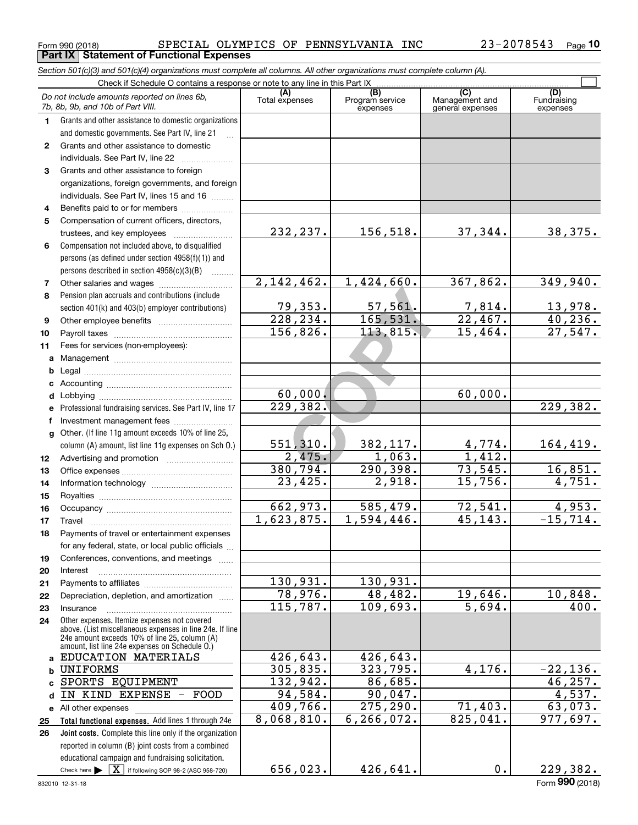#### Form 990 (2018) Page **Part IX Statement of Functional Expenses** SPECIAL OLYMPICS OF PENNSYLVANIA INC 23-2078543

*Section 501(c)(3) and 501(c)(4) organizations must complete all columns. All other organizations must complete column (A).*

|              | Do not include amounts reported on lines 6b,<br>7b, 8b, 9b, and 10b of Part VIII.                                                                         | (A)<br>Total expenses | (B)<br>Program service<br>expenses | $\overline{C}$<br>Management and<br>general expenses | (D)<br>Fundraising<br>expenses |
|--------------|-----------------------------------------------------------------------------------------------------------------------------------------------------------|-----------------------|------------------------------------|------------------------------------------------------|--------------------------------|
| 1.           | Grants and other assistance to domestic organizations                                                                                                     |                       |                                    |                                                      |                                |
|              | and domestic governments. See Part IV, line 21                                                                                                            |                       |                                    |                                                      |                                |
| $\mathbf{2}$ | Grants and other assistance to domestic                                                                                                                   |                       |                                    |                                                      |                                |
|              | individuals. See Part IV, line 22                                                                                                                         |                       |                                    |                                                      |                                |
| 3            | Grants and other assistance to foreign                                                                                                                    |                       |                                    |                                                      |                                |
|              | organizations, foreign governments, and foreign                                                                                                           |                       |                                    |                                                      |                                |
|              | individuals. See Part IV, lines 15 and 16                                                                                                                 |                       |                                    |                                                      |                                |
| 4            | Benefits paid to or for members                                                                                                                           |                       |                                    |                                                      |                                |
| 5            | Compensation of current officers, directors,                                                                                                              |                       |                                    |                                                      |                                |
|              | trustees, and key employees                                                                                                                               | 232, 237.             | 156,518.                           | 37,344.                                              | 38,375.                        |
| 6            | Compensation not included above, to disqualified                                                                                                          |                       |                                    |                                                      |                                |
|              | persons (as defined under section 4958(f)(1)) and                                                                                                         |                       |                                    |                                                      |                                |
|              | persons described in section 4958(c)(3)(B)                                                                                                                |                       |                                    |                                                      |                                |
| 7            |                                                                                                                                                           | 2,142,462.            | 1,424,660.                         | 367,862.                                             | 349,940.                       |
| 8            | Pension plan accruals and contributions (include                                                                                                          |                       |                                    |                                                      |                                |
|              | section 401(k) and 403(b) employer contributions)                                                                                                         | 79, 353.<br>228, 234. | 57, 561.<br>165, 531.              | 7,814.<br>22,467.                                    | 13,978.<br>40, 236.            |
| 9            |                                                                                                                                                           | 156,826.              | 113,815.                           | 15,464.                                              | 27,547.                        |
| 10           |                                                                                                                                                           |                       |                                    |                                                      |                                |
| 11           | Fees for services (non-employees):                                                                                                                        |                       |                                    |                                                      |                                |
| a<br>b       |                                                                                                                                                           |                       |                                    |                                                      |                                |
| c            |                                                                                                                                                           |                       |                                    |                                                      |                                |
| d            |                                                                                                                                                           | 60,000.               |                                    | 60,000.                                              |                                |
| е            | Professional fundraising services. See Part IV, line 17                                                                                                   | 229,382.              |                                    |                                                      | $\overline{229,382}$ .         |
| f            | Investment management fees                                                                                                                                |                       |                                    |                                                      |                                |
| $\mathbf{q}$ | Other. (If line 11g amount exceeds 10% of line 25,                                                                                                        |                       |                                    |                                                      |                                |
|              | column (A) amount, list line 11g expenses on Sch 0.)                                                                                                      | 551,310.              | 382,117.                           | 4,774.                                               | 164,419.                       |
| 12           |                                                                                                                                                           | 2,475.                | 1,063.                             | 1,412.                                               |                                |
| 13           |                                                                                                                                                           | 380, 794.             | 290, 398.                          | 73,545.                                              | 16,851.                        |
| 14           |                                                                                                                                                           | 23,425.               | $\overline{2,918}$ .               | 15,756.                                              | 4,751.                         |
| 15           |                                                                                                                                                           |                       |                                    |                                                      |                                |
| 16           |                                                                                                                                                           | 662,973.              | 585,479.                           | 72,541.                                              | 4,953.                         |
| 17           | Travel                                                                                                                                                    | 1,623,875.            | 1,594,446.                         | 45, 143.                                             | $-15, 714.$                    |
| 18           | Payments of travel or entertainment expenses                                                                                                              |                       |                                    |                                                      |                                |
|              | for any federal, state, or local public officials                                                                                                         |                       |                                    |                                                      |                                |
| 19           | Conferences, conventions, and meetings                                                                                                                    |                       |                                    |                                                      |                                |
| 20           | Interest                                                                                                                                                  |                       |                                    |                                                      |                                |
| 21           |                                                                                                                                                           | 130,931.              | 130,931.                           |                                                      |                                |
| 22           | Depreciation, depletion, and amortization                                                                                                                 | 78,976.               | 48,482.                            | 19,646.                                              | 10,848.                        |
| 23           | Insurance                                                                                                                                                 | 115,787.              | 109,693.                           | 5,694.                                               | 400.                           |
| 24           | Other expenses. Itemize expenses not covered<br>above. (List miscellaneous expenses in line 24e. If line<br>24e amount exceeds 10% of line 25, column (A) |                       |                                    |                                                      |                                |
|              | amount, list line 24e expenses on Schedule 0.)<br>EDUCATION MATERIALS                                                                                     | 426,643.              | 426,643.                           |                                                      |                                |
| a            | <b>UNIFORMS</b>                                                                                                                                           | 305,835.              | 323,795.                           | 4,176.                                               | $-22,136.$                     |
| b            | SPORTS EQUIPMENT                                                                                                                                          | 132,942.              | 86,685.                            |                                                      | 46, 257.                       |
| c<br>d       | IN KIND EXPENSE<br>FOOD<br>$\overline{\phantom{0}}$                                                                                                       | 94,584.               | 90,047.                            |                                                      | 4,537.                         |
|              | e All other expenses                                                                                                                                      | 409,766.              | 275, 290.                          | 71,403.                                              | 63,073.                        |
| 25           | Total functional expenses. Add lines 1 through 24e                                                                                                        | 8,068,810.            | 6, 266, 072.                       | 825,041.                                             | 977,697.                       |
| 26           | Joint costs. Complete this line only if the organization                                                                                                  |                       |                                    |                                                      |                                |
|              | reported in column (B) joint costs from a combined                                                                                                        |                       |                                    |                                                      |                                |
|              | educational campaign and fundraising solicitation.                                                                                                        |                       |                                    |                                                      |                                |
|              | Check here $\blacktriangleright \boxed{\mathbf{X}}$ if following SOP 98-2 (ASC 958-720)                                                                   | 656,023.              | 426,641.                           | 0.                                                   | 229,382.                       |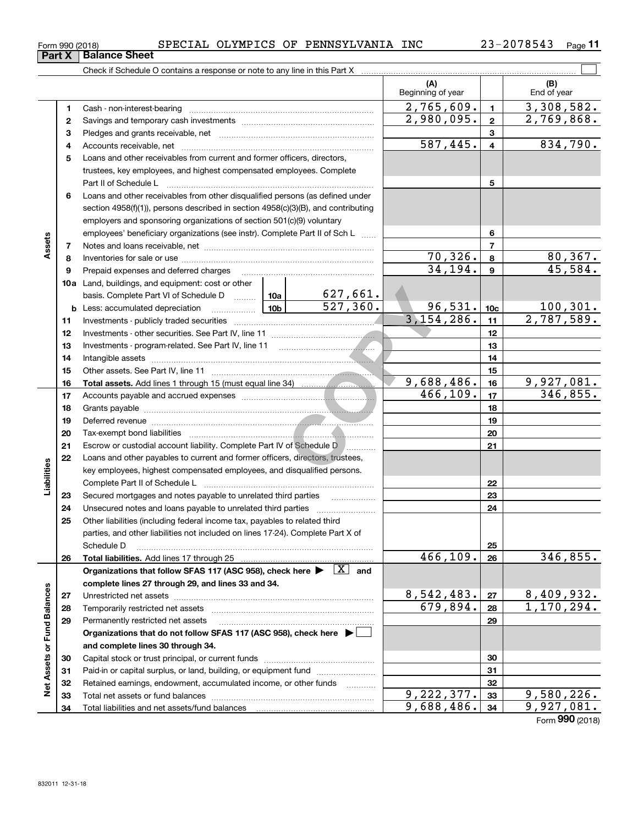| 2078543<br>ົດ 2 —<br><b>INC</b><br>OLYMPICS<br>PENNSYLVANIA<br>SPECIAL<br>OF<br>Form 990 (2018)<br>ر ط | $P$ age |
|--------------------------------------------------------------------------------------------------------|---------|
|--------------------------------------------------------------------------------------------------------|---------|

|                             |    |                                                                                                                                                                                                                                      |          |                 | (A)<br>Beginning of year |                         | (B)<br>End of year |
|-----------------------------|----|--------------------------------------------------------------------------------------------------------------------------------------------------------------------------------------------------------------------------------------|----------|-----------------|--------------------------|-------------------------|--------------------|
|                             | 1  |                                                                                                                                                                                                                                      |          |                 | 2,765,609.               | $\mathbf{1}$            | 3,308,582.         |
|                             | 2  |                                                                                                                                                                                                                                      |          |                 | 2,980,095.               | $\mathbf{2}$            | 2,769,868.         |
|                             | 3  |                                                                                                                                                                                                                                      |          |                 |                          | 3                       |                    |
|                             | 4  |                                                                                                                                                                                                                                      |          |                 | 587,445.                 | $\overline{\mathbf{4}}$ | 834,790.           |
|                             | 5  | Loans and other receivables from current and former officers, directors,                                                                                                                                                             |          |                 |                          |                         |                    |
|                             |    | trustees, key employees, and highest compensated employees. Complete                                                                                                                                                                 |          |                 |                          |                         |                    |
|                             |    |                                                                                                                                                                                                                                      |          |                 |                          | 5                       |                    |
|                             | 6  | Loans and other receivables from other disqualified persons (as defined under                                                                                                                                                        |          |                 |                          |                         |                    |
|                             |    | section 4958(f)(1)), persons described in section 4958(c)(3)(B), and contributing                                                                                                                                                    |          |                 |                          |                         |                    |
|                             |    | employers and sponsoring organizations of section 501(c)(9) voluntary                                                                                                                                                                |          |                 |                          |                         |                    |
|                             |    | employees' beneficiary organizations (see instr). Complete Part II of Sch L                                                                                                                                                          |          |                 |                          | 6                       |                    |
| Assets                      | 7  |                                                                                                                                                                                                                                      |          |                 |                          | 7                       |                    |
|                             | 8  |                                                                                                                                                                                                                                      |          |                 | 70,326.                  | 8                       | 80, 367.           |
|                             | 9  | Prepaid expenses and deferred charges                                                                                                                                                                                                |          |                 | 34,194.                  | 9                       | 45,584.            |
|                             |    | <b>10a</b> Land, buildings, and equipment: cost or other                                                                                                                                                                             |          |                 |                          |                         |                    |
|                             |    | basis. Complete Part VI of Schedule D  10a                                                                                                                                                                                           |          | <u>627,661.</u> |                          |                         |                    |
|                             |    | <b>b</b> Less: accumulated depreciation                                                                                                                                                                                              | 10b l    | 527,360.        | 96,531.                  | 10 <sub>c</sub>         | 100, 301.          |
|                             | 11 |                                                                                                                                                                                                                                      |          |                 | 3,154,286.               | 11                      | 2,787,589.         |
|                             | 12 |                                                                                                                                                                                                                                      |          |                 |                          | 12                      |                    |
|                             | 13 |                                                                                                                                                                                                                                      |          |                 |                          | 13                      |                    |
|                             | 14 |                                                                                                                                                                                                                                      |          |                 |                          | 14                      |                    |
|                             | 15 |                                                                                                                                                                                                                                      |          |                 |                          | 15                      |                    |
|                             | 16 |                                                                                                                                                                                                                                      |          |                 | 9,688,486.               | 16                      | 9,927,081.         |
|                             | 17 |                                                                                                                                                                                                                                      | 466,109. | 17              | 346,855.                 |                         |                    |
|                             | 18 |                                                                                                                                                                                                                                      |          |                 | 18                       |                         |                    |
|                             | 19 | Deferred revenue <b>contract and the contract of the contract of the contract of the contract of the contract of the contract of the contract of the contract of the contract of the contract of the contract of the contract of</b> |          |                 |                          | 19                      |                    |
|                             | 20 |                                                                                                                                                                                                                                      |          |                 |                          | 20                      |                    |
|                             | 21 | Escrow or custodial account liability. Complete Part IV of Schedule D                                                                                                                                                                |          |                 |                          | 21                      |                    |
|                             | 22 | Loans and other payables to current and former officers, directors, trustees,                                                                                                                                                        |          |                 |                          |                         |                    |
| Liabilities                 |    | key employees, highest compensated employees, and disqualified persons.                                                                                                                                                              |          |                 |                          | 22                      |                    |
|                             | 23 |                                                                                                                                                                                                                                      |          |                 |                          | 23                      |                    |
|                             | 24 |                                                                                                                                                                                                                                      |          |                 |                          | 24                      |                    |
|                             | 25 | Other liabilities (including federal income tax, payables to related third                                                                                                                                                           |          |                 |                          |                         |                    |
|                             |    | parties, and other liabilities not included on lines 17-24). Complete Part X of                                                                                                                                                      |          |                 |                          |                         |                    |
|                             |    | Schedule D                                                                                                                                                                                                                           |          |                 |                          | 25                      |                    |
|                             | 26 |                                                                                                                                                                                                                                      |          |                 | 466,109.                 | 26                      | 346,855.           |
|                             |    | Organizations that follow SFAS 117 (ASC 958), check here $\blacktriangleright \boxed{X}$ and                                                                                                                                         |          |                 |                          |                         |                    |
|                             |    | complete lines 27 through 29, and lines 33 and 34.                                                                                                                                                                                   |          |                 |                          |                         |                    |
|                             | 27 |                                                                                                                                                                                                                                      |          |                 | 8,542,483.               | 27                      | 8,409,932.         |
|                             | 28 |                                                                                                                                                                                                                                      |          |                 | 679,894.                 | 28                      | 1,170,294.         |
|                             | 29 | Permanently restricted net assets                                                                                                                                                                                                    |          |                 |                          | 29                      |                    |
|                             |    | Organizations that do not follow SFAS 117 (ASC 958), check here ▶ □                                                                                                                                                                  |          |                 |                          |                         |                    |
|                             |    | and complete lines 30 through 34.                                                                                                                                                                                                    |          |                 |                          |                         |                    |
|                             | 30 |                                                                                                                                                                                                                                      |          |                 |                          | 30                      |                    |
| Net Assets or Fund Balances | 31 | Paid-in or capital surplus, or land, building, or equipment fund                                                                                                                                                                     |          |                 |                          | 31                      |                    |
|                             | 32 | Retained earnings, endowment, accumulated income, or other funds                                                                                                                                                                     |          |                 |                          | 32                      |                    |
|                             | 33 |                                                                                                                                                                                                                                      |          |                 | 9,222,377.               | 33                      | 9,580,226.         |
|                             | 34 |                                                                                                                                                                                                                                      |          |                 | 9,688,486.               | 34                      | 9,927,081.         |

Form (2018) **990**

## **Part X Balance Sheet**

| Form 990 (2018 |  |  |
|----------------|--|--|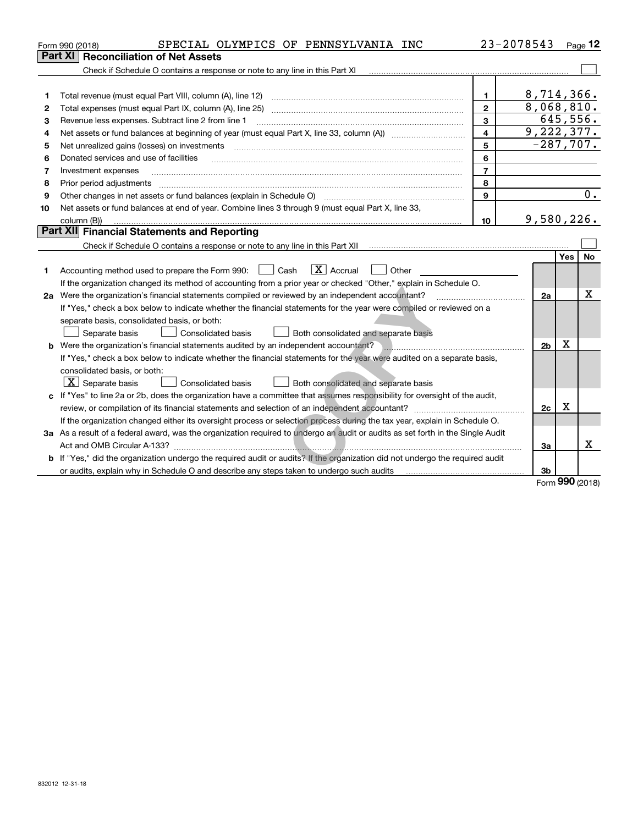|    | SPECIAL OLYMPICS OF PENNSYLVANIA INC<br>Form 990 (2018)                                                                         |                         | 23-2078543     |      | Page 12  |
|----|---------------------------------------------------------------------------------------------------------------------------------|-------------------------|----------------|------|----------|
|    | Part XI<br><b>Reconciliation of Net Assets</b>                                                                                  |                         |                |      |          |
|    | Check if Schedule O contains a response or note to any line in this Part XI                                                     |                         |                |      |          |
|    |                                                                                                                                 |                         |                |      |          |
| 1  |                                                                                                                                 | 1                       | 8,714,366.     |      |          |
| 2  | Total expenses (must equal Part IX, column (A), line 25)                                                                        | $\overline{2}$          | 8,068,810.     |      |          |
| з  | Revenue less expenses. Subtract line 2 from line 1                                                                              | 3                       |                |      | 645,556. |
| 4  |                                                                                                                                 | $\overline{\mathbf{4}}$ | 9,222,377.     |      |          |
| 5  | Net unrealized gains (losses) on investments                                                                                    | 5                       | $-287,707.$    |      |          |
| 6  | Donated services and use of facilities                                                                                          | 6                       |                |      |          |
| 7  | Investment expenses                                                                                                             | $\overline{7}$          |                |      |          |
| 8  | Prior period adjustments                                                                                                        | 8                       |                |      |          |
| 9  | Other changes in net assets or fund balances (explain in Schedule O)                                                            | 9                       |                |      | 0.       |
| 10 | Net assets or fund balances at end of year. Combine lines 3 through 9 (must equal Part X, line 33,                              |                         |                |      |          |
|    | column (B))                                                                                                                     | 10                      | 9,580,226.     |      |          |
|    | Part XII Financial Statements and Reporting                                                                                     |                         |                |      |          |
|    |                                                                                                                                 |                         |                |      |          |
|    |                                                                                                                                 |                         |                | Yes  | No       |
| 1. | $\boxed{\mathbf{X}}$ Accrual<br>Accounting method used to prepare the Form 990: <u>[</u> Cash<br>Other                          |                         |                |      |          |
|    | If the organization changed its method of accounting from a prior year or checked "Other," explain in Schedule O.               |                         |                |      |          |
|    | 2a Were the organization's financial statements compiled or reviewed by an independent accountant?                              |                         | 2a             |      | х        |
|    | If "Yes," check a box below to indicate whether the financial statements for the year were compiled or reviewed on a            |                         |                |      |          |
|    | separate basis, consolidated basis, or both:                                                                                    |                         |                |      |          |
|    | Separate basis<br>Consolidated basis<br>Both consolidated and separate basis                                                    |                         |                |      |          |
|    | <b>b</b> Were the organization's financial statements audited by an independent accountant?                                     |                         | 2 <sub>b</sub> | X    |          |
|    | If "Yes," check a box below to indicate whether the financial statements for the year were audited on a separate basis,         |                         |                |      |          |
|    | consolidated basis, or both:                                                                                                    |                         |                |      |          |
|    | $X$ Separate basis<br>Consolidated basis<br>Both consolidated and separate basis                                                |                         |                |      |          |
|    | c If "Yes" to line 2a or 2b, does the organization have a committee that assumes responsibility for oversight of the audit,     |                         |                |      |          |
|    |                                                                                                                                 |                         | 2c             | х    |          |
|    | If the organization changed either its oversight process or selection process during the tax year, explain in Schedule O.       |                         |                |      |          |
|    | 3a As a result of a federal award, was the organization required to undergo an audit or audits as set forth in the Single Audit |                         |                |      |          |
|    | Act and OMB Circular A-133?                                                                                                     |                         | За             |      | x        |
|    | b If "Yes," did the organization undergo the required audit or audits? If the organization did not undergo the required audit   |                         |                |      |          |
|    | or audits, explain why in Schedule O and describe any steps taken to undergo such audits matures and the matur                  |                         | 3b             | nnn. |          |

Form (2018) **990**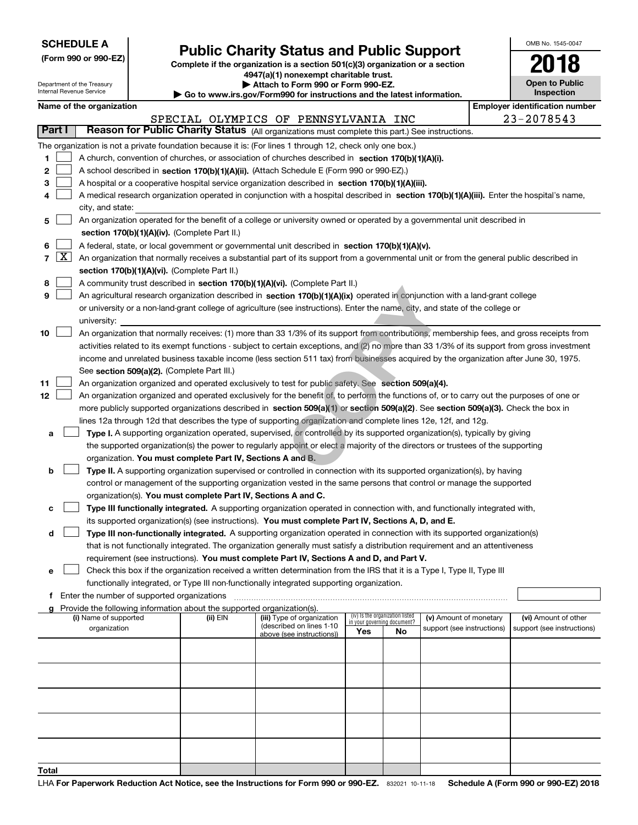|  | <b>SCHEDULE A</b> |
|--|-------------------|
|--|-------------------|

**(Form 990 or 990-EZ)**

## **Public Charity Status and Public Support**

**Complete if the organization is a section 501(c)(3) organization or a section 4947(a)(1) nonexempt charitable trust. | Attach to Form 990 or Form 990-EZ.** 

| OMB No. 1545-0047            |
|------------------------------|
| 2018                         |
| Open to Public<br>Inspection |

| Department of the Treasury<br>Internal Revenue Service |                                                                                                                         |                                                                                                                                            |                                               |                                                                                      | Attach to Form 990 or Form 990-EZ.<br>Go to www.irs.gov/Form990 for instructions and the latest information.                                                                                                                                    |     |                                   |                            |  | <b>Open to Public</b><br>Inspection   |
|--------------------------------------------------------|-------------------------------------------------------------------------------------------------------------------------|--------------------------------------------------------------------------------------------------------------------------------------------|-----------------------------------------------|--------------------------------------------------------------------------------------|-------------------------------------------------------------------------------------------------------------------------------------------------------------------------------------------------------------------------------------------------|-----|-----------------------------------|----------------------------|--|---------------------------------------|
|                                                        |                                                                                                                         | Name of the organization                                                                                                                   |                                               |                                                                                      |                                                                                                                                                                                                                                                 |     |                                   |                            |  | <b>Employer identification number</b> |
|                                                        |                                                                                                                         |                                                                                                                                            |                                               |                                                                                      | SPECIAL OLYMPICS OF PENNSYLVANIA INC                                                                                                                                                                                                            |     |                                   |                            |  | 23-2078543                            |
|                                                        | Part I                                                                                                                  |                                                                                                                                            |                                               |                                                                                      | Reason for Public Charity Status (All organizations must complete this part.) See instructions.                                                                                                                                                 |     |                                   |                            |  |                                       |
|                                                        | The organization is not a private foundation because it is: (For lines 1 through 12, check only one box.)               |                                                                                                                                            |                                               |                                                                                      |                                                                                                                                                                                                                                                 |     |                                   |                            |  |                                       |
| 1                                                      |                                                                                                                         |                                                                                                                                            |                                               |                                                                                      | A church, convention of churches, or association of churches described in section 170(b)(1)(A)(i).                                                                                                                                              |     |                                   |                            |  |                                       |
| 2                                                      |                                                                                                                         |                                                                                                                                            |                                               |                                                                                      | A school described in section 170(b)(1)(A)(ii). (Attach Schedule E (Form 990 or 990-EZ).)                                                                                                                                                       |     |                                   |                            |  |                                       |
| 3                                                      |                                                                                                                         |                                                                                                                                            |                                               |                                                                                      | A hospital or a cooperative hospital service organization described in section 170(b)(1)(A)(iii).                                                                                                                                               |     |                                   |                            |  |                                       |
| 4                                                      |                                                                                                                         | A medical research organization operated in conjunction with a hospital described in section 170(b)(1)(A)(iii). Enter the hospital's name, |                                               |                                                                                      |                                                                                                                                                                                                                                                 |     |                                   |                            |  |                                       |
|                                                        |                                                                                                                         | city, and state:                                                                                                                           |                                               |                                                                                      |                                                                                                                                                                                                                                                 |     |                                   |                            |  |                                       |
| 5                                                      |                                                                                                                         |                                                                                                                                            |                                               |                                                                                      | An organization operated for the benefit of a college or university owned or operated by a governmental unit described in                                                                                                                       |     |                                   |                            |  |                                       |
|                                                        |                                                                                                                         |                                                                                                                                            |                                               | section 170(b)(1)(A)(iv). (Complete Part II.)                                        |                                                                                                                                                                                                                                                 |     |                                   |                            |  |                                       |
| 6                                                      |                                                                                                                         |                                                                                                                                            |                                               |                                                                                      | A federal, state, or local government or governmental unit described in section 170(b)(1)(A)(v).                                                                                                                                                |     |                                   |                            |  |                                       |
|                                                        | $7 \times$                                                                                                              |                                                                                                                                            |                                               |                                                                                      | An organization that normally receives a substantial part of its support from a governmental unit or from the general public described in                                                                                                       |     |                                   |                            |  |                                       |
|                                                        |                                                                                                                         |                                                                                                                                            |                                               | section 170(b)(1)(A)(vi). (Complete Part II.)                                        |                                                                                                                                                                                                                                                 |     |                                   |                            |  |                                       |
| 8                                                      |                                                                                                                         |                                                                                                                                            |                                               |                                                                                      | A community trust described in section 170(b)(1)(A)(vi). (Complete Part II.)                                                                                                                                                                    |     |                                   |                            |  |                                       |
| 9                                                      |                                                                                                                         |                                                                                                                                            |                                               |                                                                                      | An agricultural research organization described in section 170(b)(1)(A)(ix) operated in conjunction with a land-grant college                                                                                                                   |     |                                   |                            |  |                                       |
|                                                        |                                                                                                                         | university:                                                                                                                                |                                               |                                                                                      | or university or a non-land-grant college of agriculture (see instructions). Enter the name, city, and state of the college or                                                                                                                  |     |                                   |                            |  |                                       |
| 10                                                     |                                                                                                                         |                                                                                                                                            |                                               |                                                                                      | An organization that normally receives: (1) more than 33 1/3% of its support from contributions, membership fees, and gross receipts from                                                                                                       |     |                                   |                            |  |                                       |
|                                                        |                                                                                                                         |                                                                                                                                            |                                               |                                                                                      | activities related to its exempt functions - subject to certain exceptions, and (2) no more than 33 1/3% of its support from gross investment                                                                                                   |     |                                   |                            |  |                                       |
|                                                        |                                                                                                                         |                                                                                                                                            |                                               |                                                                                      | income and unrelated business taxable income (less section 511 tax) from businesses acquired by the organization after June 30, 1975.                                                                                                           |     |                                   |                            |  |                                       |
|                                                        |                                                                                                                         |                                                                                                                                            |                                               | See section 509(a)(2). (Complete Part III.)                                          |                                                                                                                                                                                                                                                 |     |                                   |                            |  |                                       |
| 11                                                     |                                                                                                                         |                                                                                                                                            |                                               |                                                                                      | An organization organized and operated exclusively to test for public safety. See section 509(a)(4).                                                                                                                                            |     |                                   |                            |  |                                       |
| 12                                                     |                                                                                                                         |                                                                                                                                            |                                               |                                                                                      | An organization organized and operated exclusively for the benefit of, to perform the functions of, or to carry out the purposes of one or                                                                                                      |     |                                   |                            |  |                                       |
|                                                        |                                                                                                                         |                                                                                                                                            |                                               |                                                                                      | more publicly supported organizations described in section 509(a)(1) or section 509(a)(2). See section 509(a)(3). Check the box in                                                                                                              |     |                                   |                            |  |                                       |
|                                                        |                                                                                                                         |                                                                                                                                            |                                               |                                                                                      | lines 12a through 12d that describes the type of supporting organization and complete lines 12e, 12f, and 12g.                                                                                                                                  |     |                                   |                            |  |                                       |
| а                                                      |                                                                                                                         |                                                                                                                                            |                                               |                                                                                      | Type I. A supporting organization operated, supervised, or controlled by its supported organization(s), typically by giving                                                                                                                     |     |                                   |                            |  |                                       |
|                                                        |                                                                                                                         |                                                                                                                                            |                                               |                                                                                      | the supported organization(s) the power to regularly appoint or elect a majority of the directors or trustees of the supporting                                                                                                                 |     |                                   |                            |  |                                       |
|                                                        |                                                                                                                         |                                                                                                                                            |                                               | organization. You must complete Part IV, Sections A and B.                           |                                                                                                                                                                                                                                                 |     |                                   |                            |  |                                       |
| b                                                      |                                                                                                                         |                                                                                                                                            |                                               |                                                                                      | Type II. A supporting organization supervised or controlled in connection with its supported organization(s), by having<br>control or management of the supporting organization vested in the same persons that control or manage the supported |     |                                   |                            |  |                                       |
|                                                        |                                                                                                                         |                                                                                                                                            |                                               | organization(s). You must complete Part IV, Sections A and C.                        |                                                                                                                                                                                                                                                 |     |                                   |                            |  |                                       |
| с                                                      |                                                                                                                         |                                                                                                                                            |                                               |                                                                                      | Type III functionally integrated. A supporting organization operated in connection with, and functionally integrated with,                                                                                                                      |     |                                   |                            |  |                                       |
|                                                        |                                                                                                                         |                                                                                                                                            |                                               |                                                                                      | its supported organization(s) (see instructions). You must complete Part IV, Sections A, D, and E.                                                                                                                                              |     |                                   |                            |  |                                       |
| d                                                      |                                                                                                                         |                                                                                                                                            |                                               |                                                                                      | Type III non-functionally integrated. A supporting organization operated in connection with its supported organization(s)                                                                                                                       |     |                                   |                            |  |                                       |
|                                                        |                                                                                                                         |                                                                                                                                            |                                               |                                                                                      | that is not functionally integrated. The organization generally must satisfy a distribution requirement and an attentiveness                                                                                                                    |     |                                   |                            |  |                                       |
|                                                        |                                                                                                                         |                                                                                                                                            |                                               |                                                                                      | requirement (see instructions). You must complete Part IV, Sections A and D, and Part V.                                                                                                                                                        |     |                                   |                            |  |                                       |
| е                                                      | Check this box if the organization received a written determination from the IRS that it is a Type I, Type II, Type III |                                                                                                                                            |                                               |                                                                                      |                                                                                                                                                                                                                                                 |     |                                   |                            |  |                                       |
|                                                        | functionally integrated, or Type III non-functionally integrated supporting organization.                               |                                                                                                                                            |                                               |                                                                                      |                                                                                                                                                                                                                                                 |     |                                   |                            |  |                                       |
|                                                        |                                                                                                                         |                                                                                                                                            | f Enter the number of supported organizations |                                                                                      |                                                                                                                                                                                                                                                 |     |                                   |                            |  |                                       |
|                                                        |                                                                                                                         | (i) Name of supported                                                                                                                      |                                               | g Provide the following information about the supported organization(s).<br>(ii) EIN | (iii) Type of organization                                                                                                                                                                                                                      |     | (iv) Is the organization listed   | (v) Amount of monetary     |  | (vi) Amount of other                  |
|                                                        |                                                                                                                         | organization                                                                                                                               |                                               |                                                                                      | (described on lines 1-10                                                                                                                                                                                                                        | Yes | in your governing document?<br>No | support (see instructions) |  | support (see instructions)            |
|                                                        |                                                                                                                         |                                                                                                                                            |                                               |                                                                                      | above (see instructions))                                                                                                                                                                                                                       |     |                                   |                            |  |                                       |
|                                                        |                                                                                                                         |                                                                                                                                            |                                               |                                                                                      |                                                                                                                                                                                                                                                 |     |                                   |                            |  |                                       |
|                                                        |                                                                                                                         |                                                                                                                                            |                                               |                                                                                      |                                                                                                                                                                                                                                                 |     |                                   |                            |  |                                       |
|                                                        |                                                                                                                         |                                                                                                                                            |                                               |                                                                                      |                                                                                                                                                                                                                                                 |     |                                   |                            |  |                                       |
|                                                        |                                                                                                                         |                                                                                                                                            |                                               |                                                                                      |                                                                                                                                                                                                                                                 |     |                                   |                            |  |                                       |
|                                                        |                                                                                                                         |                                                                                                                                            |                                               |                                                                                      |                                                                                                                                                                                                                                                 |     |                                   |                            |  |                                       |
|                                                        |                                                                                                                         |                                                                                                                                            |                                               |                                                                                      |                                                                                                                                                                                                                                                 |     |                                   |                            |  |                                       |
|                                                        |                                                                                                                         |                                                                                                                                            |                                               |                                                                                      |                                                                                                                                                                                                                                                 |     |                                   |                            |  |                                       |
|                                                        |                                                                                                                         |                                                                                                                                            |                                               |                                                                                      |                                                                                                                                                                                                                                                 |     |                                   |                            |  |                                       |
|                                                        |                                                                                                                         |                                                                                                                                            |                                               |                                                                                      |                                                                                                                                                                                                                                                 |     |                                   |                            |  |                                       |
| Total                                                  |                                                                                                                         |                                                                                                                                            |                                               |                                                                                      |                                                                                                                                                                                                                                                 |     |                                   |                            |  |                                       |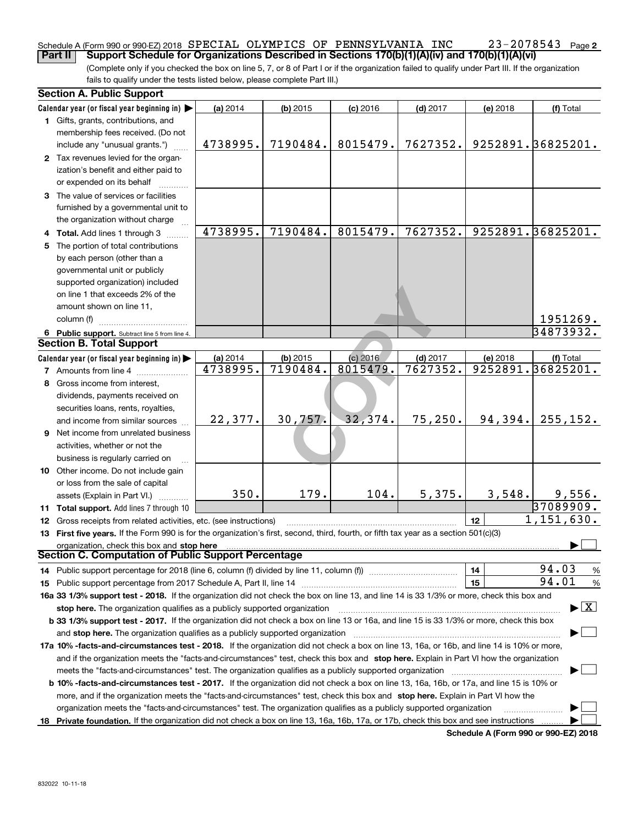#### **2** Schedule A (Form 990 or 990-EZ) 2018  ${\tt SPECIAL}$   ${\tt OLYMPICS}$   ${\tt OF}$   ${\tt PENNSYLVANIA}$   ${\tt INC}$   $23$  –  $2078543$   ${\tt Page}$ **Part II Support Schedule for Organizations Described in Sections 170(b)(1)(A)(iv) and 170(b)(1)(A)(vi)**

(Complete only if you checked the box on line 5, 7, or 8 of Part I or if the organization failed to qualify under Part III. If the organization fails to qualify under the tests listed below, please complete Part III.)

|    | <b>Section A. Public Support</b>                                                                                                               |          |            |            |            |          |                         |  |  |
|----|------------------------------------------------------------------------------------------------------------------------------------------------|----------|------------|------------|------------|----------|-------------------------|--|--|
|    | Calendar year (or fiscal year beginning in)                                                                                                    | (a) 2014 | $(b)$ 2015 | $(c)$ 2016 | $(d)$ 2017 | (e) 2018 | (f) Total               |  |  |
|    | 1 Gifts, grants, contributions, and                                                                                                            |          |            |            |            |          |                         |  |  |
|    | membership fees received. (Do not                                                                                                              |          |            |            |            |          |                         |  |  |
|    | include any "unusual grants.")                                                                                                                 | 4738995. | 7190484.   | 8015479.   | 7627352.   |          | 9252891. 36825201.      |  |  |
|    | 2 Tax revenues levied for the organ-                                                                                                           |          |            |            |            |          |                         |  |  |
|    | ization's benefit and either paid to                                                                                                           |          |            |            |            |          |                         |  |  |
|    | or expended on its behalf                                                                                                                      |          |            |            |            |          |                         |  |  |
|    | 3 The value of services or facilities                                                                                                          |          |            |            |            |          |                         |  |  |
|    | furnished by a governmental unit to                                                                                                            |          |            |            |            |          |                         |  |  |
|    | the organization without charge                                                                                                                |          |            |            |            |          |                         |  |  |
|    | 4 Total. Add lines 1 through 3                                                                                                                 | 4738995. | 7190484.   | 8015479.   | 7627352.   |          | 9252891.36825201.       |  |  |
| 5. | The portion of total contributions                                                                                                             |          |            |            |            |          |                         |  |  |
|    | by each person (other than a                                                                                                                   |          |            |            |            |          |                         |  |  |
|    | governmental unit or publicly                                                                                                                  |          |            |            |            |          |                         |  |  |
|    | supported organization) included                                                                                                               |          |            |            |            |          |                         |  |  |
|    | on line 1 that exceeds 2% of the                                                                                                               |          |            |            |            |          |                         |  |  |
|    | amount shown on line 11,                                                                                                                       |          |            |            |            |          |                         |  |  |
|    | column (f)                                                                                                                                     |          |            |            |            |          | 1951269.                |  |  |
|    | 6 Public support. Subtract line 5 from line 4.                                                                                                 |          |            |            |            |          | 34873932.               |  |  |
|    | <b>Section B. Total Support</b>                                                                                                                |          |            |            |            |          |                         |  |  |
|    | Calendar year (or fiscal year beginning in)                                                                                                    | (a) 2014 | $(b)$ 2015 | (c) 2016   | $(d)$ 2017 | (e) 2018 | (f) Total               |  |  |
|    | <b>7</b> Amounts from line 4                                                                                                                   | 4738995. | 7190484.   | 8015479.   | 7627352.   |          | 9252891.36825201.       |  |  |
| 8  | Gross income from interest,                                                                                                                    |          |            |            |            |          |                         |  |  |
|    | dividends, payments received on                                                                                                                |          |            |            |            |          |                         |  |  |
|    | securities loans, rents, royalties,                                                                                                            |          |            |            |            |          |                         |  |  |
|    | and income from similar sources                                                                                                                | 22,377.  | 30,757.    | 32,374.    | 75, 250.   | 94,394.  | 255, 152.               |  |  |
|    | 9 Net income from unrelated business                                                                                                           |          |            |            |            |          |                         |  |  |
|    | activities, whether or not the                                                                                                                 |          |            |            |            |          |                         |  |  |
|    | business is regularly carried on                                                                                                               |          |            |            |            |          |                         |  |  |
|    | 10 Other income. Do not include gain                                                                                                           |          |            |            |            |          |                         |  |  |
|    | or loss from the sale of capital                                                                                                               |          |            |            |            |          |                         |  |  |
|    | assets (Explain in Part VI.)                                                                                                                   | 350.     | 179.       | 104.       | 5,375.     | 3,548.   | 9,556.                  |  |  |
|    | 11 Total support. Add lines 7 through 10                                                                                                       |          |            |            |            |          | 37089909.               |  |  |
|    | 12 Gross receipts from related activities, etc. (see instructions)                                                                             |          |            |            |            | 12       | $\overline{1,151},630.$ |  |  |
|    | 13 First five years. If the Form 990 is for the organization's first, second, third, fourth, or fifth tax year as a section 501(c)(3)          |          |            |            |            |          |                         |  |  |
|    | organization, check this box and stop here                                                                                                     |          |            |            |            |          |                         |  |  |
|    | Section C. Computation of Public Support Percentage                                                                                            |          |            |            |            |          |                         |  |  |
|    | 14 Public support percentage for 2018 (line 6, column (f) divided by line 11, column (f) <i>mummumumumum</i>                                   |          |            |            |            | 14       | 94.03<br>%              |  |  |
|    |                                                                                                                                                |          |            |            |            | 15       | 94.01<br>%              |  |  |
|    | 16a 33 1/3% support test - 2018. If the organization did not check the box on line 13, and line 14 is 33 1/3% or more, check this box and      |          |            |            |            |          |                         |  |  |
|    | $\blacktriangleright$ $\boxed{\text{X}}$<br>stop here. The organization qualifies as a publicly supported organization                         |          |            |            |            |          |                         |  |  |
|    | b 33 1/3% support test - 2017. If the organization did not check a box on line 13 or 16a, and line 15 is 33 1/3% or more, check this box       |          |            |            |            |          |                         |  |  |
|    | and stop here. The organization qualifies as a publicly supported organization                                                                 |          |            |            |            |          |                         |  |  |
|    | 17a 10% -facts-and-circumstances test - 2018. If the organization did not check a box on line 13, 16a, or 16b, and line 14 is 10% or more,     |          |            |            |            |          |                         |  |  |
|    | and if the organization meets the "facts-and-circumstances" test, check this box and stop here. Explain in Part VI how the organization        |          |            |            |            |          |                         |  |  |
|    |                                                                                                                                                |          |            |            |            |          |                         |  |  |
|    | <b>b 10% -facts-and-circumstances test - 2017.</b> If the organization did not check a box on line 13, 16a, 16b, or 17a, and line 15 is 10% or |          |            |            |            |          |                         |  |  |
|    | more, and if the organization meets the "facts-and-circumstances" test, check this box and stop here. Explain in Part VI how the               |          |            |            |            |          |                         |  |  |
|    | organization meets the "facts-and-circumstances" test. The organization qualifies as a publicly supported organization                         |          |            |            |            |          |                         |  |  |
|    | 18 Private foundation. If the organization did not check a box on line 13, 16a, 16b, 17a, or 17b, check this box and see instructions          |          |            |            |            |          |                         |  |  |

**Schedule A (Form 990 or 990-EZ) 2018**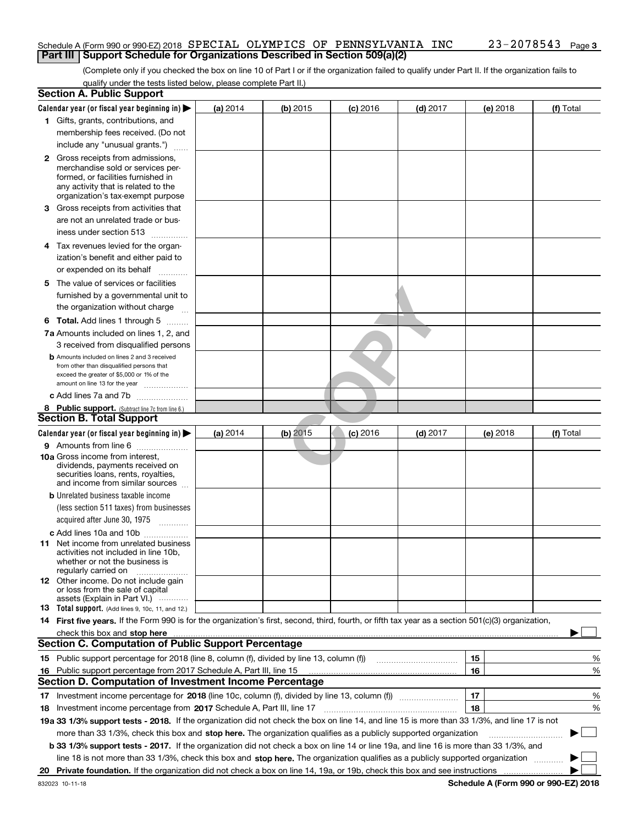#### Schedule A (Form 990 or 990-EZ) 2018  ${\tt SPECIAL}$   ${\tt OLYMPICS}$   ${\tt OF}$   ${\tt PENNSYLVANIA}$   ${\tt INC}$   $23$  –  $2078543$   ${\tt Page}$ **Part III** | Support Schedule for Organizations Described in Section 509(a)(2)

(Complete only if you checked the box on line 10 of Part I or if the organization failed to qualify under Part II. If the organization fails to qualify under the tests listed below, please complete Part II.)

|    | <b>Section A. Public Support</b>                                                                                                                                                                                               |          |            |            |            |    |          |             |
|----|--------------------------------------------------------------------------------------------------------------------------------------------------------------------------------------------------------------------------------|----------|------------|------------|------------|----|----------|-------------|
|    | Calendar year (or fiscal year beginning in) $\blacktriangleright$                                                                                                                                                              | (a) 2014 | (b) 2015   | $(c)$ 2016 | $(d)$ 2017 |    | (e) 2018 | (f) Total   |
|    | 1 Gifts, grants, contributions, and                                                                                                                                                                                            |          |            |            |            |    |          |             |
|    | membership fees received. (Do not                                                                                                                                                                                              |          |            |            |            |    |          |             |
|    | include any "unusual grants.")                                                                                                                                                                                                 |          |            |            |            |    |          |             |
|    | <b>2</b> Gross receipts from admissions,                                                                                                                                                                                       |          |            |            |            |    |          |             |
|    | merchandise sold or services per-                                                                                                                                                                                              |          |            |            |            |    |          |             |
|    | formed, or facilities furnished in                                                                                                                                                                                             |          |            |            |            |    |          |             |
|    | any activity that is related to the                                                                                                                                                                                            |          |            |            |            |    |          |             |
|    | organization's tax-exempt purpose                                                                                                                                                                                              |          |            |            |            |    |          |             |
|    | 3 Gross receipts from activities that                                                                                                                                                                                          |          |            |            |            |    |          |             |
|    | are not an unrelated trade or bus-                                                                                                                                                                                             |          |            |            |            |    |          |             |
|    | iness under section 513                                                                                                                                                                                                        |          |            |            |            |    |          |             |
|    | 4 Tax revenues levied for the organ-                                                                                                                                                                                           |          |            |            |            |    |          |             |
|    | ization's benefit and either paid to                                                                                                                                                                                           |          |            |            |            |    |          |             |
|    | or expended on its behalf<br>.                                                                                                                                                                                                 |          |            |            |            |    |          |             |
|    | 5 The value of services or facilities                                                                                                                                                                                          |          |            |            |            |    |          |             |
|    | furnished by a governmental unit to                                                                                                                                                                                            |          |            |            |            |    |          |             |
|    | the organization without charge                                                                                                                                                                                                |          |            |            |            |    |          |             |
|    | <b>6 Total.</b> Add lines 1 through 5                                                                                                                                                                                          |          |            |            |            |    |          |             |
|    | 7a Amounts included on lines 1, 2, and                                                                                                                                                                                         |          |            |            |            |    |          |             |
|    |                                                                                                                                                                                                                                |          |            |            |            |    |          |             |
|    | 3 received from disqualified persons                                                                                                                                                                                           |          |            |            |            |    |          |             |
|    | <b>b</b> Amounts included on lines 2 and 3 received<br>from other than disqualified persons that                                                                                                                               |          |            |            |            |    |          |             |
|    | exceed the greater of \$5,000 or 1% of the                                                                                                                                                                                     |          |            |            |            |    |          |             |
|    | amount on line 13 for the year                                                                                                                                                                                                 |          |            |            |            |    |          |             |
|    | c Add lines 7a and 7b                                                                                                                                                                                                          |          |            |            |            |    |          |             |
|    | 8 Public support. (Subtract line 7c from line 6.)                                                                                                                                                                              |          |            |            |            |    |          |             |
|    | <b>Section B. Total Support</b>                                                                                                                                                                                                |          |            |            |            |    |          |             |
|    | Calendar year (or fiscal year beginning in)                                                                                                                                                                                    | (a) 2014 | $(b)$ 2015 | $(c)$ 2016 | $(d)$ 2017 |    | (e) 2018 | (f) Total   |
|    | 9 Amounts from line 6                                                                                                                                                                                                          |          |            |            |            |    |          |             |
|    | <b>10a</b> Gross income from interest,                                                                                                                                                                                         |          |            |            |            |    |          |             |
|    | dividends, payments received on                                                                                                                                                                                                |          |            |            |            |    |          |             |
|    | securities loans, rents, royalties,<br>and income from similar sources                                                                                                                                                         |          |            |            |            |    |          |             |
|    | <b>b</b> Unrelated business taxable income                                                                                                                                                                                     |          |            |            |            |    |          |             |
|    |                                                                                                                                                                                                                                |          |            |            |            |    |          |             |
|    | (less section 511 taxes) from businesses                                                                                                                                                                                       |          |            |            |            |    |          |             |
|    | acquired after June 30, 1975                                                                                                                                                                                                   |          |            |            |            |    |          |             |
|    | c Add lines 10a and 10b                                                                                                                                                                                                        |          |            |            |            |    |          |             |
|    | 11 Net income from unrelated business<br>activities not included in line 10b,                                                                                                                                                  |          |            |            |            |    |          |             |
|    | whether or not the business is                                                                                                                                                                                                 |          |            |            |            |    |          |             |
|    | regularly carried on                                                                                                                                                                                                           |          |            |            |            |    |          |             |
|    | <b>12</b> Other income. Do not include gain                                                                                                                                                                                    |          |            |            |            |    |          |             |
|    | or loss from the sale of capital<br>assets (Explain in Part VI.)                                                                                                                                                               |          |            |            |            |    |          |             |
|    | <b>13</b> Total support. (Add lines 9, 10c, 11, and 12.)                                                                                                                                                                       |          |            |            |            |    |          |             |
|    | 14 First five years. If the Form 990 is for the organization's first, second, third, fourth, or fifth tax year as a section 501(c)(3) organization,                                                                            |          |            |            |            |    |          |             |
|    | check this box and stop here measurements are all the state of the state of the state of the state of the state of the state of the state of the state of the state of the state of the state of the state of the state of the |          |            |            |            |    |          |             |
|    | <b>Section C. Computation of Public Support Percentage</b>                                                                                                                                                                     |          |            |            |            |    |          |             |
|    | 15 Public support percentage for 2018 (line 8, column (f), divided by line 13, column (f))                                                                                                                                     |          |            |            |            | 15 |          | %           |
|    |                                                                                                                                                                                                                                |          |            |            |            | 16 |          | %           |
|    | 16 Public support percentage from 2017 Schedule A, Part III, line 15<br><b>Section D. Computation of Investment Income Percentage</b>                                                                                          |          |            |            |            |    |          |             |
|    |                                                                                                                                                                                                                                |          |            |            |            |    |          |             |
|    | 17 Investment income percentage for 2018 (line 10c, column (f), divided by line 13, column (f))                                                                                                                                |          |            |            |            | 17 |          | %           |
|    | <b>18</b> Investment income percentage from <b>2017</b> Schedule A, Part III, line 17                                                                                                                                          |          |            |            |            | 18 |          | %           |
|    | 19a 33 1/3% support tests - 2018. If the organization did not check the box on line 14, and line 15 is more than 33 1/3%, and line 17 is not                                                                                   |          |            |            |            |    |          |             |
|    | more than 33 1/3%, check this box and stop here. The organization qualifies as a publicly supported organization                                                                                                               |          |            |            |            |    |          | $\sim$<br>▶ |
|    | b 33 1/3% support tests - 2017. If the organization did not check a box on line 14 or line 19a, and line 16 is more than 33 1/3%, and                                                                                          |          |            |            |            |    |          |             |
|    | line 18 is not more than 33 1/3%, check this box and stop here. The organization qualifies as a publicly supported organization                                                                                                |          |            |            |            |    |          |             |
| 20 |                                                                                                                                                                                                                                |          |            |            |            |    |          |             |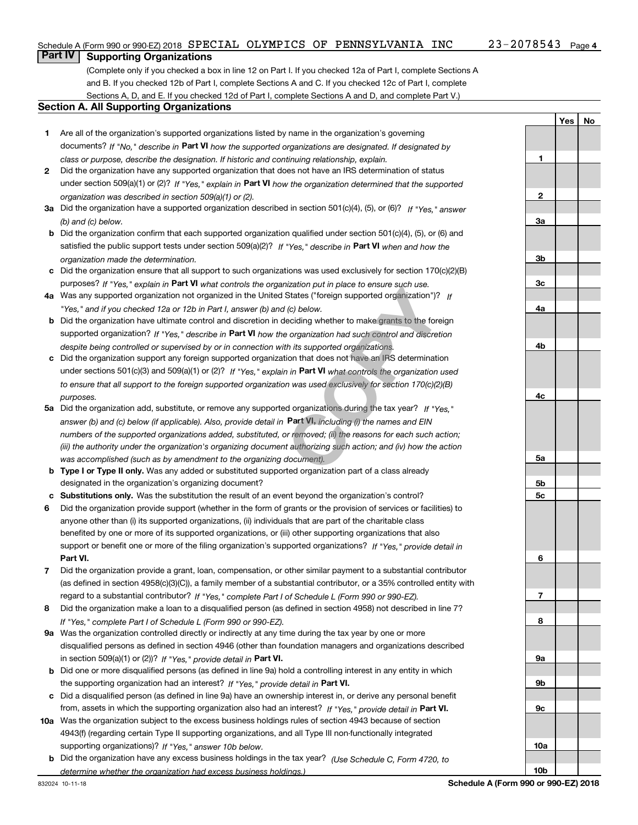**1**

**2**

**3a**

**3b**

**3c**

**4a**

**4b**

**4c**

**5a**

**5b5c**

**6**

**7**

**8**

**9a**

**9b**

**9c**

**10a**

**10b**

**YesNo**

## **Part IV Supporting Organizations**

(Complete only if you checked a box in line 12 on Part I. If you checked 12a of Part I, complete Sections A and B. If you checked 12b of Part I, complete Sections A and C. If you checked 12c of Part I, complete Sections A, D, and E. If you checked 12d of Part I, complete Sections A and D, and complete Part V.)

#### **Section A. All Supporting Organizations**

- **1** Are all of the organization's supported organizations listed by name in the organization's governing documents? If "No," describe in **Part VI** how the supported organizations are designated. If designated by *class or purpose, describe the designation. If historic and continuing relationship, explain.*
- **2** Did the organization have any supported organization that does not have an IRS determination of status under section 509(a)(1) or (2)? If "Yes," explain in Part VI how the organization determined that the supported *organization was described in section 509(a)(1) or (2).*
- **3a** Did the organization have a supported organization described in section 501(c)(4), (5), or (6)? If "Yes," answer *(b) and (c) below.*
- **b** Did the organization confirm that each supported organization qualified under section 501(c)(4), (5), or (6) and satisfied the public support tests under section 509(a)(2)? If "Yes," describe in **Part VI** when and how the *organization made the determination.*
- **c**Did the organization ensure that all support to such organizations was used exclusively for section 170(c)(2)(B) purposes? If "Yes," explain in **Part VI** what controls the organization put in place to ensure such use.
- **4a***If* Was any supported organization not organized in the United States ("foreign supported organization")? *"Yes," and if you checked 12a or 12b in Part I, answer (b) and (c) below.*
- **b** Did the organization have ultimate control and discretion in deciding whether to make grants to the foreign supported organization? If "Yes," describe in **Part VI** how the organization had such control and discretion *despite being controlled or supervised by or in connection with its supported organizations.*
- **c** Did the organization support any foreign supported organization that does not have an IRS determination under sections 501(c)(3) and 509(a)(1) or (2)? If "Yes," explain in **Part VI** what controls the organization used *to ensure that all support to the foreign supported organization was used exclusively for section 170(c)(2)(B) purposes.*
- **5a***If "Yes,"* Did the organization add, substitute, or remove any supported organizations during the tax year? answer (b) and (c) below (if applicable). Also, provide detail in **Part VI,** including (i) the names and EIN *numbers of the supported organizations added, substituted, or removed; (ii) the reasons for each such action; (iii) the authority under the organization's organizing document authorizing such action; and (iv) how the action was accomplished (such as by amendment to the organizing document).* Inization put in place to ensure such use.<br>
States ("foreign supported organization")?<br>
If (c) below.<br>
deciding whether to make grants to the fore<br>
e organization had such control and discreti<br>
th its supported organizatio
- **b** Type I or Type II only. Was any added or substituted supported organization part of a class already designated in the organization's organizing document?
- **cSubstitutions only.**  Was the substitution the result of an event beyond the organization's control?
- **6** Did the organization provide support (whether in the form of grants or the provision of services or facilities) to **Part VI.** *If "Yes," provide detail in* support or benefit one or more of the filing organization's supported organizations? anyone other than (i) its supported organizations, (ii) individuals that are part of the charitable class benefited by one or more of its supported organizations, or (iii) other supporting organizations that also
- **7**Did the organization provide a grant, loan, compensation, or other similar payment to a substantial contributor *If "Yes," complete Part I of Schedule L (Form 990 or 990-EZ).* regard to a substantial contributor? (as defined in section 4958(c)(3)(C)), a family member of a substantial contributor, or a 35% controlled entity with
- **8** Did the organization make a loan to a disqualified person (as defined in section 4958) not described in line 7? *If "Yes," complete Part I of Schedule L (Form 990 or 990-EZ).*
- **9a** Was the organization controlled directly or indirectly at any time during the tax year by one or more in section 509(a)(1) or (2))? If "Yes," *provide detail in* <code>Part VI.</code> disqualified persons as defined in section 4946 (other than foundation managers and organizations described
- **b** Did one or more disqualified persons (as defined in line 9a) hold a controlling interest in any entity in which the supporting organization had an interest? If "Yes," provide detail in P**art VI**.
- **c**Did a disqualified person (as defined in line 9a) have an ownership interest in, or derive any personal benefit from, assets in which the supporting organization also had an interest? If "Yes," provide detail in P**art VI.**
- **10a** Was the organization subject to the excess business holdings rules of section 4943 because of section supporting organizations)? If "Yes," answer 10b below. 4943(f) (regarding certain Type II supporting organizations, and all Type III non-functionally integrated
- **b** Did the organization have any excess business holdings in the tax year? (Use Schedule C, Form 4720, to *determine whether the organization had excess business holdings.)*

832024 10-11-18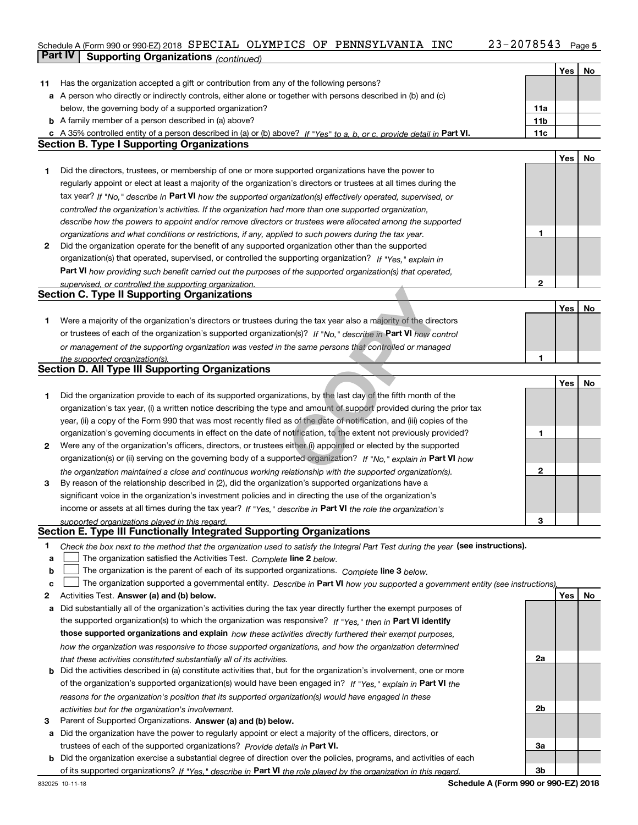#### Schedule A (Form 990 or 990-EZ) 2018  ${\tt SPECIAL}$   ${\tt OLYMPICS}$   ${\tt OF}$   ${\tt PENNSYLVANIA}$   ${\tt INC}$   $23$  –  $2078543$   ${\tt Page}$ **Part IV** Supporting Organizations (continued)

|    |                                                                                                                                                                                                                                        |                 | Yes | No |
|----|----------------------------------------------------------------------------------------------------------------------------------------------------------------------------------------------------------------------------------------|-----------------|-----|----|
| 11 | Has the organization accepted a gift or contribution from any of the following persons?                                                                                                                                                |                 |     |    |
|    | a A person who directly or indirectly controls, either alone or together with persons described in (b) and (c)                                                                                                                         |                 |     |    |
|    | below, the governing body of a supported organization?                                                                                                                                                                                 | 11a             |     |    |
|    | <b>b</b> A family member of a person described in (a) above?                                                                                                                                                                           | 11 <sub>b</sub> |     |    |
|    | c A 35% controlled entity of a person described in (a) or (b) above? If "Yes" to a, b, or c, provide detail in Part VI.                                                                                                                | 11c             |     |    |
|    | <b>Section B. Type I Supporting Organizations</b>                                                                                                                                                                                      |                 |     |    |
|    |                                                                                                                                                                                                                                        |                 | Yes | No |
| 1  | Did the directors, trustees, or membership of one or more supported organizations have the power to                                                                                                                                    |                 |     |    |
|    | regularly appoint or elect at least a majority of the organization's directors or trustees at all times during the                                                                                                                     |                 |     |    |
|    | tax year? If "No," describe in Part VI how the supported organization(s) effectively operated, supervised, or                                                                                                                          |                 |     |    |
|    | controlled the organization's activities. If the organization had more than one supported organization,                                                                                                                                |                 |     |    |
|    | describe how the powers to appoint and/or remove directors or trustees were allocated among the supported                                                                                                                              |                 |     |    |
|    | organizations and what conditions or restrictions, if any, applied to such powers during the tax year.                                                                                                                                 | 1               |     |    |
| 2  | Did the organization operate for the benefit of any supported organization other than the supported                                                                                                                                    |                 |     |    |
|    | organization(s) that operated, supervised, or controlled the supporting organization? If "Yes," explain in                                                                                                                             |                 |     |    |
|    | Part VI how providing such benefit carried out the purposes of the supported organization(s) that operated,                                                                                                                            |                 |     |    |
|    | supervised, or controlled the supporting organization.                                                                                                                                                                                 | $\mathbf{2}$    |     |    |
|    | <b>Section C. Type II Supporting Organizations</b>                                                                                                                                                                                     |                 |     |    |
|    |                                                                                                                                                                                                                                        |                 | Yes | No |
| 1. | Were a majority of the organization's directors or trustees during the tax year also a majority of the directors                                                                                                                       |                 |     |    |
|    | or trustees of each of the organization's supported organization(s)? If "No," describe in Part VI how control                                                                                                                          |                 |     |    |
|    | or management of the supporting organization was vested in the same persons that controlled or managed                                                                                                                                 |                 |     |    |
|    | the supported organization(s).                                                                                                                                                                                                         | 1               |     |    |
|    | <b>Section D. All Type III Supporting Organizations</b>                                                                                                                                                                                |                 |     |    |
|    |                                                                                                                                                                                                                                        |                 | Yes | No |
| 1  | Did the organization provide to each of its supported organizations, by the last day of the fifth month of the                                                                                                                         |                 |     |    |
|    | organization's tax year, (i) a written notice describing the type and amount of support provided during the prior tax                                                                                                                  |                 |     |    |
|    | year, (ii) a copy of the Form 990 that was most recently filed as of the date of notification, and (iii) copies of the                                                                                                                 |                 |     |    |
|    | organization's governing documents in effect on the date of notification, to the extent not previously provided?                                                                                                                       | 1               |     |    |
| 2  | Were any of the organization's officers, directors, or trustees either (i) appointed or elected by the supported<br>organization(s) or (ii) serving on the governing body of a supported organization? If "No," explain in Part VI how |                 |     |    |
|    |                                                                                                                                                                                                                                        | $\mathbf{2}$    |     |    |
| 3  | the organization maintained a close and continuous working relationship with the supported organization(s).<br>By reason of the relationship described in (2), did the organization's supported organizations have a                   |                 |     |    |
|    | significant voice in the organization's investment policies and in directing the use of the organization's                                                                                                                             |                 |     |    |
|    | income or assets at all times during the tax year? If "Yes," describe in Part VI the role the organization's                                                                                                                           |                 |     |    |
|    | supported organizations played in this regard.                                                                                                                                                                                         | з               |     |    |
|    | Section E. Type III Functionally Integrated Supporting Organizations                                                                                                                                                                   |                 |     |    |
| 1  | Check the box next to the method that the organization used to satisfy the Integral Part Test during the year (see instructions).                                                                                                      |                 |     |    |
| а  | The organization satisfied the Activities Test. Complete line 2 below.                                                                                                                                                                 |                 |     |    |
| b  | The organization is the parent of each of its supported organizations. Complete line 3 below.                                                                                                                                          |                 |     |    |
| c  | The organization supported a governmental entity. Describe in Part VI how you supported a government entity (see instructions),                                                                                                        |                 |     |    |
| 2  | Activities Test. Answer (a) and (b) below.                                                                                                                                                                                             |                 | Yes | No |
| а  | Did substantially all of the organization's activities during the tax year directly further the exempt purposes of                                                                                                                     |                 |     |    |
|    | the supported organization(s) to which the organization was responsive? If "Yes," then in Part VI identify                                                                                                                             |                 |     |    |
|    | those supported organizations and explain how these activities directly furthered their exempt purposes,                                                                                                                               |                 |     |    |
|    | how the organization was responsive to those supported organizations, and how the organization determined                                                                                                                              |                 |     |    |
|    | that these activities constituted substantially all of its activities.                                                                                                                                                                 | 2a              |     |    |
| b  | Did the activities described in (a) constitute activities that, but for the organization's involvement, one or more                                                                                                                    |                 |     |    |
|    | of the organization's supported organization(s) would have been engaged in? If "Yes," explain in Part VI the                                                                                                                           |                 |     |    |
|    | reasons for the organization's position that its supported organization(s) would have engaged in these                                                                                                                                 |                 |     |    |
|    | activities but for the organization's involvement.                                                                                                                                                                                     | 2 <sub>b</sub>  |     |    |
| з  | Parent of Supported Organizations. Answer (a) and (b) below.                                                                                                                                                                           |                 |     |    |
| а  | Did the organization have the power to regularly appoint or elect a majority of the officers, directors, or                                                                                                                            |                 |     |    |
|    | trustees of each of the supported organizations? Provide details in Part VI.                                                                                                                                                           | За              |     |    |
|    | <b>b</b> Did the organization exercise a substantial degree of direction over the policies, programs, and activities of each                                                                                                           |                 |     |    |
|    | of its supported organizations? If "Yes." describe in Part VI the role played by the organization in this regard.                                                                                                                      | 3b              |     |    |

**Schedule A (Form 990 or 990-EZ) 2018**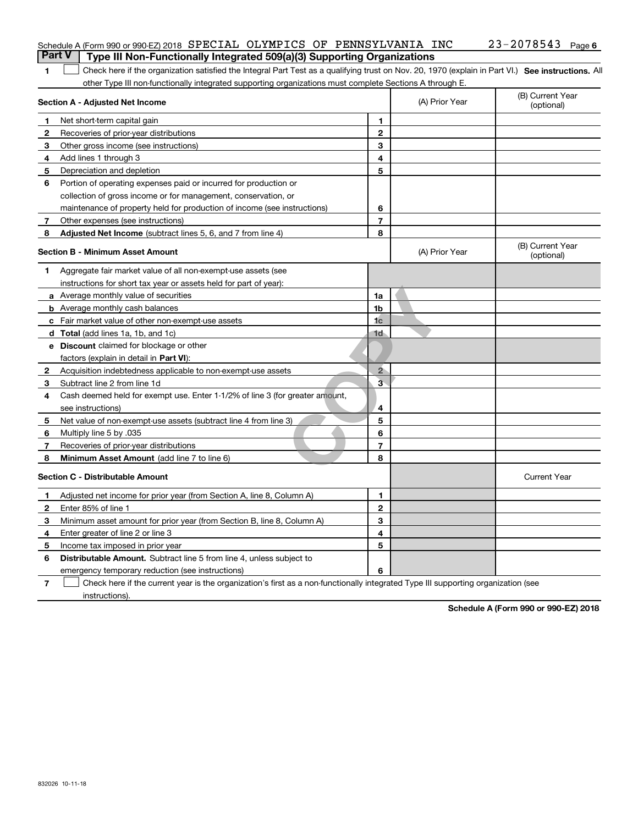|              | Part V<br>Type III Non-Functionally Integrated 509(a)(3) Supporting Organizations                                                                  |                |                                |                                |
|--------------|----------------------------------------------------------------------------------------------------------------------------------------------------|----------------|--------------------------------|--------------------------------|
| 1.           | Check here if the organization satisfied the Integral Part Test as a qualifying trust on Nov. 20, 1970 (explain in Part VI.) See instructions. All |                |                                |                                |
|              | other Type III non-functionally integrated supporting organizations must complete Sections A through E.                                            |                |                                |                                |
|              | Section A - Adjusted Net Income                                                                                                                    | (A) Prior Year | (B) Current Year<br>(optional) |                                |
| 1            | Net short-term capital gain                                                                                                                        | 1              |                                |                                |
| 2            | Recoveries of prior-year distributions                                                                                                             | $\overline{2}$ |                                |                                |
| 3            | Other gross income (see instructions)                                                                                                              | 3              |                                |                                |
| 4            | Add lines 1 through 3                                                                                                                              | 4              |                                |                                |
| 5            | Depreciation and depletion                                                                                                                         | 5              |                                |                                |
| 6            | Portion of operating expenses paid or incurred for production or                                                                                   |                |                                |                                |
|              | collection of gross income or for management, conservation, or                                                                                     |                |                                |                                |
|              | maintenance of property held for production of income (see instructions)                                                                           | 6              |                                |                                |
| 7            | Other expenses (see instructions)                                                                                                                  | $\overline{7}$ |                                |                                |
| 8            | <b>Adjusted Net Income</b> (subtract lines 5, 6, and 7 from line 4)                                                                                | 8              |                                |                                |
|              | <b>Section B - Minimum Asset Amount</b>                                                                                                            |                | (A) Prior Year                 | (B) Current Year<br>(optional) |
| 1.           | Aggregate fair market value of all non-exempt-use assets (see                                                                                      |                |                                |                                |
|              | instructions for short tax year or assets held for part of year):                                                                                  |                |                                |                                |
|              | a Average monthly value of securities                                                                                                              | 1a             |                                |                                |
|              | <b>b</b> Average monthly cash balances                                                                                                             | 1 <sub>b</sub> |                                |                                |
|              | c Fair market value of other non-exempt-use assets                                                                                                 | 1 <sub>c</sub> |                                |                                |
|              | <b>d</b> Total (add lines 1a, 1b, and 1c)                                                                                                          | 1d             |                                |                                |
|              | <b>e</b> Discount claimed for blockage or other                                                                                                    |                |                                |                                |
|              | factors (explain in detail in Part VI):                                                                                                            |                |                                |                                |
| 2            | Acquisition indebtedness applicable to non-exempt-use assets                                                                                       | $2^{\circ}$    |                                |                                |
| 3            | Subtract line 2 from line 1d                                                                                                                       | $\bar{3}$      |                                |                                |
| 4            | Cash deemed held for exempt use. Enter 1-1/2% of line 3 (for greater amount,                                                                       |                |                                |                                |
|              | see instructions)                                                                                                                                  | 4              |                                |                                |
| 5            | Net value of non-exempt-use assets (subtract line 4 from line 3)                                                                                   | 5              |                                |                                |
| 6            | Multiply line 5 by .035                                                                                                                            | 6              |                                |                                |
| 7            | Recoveries of prior-year distributions                                                                                                             | 7              |                                |                                |
| 8            | <b>Minimum Asset Amount</b> (add line 7 to line 6)                                                                                                 | 8              |                                |                                |
|              | <b>Section C - Distributable Amount</b>                                                                                                            |                |                                | <b>Current Year</b>            |
| 1            | Adjusted net income for prior year (from Section A, line 8, Column A)                                                                              | 1              |                                |                                |
| $\mathbf{2}$ | Enter 85% of line 1                                                                                                                                | $\mathbf{2}$   |                                |                                |
| 3            | Minimum asset amount for prior year (from Section B, line 8, Column A)                                                                             | 3              |                                |                                |
| 4            | Enter greater of line 2 or line 3                                                                                                                  | 4              |                                |                                |
| 5            | Income tax imposed in prior year                                                                                                                   | 5              |                                |                                |
| 6            | <b>Distributable Amount.</b> Subtract line 5 from line 4, unless subject to                                                                        |                |                                |                                |
|              | emergency temporary reduction (see instructions)                                                                                                   | 6              |                                |                                |
| 7            | Check here if the current year is the organization's first as a non-functionally integrated Type III supporting organization (see                  |                |                                |                                |

Schedule A (Form 990 or 990-EZ) 2018 SPECIAL OLYMPICS OF PENNSYLVANIA INC 23-2078543 Page

SPECIAL OLYMPICS OF PENNSYLVANIA INC 23-2078543

instructions).

**Schedule A (Form 990 or 990-EZ) 2018**

**6**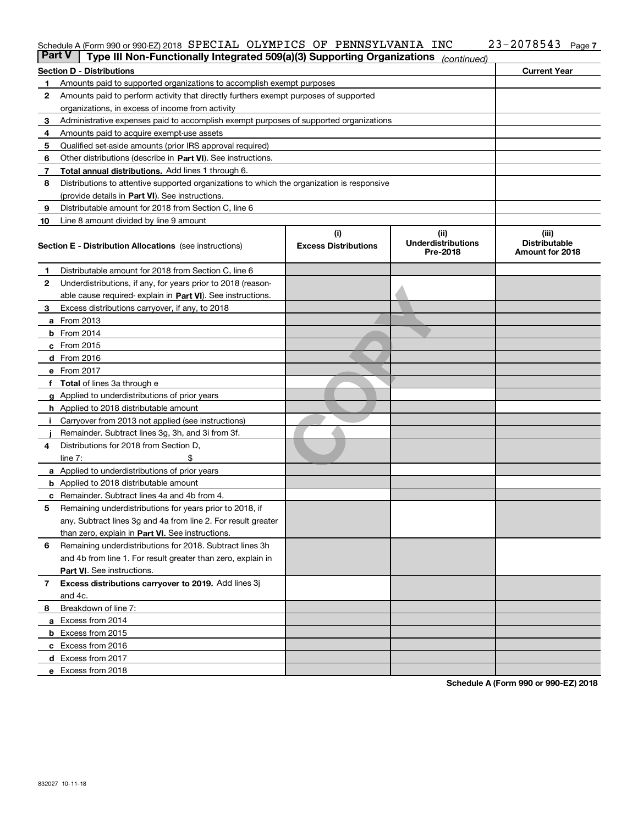#### Schedule A (Form 990 or 990-EZ) 2018 SPECIAL OLYMPICS OF PENNSYLVANIA INC 23-2078543 Page SPECIAL OLYMPICS OF PENNSYLVANIA INC 23-2078543

| <b>Section D - Distributions</b><br>Amounts paid to supported organizations to accomplish exempt purposes<br>1<br>2<br>Amounts paid to perform activity that directly furthers exempt purposes of supported<br>organizations, in excess of income from activity<br>Administrative expenses paid to accomplish exempt purposes of supported organizations<br>з<br>Amounts paid to acquire exempt-use assets<br>4<br>Qualified set-aside amounts (prior IRS approval required)<br>5<br>Other distributions (describe in Part VI). See instructions.<br>6<br>Total annual distributions. Add lines 1 through 6.<br>7<br>8<br>Distributions to attentive supported organizations to which the organization is responsive<br>(provide details in Part VI). See instructions.<br>Distributable amount for 2018 from Section C, line 6<br>9<br>10<br>Line 8 amount divided by line 9 amount<br>(i)<br>(iii)<br><b>Underdistributions</b><br><b>Excess Distributions</b><br>Section E - Distribution Allocations (see instructions)<br>Pre-2018<br>Distributable amount for 2018 from Section C, line 6<br>1<br>2<br>Underdistributions, if any, for years prior to 2018 (reason-<br>able cause required- explain in Part VI). See instructions.<br>Excess distributions carryover, if any, to 2018<br>з<br><b>a</b> From 2013<br><b>b</b> From 2014<br>c From 2015<br>d From 2016<br>e From 2017<br>Total of lines 3a through e<br><b>g</b> Applied to underdistributions of prior years<br><b>h</b> Applied to 2018 distributable amount<br>Carryover from 2013 not applied (see instructions)<br>Remainder. Subtract lines 3g, 3h, and 3i from 3f.<br>Distributions for 2018 from Section D,<br>4<br>line $7:$<br>a Applied to underdistributions of prior years<br><b>b</b> Applied to 2018 distributable amount<br>Remainder. Subtract lines 4a and 4b from 4.<br>c<br>Remaining underdistributions for years prior to 2018, if<br>5 |                                         |  |  |  |  |  |  |  |
|-----------------------------------------------------------------------------------------------------------------------------------------------------------------------------------------------------------------------------------------------------------------------------------------------------------------------------------------------------------------------------------------------------------------------------------------------------------------------------------------------------------------------------------------------------------------------------------------------------------------------------------------------------------------------------------------------------------------------------------------------------------------------------------------------------------------------------------------------------------------------------------------------------------------------------------------------------------------------------------------------------------------------------------------------------------------------------------------------------------------------------------------------------------------------------------------------------------------------------------------------------------------------------------------------------------------------------------------------------------------------------------------------------------------------------------------------------------------------------------------------------------------------------------------------------------------------------------------------------------------------------------------------------------------------------------------------------------------------------------------------------------------------------------------------------------------------------------------------------------------------------------------------------------------------------------|-----------------------------------------|--|--|--|--|--|--|--|
|                                                                                                                                                                                                                                                                                                                                                                                                                                                                                                                                                                                                                                                                                                                                                                                                                                                                                                                                                                                                                                                                                                                                                                                                                                                                                                                                                                                                                                                                                                                                                                                                                                                                                                                                                                                                                                                                                                                                   | <b>Current Year</b>                     |  |  |  |  |  |  |  |
|                                                                                                                                                                                                                                                                                                                                                                                                                                                                                                                                                                                                                                                                                                                                                                                                                                                                                                                                                                                                                                                                                                                                                                                                                                                                                                                                                                                                                                                                                                                                                                                                                                                                                                                                                                                                                                                                                                                                   |                                         |  |  |  |  |  |  |  |
|                                                                                                                                                                                                                                                                                                                                                                                                                                                                                                                                                                                                                                                                                                                                                                                                                                                                                                                                                                                                                                                                                                                                                                                                                                                                                                                                                                                                                                                                                                                                                                                                                                                                                                                                                                                                                                                                                                                                   |                                         |  |  |  |  |  |  |  |
|                                                                                                                                                                                                                                                                                                                                                                                                                                                                                                                                                                                                                                                                                                                                                                                                                                                                                                                                                                                                                                                                                                                                                                                                                                                                                                                                                                                                                                                                                                                                                                                                                                                                                                                                                                                                                                                                                                                                   |                                         |  |  |  |  |  |  |  |
|                                                                                                                                                                                                                                                                                                                                                                                                                                                                                                                                                                                                                                                                                                                                                                                                                                                                                                                                                                                                                                                                                                                                                                                                                                                                                                                                                                                                                                                                                                                                                                                                                                                                                                                                                                                                                                                                                                                                   |                                         |  |  |  |  |  |  |  |
|                                                                                                                                                                                                                                                                                                                                                                                                                                                                                                                                                                                                                                                                                                                                                                                                                                                                                                                                                                                                                                                                                                                                                                                                                                                                                                                                                                                                                                                                                                                                                                                                                                                                                                                                                                                                                                                                                                                                   |                                         |  |  |  |  |  |  |  |
|                                                                                                                                                                                                                                                                                                                                                                                                                                                                                                                                                                                                                                                                                                                                                                                                                                                                                                                                                                                                                                                                                                                                                                                                                                                                                                                                                                                                                                                                                                                                                                                                                                                                                                                                                                                                                                                                                                                                   |                                         |  |  |  |  |  |  |  |
|                                                                                                                                                                                                                                                                                                                                                                                                                                                                                                                                                                                                                                                                                                                                                                                                                                                                                                                                                                                                                                                                                                                                                                                                                                                                                                                                                                                                                                                                                                                                                                                                                                                                                                                                                                                                                                                                                                                                   |                                         |  |  |  |  |  |  |  |
|                                                                                                                                                                                                                                                                                                                                                                                                                                                                                                                                                                                                                                                                                                                                                                                                                                                                                                                                                                                                                                                                                                                                                                                                                                                                                                                                                                                                                                                                                                                                                                                                                                                                                                                                                                                                                                                                                                                                   |                                         |  |  |  |  |  |  |  |
|                                                                                                                                                                                                                                                                                                                                                                                                                                                                                                                                                                                                                                                                                                                                                                                                                                                                                                                                                                                                                                                                                                                                                                                                                                                                                                                                                                                                                                                                                                                                                                                                                                                                                                                                                                                                                                                                                                                                   |                                         |  |  |  |  |  |  |  |
|                                                                                                                                                                                                                                                                                                                                                                                                                                                                                                                                                                                                                                                                                                                                                                                                                                                                                                                                                                                                                                                                                                                                                                                                                                                                                                                                                                                                                                                                                                                                                                                                                                                                                                                                                                                                                                                                                                                                   |                                         |  |  |  |  |  |  |  |
|                                                                                                                                                                                                                                                                                                                                                                                                                                                                                                                                                                                                                                                                                                                                                                                                                                                                                                                                                                                                                                                                                                                                                                                                                                                                                                                                                                                                                                                                                                                                                                                                                                                                                                                                                                                                                                                                                                                                   |                                         |  |  |  |  |  |  |  |
|                                                                                                                                                                                                                                                                                                                                                                                                                                                                                                                                                                                                                                                                                                                                                                                                                                                                                                                                                                                                                                                                                                                                                                                                                                                                                                                                                                                                                                                                                                                                                                                                                                                                                                                                                                                                                                                                                                                                   |                                         |  |  |  |  |  |  |  |
|                                                                                                                                                                                                                                                                                                                                                                                                                                                                                                                                                                                                                                                                                                                                                                                                                                                                                                                                                                                                                                                                                                                                                                                                                                                                                                                                                                                                                                                                                                                                                                                                                                                                                                                                                                                                                                                                                                                                   | (iii)                                   |  |  |  |  |  |  |  |
|                                                                                                                                                                                                                                                                                                                                                                                                                                                                                                                                                                                                                                                                                                                                                                                                                                                                                                                                                                                                                                                                                                                                                                                                                                                                                                                                                                                                                                                                                                                                                                                                                                                                                                                                                                                                                                                                                                                                   | <b>Distributable</b><br>Amount for 2018 |  |  |  |  |  |  |  |
|                                                                                                                                                                                                                                                                                                                                                                                                                                                                                                                                                                                                                                                                                                                                                                                                                                                                                                                                                                                                                                                                                                                                                                                                                                                                                                                                                                                                                                                                                                                                                                                                                                                                                                                                                                                                                                                                                                                                   |                                         |  |  |  |  |  |  |  |
|                                                                                                                                                                                                                                                                                                                                                                                                                                                                                                                                                                                                                                                                                                                                                                                                                                                                                                                                                                                                                                                                                                                                                                                                                                                                                                                                                                                                                                                                                                                                                                                                                                                                                                                                                                                                                                                                                                                                   |                                         |  |  |  |  |  |  |  |
|                                                                                                                                                                                                                                                                                                                                                                                                                                                                                                                                                                                                                                                                                                                                                                                                                                                                                                                                                                                                                                                                                                                                                                                                                                                                                                                                                                                                                                                                                                                                                                                                                                                                                                                                                                                                                                                                                                                                   |                                         |  |  |  |  |  |  |  |
|                                                                                                                                                                                                                                                                                                                                                                                                                                                                                                                                                                                                                                                                                                                                                                                                                                                                                                                                                                                                                                                                                                                                                                                                                                                                                                                                                                                                                                                                                                                                                                                                                                                                                                                                                                                                                                                                                                                                   |                                         |  |  |  |  |  |  |  |
|                                                                                                                                                                                                                                                                                                                                                                                                                                                                                                                                                                                                                                                                                                                                                                                                                                                                                                                                                                                                                                                                                                                                                                                                                                                                                                                                                                                                                                                                                                                                                                                                                                                                                                                                                                                                                                                                                                                                   |                                         |  |  |  |  |  |  |  |
|                                                                                                                                                                                                                                                                                                                                                                                                                                                                                                                                                                                                                                                                                                                                                                                                                                                                                                                                                                                                                                                                                                                                                                                                                                                                                                                                                                                                                                                                                                                                                                                                                                                                                                                                                                                                                                                                                                                                   |                                         |  |  |  |  |  |  |  |
|                                                                                                                                                                                                                                                                                                                                                                                                                                                                                                                                                                                                                                                                                                                                                                                                                                                                                                                                                                                                                                                                                                                                                                                                                                                                                                                                                                                                                                                                                                                                                                                                                                                                                                                                                                                                                                                                                                                                   |                                         |  |  |  |  |  |  |  |
|                                                                                                                                                                                                                                                                                                                                                                                                                                                                                                                                                                                                                                                                                                                                                                                                                                                                                                                                                                                                                                                                                                                                                                                                                                                                                                                                                                                                                                                                                                                                                                                                                                                                                                                                                                                                                                                                                                                                   |                                         |  |  |  |  |  |  |  |
|                                                                                                                                                                                                                                                                                                                                                                                                                                                                                                                                                                                                                                                                                                                                                                                                                                                                                                                                                                                                                                                                                                                                                                                                                                                                                                                                                                                                                                                                                                                                                                                                                                                                                                                                                                                                                                                                                                                                   |                                         |  |  |  |  |  |  |  |
|                                                                                                                                                                                                                                                                                                                                                                                                                                                                                                                                                                                                                                                                                                                                                                                                                                                                                                                                                                                                                                                                                                                                                                                                                                                                                                                                                                                                                                                                                                                                                                                                                                                                                                                                                                                                                                                                                                                                   |                                         |  |  |  |  |  |  |  |
|                                                                                                                                                                                                                                                                                                                                                                                                                                                                                                                                                                                                                                                                                                                                                                                                                                                                                                                                                                                                                                                                                                                                                                                                                                                                                                                                                                                                                                                                                                                                                                                                                                                                                                                                                                                                                                                                                                                                   |                                         |  |  |  |  |  |  |  |
|                                                                                                                                                                                                                                                                                                                                                                                                                                                                                                                                                                                                                                                                                                                                                                                                                                                                                                                                                                                                                                                                                                                                                                                                                                                                                                                                                                                                                                                                                                                                                                                                                                                                                                                                                                                                                                                                                                                                   |                                         |  |  |  |  |  |  |  |
|                                                                                                                                                                                                                                                                                                                                                                                                                                                                                                                                                                                                                                                                                                                                                                                                                                                                                                                                                                                                                                                                                                                                                                                                                                                                                                                                                                                                                                                                                                                                                                                                                                                                                                                                                                                                                                                                                                                                   |                                         |  |  |  |  |  |  |  |
|                                                                                                                                                                                                                                                                                                                                                                                                                                                                                                                                                                                                                                                                                                                                                                                                                                                                                                                                                                                                                                                                                                                                                                                                                                                                                                                                                                                                                                                                                                                                                                                                                                                                                                                                                                                                                                                                                                                                   |                                         |  |  |  |  |  |  |  |
|                                                                                                                                                                                                                                                                                                                                                                                                                                                                                                                                                                                                                                                                                                                                                                                                                                                                                                                                                                                                                                                                                                                                                                                                                                                                                                                                                                                                                                                                                                                                                                                                                                                                                                                                                                                                                                                                                                                                   |                                         |  |  |  |  |  |  |  |
|                                                                                                                                                                                                                                                                                                                                                                                                                                                                                                                                                                                                                                                                                                                                                                                                                                                                                                                                                                                                                                                                                                                                                                                                                                                                                                                                                                                                                                                                                                                                                                                                                                                                                                                                                                                                                                                                                                                                   |                                         |  |  |  |  |  |  |  |
|                                                                                                                                                                                                                                                                                                                                                                                                                                                                                                                                                                                                                                                                                                                                                                                                                                                                                                                                                                                                                                                                                                                                                                                                                                                                                                                                                                                                                                                                                                                                                                                                                                                                                                                                                                                                                                                                                                                                   |                                         |  |  |  |  |  |  |  |
|                                                                                                                                                                                                                                                                                                                                                                                                                                                                                                                                                                                                                                                                                                                                                                                                                                                                                                                                                                                                                                                                                                                                                                                                                                                                                                                                                                                                                                                                                                                                                                                                                                                                                                                                                                                                                                                                                                                                   |                                         |  |  |  |  |  |  |  |
|                                                                                                                                                                                                                                                                                                                                                                                                                                                                                                                                                                                                                                                                                                                                                                                                                                                                                                                                                                                                                                                                                                                                                                                                                                                                                                                                                                                                                                                                                                                                                                                                                                                                                                                                                                                                                                                                                                                                   |                                         |  |  |  |  |  |  |  |
|                                                                                                                                                                                                                                                                                                                                                                                                                                                                                                                                                                                                                                                                                                                                                                                                                                                                                                                                                                                                                                                                                                                                                                                                                                                                                                                                                                                                                                                                                                                                                                                                                                                                                                                                                                                                                                                                                                                                   |                                         |  |  |  |  |  |  |  |
| any. Subtract lines 3g and 4a from line 2. For result greater                                                                                                                                                                                                                                                                                                                                                                                                                                                                                                                                                                                                                                                                                                                                                                                                                                                                                                                                                                                                                                                                                                                                                                                                                                                                                                                                                                                                                                                                                                                                                                                                                                                                                                                                                                                                                                                                     |                                         |  |  |  |  |  |  |  |
| than zero, explain in Part VI. See instructions.                                                                                                                                                                                                                                                                                                                                                                                                                                                                                                                                                                                                                                                                                                                                                                                                                                                                                                                                                                                                                                                                                                                                                                                                                                                                                                                                                                                                                                                                                                                                                                                                                                                                                                                                                                                                                                                                                  |                                         |  |  |  |  |  |  |  |
| Remaining underdistributions for 2018. Subtract lines 3h<br>6                                                                                                                                                                                                                                                                                                                                                                                                                                                                                                                                                                                                                                                                                                                                                                                                                                                                                                                                                                                                                                                                                                                                                                                                                                                                                                                                                                                                                                                                                                                                                                                                                                                                                                                                                                                                                                                                     |                                         |  |  |  |  |  |  |  |
| and 4b from line 1. For result greater than zero, explain in                                                                                                                                                                                                                                                                                                                                                                                                                                                                                                                                                                                                                                                                                                                                                                                                                                                                                                                                                                                                                                                                                                                                                                                                                                                                                                                                                                                                                                                                                                                                                                                                                                                                                                                                                                                                                                                                      |                                         |  |  |  |  |  |  |  |
| Part VI. See instructions.                                                                                                                                                                                                                                                                                                                                                                                                                                                                                                                                                                                                                                                                                                                                                                                                                                                                                                                                                                                                                                                                                                                                                                                                                                                                                                                                                                                                                                                                                                                                                                                                                                                                                                                                                                                                                                                                                                        |                                         |  |  |  |  |  |  |  |
| Excess distributions carryover to 2019. Add lines 3j<br>7                                                                                                                                                                                                                                                                                                                                                                                                                                                                                                                                                                                                                                                                                                                                                                                                                                                                                                                                                                                                                                                                                                                                                                                                                                                                                                                                                                                                                                                                                                                                                                                                                                                                                                                                                                                                                                                                         |                                         |  |  |  |  |  |  |  |
| and 4c.                                                                                                                                                                                                                                                                                                                                                                                                                                                                                                                                                                                                                                                                                                                                                                                                                                                                                                                                                                                                                                                                                                                                                                                                                                                                                                                                                                                                                                                                                                                                                                                                                                                                                                                                                                                                                                                                                                                           |                                         |  |  |  |  |  |  |  |
| Breakdown of line 7:<br>8                                                                                                                                                                                                                                                                                                                                                                                                                                                                                                                                                                                                                                                                                                                                                                                                                                                                                                                                                                                                                                                                                                                                                                                                                                                                                                                                                                                                                                                                                                                                                                                                                                                                                                                                                                                                                                                                                                         |                                         |  |  |  |  |  |  |  |
| a Excess from 2014                                                                                                                                                                                                                                                                                                                                                                                                                                                                                                                                                                                                                                                                                                                                                                                                                                                                                                                                                                                                                                                                                                                                                                                                                                                                                                                                                                                                                                                                                                                                                                                                                                                                                                                                                                                                                                                                                                                |                                         |  |  |  |  |  |  |  |
| <b>b</b> Excess from 2015                                                                                                                                                                                                                                                                                                                                                                                                                                                                                                                                                                                                                                                                                                                                                                                                                                                                                                                                                                                                                                                                                                                                                                                                                                                                                                                                                                                                                                                                                                                                                                                                                                                                                                                                                                                                                                                                                                         |                                         |  |  |  |  |  |  |  |
| c Excess from 2016                                                                                                                                                                                                                                                                                                                                                                                                                                                                                                                                                                                                                                                                                                                                                                                                                                                                                                                                                                                                                                                                                                                                                                                                                                                                                                                                                                                                                                                                                                                                                                                                                                                                                                                                                                                                                                                                                                                |                                         |  |  |  |  |  |  |  |
| d Excess from 2017                                                                                                                                                                                                                                                                                                                                                                                                                                                                                                                                                                                                                                                                                                                                                                                                                                                                                                                                                                                                                                                                                                                                                                                                                                                                                                                                                                                                                                                                                                                                                                                                                                                                                                                                                                                                                                                                                                                |                                         |  |  |  |  |  |  |  |
| e Excess from 2018                                                                                                                                                                                                                                                                                                                                                                                                                                                                                                                                                                                                                                                                                                                                                                                                                                                                                                                                                                                                                                                                                                                                                                                                                                                                                                                                                                                                                                                                                                                                                                                                                                                                                                                                                                                                                                                                                                                |                                         |  |  |  |  |  |  |  |

**Schedule A (Form 990 or 990-EZ) 2018**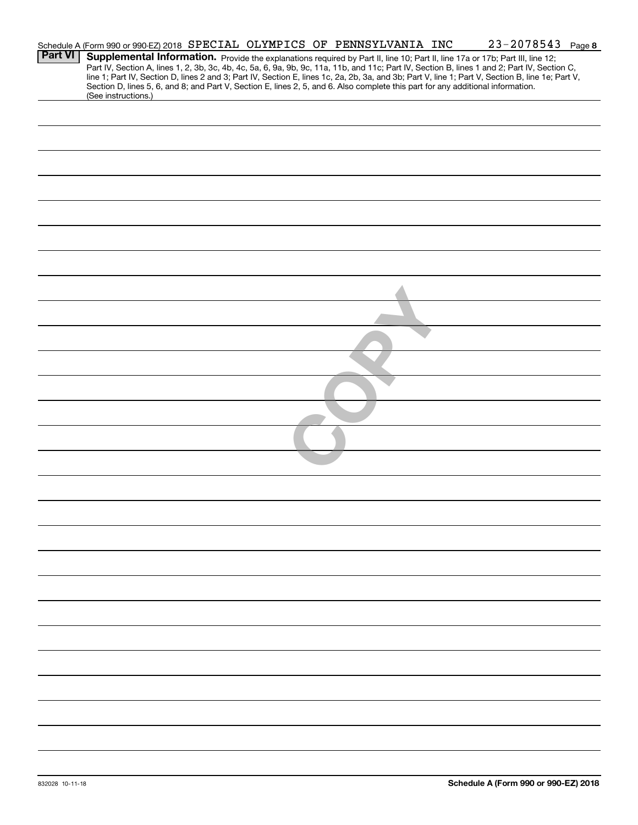| Schedule A (Form 990 or 990-EZ) 2018 SPECIAL OLYMPICS OF PENNSYLVANIA INC<br>Supplemental Information. Provide the explanations required by Part II, line 10; Part II, line 17a or 17b; Part III, line 12;<br>Part IV, Section A, lines 1, 2, 3b, 3c, 4b, 4c, 5a, 6, 9a, 9b, 9c, 11a, 11b, and 11c; Part IV, Section B, lines 1 and 2; Part IV, Section C,<br>line 1; Part IV, Section D, lines 2 and 3; Part IV, Section E, lines 1c, 2a, 2b, 3a, and 3b; Part V, line 1; Part V, Section B, line 1e; Part V,<br>Section D, lines 5, 6, and 8; and Part V, Section E, lines 2, 5, and 6. Also complete this part for any additional information.<br>(See instructions.) |                |  |  |  |  | $23 - 2078543$ Page 8 |  |
|--------------------------------------------------------------------------------------------------------------------------------------------------------------------------------------------------------------------------------------------------------------------------------------------------------------------------------------------------------------------------------------------------------------------------------------------------------------------------------------------------------------------------------------------------------------------------------------------------------------------------------------------------------------------------|----------------|--|--|--|--|-----------------------|--|
|                                                                                                                                                                                                                                                                                                                                                                                                                                                                                                                                                                                                                                                                          | <b>Part VI</b> |  |  |  |  |                       |  |
|                                                                                                                                                                                                                                                                                                                                                                                                                                                                                                                                                                                                                                                                          |                |  |  |  |  |                       |  |
|                                                                                                                                                                                                                                                                                                                                                                                                                                                                                                                                                                                                                                                                          |                |  |  |  |  |                       |  |
|                                                                                                                                                                                                                                                                                                                                                                                                                                                                                                                                                                                                                                                                          |                |  |  |  |  |                       |  |
|                                                                                                                                                                                                                                                                                                                                                                                                                                                                                                                                                                                                                                                                          |                |  |  |  |  |                       |  |
|                                                                                                                                                                                                                                                                                                                                                                                                                                                                                                                                                                                                                                                                          |                |  |  |  |  |                       |  |
|                                                                                                                                                                                                                                                                                                                                                                                                                                                                                                                                                                                                                                                                          |                |  |  |  |  |                       |  |
|                                                                                                                                                                                                                                                                                                                                                                                                                                                                                                                                                                                                                                                                          |                |  |  |  |  |                       |  |
|                                                                                                                                                                                                                                                                                                                                                                                                                                                                                                                                                                                                                                                                          |                |  |  |  |  |                       |  |
|                                                                                                                                                                                                                                                                                                                                                                                                                                                                                                                                                                                                                                                                          |                |  |  |  |  |                       |  |
|                                                                                                                                                                                                                                                                                                                                                                                                                                                                                                                                                                                                                                                                          |                |  |  |  |  |                       |  |
|                                                                                                                                                                                                                                                                                                                                                                                                                                                                                                                                                                                                                                                                          |                |  |  |  |  |                       |  |
|                                                                                                                                                                                                                                                                                                                                                                                                                                                                                                                                                                                                                                                                          |                |  |  |  |  |                       |  |
|                                                                                                                                                                                                                                                                                                                                                                                                                                                                                                                                                                                                                                                                          |                |  |  |  |  |                       |  |
|                                                                                                                                                                                                                                                                                                                                                                                                                                                                                                                                                                                                                                                                          |                |  |  |  |  |                       |  |
|                                                                                                                                                                                                                                                                                                                                                                                                                                                                                                                                                                                                                                                                          |                |  |  |  |  |                       |  |
|                                                                                                                                                                                                                                                                                                                                                                                                                                                                                                                                                                                                                                                                          |                |  |  |  |  |                       |  |
|                                                                                                                                                                                                                                                                                                                                                                                                                                                                                                                                                                                                                                                                          |                |  |  |  |  |                       |  |
|                                                                                                                                                                                                                                                                                                                                                                                                                                                                                                                                                                                                                                                                          |                |  |  |  |  |                       |  |
|                                                                                                                                                                                                                                                                                                                                                                                                                                                                                                                                                                                                                                                                          |                |  |  |  |  |                       |  |
|                                                                                                                                                                                                                                                                                                                                                                                                                                                                                                                                                                                                                                                                          |                |  |  |  |  |                       |  |
|                                                                                                                                                                                                                                                                                                                                                                                                                                                                                                                                                                                                                                                                          |                |  |  |  |  |                       |  |
|                                                                                                                                                                                                                                                                                                                                                                                                                                                                                                                                                                                                                                                                          |                |  |  |  |  |                       |  |
|                                                                                                                                                                                                                                                                                                                                                                                                                                                                                                                                                                                                                                                                          |                |  |  |  |  |                       |  |
|                                                                                                                                                                                                                                                                                                                                                                                                                                                                                                                                                                                                                                                                          |                |  |  |  |  |                       |  |
|                                                                                                                                                                                                                                                                                                                                                                                                                                                                                                                                                                                                                                                                          |                |  |  |  |  |                       |  |
|                                                                                                                                                                                                                                                                                                                                                                                                                                                                                                                                                                                                                                                                          |                |  |  |  |  |                       |  |
|                                                                                                                                                                                                                                                                                                                                                                                                                                                                                                                                                                                                                                                                          |                |  |  |  |  |                       |  |
|                                                                                                                                                                                                                                                                                                                                                                                                                                                                                                                                                                                                                                                                          |                |  |  |  |  |                       |  |
|                                                                                                                                                                                                                                                                                                                                                                                                                                                                                                                                                                                                                                                                          |                |  |  |  |  |                       |  |
|                                                                                                                                                                                                                                                                                                                                                                                                                                                                                                                                                                                                                                                                          |                |  |  |  |  |                       |  |
|                                                                                                                                                                                                                                                                                                                                                                                                                                                                                                                                                                                                                                                                          |                |  |  |  |  |                       |  |
|                                                                                                                                                                                                                                                                                                                                                                                                                                                                                                                                                                                                                                                                          |                |  |  |  |  |                       |  |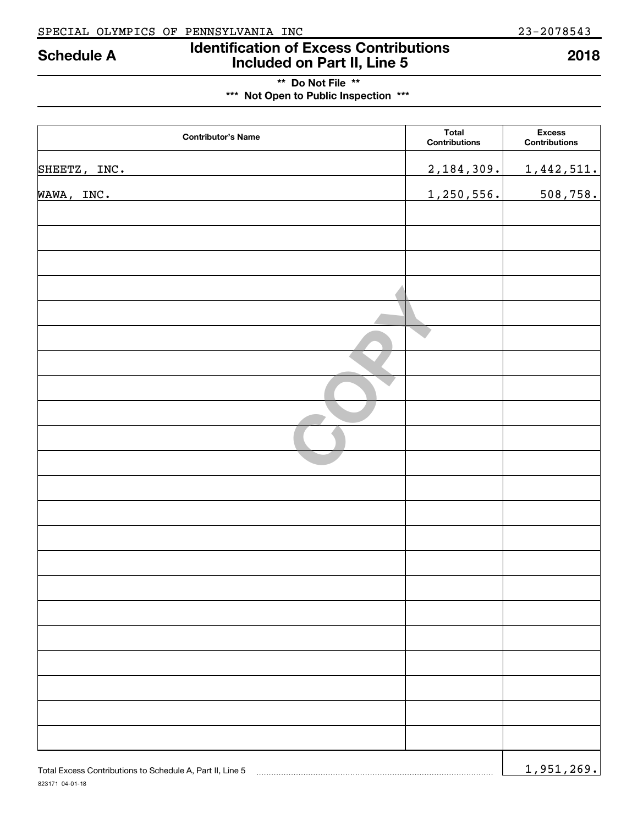## **Identification of Excess Contributions Included on Part II, Line 5 Schedule A 2018**

## **\*\* Do Not File \*\* \*\*\* Not Open to Public Inspection \*\*\***

| <b>Contributor's Name</b>                                 | <b>Total</b><br><b>Contributions</b> | <b>Excess</b><br>Contributions |
|-----------------------------------------------------------|--------------------------------------|--------------------------------|
| SHEETZ, INC.                                              | 2,184,309.                           | 1,442,511.                     |
| WAWA, INC.                                                | 1,250,556.                           | 508,758.                       |
|                                                           |                                      |                                |
|                                                           |                                      |                                |
|                                                           |                                      |                                |
|                                                           |                                      |                                |
|                                                           |                                      |                                |
|                                                           |                                      |                                |
|                                                           |                                      |                                |
|                                                           |                                      |                                |
|                                                           |                                      |                                |
|                                                           |                                      |                                |
|                                                           |                                      |                                |
|                                                           |                                      |                                |
|                                                           |                                      |                                |
|                                                           |                                      |                                |
|                                                           |                                      |                                |
|                                                           |                                      |                                |
|                                                           |                                      |                                |
|                                                           |                                      |                                |
|                                                           |                                      |                                |
|                                                           |                                      |                                |
|                                                           |                                      |                                |
| Total Excess Contributions to Schedule A, Part II, Line 5 |                                      | 1,951,269.                     |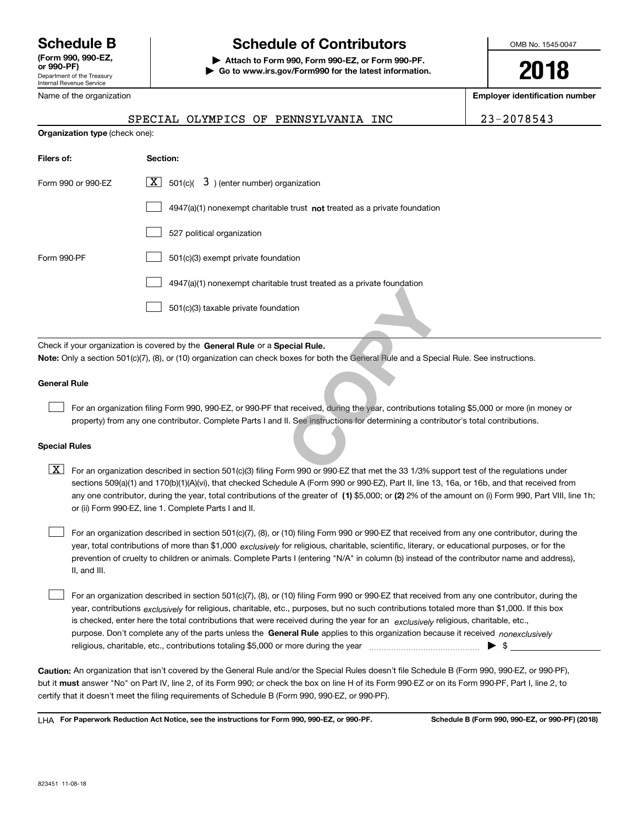Department of the Treasury Internal Revenue Service **(Form 990, 990-EZ, or 990-PF)** Name of the organization

## **Schedule B Schedule of Contributors**

**| Attach to Form 990, Form 990-EZ, or Form 990-PF. | Go to www.irs.gov/Form990 for the latest information.** OMB No. 1545-0047

**2018**

**Employer identification number**

| -2078543 |
|----------|
|----------|

|                                | SPECIAL OLYMPICS OF PENNSYLVANIA INC                                                                                                                                                                                                                                        | 23-2078543 |
|--------------------------------|-----------------------------------------------------------------------------------------------------------------------------------------------------------------------------------------------------------------------------------------------------------------------------|------------|
| Organization type (check one): |                                                                                                                                                                                                                                                                             |            |
| Filers of:                     | Section:                                                                                                                                                                                                                                                                    |            |
| Form 990 or 990-EZ             | $\boxed{\mathbf{X}}$ 501(c)( 3) (enter number) organization                                                                                                                                                                                                                 |            |
|                                | $4947(a)(1)$ nonexempt charitable trust not treated as a private foundation                                                                                                                                                                                                 |            |
|                                | 527 political organization                                                                                                                                                                                                                                                  |            |
| Form 990-PF                    | 501(c)(3) exempt private foundation                                                                                                                                                                                                                                         |            |
|                                | 4947(a)(1) nonexempt charitable trust treated as a private foundation                                                                                                                                                                                                       |            |
|                                | 501(c)(3) taxable private foundation                                                                                                                                                                                                                                        |            |
|                                | Check if your organization is covered by the General Rule or a Special Rule.                                                                                                                                                                                                |            |
|                                | Note: Only a section 501(c)(7), (8), or (10) organization can check boxes for both the General Rule and a Special Rule. See instructions.                                                                                                                                   |            |
| <b>General Rule</b>            |                                                                                                                                                                                                                                                                             |            |
|                                | For an organization filing Form 990, 990-EZ, or 990-PF that received, during the year, contributions totaling \$5,000 or more (in mor<br>property) from any one contributor. Complete Parts I and II. See instructions for determining a contributor's total contributions. |            |
| <b>Special Rules</b>           |                                                                                                                                                                                                                                                                             |            |
| x                              | For an organization described in section 501(c)(3) filing Form 990 or 990-EZ that met the 33 1/3% support test of the regulations un                                                                                                                                        |            |

#### **Special Rules**

any one contributor, during the year, total contributions of the greater of  $\,$  (1) \$5,000; or **(2)** 2% of the amount on (i) Form 990, Part VIII, line 1h;  $\boxed{\textbf{X}}$  For an organization described in section 501(c)(3) filing Form 990 or 990-EZ that met the 33 1/3% support test of the regulations under sections 509(a)(1) and 170(b)(1)(A)(vi), that checked Schedule A (Form 990 or 990-EZ), Part II, line 13, 16a, or 16b, and that received from or (ii) Form 990-EZ, line 1. Complete Parts I and II.

year, total contributions of more than \$1,000 *exclusively* for religious, charitable, scientific, literary, or educational purposes, or for the For an organization described in section 501(c)(7), (8), or (10) filing Form 990 or 990-EZ that received from any one contributor, during the prevention of cruelty to children or animals. Complete Parts I (entering "N/A" in column (b) instead of the contributor name and address), II, and III.  $\mathcal{L}^{\text{max}}$ 

purpose. Don't complete any of the parts unless the **General Rule** applies to this organization because it received *nonexclusively* year, contributions <sub>exclusively</sub> for religious, charitable, etc., purposes, but no such contributions totaled more than \$1,000. If this box is checked, enter here the total contributions that were received during the year for an  $\;$ exclusively religious, charitable, etc., For an organization described in section 501(c)(7), (8), or (10) filing Form 990 or 990-EZ that received from any one contributor, during the religious, charitable, etc., contributions totaling \$5,000 or more during the year  $\Box$ — $\Box$   $\Box$  $\mathcal{L}^{\text{max}}$ 

**Caution:**  An organization that isn't covered by the General Rule and/or the Special Rules doesn't file Schedule B (Form 990, 990-EZ, or 990-PF),  **must** but it answer "No" on Part IV, line 2, of its Form 990; or check the box on line H of its Form 990-EZ or on its Form 990-PF, Part I, line 2, to certify that it doesn't meet the filing requirements of Schedule B (Form 990, 990-EZ, or 990-PF).

**For Paperwork Reduction Act Notice, see the instructions for Form 990, 990-EZ, or 990-PF. Schedule B (Form 990, 990-EZ, or 990-PF) (2018)** LHA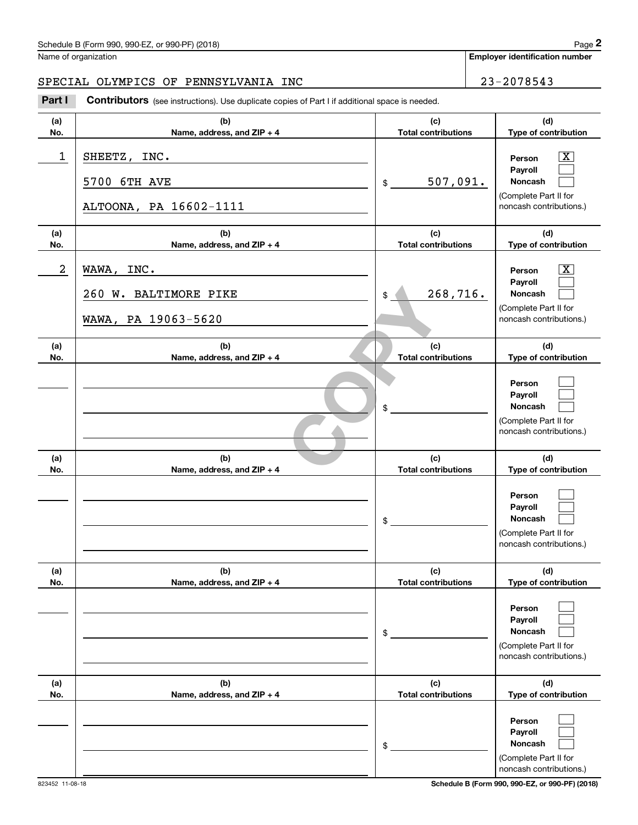Name of organization

**Employer identification number**

#### SPECIAL OLYMPICS OF PENNSYLVANIA INC 23-2078543

Chedule B (Form 990, 990-EZ, or 990-PF) (2018)<br>
lame of organization<br> **23-2078543**<br> **23-2078543**<br> **23-2078543**<br> **Part I Contributors** (see instructions). Use duplicate copies of Part I if additional space is needed.

| (a)<br>No. | (b)<br>Name, address, and ZIP + 4                          | (c)<br><b>Total contributions</b> | (d)<br>Type of contribution                                                                                 |
|------------|------------------------------------------------------------|-----------------------------------|-------------------------------------------------------------------------------------------------------------|
| 1          | SHEETZ, INC.<br>5700 6TH AVE<br>ALTOONA, PA 16602-1111     | 507,091.<br>$\mathrm{\$}$         | $\boxed{\text{X}}$<br>Person<br>Payroll<br>Noncash<br>(Complete Part II for<br>noncash contributions.)      |
| (a)<br>No. | (b)<br>Name, address, and ZIP + 4                          | (c)<br><b>Total contributions</b> | (d)<br>Type of contribution                                                                                 |
| 2          | WAWA, INC.<br>260 W. BALTIMORE PIKE<br>WAWA, PA 19063-5620 | 268,716.<br>\$                    | $\overline{\mathbf{X}}$<br>Person<br>Payroll<br>Noncash<br>(Complete Part II for<br>noncash contributions.) |
| (a)<br>No. | (b)<br>Name, address, and ZIP + 4                          | (c)<br><b>Total contributions</b> | (d)<br>Type of contribution                                                                                 |
|            |                                                            | $$\tilde{}}$                      | Person<br>Payroll<br>Noncash<br>(Complete Part II for<br>noncash contributions.)                            |
| (a)<br>No. | (b)<br>Name, address, and ZIP + 4                          | (c)<br><b>Total contributions</b> | (d)<br>Type of contribution                                                                                 |
|            |                                                            | $\frac{1}{2}$                     | Person<br>Payroll<br>Noncash<br>(Complete Part II for<br>noncash contributions.)                            |
| (a)<br>No. | (b)<br>Name, address, and ZIP + 4                          | (c)<br><b>Total contributions</b> | (d)<br>Type of contribution                                                                                 |
|            |                                                            | \$                                | Person<br>Payroll<br>Noncash<br>(Complete Part II for<br>noncash contributions.)                            |
| (a)<br>No. | (b)<br>Name, address, and ZIP + 4                          | (c)<br><b>Total contributions</b> | (d)<br>Type of contribution                                                                                 |
|            |                                                            | \$                                | Person<br>Payroll<br>Noncash<br>(Complete Part II for<br>noncash contributions.)                            |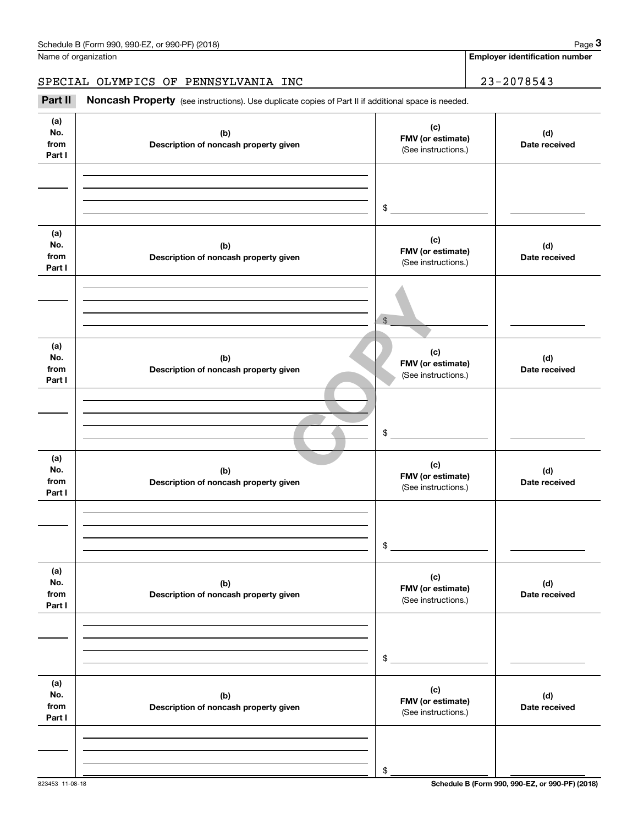**Employer identification number**

SPECIAL OLYMPICS OF PENNSYLVANIA INC 23-2078543

(see instructions). Use duplicate copies of Part II if additional space is needed.<br> **23-2078543**<br> **23-2078543**<br> **Part II Noncash Property** (see instructions). Use duplicate copies of Part II if additional space is needed

| (a)<br>No.<br>from<br>Part I | (b)<br>Description of noncash property given | (c)<br>FMV (or estimate)<br>(See instructions.) | (d)<br>Date received |
|------------------------------|----------------------------------------------|-------------------------------------------------|----------------------|
|                              |                                              | $$\overbrace{\hspace{2.5cm}}$                   |                      |
| (a)<br>No.<br>from<br>Part I | (b)<br>Description of noncash property given | (c)<br>FMV (or estimate)<br>(See instructions.) | (d)<br>Date received |
|                              |                                              | $$\mathbb{S}$$                                  |                      |
| (a)<br>No.<br>from<br>Part I | (b)<br>Description of noncash property given | (c)<br>FMV (or estimate)<br>(See instructions.) | (d)<br>Date received |
|                              |                                              | $\sim$                                          |                      |
| (a)<br>No.<br>from<br>Part I | (b)<br>Description of noncash property given | (c)<br>FMV (or estimate)<br>(See instructions.) | (d)<br>Date received |
|                              |                                              | $\mathfrak s$                                   |                      |
| (a)<br>No.<br>from<br>Part I | (b)<br>Description of noncash property given | (c)<br>FMV (or estimate)<br>(See instructions.) | (d)<br>Date received |
|                              |                                              | \$                                              |                      |
| (a)<br>No.<br>from<br>Part I | (b)<br>Description of noncash property given | (c)<br>FMV (or estimate)<br>(See instructions.) | (d)<br>Date received |
|                              |                                              | \$                                              |                      |
|                              |                                              |                                                 |                      |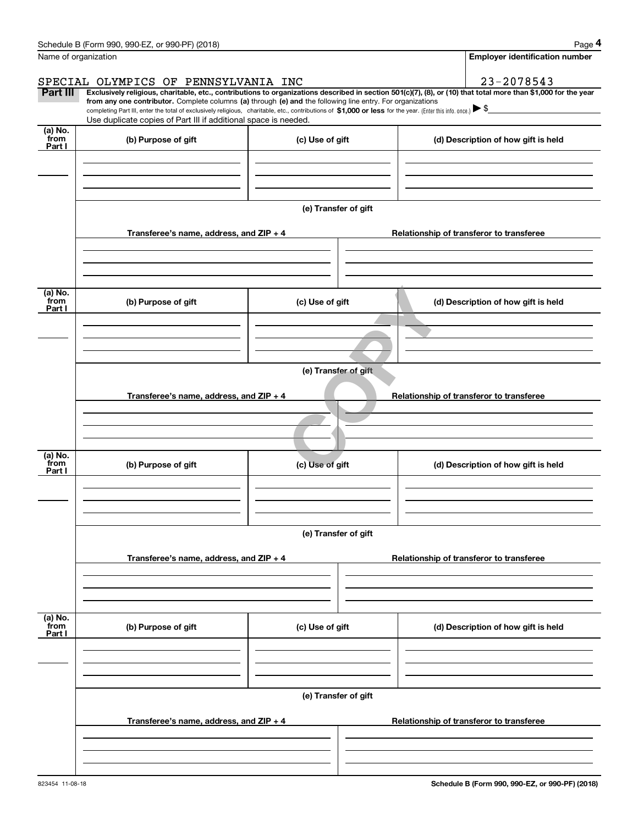|                           | Schedule B (Form 990, 990-EZ, or 990-PF) (2018)                                                                                                                                                                                 |                      | Page 4                                                                                                                                                         |  |  |  |  |
|---------------------------|---------------------------------------------------------------------------------------------------------------------------------------------------------------------------------------------------------------------------------|----------------------|----------------------------------------------------------------------------------------------------------------------------------------------------------------|--|--|--|--|
|                           | Name of organization                                                                                                                                                                                                            |                      | <b>Employer identification number</b>                                                                                                                          |  |  |  |  |
|                           | SPECIAL OLYMPICS OF PENNSYLVANIA INC                                                                                                                                                                                            |                      | 23-2078543                                                                                                                                                     |  |  |  |  |
| Part III                  | from any one contributor. Complete columns (a) through (e) and the following line entry. For organizations                                                                                                                      |                      | Exclusively religious, charitable, etc., contributions to organizations described in section 501(c)(7), (8), or (10) that total more than \$1,000 for the year |  |  |  |  |
|                           | completing Part III, enter the total of exclusively religious, charitable, etc., contributions of \$1,000 or less for the year. (Enter this info. once.) \\$<br>Use duplicate copies of Part III if additional space is needed. |                      |                                                                                                                                                                |  |  |  |  |
| (a) No.<br>from           | (b) Purpose of gift                                                                                                                                                                                                             |                      |                                                                                                                                                                |  |  |  |  |
| Part I                    |                                                                                                                                                                                                                                 | (c) Use of gift      | (d) Description of how gift is held                                                                                                                            |  |  |  |  |
|                           |                                                                                                                                                                                                                                 | (e) Transfer of gift |                                                                                                                                                                |  |  |  |  |
|                           | Transferee's name, address, and ZIP + 4                                                                                                                                                                                         |                      | Relationship of transferor to transferee                                                                                                                       |  |  |  |  |
| (a) No.<br>from<br>Part I | (b) Purpose of gift                                                                                                                                                                                                             | (c) Use of gift      | (d) Description of how gift is held                                                                                                                            |  |  |  |  |
|                           | (e) Transfer of gift                                                                                                                                                                                                            |                      |                                                                                                                                                                |  |  |  |  |
|                           | Transferee's name, address, and ZIP + 4                                                                                                                                                                                         |                      | Relationship of transferor to transferee                                                                                                                       |  |  |  |  |
| (a) No.<br>from<br>Part I | (b) Purpose of gift                                                                                                                                                                                                             | (c) Use of gift      | (d) Description of how gift is held                                                                                                                            |  |  |  |  |
|                           | Transferee's name, address, and $ZIP + 4$                                                                                                                                                                                       | (e) Transfer of gift | Relationship of transferor to transferee                                                                                                                       |  |  |  |  |
|                           |                                                                                                                                                                                                                                 |                      |                                                                                                                                                                |  |  |  |  |
| (a) No.<br>from<br>Part I | (b) Purpose of gift                                                                                                                                                                                                             | (c) Use of gift      | (d) Description of how gift is held                                                                                                                            |  |  |  |  |
|                           |                                                                                                                                                                                                                                 | (e) Transfer of gift |                                                                                                                                                                |  |  |  |  |
|                           | Transferee's name, address, and $ZIP + 4$                                                                                                                                                                                       |                      | Relationship of transferor to transferee                                                                                                                       |  |  |  |  |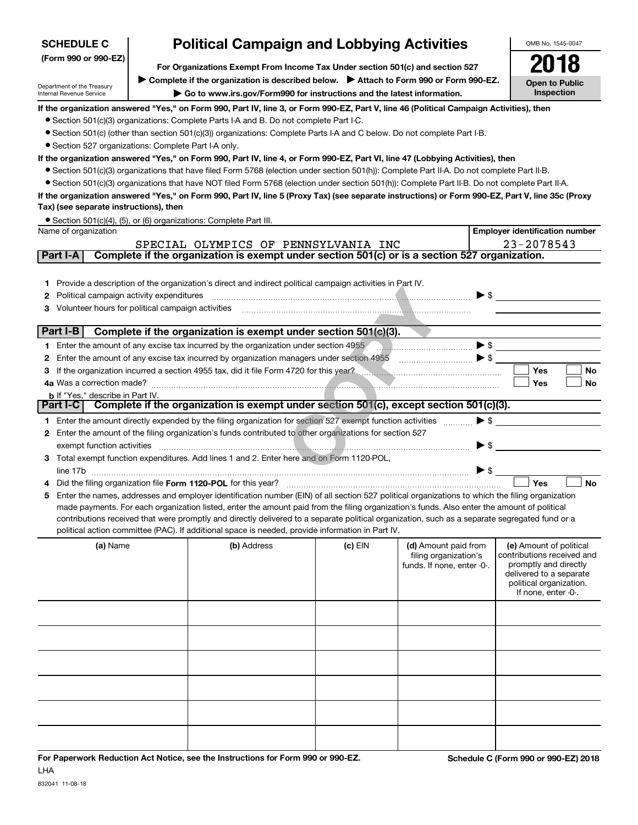| <b>SCHEDULE C</b>                                                                                                                                                                                                                                                             | <b>Political Campaign and Lobbying Activities</b>                                                                                                                 |                                                                                                                                                                                                                                                                                               |         |                                                                             |                          |                                                                                                                                                             |  |  |  |  |
|-------------------------------------------------------------------------------------------------------------------------------------------------------------------------------------------------------------------------------------------------------------------------------|-------------------------------------------------------------------------------------------------------------------------------------------------------------------|-----------------------------------------------------------------------------------------------------------------------------------------------------------------------------------------------------------------------------------------------------------------------------------------------|---------|-----------------------------------------------------------------------------|--------------------------|-------------------------------------------------------------------------------------------------------------------------------------------------------------|--|--|--|--|
| (Form 990 or 990-EZ)                                                                                                                                                                                                                                                          | For Organizations Exempt From Income Tax Under section 501(c) and section 527                                                                                     |                                                                                                                                                                                                                                                                                               |         |                                                                             |                          |                                                                                                                                                             |  |  |  |  |
|                                                                                                                                                                                                                                                                               |                                                                                                                                                                   |                                                                                                                                                                                                                                                                                               |         |                                                                             |                          | <b>Open to Public</b>                                                                                                                                       |  |  |  |  |
| Department of the Treasury<br>Internal Revenue Service                                                                                                                                                                                                                        | ▶ Complete if the organization is described below. ▶ Attach to Form 990 or Form 990-EZ.<br>Go to www.irs.gov/Form990 for instructions and the latest information. |                                                                                                                                                                                                                                                                                               |         |                                                                             |                          |                                                                                                                                                             |  |  |  |  |
| If the organization answered "Yes," on Form 990, Part IV, line 3, or Form 990-EZ, Part V, line 46 (Political Campaign Activities), then                                                                                                                                       |                                                                                                                                                                   |                                                                                                                                                                                                                                                                                               |         |                                                                             |                          |                                                                                                                                                             |  |  |  |  |
|                                                                                                                                                                                                                                                                               |                                                                                                                                                                   | • Section 501(c)(3) organizations: Complete Parts I-A and B. Do not complete Part I-C.                                                                                                                                                                                                        |         |                                                                             |                          |                                                                                                                                                             |  |  |  |  |
|                                                                                                                                                                                                                                                                               |                                                                                                                                                                   | • Section 501(c) (other than section 501(c)(3)) organizations: Complete Parts I-A and C below. Do not complete Part I-B.                                                                                                                                                                      |         |                                                                             |                          |                                                                                                                                                             |  |  |  |  |
|                                                                                                                                                                                                                                                                               | • Section 527 organizations: Complete Part I-A only.                                                                                                              |                                                                                                                                                                                                                                                                                               |         |                                                                             |                          |                                                                                                                                                             |  |  |  |  |
| If the organization answered "Yes," on Form 990, Part IV, line 4, or Form 990-EZ, Part VI, line 47 (Lobbying Activities), then<br>• Section 501(c)(3) organizations that have filed Form 5768 (election under section 501(h)): Complete Part II-A. Do not complete Part II-B. |                                                                                                                                                                   |                                                                                                                                                                                                                                                                                               |         |                                                                             |                          |                                                                                                                                                             |  |  |  |  |
|                                                                                                                                                                                                                                                                               |                                                                                                                                                                   | • Section 501(c)(3) organizations that have NOT filed Form 5768 (election under section 501(h)): Complete Part II-B. Do not complete Part II-A.                                                                                                                                               |         |                                                                             |                          |                                                                                                                                                             |  |  |  |  |
| Tax) (see separate instructions), then                                                                                                                                                                                                                                        |                                                                                                                                                                   | If the organization answered "Yes," on Form 990, Part IV, line 5 (Proxy Tax) (see separate instructions) or Form 990-EZ, Part V, line 35c (Proxy                                                                                                                                              |         |                                                                             |                          |                                                                                                                                                             |  |  |  |  |
| Name of organization                                                                                                                                                                                                                                                          |                                                                                                                                                                   | • Section 501(c)(4), (5), or (6) organizations: Complete Part III.                                                                                                                                                                                                                            |         |                                                                             |                          |                                                                                                                                                             |  |  |  |  |
|                                                                                                                                                                                                                                                                               |                                                                                                                                                                   | SPECIAL OLYMPICS OF PENNSYLVANIA INC                                                                                                                                                                                                                                                          |         |                                                                             |                          | <b>Employer identification number</b><br>23-2078543                                                                                                         |  |  |  |  |
| Part I-A                                                                                                                                                                                                                                                                      |                                                                                                                                                                   | Complete if the organization is exempt under section 501(c) or is a section 527 organization.                                                                                                                                                                                                 |         |                                                                             |                          |                                                                                                                                                             |  |  |  |  |
|                                                                                                                                                                                                                                                                               |                                                                                                                                                                   |                                                                                                                                                                                                                                                                                               |         |                                                                             |                          |                                                                                                                                                             |  |  |  |  |
| 1.                                                                                                                                                                                                                                                                            |                                                                                                                                                                   | Provide a description of the organization's direct and indirect political campaign activities in Part IV.                                                                                                                                                                                     |         |                                                                             |                          |                                                                                                                                                             |  |  |  |  |
| Political campaign activity expenditures<br>2                                                                                                                                                                                                                                 |                                                                                                                                                                   |                                                                                                                                                                                                                                                                                               |         |                                                                             | $\triangleright$ \$      |                                                                                                                                                             |  |  |  |  |
| Volunteer hours for political campaign activities<br>З                                                                                                                                                                                                                        |                                                                                                                                                                   |                                                                                                                                                                                                                                                                                               |         |                                                                             |                          |                                                                                                                                                             |  |  |  |  |
| Part I-B                                                                                                                                                                                                                                                                      |                                                                                                                                                                   | Complete if the organization is exempt under section 501(c)(3).                                                                                                                                                                                                                               |         |                                                                             |                          |                                                                                                                                                             |  |  |  |  |
|                                                                                                                                                                                                                                                                               |                                                                                                                                                                   | 1 Enter the amount of any excise tax incurred by the organization under section 4955                                                                                                                                                                                                          |         | <b>Designations</b>                                                         | $\blacktriangleright$ \$ |                                                                                                                                                             |  |  |  |  |
| 2                                                                                                                                                                                                                                                                             |                                                                                                                                                                   | Enter the amount of any excise tax incurred by organization managers under section 4955                                                                                                                                                                                                       |         | $\begin{array}{c}\n\bullet \\ \bullet \\ \bullet \\ \bullet\n\end{array}$   |                          |                                                                                                                                                             |  |  |  |  |
| з                                                                                                                                                                                                                                                                             |                                                                                                                                                                   | If the organization incurred a section 4955 tax, did it file Form 4720 for this year?                                                                                                                                                                                                         |         |                                                                             |                          | <b>Yes</b><br>No                                                                                                                                            |  |  |  |  |
|                                                                                                                                                                                                                                                                               |                                                                                                                                                                   |                                                                                                                                                                                                                                                                                               |         |                                                                             |                          | Yes<br>No                                                                                                                                                   |  |  |  |  |
| <b>b</b> If "Yes," describe in Part IV.                                                                                                                                                                                                                                       |                                                                                                                                                                   |                                                                                                                                                                                                                                                                                               |         |                                                                             |                          |                                                                                                                                                             |  |  |  |  |
| Part I-C                                                                                                                                                                                                                                                                      |                                                                                                                                                                   | Complete if the organization is exempt under section 501(c), except section 501(c)(3).                                                                                                                                                                                                        |         |                                                                             |                          |                                                                                                                                                             |  |  |  |  |
|                                                                                                                                                                                                                                                                               |                                                                                                                                                                   | 1 Enter the amount directly expended by the filing organization for section 527 exempt function activities<br>Enter the amount of the filing organization's funds contributed to other organizations for section 527                                                                          |         |                                                                             | $\blacktriangleright$ \$ |                                                                                                                                                             |  |  |  |  |
| 2<br>exempt function activities                                                                                                                                                                                                                                               |                                                                                                                                                                   |                                                                                                                                                                                                                                                                                               |         |                                                                             | $\blacktriangleright$ \$ |                                                                                                                                                             |  |  |  |  |
| З                                                                                                                                                                                                                                                                             |                                                                                                                                                                   | Total exempt function expenditures. Add lines 1 and 2. Enter here and on Form 1120-POL,                                                                                                                                                                                                       |         |                                                                             |                          |                                                                                                                                                             |  |  |  |  |
|                                                                                                                                                                                                                                                                               |                                                                                                                                                                   |                                                                                                                                                                                                                                                                                               |         |                                                                             | $\blacktriangleright$ \$ |                                                                                                                                                             |  |  |  |  |
|                                                                                                                                                                                                                                                                               |                                                                                                                                                                   | Did the filing organization file Form 1120-POL for this year?                                                                                                                                                                                                                                 |         |                                                                             |                          | Yes<br><b>No</b>                                                                                                                                            |  |  |  |  |
| 5                                                                                                                                                                                                                                                                             |                                                                                                                                                                   | Enter the names, addresses and employer identification number (EIN) of all section 527 political organizations to which the filing organization                                                                                                                                               |         |                                                                             |                          |                                                                                                                                                             |  |  |  |  |
|                                                                                                                                                                                                                                                                               |                                                                                                                                                                   | made payments. For each organization listed, enter the amount paid from the filing organization's funds. Also enter the amount of political<br>contributions received that were promptly and directly delivered to a separate political organization, such as a separate segregated fund or a |         |                                                                             |                          |                                                                                                                                                             |  |  |  |  |
|                                                                                                                                                                                                                                                                               |                                                                                                                                                                   | political action committee (PAC). If additional space is needed, provide information in Part IV.                                                                                                                                                                                              |         |                                                                             |                          |                                                                                                                                                             |  |  |  |  |
| (a) Name                                                                                                                                                                                                                                                                      |                                                                                                                                                                   | (b) Address                                                                                                                                                                                                                                                                                   | (c) EIN | (d) Amount paid from<br>filing organization's<br>funds. If none, enter -0-. |                          | (e) Amount of political<br>contributions received and<br>promptly and directly<br>delivered to a separate<br>political organization.<br>If none, enter -0-. |  |  |  |  |
|                                                                                                                                                                                                                                                                               |                                                                                                                                                                   |                                                                                                                                                                                                                                                                                               |         |                                                                             |                          |                                                                                                                                                             |  |  |  |  |
|                                                                                                                                                                                                                                                                               |                                                                                                                                                                   |                                                                                                                                                                                                                                                                                               |         |                                                                             |                          |                                                                                                                                                             |  |  |  |  |
|                                                                                                                                                                                                                                                                               |                                                                                                                                                                   |                                                                                                                                                                                                                                                                                               |         |                                                                             |                          |                                                                                                                                                             |  |  |  |  |
|                                                                                                                                                                                                                                                                               |                                                                                                                                                                   |                                                                                                                                                                                                                                                                                               |         |                                                                             |                          |                                                                                                                                                             |  |  |  |  |
|                                                                                                                                                                                                                                                                               |                                                                                                                                                                   |                                                                                                                                                                                                                                                                                               |         |                                                                             |                          |                                                                                                                                                             |  |  |  |  |
|                                                                                                                                                                                                                                                                               |                                                                                                                                                                   |                                                                                                                                                                                                                                                                                               |         |                                                                             |                          |                                                                                                                                                             |  |  |  |  |

**For Paperwork Reduction Act Notice, see the Instructions for Form 990 or 990-EZ. Schedule C (Form 990 or 990-EZ) 2018** LHA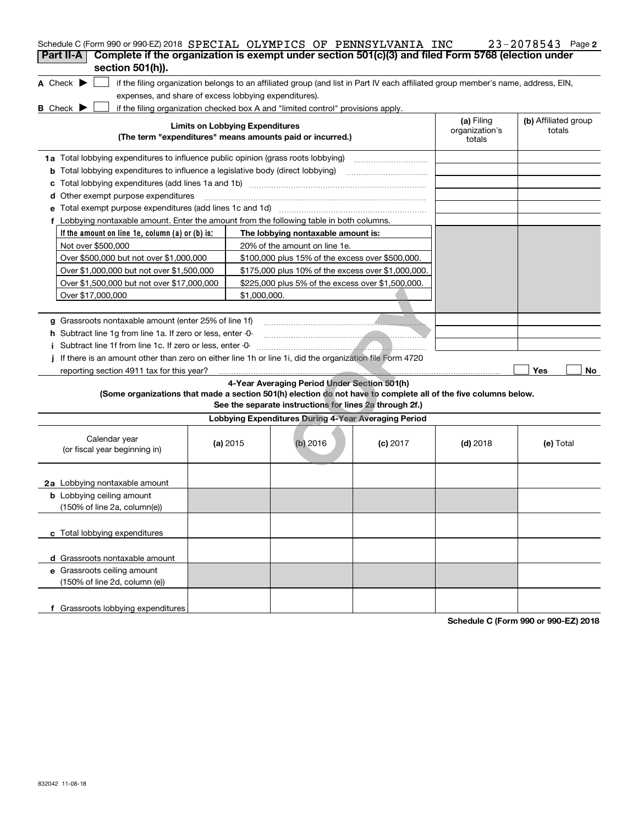|                                            |                                                                                                                                          |                                                                                                                                                                                                                                                                                                                                                                                              |                                                                                                                                                                                                                                                                                                                                                                                                                                                                                                                                                                                                                                                                 | 23-2078543 Page 2                                                                                                                                                                                                                                                                                                                                                                                                                      |
|--------------------------------------------|------------------------------------------------------------------------------------------------------------------------------------------|----------------------------------------------------------------------------------------------------------------------------------------------------------------------------------------------------------------------------------------------------------------------------------------------------------------------------------------------------------------------------------------------|-----------------------------------------------------------------------------------------------------------------------------------------------------------------------------------------------------------------------------------------------------------------------------------------------------------------------------------------------------------------------------------------------------------------------------------------------------------------------------------------------------------------------------------------------------------------------------------------------------------------------------------------------------------------|----------------------------------------------------------------------------------------------------------------------------------------------------------------------------------------------------------------------------------------------------------------------------------------------------------------------------------------------------------------------------------------------------------------------------------------|
|                                            |                                                                                                                                          |                                                                                                                                                                                                                                                                                                                                                                                              |                                                                                                                                                                                                                                                                                                                                                                                                                                                                                                                                                                                                                                                                 |                                                                                                                                                                                                                                                                                                                                                                                                                                        |
|                                            |                                                                                                                                          |                                                                                                                                                                                                                                                                                                                                                                                              |                                                                                                                                                                                                                                                                                                                                                                                                                                                                                                                                                                                                                                                                 |                                                                                                                                                                                                                                                                                                                                                                                                                                        |
|                                            |                                                                                                                                          |                                                                                                                                                                                                                                                                                                                                                                                              |                                                                                                                                                                                                                                                                                                                                                                                                                                                                                                                                                                                                                                                                 |                                                                                                                                                                                                                                                                                                                                                                                                                                        |
|                                            |                                                                                                                                          |                                                                                                                                                                                                                                                                                                                                                                                              | (a) Filing<br>organization's<br>totals                                                                                                                                                                                                                                                                                                                                                                                                                                                                                                                                                                                                                          | (b) Affiliated group<br>totals                                                                                                                                                                                                                                                                                                                                                                                                         |
|                                            |                                                                                                                                          |                                                                                                                                                                                                                                                                                                                                                                                              |                                                                                                                                                                                                                                                                                                                                                                                                                                                                                                                                                                                                                                                                 |                                                                                                                                                                                                                                                                                                                                                                                                                                        |
|                                            |                                                                                                                                          |                                                                                                                                                                                                                                                                                                                                                                                              |                                                                                                                                                                                                                                                                                                                                                                                                                                                                                                                                                                                                                                                                 |                                                                                                                                                                                                                                                                                                                                                                                                                                        |
|                                            |                                                                                                                                          |                                                                                                                                                                                                                                                                                                                                                                                              |                                                                                                                                                                                                                                                                                                                                                                                                                                                                                                                                                                                                                                                                 |                                                                                                                                                                                                                                                                                                                                                                                                                                        |
|                                            |                                                                                                                                          |                                                                                                                                                                                                                                                                                                                                                                                              |                                                                                                                                                                                                                                                                                                                                                                                                                                                                                                                                                                                                                                                                 |                                                                                                                                                                                                                                                                                                                                                                                                                                        |
|                                            |                                                                                                                                          |                                                                                                                                                                                                                                                                                                                                                                                              |                                                                                                                                                                                                                                                                                                                                                                                                                                                                                                                                                                                                                                                                 |                                                                                                                                                                                                                                                                                                                                                                                                                                        |
|                                            |                                                                                                                                          |                                                                                                                                                                                                                                                                                                                                                                                              |                                                                                                                                                                                                                                                                                                                                                                                                                                                                                                                                                                                                                                                                 |                                                                                                                                                                                                                                                                                                                                                                                                                                        |
|                                            |                                                                                                                                          |                                                                                                                                                                                                                                                                                                                                                                                              |                                                                                                                                                                                                                                                                                                                                                                                                                                                                                                                                                                                                                                                                 |                                                                                                                                                                                                                                                                                                                                                                                                                                        |
|                                            |                                                                                                                                          |                                                                                                                                                                                                                                                                                                                                                                                              |                                                                                                                                                                                                                                                                                                                                                                                                                                                                                                                                                                                                                                                                 |                                                                                                                                                                                                                                                                                                                                                                                                                                        |
|                                            |                                                                                                                                          |                                                                                                                                                                                                                                                                                                                                                                                              |                                                                                                                                                                                                                                                                                                                                                                                                                                                                                                                                                                                                                                                                 |                                                                                                                                                                                                                                                                                                                                                                                                                                        |
|                                            |                                                                                                                                          |                                                                                                                                                                                                                                                                                                                                                                                              |                                                                                                                                                                                                                                                                                                                                                                                                                                                                                                                                                                                                                                                                 |                                                                                                                                                                                                                                                                                                                                                                                                                                        |
|                                            |                                                                                                                                          |                                                                                                                                                                                                                                                                                                                                                                                              |                                                                                                                                                                                                                                                                                                                                                                                                                                                                                                                                                                                                                                                                 |                                                                                                                                                                                                                                                                                                                                                                                                                                        |
|                                            |                                                                                                                                          |                                                                                                                                                                                                                                                                                                                                                                                              |                                                                                                                                                                                                                                                                                                                                                                                                                                                                                                                                                                                                                                                                 |                                                                                                                                                                                                                                                                                                                                                                                                                                        |
|                                            |                                                                                                                                          |                                                                                                                                                                                                                                                                                                                                                                                              |                                                                                                                                                                                                                                                                                                                                                                                                                                                                                                                                                                                                                                                                 |                                                                                                                                                                                                                                                                                                                                                                                                                                        |
|                                            |                                                                                                                                          |                                                                                                                                                                                                                                                                                                                                                                                              |                                                                                                                                                                                                                                                                                                                                                                                                                                                                                                                                                                                                                                                                 |                                                                                                                                                                                                                                                                                                                                                                                                                                        |
|                                            |                                                                                                                                          |                                                                                                                                                                                                                                                                                                                                                                                              |                                                                                                                                                                                                                                                                                                                                                                                                                                                                                                                                                                                                                                                                 |                                                                                                                                                                                                                                                                                                                                                                                                                                        |
|                                            |                                                                                                                                          |                                                                                                                                                                                                                                                                                                                                                                                              |                                                                                                                                                                                                                                                                                                                                                                                                                                                                                                                                                                                                                                                                 |                                                                                                                                                                                                                                                                                                                                                                                                                                        |
|                                            |                                                                                                                                          |                                                                                                                                                                                                                                                                                                                                                                                              |                                                                                                                                                                                                                                                                                                                                                                                                                                                                                                                                                                                                                                                                 |                                                                                                                                                                                                                                                                                                                                                                                                                                        |
|                                            |                                                                                                                                          |                                                                                                                                                                                                                                                                                                                                                                                              |                                                                                                                                                                                                                                                                                                                                                                                                                                                                                                                                                                                                                                                                 | Yes<br>No                                                                                                                                                                                                                                                                                                                                                                                                                              |
|                                            |                                                                                                                                          |                                                                                                                                                                                                                                                                                                                                                                                              |                                                                                                                                                                                                                                                                                                                                                                                                                                                                                                                                                                                                                                                                 |                                                                                                                                                                                                                                                                                                                                                                                                                                        |
|                                            |                                                                                                                                          |                                                                                                                                                                                                                                                                                                                                                                                              |                                                                                                                                                                                                                                                                                                                                                                                                                                                                                                                                                                                                                                                                 |                                                                                                                                                                                                                                                                                                                                                                                                                                        |
|                                            | $(b)$ 2016                                                                                                                               | $(c)$ 2017                                                                                                                                                                                                                                                                                                                                                                                   | $(d)$ 2018                                                                                                                                                                                                                                                                                                                                                                                                                                                                                                                                                                                                                                                      | (e) Total                                                                                                                                                                                                                                                                                                                                                                                                                              |
|                                            |                                                                                                                                          |                                                                                                                                                                                                                                                                                                                                                                                              |                                                                                                                                                                                                                                                                                                                                                                                                                                                                                                                                                                                                                                                                 |                                                                                                                                                                                                                                                                                                                                                                                                                                        |
|                                            |                                                                                                                                          |                                                                                                                                                                                                                                                                                                                                                                                              |                                                                                                                                                                                                                                                                                                                                                                                                                                                                                                                                                                                                                                                                 |                                                                                                                                                                                                                                                                                                                                                                                                                                        |
|                                            |                                                                                                                                          |                                                                                                                                                                                                                                                                                                                                                                                              |                                                                                                                                                                                                                                                                                                                                                                                                                                                                                                                                                                                                                                                                 |                                                                                                                                                                                                                                                                                                                                                                                                                                        |
|                                            |                                                                                                                                          |                                                                                                                                                                                                                                                                                                                                                                                              |                                                                                                                                                                                                                                                                                                                                                                                                                                                                                                                                                                                                                                                                 |                                                                                                                                                                                                                                                                                                                                                                                                                                        |
|                                            |                                                                                                                                          |                                                                                                                                                                                                                                                                                                                                                                                              |                                                                                                                                                                                                                                                                                                                                                                                                                                                                                                                                                                                                                                                                 |                                                                                                                                                                                                                                                                                                                                                                                                                                        |
|                                            |                                                                                                                                          |                                                                                                                                                                                                                                                                                                                                                                                              |                                                                                                                                                                                                                                                                                                                                                                                                                                                                                                                                                                                                                                                                 |                                                                                                                                                                                                                                                                                                                                                                                                                                        |
|                                            |                                                                                                                                          |                                                                                                                                                                                                                                                                                                                                                                                              |                                                                                                                                                                                                                                                                                                                                                                                                                                                                                                                                                                                                                                                                 |                                                                                                                                                                                                                                                                                                                                                                                                                                        |
| Over \$1,500,000 but not over \$17,000,000 | g Grassroots nontaxable amount (enter 25% of line 1f)<br><b>h</b> Subtract line 1g from line 1a. If zero or less, enter 0-<br>(a) $2015$ | expenses, and share of excess lobbying expenditures).<br><b>Limits on Lobbying Expenditures</b><br>(The term "expenditures" means amounts paid or incurred.)<br>1a Total lobbying expenditures to influence public opinion (grass roots lobbying)<br><b>b</b> Total lobbying expenditures to influence a legislative body (direct lobbying)<br>20% of the amount on line 1e.<br>\$1,000,000. | if the filing organization checked box A and "limited control" provisions apply.<br>f Lobbying nontaxable amount. Enter the amount from the following table in both columns.<br>The lobbying nontaxable amount is:<br>\$100,000 plus 15% of the excess over \$500,000.<br>\$175,000 plus 10% of the excess over \$1,000,000.<br>\$225,000 plus 5% of the excess over \$1,500,000.<br>If there is an amount other than zero on either line 1h or line 1i, did the organization file Form 4720<br>4-Year Averaging Period Under Section 501(h)<br>See the separate instructions for lines 2a through 2f.)<br>Lobbying Expenditures During 4-Year Averaging Period | Schedule C (Form 990 or 990-EZ) 2018 SPECIAL OLYMPICS OF PENNSYLVANIA INC<br>Complete if the organization is exempt under section 501(c)(3) and filed Form 5768 (election under<br>if the filing organization belongs to an affiliated group (and list in Part IV each affiliated group member's name, address, EIN,<br>(Some organizations that made a section 501(h) election do not have to complete all of the five columns below. |

**Schedule C (Form 990 or 990-EZ) 2018**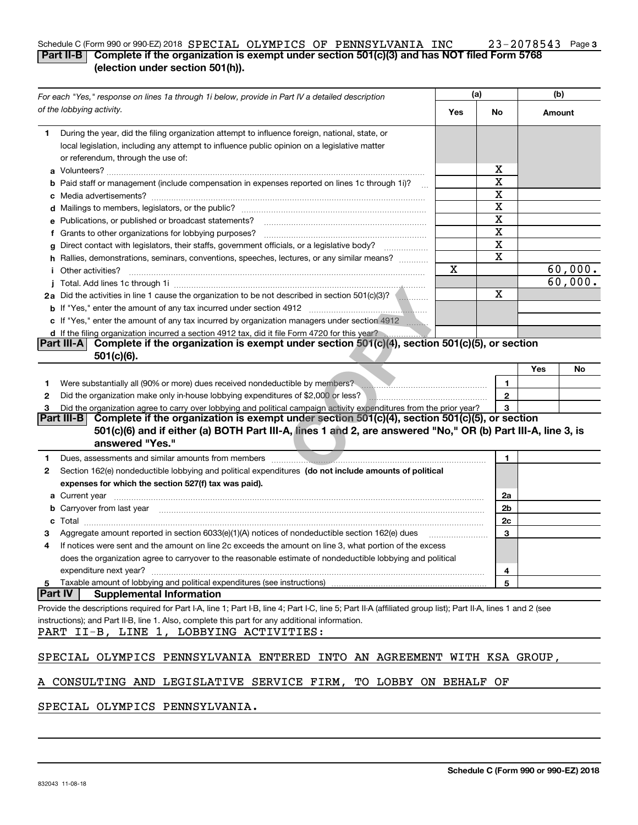#### **3** Schedule C (Form 990 or 990-EZ) 2018  ${\tt SPRECIAL}$   ${\tt OLYMPICS}$   ${\tt OF}$   ${\tt PENNSYLVANIA}$   ${\tt INC}$   $23$  –  $2078543$  Page **Part II-B Complete if the organization is exempt under section 501(c)(3) and has NOT filed Form 5768 (election under section 501(h)).** SPECIAL OLYMPICS OF PENNSYLVANIA INC 23-2078543

| For each "Yes," response on lines 1a through 1i below, provide in Part IV a detailed description |                                                                                                                                                                                                                                           | (a) |              | (b)    |         |
|--------------------------------------------------------------------------------------------------|-------------------------------------------------------------------------------------------------------------------------------------------------------------------------------------------------------------------------------------------|-----|--------------|--------|---------|
|                                                                                                  | of the lobbying activity.                                                                                                                                                                                                                 | Yes | No           | Amount |         |
| 1                                                                                                | During the year, did the filing organization attempt to influence foreign, national, state, or                                                                                                                                            |     |              |        |         |
|                                                                                                  | local legislation, including any attempt to influence public opinion on a legislative matter                                                                                                                                              |     |              |        |         |
|                                                                                                  | or referendum, through the use of:                                                                                                                                                                                                        |     |              |        |         |
|                                                                                                  |                                                                                                                                                                                                                                           |     | x            |        |         |
|                                                                                                  | <b>b</b> Paid staff or management (include compensation in expenses reported on lines 1c through 1i)?                                                                                                                                     |     | х            |        |         |
|                                                                                                  |                                                                                                                                                                                                                                           |     | X            |        |         |
|                                                                                                  |                                                                                                                                                                                                                                           |     | х            |        |         |
|                                                                                                  | e Publications, or published or broadcast statements?                                                                                                                                                                                     |     | X            |        |         |
|                                                                                                  | f Grants to other organizations for lobbying purposes?                                                                                                                                                                                    |     | х            |        |         |
| g                                                                                                | Direct contact with legislators, their staffs, government officials, or a legislative body?                                                                                                                                               |     | х            |        |         |
|                                                                                                  | h Rallies, demonstrations, seminars, conventions, speeches, lectures, or any similar means?                                                                                                                                               |     | х            |        |         |
|                                                                                                  | <i>i</i> Other activities?                                                                                                                                                                                                                | Х   |              |        | 60,000. |
|                                                                                                  |                                                                                                                                                                                                                                           |     |              |        | 60,000. |
|                                                                                                  | 2a Did the activities in line 1 cause the organization to be not described in section 501(c)(3)?                                                                                                                                          |     | Χ            |        |         |
|                                                                                                  |                                                                                                                                                                                                                                           |     |              |        |         |
|                                                                                                  | c If "Yes," enter the amount of any tax incurred by organization managers under section 4912                                                                                                                                              |     |              |        |         |
|                                                                                                  | d If the filing organization incurred a section 4912 tax, did it file Form 4720 for this year?                                                                                                                                            |     |              |        |         |
|                                                                                                  | Complete if the organization is exempt under section $501(c)(4)$ , section $501(c)(5)$ , or section<br><b>Part III-A</b>                                                                                                                  |     |              |        |         |
|                                                                                                  | $501(c)(6)$ .                                                                                                                                                                                                                             |     |              |        |         |
|                                                                                                  |                                                                                                                                                                                                                                           |     |              | Yes    | No      |
| 1.                                                                                               | Were substantially all (90% or more) dues received nondeductible by members?<br>Were substantially all (90% or more) dues received nondeductible by members?                                                                              |     | 1            |        |         |
| 2                                                                                                | Did the organization make only in house lobbying expenditures of \$2,000 or less?                                                                                                                                                         |     | $\mathbf{2}$ |        |         |
| З                                                                                                | Did the organization agree to carry over lobbying and political campaign activity expenditures from the prior year?                                                                                                                       |     | 3            |        |         |
|                                                                                                  | Part III-B <br>Complete if the organization is exempt under section 501(c)(4), section 501(c)(5), or section                                                                                                                              |     |              |        |         |
|                                                                                                  | 501(c)(6) and if either (a) BOTH Part III-A, lines 1 and 2, are answered "No," OR (b) Part III-A, line 3, is<br>answered "Yes."                                                                                                           |     |              |        |         |
| 1                                                                                                | Dues, assessments and similar amounts from members manufactured and substitution of the state and similar amounts from members                                                                                                            |     | 1            |        |         |
| 2                                                                                                | Section 162(e) nondeductible lobbying and political expenditures (do not include amounts of political                                                                                                                                     |     |              |        |         |
|                                                                                                  | expenses for which the section 527(f) tax was paid).                                                                                                                                                                                      |     |              |        |         |
|                                                                                                  | <b>a</b> Current year                                                                                                                                                                                                                     |     | 2a           |        |         |
|                                                                                                  | <b>b</b> Carryover from last year <i>maching and a content of the content of the content of the content of the content of the content of the content of the content of the content of the content of the content of the content of th</i> |     | 2b           |        |         |
|                                                                                                  | <b>c</b> Total                                                                                                                                                                                                                            |     | 2c           |        |         |
|                                                                                                  | Aggregate amount reported in section 6033(e)(1)(A) notices of nondeductible section 162(e) dues                                                                                                                                           |     | 3            |        |         |
| 4                                                                                                | If notices were sent and the amount on line 2c exceeds the amount on line 3, what portion of the excess                                                                                                                                   |     |              |        |         |
|                                                                                                  | does the organization agree to carryover to the reasonable estimate of nondeductible lobbying and political                                                                                                                               |     |              |        |         |
|                                                                                                  | expenditure next year?                                                                                                                                                                                                                    |     | 4            |        |         |
| 5                                                                                                | Taxable amount of lobbying and political expenditures (see instructions)                                                                                                                                                                  |     | 5            |        |         |
| <b>Part IV</b>                                                                                   | <b>Supplemental Information</b>                                                                                                                                                                                                           |     |              |        |         |
|                                                                                                  | Provide the descriptions required for Part I-A, line 1; Part I-B, line 4; Part I-C, line 5; Part II-A (affiliated group list); Part II-A, lines 1 and 2 (see                                                                              |     |              |        |         |
|                                                                                                  | instructions); and Part II-B, line 1. Also, complete this part for any additional information.<br>PART II-B, LINE 1, LOBBYING ACTIVITIES:                                                                                                 |     |              |        |         |
|                                                                                                  | SPECIAL OLYMPICS PENNSYLVANIA ENTERED INTO AN AGREEMENT WITH KSA GROUP,                                                                                                                                                                   |     |              |        |         |
|                                                                                                  | A CONSULTING AND LEGISLATIVE SERVICE FIRM, TO LOBBY ON BEHALF OF                                                                                                                                                                          |     |              |        |         |

SPECIAL OLYMPICS PENNSYLVANIA.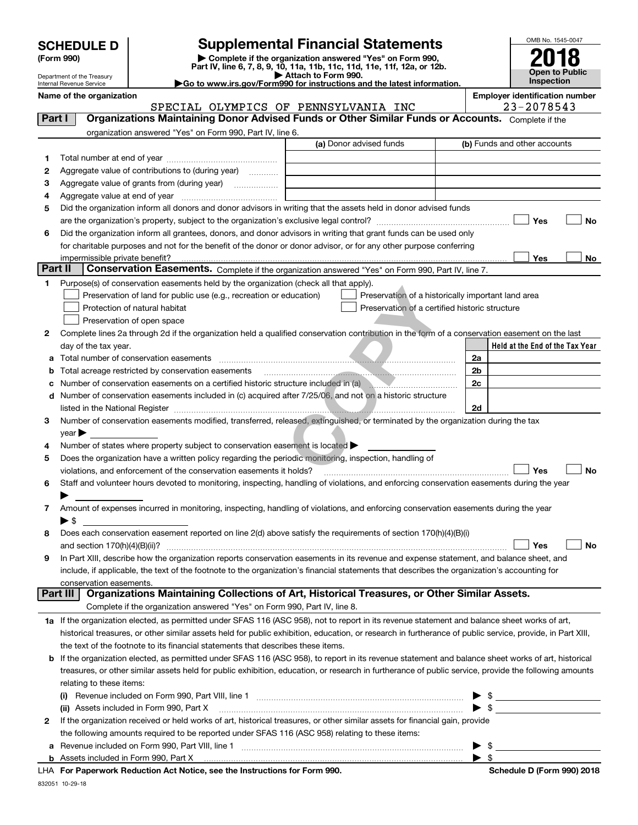| <b>SCHEDULE D</b> |  |
|-------------------|--|
|-------------------|--|

## **SCHEDULE D Supplemental Financial Statements**

(Form 990)<br>
Pepartment of the Treasury<br>
Department of the Treasury<br>
Department of the Treasury<br>
Department of the Treasury<br> **Co to www.irs.gov/Form990 for instructions and the latest information.**<br> **Co to www.irs.gov/Form9** 



Department of the Treasury Internal Revenue Service

| Name of the organization                                                                                           | <b>Employer identification number</b> |                |
|--------------------------------------------------------------------------------------------------------------------|---------------------------------------|----------------|
| SPECIAL OLYMPICS OF PENNSYLVANIA INC                                                                               |                                       | $23 - 2078543$ |
| Part I<br><b>Organizations Maintaining Donor Advised Funds or Other Similar Funds or Accounts.</b> Complete if the |                                       |                |
| organization answered "Yes" on Form 990, Part IV, line 6.                                                          |                                       |                |
|                                                                                                                    | ____                                  |                |

|         |                                                                                                                                                            | (a) Donor advised funds                            |                          | (b) Funds and other accounts |                                 |    |
|---------|------------------------------------------------------------------------------------------------------------------------------------------------------------|----------------------------------------------------|--------------------------|------------------------------|---------------------------------|----|
| 1       |                                                                                                                                                            |                                                    |                          |                              |                                 |    |
| 2       | Aggregate value of contributions to (during year)                                                                                                          |                                                    |                          |                              |                                 |    |
| з       | Aggregate value of grants from (during year)                                                                                                               |                                                    |                          |                              |                                 |    |
| 4       |                                                                                                                                                            |                                                    |                          |                              |                                 |    |
| 5       | Did the organization inform all donors and donor advisors in writing that the assets held in donor advised funds                                           |                                                    |                          |                              |                                 |    |
|         |                                                                                                                                                            |                                                    |                          |                              | Yes                             | No |
| 6       | Did the organization inform all grantees, donors, and donor advisors in writing that grant funds can be used only                                          |                                                    |                          |                              |                                 |    |
|         | for charitable purposes and not for the benefit of the donor or donor advisor, or for any other purpose conferring                                         |                                                    |                          |                              |                                 |    |
|         | impermissible private benefit?                                                                                                                             |                                                    |                          |                              | Yes                             | No |
| Part II | Conservation Easements. Complete if the organization answered "Yes" on Form 990, Part IV, line 7.                                                          |                                                    |                          |                              |                                 |    |
| 1       | Purpose(s) of conservation easements held by the organization (check all that apply).                                                                      |                                                    |                          |                              |                                 |    |
|         | Preservation of land for public use (e.g., recreation or education)                                                                                        | Preservation of a historically important land area |                          |                              |                                 |    |
|         | Protection of natural habitat                                                                                                                              | Preservation of a certified historic structure     |                          |                              |                                 |    |
|         | Preservation of open space                                                                                                                                 |                                                    |                          |                              |                                 |    |
| 2       |                                                                                                                                                            |                                                    |                          |                              |                                 |    |
|         | Complete lines 2a through 2d if the organization held a qualified conservation contribution in the form of a conservation easement on the last             |                                                    |                          |                              | Held at the End of the Tax Year |    |
|         | day of the tax year.                                                                                                                                       |                                                    |                          |                              |                                 |    |
| а       |                                                                                                                                                            |                                                    | 2a                       |                              |                                 |    |
| b       | Total acreage restricted by conservation easements                                                                                                         |                                                    | 2b                       |                              |                                 |    |
| с       | Number of conservation easements on a certified historic structure included in (a) manufacture in the structure                                            |                                                    | 2c                       |                              |                                 |    |
|         | d Number of conservation easements included in (c) acquired after 7/25/06, and not on a historic structure                                                 |                                                    |                          |                              |                                 |    |
|         |                                                                                                                                                            |                                                    | 2d                       |                              |                                 |    |
| З       | Number of conservation easements modified, transferred, released, extinguished, or terminated by the organization during the tax                           |                                                    |                          |                              |                                 |    |
|         | $year \triangleright$                                                                                                                                      |                                                    |                          |                              |                                 |    |
| 4       | Number of states where property subject to conservation easement is located >                                                                              |                                                    |                          |                              |                                 |    |
| 5       | Does the organization have a written policy regarding the periodic monitoring, inspection, handling of                                                     |                                                    |                          |                              |                                 |    |
|         | violations, and enforcement of the conservation easements it holds?                                                                                        |                                                    |                          |                              | Yes                             | No |
| 6       | Staff and volunteer hours devoted to monitoring, inspecting, handling of violations, and enforcing conservation easements during the year                  |                                                    |                          |                              |                                 |    |
|         |                                                                                                                                                            |                                                    |                          |                              |                                 |    |
| 7       | Amount of expenses incurred in monitoring, inspecting, handling of violations, and enforcing conservation easements during the year                        |                                                    |                          |                              |                                 |    |
|         | $\blacktriangleright$ \$                                                                                                                                   |                                                    |                          |                              |                                 |    |
| 8       | Does each conservation easement reported on line 2(d) above satisfy the requirements of section 170(h)(4)(B)(i)                                            |                                                    |                          |                              |                                 |    |
|         |                                                                                                                                                            |                                                    |                          |                              | Yes                             | No |
| 9       | In Part XIII, describe how the organization reports conservation easements in its revenue and expense statement, and balance sheet, and                    |                                                    |                          |                              |                                 |    |
|         | include, if applicable, the text of the footnote to the organization's financial statements that describes the organization's accounting for               |                                                    |                          |                              |                                 |    |
|         | conservation easements.                                                                                                                                    |                                                    |                          |                              |                                 |    |
|         | Organizations Maintaining Collections of Art, Historical Treasures, or Other Similar Assets.<br>Part III                                                   |                                                    |                          |                              |                                 |    |
|         | Complete if the organization answered "Yes" on Form 990, Part IV, line 8.                                                                                  |                                                    |                          |                              |                                 |    |
|         | 1a If the organization elected, as permitted under SFAS 116 (ASC 958), not to report in its revenue statement and balance sheet works of art,              |                                                    |                          |                              |                                 |    |
|         | historical treasures, or other similar assets held for public exhibition, education, or research in furtherance of public service, provide, in Part XIII,  |                                                    |                          |                              |                                 |    |
|         | the text of the footnote to its financial statements that describes these items.                                                                           |                                                    |                          |                              |                                 |    |
|         | <b>b</b> If the organization elected, as permitted under SFAS 116 (ASC 958), to report in its revenue statement and balance sheet works of art, historical |                                                    |                          |                              |                                 |    |
|         | treasures, or other similar assets held for public exhibition, education, or research in furtherance of public service, provide the following amounts      |                                                    |                          |                              |                                 |    |
|         | relating to these items:                                                                                                                                   |                                                    |                          |                              |                                 |    |
|         | $\mathbf{u}$                                                                                                                                               |                                                    |                          | \$                           |                                 |    |
|         | (ii) Assets included in Form 990, Part X                                                                                                                   |                                                    | $\blacktriangleright$ s  |                              |                                 |    |
| 2       | If the organization received or held works of art, historical treasures, or other similar assets for financial gain, provide                               |                                                    |                          |                              |                                 |    |
|         | the following amounts required to be reported under SFAS 116 (ASC 958) relating to these items:                                                            |                                                    |                          |                              |                                 |    |
| а       |                                                                                                                                                            |                                                    |                          | - \$                         |                                 |    |
|         |                                                                                                                                                            |                                                    | $\blacktriangleright$ \$ |                              |                                 |    |

**For Paperwork Reduction Act Notice, see the Instructions for Form 990. Schedule D (Form 990) 2018** LHA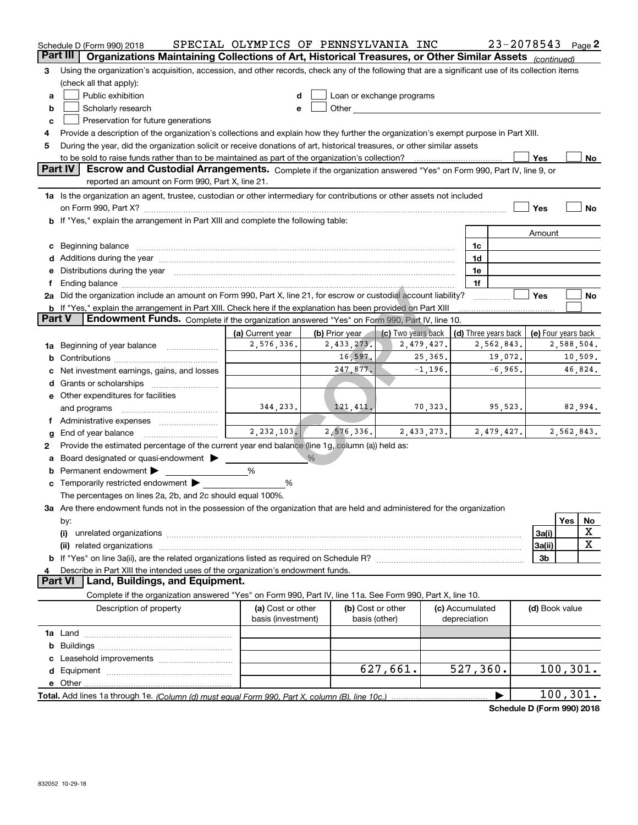| Organizations Maintaining Collections of Art, Historical Treasures, or Other Similar Assets (continued)<br><b>Part III</b><br>Using the organization's acquisition, accession, and other records, check any of the following that are a significant use of its collection items<br>з<br>(check all that apply):<br>Public exhibition<br>Loan or exchange programs<br>a<br>Other and the contract of the contract of the contract of the contract of the contract of the contract of the contract of the contract of the contract of the contract of the contract of the contract of the contract of the<br>Scholarly research<br>b<br>e<br>Preservation for future generations<br>c<br>Provide a description of the organization's collections and explain how they further the organization's exempt purpose in Part XIII.<br>During the year, did the organization solicit or receive donations of art, historical treasures, or other similar assets<br>5<br>to be sold to raise funds rather than to be maintained as part of the organization's collection?<br>Yes<br>No<br><b>Part IV</b><br>Escrow and Custodial Arrangements. Complete if the organization answered "Yes" on Form 990, Part IV, line 9, or<br>reported an amount on Form 990, Part X, line 21.<br>1a Is the organization an agent, trustee, custodian or other intermediary for contributions or other assets not included<br>Yes<br>No<br>on Form 990, Part X? [11] matter contracts and contracts and contracts are contracted as a function of the set of the set of the set of the set of the set of the set of the set of the set of the set of the set of the set o<br>b If "Yes," explain the arrangement in Part XIII and complete the following table:<br>Amount<br>c Beginning balance measurements and the contract of the contract of the contract of the contract of the contract of the contract of the contract of the contract of the contract of the contract of the contract of the contr<br>1c<br>1d<br>e Distributions during the year manufactured and contain an account of the year manufactured and the year manufactured and the year manufactured and the year manufactured and the year manufactured and the year manufactured<br>1e<br>1f<br>Ending balance manufactured and contract the contract of the contract of the contract of the contract of the contract of the contract of the contract of the contract of the contract of the contract of the contract of the c<br>Yes<br>2a Did the organization include an amount on Form 990, Part X, line 21, for escrow or custodial account liability?<br>No<br><b>b</b> If "Yes," explain the arrangement in Part XIII. Check here if the explanation has been provided on Part XIII<br>Endowment Funds. Complete if the organization answered "Yes" on Form 990, Part IV, line 10.<br><b>Part V</b><br>(c) Two years back<br>(a) Current year<br>(b) Prior year<br>(d) Three years back<br>(e) Four years back<br>2,576,336.<br>2,588,504.<br>2,433,273.<br>2,479,427.<br>2,562,843.<br>Beginning of year balance<br>1a<br>16,597.<br>25, 365.<br>19,072.<br>10,509.<br>247,877.<br>$-1,196.$<br>$-6,965.$<br>46,824.<br>Net investment earnings, gains, and losses<br>e Other expenditures for facilities<br>344,233.<br>121, 411.<br>70,323.<br>95,523.<br>82,994.<br>and programs<br>2, 232, 103.<br>2,576,336.<br>2,562,843.<br>2,433,273.<br>2,479,427.<br>End of year balance<br>Provide the estimated percentage of the current year end balance (line 1g, column (a)) held as:<br>2<br>$\frac{0}{6}$<br>Board designated or quasi-endowment<br>Permanent endowment<br>%<br>b |
|----------------------------------------------------------------------------------------------------------------------------------------------------------------------------------------------------------------------------------------------------------------------------------------------------------------------------------------------------------------------------------------------------------------------------------------------------------------------------------------------------------------------------------------------------------------------------------------------------------------------------------------------------------------------------------------------------------------------------------------------------------------------------------------------------------------------------------------------------------------------------------------------------------------------------------------------------------------------------------------------------------------------------------------------------------------------------------------------------------------------------------------------------------------------------------------------------------------------------------------------------------------------------------------------------------------------------------------------------------------------------------------------------------------------------------------------------------------------------------------------------------------------------------------------------------------------------------------------------------------------------------------------------------------------------------------------------------------------------------------------------------------------------------------------------------------------------------------------------------------------------------------------------------------------------------------------------------------------------------------------------------------------------------------------------------------------------------------------------------------------------------------------------------------------------------------------------------------------------------------------------------------------------------------------------------------------------------------------------------------------------------------------------------------------------------------------------------------------------------------------------------------------------------------------------------------------------------------------------------------------------------------------------------------------------------------------------------------------------------------------------------------------------------------------------------------------------------------------------------------------------------------------------------------------------------------------------------------------------------------------------------------------------------------------------------------------------------------------------------------------------------------------------------------------------------------------------------------------------------------------------------------------------------------------------------------------------------------------------------------------------------------------------------------------------------------------------------------------------------------------------------------------------------------------------------------------------------------------------------------------------------------------|
|                                                                                                                                                                                                                                                                                                                                                                                                                                                                                                                                                                                                                                                                                                                                                                                                                                                                                                                                                                                                                                                                                                                                                                                                                                                                                                                                                                                                                                                                                                                                                                                                                                                                                                                                                                                                                                                                                                                                                                                                                                                                                                                                                                                                                                                                                                                                                                                                                                                                                                                                                                                                                                                                                                                                                                                                                                                                                                                                                                                                                                                                                                                                                                                                                                                                                                                                                                                                                                                                                                                                                                                                                                              |
|                                                                                                                                                                                                                                                                                                                                                                                                                                                                                                                                                                                                                                                                                                                                                                                                                                                                                                                                                                                                                                                                                                                                                                                                                                                                                                                                                                                                                                                                                                                                                                                                                                                                                                                                                                                                                                                                                                                                                                                                                                                                                                                                                                                                                                                                                                                                                                                                                                                                                                                                                                                                                                                                                                                                                                                                                                                                                                                                                                                                                                                                                                                                                                                                                                                                                                                                                                                                                                                                                                                                                                                                                                              |
|                                                                                                                                                                                                                                                                                                                                                                                                                                                                                                                                                                                                                                                                                                                                                                                                                                                                                                                                                                                                                                                                                                                                                                                                                                                                                                                                                                                                                                                                                                                                                                                                                                                                                                                                                                                                                                                                                                                                                                                                                                                                                                                                                                                                                                                                                                                                                                                                                                                                                                                                                                                                                                                                                                                                                                                                                                                                                                                                                                                                                                                                                                                                                                                                                                                                                                                                                                                                                                                                                                                                                                                                                                              |
|                                                                                                                                                                                                                                                                                                                                                                                                                                                                                                                                                                                                                                                                                                                                                                                                                                                                                                                                                                                                                                                                                                                                                                                                                                                                                                                                                                                                                                                                                                                                                                                                                                                                                                                                                                                                                                                                                                                                                                                                                                                                                                                                                                                                                                                                                                                                                                                                                                                                                                                                                                                                                                                                                                                                                                                                                                                                                                                                                                                                                                                                                                                                                                                                                                                                                                                                                                                                                                                                                                                                                                                                                                              |
|                                                                                                                                                                                                                                                                                                                                                                                                                                                                                                                                                                                                                                                                                                                                                                                                                                                                                                                                                                                                                                                                                                                                                                                                                                                                                                                                                                                                                                                                                                                                                                                                                                                                                                                                                                                                                                                                                                                                                                                                                                                                                                                                                                                                                                                                                                                                                                                                                                                                                                                                                                                                                                                                                                                                                                                                                                                                                                                                                                                                                                                                                                                                                                                                                                                                                                                                                                                                                                                                                                                                                                                                                                              |
|                                                                                                                                                                                                                                                                                                                                                                                                                                                                                                                                                                                                                                                                                                                                                                                                                                                                                                                                                                                                                                                                                                                                                                                                                                                                                                                                                                                                                                                                                                                                                                                                                                                                                                                                                                                                                                                                                                                                                                                                                                                                                                                                                                                                                                                                                                                                                                                                                                                                                                                                                                                                                                                                                                                                                                                                                                                                                                                                                                                                                                                                                                                                                                                                                                                                                                                                                                                                                                                                                                                                                                                                                                              |
|                                                                                                                                                                                                                                                                                                                                                                                                                                                                                                                                                                                                                                                                                                                                                                                                                                                                                                                                                                                                                                                                                                                                                                                                                                                                                                                                                                                                                                                                                                                                                                                                                                                                                                                                                                                                                                                                                                                                                                                                                                                                                                                                                                                                                                                                                                                                                                                                                                                                                                                                                                                                                                                                                                                                                                                                                                                                                                                                                                                                                                                                                                                                                                                                                                                                                                                                                                                                                                                                                                                                                                                                                                              |
|                                                                                                                                                                                                                                                                                                                                                                                                                                                                                                                                                                                                                                                                                                                                                                                                                                                                                                                                                                                                                                                                                                                                                                                                                                                                                                                                                                                                                                                                                                                                                                                                                                                                                                                                                                                                                                                                                                                                                                                                                                                                                                                                                                                                                                                                                                                                                                                                                                                                                                                                                                                                                                                                                                                                                                                                                                                                                                                                                                                                                                                                                                                                                                                                                                                                                                                                                                                                                                                                                                                                                                                                                                              |
|                                                                                                                                                                                                                                                                                                                                                                                                                                                                                                                                                                                                                                                                                                                                                                                                                                                                                                                                                                                                                                                                                                                                                                                                                                                                                                                                                                                                                                                                                                                                                                                                                                                                                                                                                                                                                                                                                                                                                                                                                                                                                                                                                                                                                                                                                                                                                                                                                                                                                                                                                                                                                                                                                                                                                                                                                                                                                                                                                                                                                                                                                                                                                                                                                                                                                                                                                                                                                                                                                                                                                                                                                                              |
|                                                                                                                                                                                                                                                                                                                                                                                                                                                                                                                                                                                                                                                                                                                                                                                                                                                                                                                                                                                                                                                                                                                                                                                                                                                                                                                                                                                                                                                                                                                                                                                                                                                                                                                                                                                                                                                                                                                                                                                                                                                                                                                                                                                                                                                                                                                                                                                                                                                                                                                                                                                                                                                                                                                                                                                                                                                                                                                                                                                                                                                                                                                                                                                                                                                                                                                                                                                                                                                                                                                                                                                                                                              |
|                                                                                                                                                                                                                                                                                                                                                                                                                                                                                                                                                                                                                                                                                                                                                                                                                                                                                                                                                                                                                                                                                                                                                                                                                                                                                                                                                                                                                                                                                                                                                                                                                                                                                                                                                                                                                                                                                                                                                                                                                                                                                                                                                                                                                                                                                                                                                                                                                                                                                                                                                                                                                                                                                                                                                                                                                                                                                                                                                                                                                                                                                                                                                                                                                                                                                                                                                                                                                                                                                                                                                                                                                                              |
|                                                                                                                                                                                                                                                                                                                                                                                                                                                                                                                                                                                                                                                                                                                                                                                                                                                                                                                                                                                                                                                                                                                                                                                                                                                                                                                                                                                                                                                                                                                                                                                                                                                                                                                                                                                                                                                                                                                                                                                                                                                                                                                                                                                                                                                                                                                                                                                                                                                                                                                                                                                                                                                                                                                                                                                                                                                                                                                                                                                                                                                                                                                                                                                                                                                                                                                                                                                                                                                                                                                                                                                                                                              |
|                                                                                                                                                                                                                                                                                                                                                                                                                                                                                                                                                                                                                                                                                                                                                                                                                                                                                                                                                                                                                                                                                                                                                                                                                                                                                                                                                                                                                                                                                                                                                                                                                                                                                                                                                                                                                                                                                                                                                                                                                                                                                                                                                                                                                                                                                                                                                                                                                                                                                                                                                                                                                                                                                                                                                                                                                                                                                                                                                                                                                                                                                                                                                                                                                                                                                                                                                                                                                                                                                                                                                                                                                                              |
|                                                                                                                                                                                                                                                                                                                                                                                                                                                                                                                                                                                                                                                                                                                                                                                                                                                                                                                                                                                                                                                                                                                                                                                                                                                                                                                                                                                                                                                                                                                                                                                                                                                                                                                                                                                                                                                                                                                                                                                                                                                                                                                                                                                                                                                                                                                                                                                                                                                                                                                                                                                                                                                                                                                                                                                                                                                                                                                                                                                                                                                                                                                                                                                                                                                                                                                                                                                                                                                                                                                                                                                                                                              |
|                                                                                                                                                                                                                                                                                                                                                                                                                                                                                                                                                                                                                                                                                                                                                                                                                                                                                                                                                                                                                                                                                                                                                                                                                                                                                                                                                                                                                                                                                                                                                                                                                                                                                                                                                                                                                                                                                                                                                                                                                                                                                                                                                                                                                                                                                                                                                                                                                                                                                                                                                                                                                                                                                                                                                                                                                                                                                                                                                                                                                                                                                                                                                                                                                                                                                                                                                                                                                                                                                                                                                                                                                                              |
|                                                                                                                                                                                                                                                                                                                                                                                                                                                                                                                                                                                                                                                                                                                                                                                                                                                                                                                                                                                                                                                                                                                                                                                                                                                                                                                                                                                                                                                                                                                                                                                                                                                                                                                                                                                                                                                                                                                                                                                                                                                                                                                                                                                                                                                                                                                                                                                                                                                                                                                                                                                                                                                                                                                                                                                                                                                                                                                                                                                                                                                                                                                                                                                                                                                                                                                                                                                                                                                                                                                                                                                                                                              |
|                                                                                                                                                                                                                                                                                                                                                                                                                                                                                                                                                                                                                                                                                                                                                                                                                                                                                                                                                                                                                                                                                                                                                                                                                                                                                                                                                                                                                                                                                                                                                                                                                                                                                                                                                                                                                                                                                                                                                                                                                                                                                                                                                                                                                                                                                                                                                                                                                                                                                                                                                                                                                                                                                                                                                                                                                                                                                                                                                                                                                                                                                                                                                                                                                                                                                                                                                                                                                                                                                                                                                                                                                                              |
|                                                                                                                                                                                                                                                                                                                                                                                                                                                                                                                                                                                                                                                                                                                                                                                                                                                                                                                                                                                                                                                                                                                                                                                                                                                                                                                                                                                                                                                                                                                                                                                                                                                                                                                                                                                                                                                                                                                                                                                                                                                                                                                                                                                                                                                                                                                                                                                                                                                                                                                                                                                                                                                                                                                                                                                                                                                                                                                                                                                                                                                                                                                                                                                                                                                                                                                                                                                                                                                                                                                                                                                                                                              |
|                                                                                                                                                                                                                                                                                                                                                                                                                                                                                                                                                                                                                                                                                                                                                                                                                                                                                                                                                                                                                                                                                                                                                                                                                                                                                                                                                                                                                                                                                                                                                                                                                                                                                                                                                                                                                                                                                                                                                                                                                                                                                                                                                                                                                                                                                                                                                                                                                                                                                                                                                                                                                                                                                                                                                                                                                                                                                                                                                                                                                                                                                                                                                                                                                                                                                                                                                                                                                                                                                                                                                                                                                                              |
|                                                                                                                                                                                                                                                                                                                                                                                                                                                                                                                                                                                                                                                                                                                                                                                                                                                                                                                                                                                                                                                                                                                                                                                                                                                                                                                                                                                                                                                                                                                                                                                                                                                                                                                                                                                                                                                                                                                                                                                                                                                                                                                                                                                                                                                                                                                                                                                                                                                                                                                                                                                                                                                                                                                                                                                                                                                                                                                                                                                                                                                                                                                                                                                                                                                                                                                                                                                                                                                                                                                                                                                                                                              |
|                                                                                                                                                                                                                                                                                                                                                                                                                                                                                                                                                                                                                                                                                                                                                                                                                                                                                                                                                                                                                                                                                                                                                                                                                                                                                                                                                                                                                                                                                                                                                                                                                                                                                                                                                                                                                                                                                                                                                                                                                                                                                                                                                                                                                                                                                                                                                                                                                                                                                                                                                                                                                                                                                                                                                                                                                                                                                                                                                                                                                                                                                                                                                                                                                                                                                                                                                                                                                                                                                                                                                                                                                                              |
|                                                                                                                                                                                                                                                                                                                                                                                                                                                                                                                                                                                                                                                                                                                                                                                                                                                                                                                                                                                                                                                                                                                                                                                                                                                                                                                                                                                                                                                                                                                                                                                                                                                                                                                                                                                                                                                                                                                                                                                                                                                                                                                                                                                                                                                                                                                                                                                                                                                                                                                                                                                                                                                                                                                                                                                                                                                                                                                                                                                                                                                                                                                                                                                                                                                                                                                                                                                                                                                                                                                                                                                                                                              |
|                                                                                                                                                                                                                                                                                                                                                                                                                                                                                                                                                                                                                                                                                                                                                                                                                                                                                                                                                                                                                                                                                                                                                                                                                                                                                                                                                                                                                                                                                                                                                                                                                                                                                                                                                                                                                                                                                                                                                                                                                                                                                                                                                                                                                                                                                                                                                                                                                                                                                                                                                                                                                                                                                                                                                                                                                                                                                                                                                                                                                                                                                                                                                                                                                                                                                                                                                                                                                                                                                                                                                                                                                                              |
|                                                                                                                                                                                                                                                                                                                                                                                                                                                                                                                                                                                                                                                                                                                                                                                                                                                                                                                                                                                                                                                                                                                                                                                                                                                                                                                                                                                                                                                                                                                                                                                                                                                                                                                                                                                                                                                                                                                                                                                                                                                                                                                                                                                                                                                                                                                                                                                                                                                                                                                                                                                                                                                                                                                                                                                                                                                                                                                                                                                                                                                                                                                                                                                                                                                                                                                                                                                                                                                                                                                                                                                                                                              |
|                                                                                                                                                                                                                                                                                                                                                                                                                                                                                                                                                                                                                                                                                                                                                                                                                                                                                                                                                                                                                                                                                                                                                                                                                                                                                                                                                                                                                                                                                                                                                                                                                                                                                                                                                                                                                                                                                                                                                                                                                                                                                                                                                                                                                                                                                                                                                                                                                                                                                                                                                                                                                                                                                                                                                                                                                                                                                                                                                                                                                                                                                                                                                                                                                                                                                                                                                                                                                                                                                                                                                                                                                                              |
|                                                                                                                                                                                                                                                                                                                                                                                                                                                                                                                                                                                                                                                                                                                                                                                                                                                                                                                                                                                                                                                                                                                                                                                                                                                                                                                                                                                                                                                                                                                                                                                                                                                                                                                                                                                                                                                                                                                                                                                                                                                                                                                                                                                                                                                                                                                                                                                                                                                                                                                                                                                                                                                                                                                                                                                                                                                                                                                                                                                                                                                                                                                                                                                                                                                                                                                                                                                                                                                                                                                                                                                                                                              |
|                                                                                                                                                                                                                                                                                                                                                                                                                                                                                                                                                                                                                                                                                                                                                                                                                                                                                                                                                                                                                                                                                                                                                                                                                                                                                                                                                                                                                                                                                                                                                                                                                                                                                                                                                                                                                                                                                                                                                                                                                                                                                                                                                                                                                                                                                                                                                                                                                                                                                                                                                                                                                                                                                                                                                                                                                                                                                                                                                                                                                                                                                                                                                                                                                                                                                                                                                                                                                                                                                                                                                                                                                                              |
|                                                                                                                                                                                                                                                                                                                                                                                                                                                                                                                                                                                                                                                                                                                                                                                                                                                                                                                                                                                                                                                                                                                                                                                                                                                                                                                                                                                                                                                                                                                                                                                                                                                                                                                                                                                                                                                                                                                                                                                                                                                                                                                                                                                                                                                                                                                                                                                                                                                                                                                                                                                                                                                                                                                                                                                                                                                                                                                                                                                                                                                                                                                                                                                                                                                                                                                                                                                                                                                                                                                                                                                                                                              |
|                                                                                                                                                                                                                                                                                                                                                                                                                                                                                                                                                                                                                                                                                                                                                                                                                                                                                                                                                                                                                                                                                                                                                                                                                                                                                                                                                                                                                                                                                                                                                                                                                                                                                                                                                                                                                                                                                                                                                                                                                                                                                                                                                                                                                                                                                                                                                                                                                                                                                                                                                                                                                                                                                                                                                                                                                                                                                                                                                                                                                                                                                                                                                                                                                                                                                                                                                                                                                                                                                                                                                                                                                                              |
|                                                                                                                                                                                                                                                                                                                                                                                                                                                                                                                                                                                                                                                                                                                                                                                                                                                                                                                                                                                                                                                                                                                                                                                                                                                                                                                                                                                                                                                                                                                                                                                                                                                                                                                                                                                                                                                                                                                                                                                                                                                                                                                                                                                                                                                                                                                                                                                                                                                                                                                                                                                                                                                                                                                                                                                                                                                                                                                                                                                                                                                                                                                                                                                                                                                                                                                                                                                                                                                                                                                                                                                                                                              |
|                                                                                                                                                                                                                                                                                                                                                                                                                                                                                                                                                                                                                                                                                                                                                                                                                                                                                                                                                                                                                                                                                                                                                                                                                                                                                                                                                                                                                                                                                                                                                                                                                                                                                                                                                                                                                                                                                                                                                                                                                                                                                                                                                                                                                                                                                                                                                                                                                                                                                                                                                                                                                                                                                                                                                                                                                                                                                                                                                                                                                                                                                                                                                                                                                                                                                                                                                                                                                                                                                                                                                                                                                                              |
|                                                                                                                                                                                                                                                                                                                                                                                                                                                                                                                                                                                                                                                                                                                                                                                                                                                                                                                                                                                                                                                                                                                                                                                                                                                                                                                                                                                                                                                                                                                                                                                                                                                                                                                                                                                                                                                                                                                                                                                                                                                                                                                                                                                                                                                                                                                                                                                                                                                                                                                                                                                                                                                                                                                                                                                                                                                                                                                                                                                                                                                                                                                                                                                                                                                                                                                                                                                                                                                                                                                                                                                                                                              |
|                                                                                                                                                                                                                                                                                                                                                                                                                                                                                                                                                                                                                                                                                                                                                                                                                                                                                                                                                                                                                                                                                                                                                                                                                                                                                                                                                                                                                                                                                                                                                                                                                                                                                                                                                                                                                                                                                                                                                                                                                                                                                                                                                                                                                                                                                                                                                                                                                                                                                                                                                                                                                                                                                                                                                                                                                                                                                                                                                                                                                                                                                                                                                                                                                                                                                                                                                                                                                                                                                                                                                                                                                                              |
| Temporarily restricted endowment ▶<br>%                                                                                                                                                                                                                                                                                                                                                                                                                                                                                                                                                                                                                                                                                                                                                                                                                                                                                                                                                                                                                                                                                                                                                                                                                                                                                                                                                                                                                                                                                                                                                                                                                                                                                                                                                                                                                                                                                                                                                                                                                                                                                                                                                                                                                                                                                                                                                                                                                                                                                                                                                                                                                                                                                                                                                                                                                                                                                                                                                                                                                                                                                                                                                                                                                                                                                                                                                                                                                                                                                                                                                                                                      |
| The percentages on lines 2a, 2b, and 2c should equal 100%.                                                                                                                                                                                                                                                                                                                                                                                                                                                                                                                                                                                                                                                                                                                                                                                                                                                                                                                                                                                                                                                                                                                                                                                                                                                                                                                                                                                                                                                                                                                                                                                                                                                                                                                                                                                                                                                                                                                                                                                                                                                                                                                                                                                                                                                                                                                                                                                                                                                                                                                                                                                                                                                                                                                                                                                                                                                                                                                                                                                                                                                                                                                                                                                                                                                                                                                                                                                                                                                                                                                                                                                   |
| 3a Are there endowment funds not in the possession of the organization that are held and administered for the organization                                                                                                                                                                                                                                                                                                                                                                                                                                                                                                                                                                                                                                                                                                                                                                                                                                                                                                                                                                                                                                                                                                                                                                                                                                                                                                                                                                                                                                                                                                                                                                                                                                                                                                                                                                                                                                                                                                                                                                                                                                                                                                                                                                                                                                                                                                                                                                                                                                                                                                                                                                                                                                                                                                                                                                                                                                                                                                                                                                                                                                                                                                                                                                                                                                                                                                                                                                                                                                                                                                                   |
| Yes<br>No<br>by:                                                                                                                                                                                                                                                                                                                                                                                                                                                                                                                                                                                                                                                                                                                                                                                                                                                                                                                                                                                                                                                                                                                                                                                                                                                                                                                                                                                                                                                                                                                                                                                                                                                                                                                                                                                                                                                                                                                                                                                                                                                                                                                                                                                                                                                                                                                                                                                                                                                                                                                                                                                                                                                                                                                                                                                                                                                                                                                                                                                                                                                                                                                                                                                                                                                                                                                                                                                                                                                                                                                                                                                                                             |
| X<br>3a(i)<br>(i)                                                                                                                                                                                                                                                                                                                                                                                                                                                                                                                                                                                                                                                                                                                                                                                                                                                                                                                                                                                                                                                                                                                                                                                                                                                                                                                                                                                                                                                                                                                                                                                                                                                                                                                                                                                                                                                                                                                                                                                                                                                                                                                                                                                                                                                                                                                                                                                                                                                                                                                                                                                                                                                                                                                                                                                                                                                                                                                                                                                                                                                                                                                                                                                                                                                                                                                                                                                                                                                                                                                                                                                                                            |
| $\mathbf X$<br>(ii) related organizations<br>3a(ii)                                                                                                                                                                                                                                                                                                                                                                                                                                                                                                                                                                                                                                                                                                                                                                                                                                                                                                                                                                                                                                                                                                                                                                                                                                                                                                                                                                                                                                                                                                                                                                                                                                                                                                                                                                                                                                                                                                                                                                                                                                                                                                                                                                                                                                                                                                                                                                                                                                                                                                                                                                                                                                                                                                                                                                                                                                                                                                                                                                                                                                                                                                                                                                                                                                                                                                                                                                                                                                                                                                                                                                                          |
| 3b                                                                                                                                                                                                                                                                                                                                                                                                                                                                                                                                                                                                                                                                                                                                                                                                                                                                                                                                                                                                                                                                                                                                                                                                                                                                                                                                                                                                                                                                                                                                                                                                                                                                                                                                                                                                                                                                                                                                                                                                                                                                                                                                                                                                                                                                                                                                                                                                                                                                                                                                                                                                                                                                                                                                                                                                                                                                                                                                                                                                                                                                                                                                                                                                                                                                                                                                                                                                                                                                                                                                                                                                                                           |
| Describe in Part XIII the intended uses of the organization's endowment funds.                                                                                                                                                                                                                                                                                                                                                                                                                                                                                                                                                                                                                                                                                                                                                                                                                                                                                                                                                                                                                                                                                                                                                                                                                                                                                                                                                                                                                                                                                                                                                                                                                                                                                                                                                                                                                                                                                                                                                                                                                                                                                                                                                                                                                                                                                                                                                                                                                                                                                                                                                                                                                                                                                                                                                                                                                                                                                                                                                                                                                                                                                                                                                                                                                                                                                                                                                                                                                                                                                                                                                               |
| Land, Buildings, and Equipment.<br><b>Part VI</b>                                                                                                                                                                                                                                                                                                                                                                                                                                                                                                                                                                                                                                                                                                                                                                                                                                                                                                                                                                                                                                                                                                                                                                                                                                                                                                                                                                                                                                                                                                                                                                                                                                                                                                                                                                                                                                                                                                                                                                                                                                                                                                                                                                                                                                                                                                                                                                                                                                                                                                                                                                                                                                                                                                                                                                                                                                                                                                                                                                                                                                                                                                                                                                                                                                                                                                                                                                                                                                                                                                                                                                                            |
| Complete if the organization answered "Yes" on Form 990, Part IV, line 11a. See Form 990, Part X, line 10.                                                                                                                                                                                                                                                                                                                                                                                                                                                                                                                                                                                                                                                                                                                                                                                                                                                                                                                                                                                                                                                                                                                                                                                                                                                                                                                                                                                                                                                                                                                                                                                                                                                                                                                                                                                                                                                                                                                                                                                                                                                                                                                                                                                                                                                                                                                                                                                                                                                                                                                                                                                                                                                                                                                                                                                                                                                                                                                                                                                                                                                                                                                                                                                                                                                                                                                                                                                                                                                                                                                                   |
| Description of property<br>(a) Cost or other<br>(b) Cost or other<br>(c) Accumulated<br>(d) Book value<br>basis (investment)<br>basis (other)<br>depreciation                                                                                                                                                                                                                                                                                                                                                                                                                                                                                                                                                                                                                                                                                                                                                                                                                                                                                                                                                                                                                                                                                                                                                                                                                                                                                                                                                                                                                                                                                                                                                                                                                                                                                                                                                                                                                                                                                                                                                                                                                                                                                                                                                                                                                                                                                                                                                                                                                                                                                                                                                                                                                                                                                                                                                                                                                                                                                                                                                                                                                                                                                                                                                                                                                                                                                                                                                                                                                                                                                |
|                                                                                                                                                                                                                                                                                                                                                                                                                                                                                                                                                                                                                                                                                                                                                                                                                                                                                                                                                                                                                                                                                                                                                                                                                                                                                                                                                                                                                                                                                                                                                                                                                                                                                                                                                                                                                                                                                                                                                                                                                                                                                                                                                                                                                                                                                                                                                                                                                                                                                                                                                                                                                                                                                                                                                                                                                                                                                                                                                                                                                                                                                                                                                                                                                                                                                                                                                                                                                                                                                                                                                                                                                                              |
| b                                                                                                                                                                                                                                                                                                                                                                                                                                                                                                                                                                                                                                                                                                                                                                                                                                                                                                                                                                                                                                                                                                                                                                                                                                                                                                                                                                                                                                                                                                                                                                                                                                                                                                                                                                                                                                                                                                                                                                                                                                                                                                                                                                                                                                                                                                                                                                                                                                                                                                                                                                                                                                                                                                                                                                                                                                                                                                                                                                                                                                                                                                                                                                                                                                                                                                                                                                                                                                                                                                                                                                                                                                            |
|                                                                                                                                                                                                                                                                                                                                                                                                                                                                                                                                                                                                                                                                                                                                                                                                                                                                                                                                                                                                                                                                                                                                                                                                                                                                                                                                                                                                                                                                                                                                                                                                                                                                                                                                                                                                                                                                                                                                                                                                                                                                                                                                                                                                                                                                                                                                                                                                                                                                                                                                                                                                                                                                                                                                                                                                                                                                                                                                                                                                                                                                                                                                                                                                                                                                                                                                                                                                                                                                                                                                                                                                                                              |
| 627,661.<br>100, 301.<br>527,360.                                                                                                                                                                                                                                                                                                                                                                                                                                                                                                                                                                                                                                                                                                                                                                                                                                                                                                                                                                                                                                                                                                                                                                                                                                                                                                                                                                                                                                                                                                                                                                                                                                                                                                                                                                                                                                                                                                                                                                                                                                                                                                                                                                                                                                                                                                                                                                                                                                                                                                                                                                                                                                                                                                                                                                                                                                                                                                                                                                                                                                                                                                                                                                                                                                                                                                                                                                                                                                                                                                                                                                                                            |
|                                                                                                                                                                                                                                                                                                                                                                                                                                                                                                                                                                                                                                                                                                                                                                                                                                                                                                                                                                                                                                                                                                                                                                                                                                                                                                                                                                                                                                                                                                                                                                                                                                                                                                                                                                                                                                                                                                                                                                                                                                                                                                                                                                                                                                                                                                                                                                                                                                                                                                                                                                                                                                                                                                                                                                                                                                                                                                                                                                                                                                                                                                                                                                                                                                                                                                                                                                                                                                                                                                                                                                                                                                              |
| 100, 301.                                                                                                                                                                                                                                                                                                                                                                                                                                                                                                                                                                                                                                                                                                                                                                                                                                                                                                                                                                                                                                                                                                                                                                                                                                                                                                                                                                                                                                                                                                                                                                                                                                                                                                                                                                                                                                                                                                                                                                                                                                                                                                                                                                                                                                                                                                                                                                                                                                                                                                                                                                                                                                                                                                                                                                                                                                                                                                                                                                                                                                                                                                                                                                                                                                                                                                                                                                                                                                                                                                                                                                                                                                    |

**Schedule D (Form 990) 2018**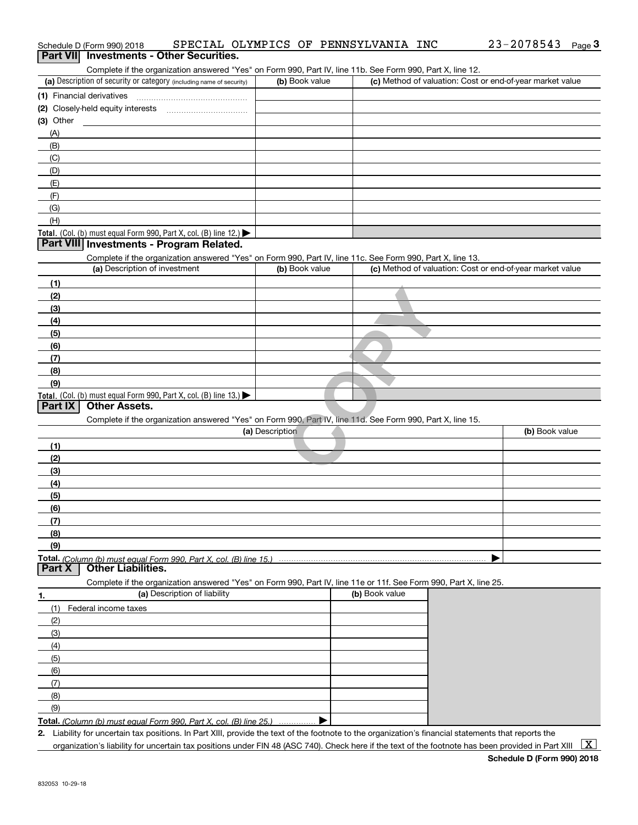| Schedule D (Form 990) 2018                                                                                                                           |                 | SPECIAL OLYMPICS OF PENNSYLVANIA INC                      | 23-2078543<br>Page $3$ |
|------------------------------------------------------------------------------------------------------------------------------------------------------|-----------------|-----------------------------------------------------------|------------------------|
| <b>Part VII</b> Investments - Other Securities.                                                                                                      |                 |                                                           |                        |
| Complete if the organization answered "Yes" on Form 990, Part IV, line 11b. See Form 990, Part X, line 12.                                           |                 |                                                           |                        |
| (a) Description of security or category (including name of security)                                                                                 | (b) Book value  | (c) Method of valuation: Cost or end-of-year market value |                        |
|                                                                                                                                                      |                 |                                                           |                        |
|                                                                                                                                                      |                 |                                                           |                        |
| (3) Other                                                                                                                                            |                 |                                                           |                        |
| (A)                                                                                                                                                  |                 |                                                           |                        |
| (B)                                                                                                                                                  |                 |                                                           |                        |
| (C)                                                                                                                                                  |                 |                                                           |                        |
| (D)<br>(E)                                                                                                                                           |                 |                                                           |                        |
| (F)                                                                                                                                                  |                 |                                                           |                        |
| (G)                                                                                                                                                  |                 |                                                           |                        |
| (H)                                                                                                                                                  |                 |                                                           |                        |
| Total. (Col. (b) must equal Form 990, Part X, col. (B) line 12.)                                                                                     |                 |                                                           |                        |
| Part VIII Investments - Program Related.                                                                                                             |                 |                                                           |                        |
| Complete if the organization answered "Yes" on Form 990, Part IV, line 11c. See Form 990, Part X, line 13.                                           |                 |                                                           |                        |
| (a) Description of investment                                                                                                                        | (b) Book value  | (c) Method of valuation: Cost or end-of-year market value |                        |
| (1)                                                                                                                                                  |                 |                                                           |                        |
| (2)                                                                                                                                                  |                 |                                                           |                        |
| (3)                                                                                                                                                  |                 |                                                           |                        |
| (4)                                                                                                                                                  |                 |                                                           |                        |
| (5)                                                                                                                                                  |                 |                                                           |                        |
| (6)                                                                                                                                                  |                 |                                                           |                        |
| (7)                                                                                                                                                  |                 |                                                           |                        |
| (8)                                                                                                                                                  |                 |                                                           |                        |
| (9)                                                                                                                                                  |                 |                                                           |                        |
| Total. (Col. (b) must equal Form 990, Part X, col. (B) line 13.)                                                                                     |                 |                                                           |                        |
| <b>Other Assets.</b><br><b>Part IX</b>                                                                                                               |                 |                                                           |                        |
| Complete if the organization answered "Yes" on Form 990, Part IV, line 11d. See Form 990, Part X, line 15.                                           |                 |                                                           |                        |
|                                                                                                                                                      | (a) Description |                                                           | (b) Book value         |
| (1)                                                                                                                                                  |                 |                                                           |                        |
| (2)                                                                                                                                                  |                 |                                                           |                        |
| (3)                                                                                                                                                  |                 |                                                           |                        |
| (4)                                                                                                                                                  |                 |                                                           |                        |
| (5)                                                                                                                                                  |                 |                                                           |                        |
| (6)                                                                                                                                                  |                 |                                                           |                        |
| (7)                                                                                                                                                  |                 |                                                           |                        |
| (8)                                                                                                                                                  |                 |                                                           |                        |
| (9)                                                                                                                                                  |                 |                                                           |                        |
| Total. (Column (b) must equal Form 990. Part X. col. (B) line 15.)                                                                                   |                 |                                                           |                        |
| <b>Other Liabilities.</b><br><b>Part X</b>                                                                                                           |                 |                                                           |                        |
| Complete if the organization answered "Yes" on Form 990, Part IV, line 11e or 11f. See Form 990, Part X, line 25.                                    |                 | (b) Book value                                            |                        |
| (a) Description of liability<br>1.                                                                                                                   |                 |                                                           |                        |
| (1)<br>Federal income taxes                                                                                                                          |                 |                                                           |                        |
| (2)                                                                                                                                                  |                 |                                                           |                        |
| (3)                                                                                                                                                  |                 |                                                           |                        |
| (4)                                                                                                                                                  |                 |                                                           |                        |
| (5)                                                                                                                                                  |                 |                                                           |                        |
| (6)                                                                                                                                                  |                 |                                                           |                        |
| (7)                                                                                                                                                  |                 |                                                           |                        |
| (8)                                                                                                                                                  |                 |                                                           |                        |
| (9)                                                                                                                                                  |                 |                                                           |                        |
| Total. (Column (b) must equal Form 990, Part X, col. (B) line 25.)                                                                                   |                 |                                                           |                        |
| 2. Liability for uncertain tax positions. In Part XIII, provide the text of the footnote to the organization's financial statements that reports the |                 |                                                           |                        |

organization's liability for uncertain tax positions under FIN 48 (ASC 740). Check here if the text of the footnote has been provided in Part XIII  $~\boxed{\rm X}$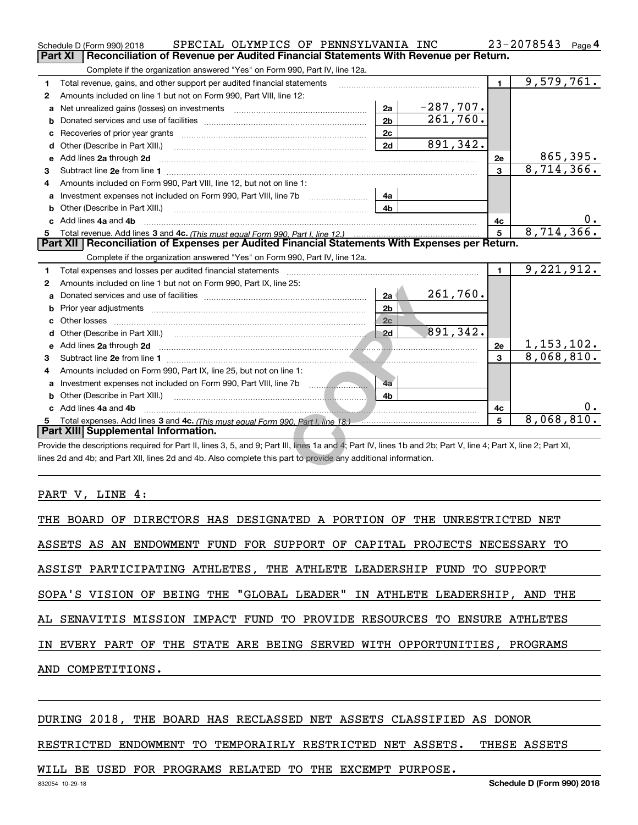|    | SPECIAL OLYMPICS OF PENNSYLVANIA INC<br>Schedule D (Form 990) 2018                                                                                             |                |             |                | 23-2078543<br>Page 4 |    |
|----|----------------------------------------------------------------------------------------------------------------------------------------------------------------|----------------|-------------|----------------|----------------------|----|
|    | Reconciliation of Revenue per Audited Financial Statements With Revenue per Return.<br><b>Part XI</b>                                                          |                |             |                |                      |    |
|    | Complete if the organization answered "Yes" on Form 990, Part IV, line 12a.                                                                                    |                |             |                |                      |    |
| 1  | Total revenue, gains, and other support per audited financial statements                                                                                       |                |             | 1.             | 9,579,761.           |    |
| 2  | Amounts included on line 1 but not on Form 990, Part VIII, line 12:                                                                                            |                |             |                |                      |    |
| a  |                                                                                                                                                                | 2a             | $-287,707.$ |                |                      |    |
| b  |                                                                                                                                                                | 2 <sub>b</sub> | 261,760.    |                |                      |    |
| c  | Recoveries of prior year grants [11] Recoveries of prior year grants [11] Recoveries of prior year grants                                                      | 2c             |             |                |                      |    |
| d  | Other (Describe in Part XIII.)                                                                                                                                 | 2d             | 891,342.    |                |                      |    |
| е  | Add lines 2a through 2d                                                                                                                                        |                |             | 2e             | 865,395.             |    |
| 3  |                                                                                                                                                                |                |             | $\mathbf{3}$   | 8,714,366.           |    |
| 4  | Amounts included on Form 990, Part VIII, line 12, but not on line 1:                                                                                           |                |             |                |                      |    |
| a  | Investment expenses not included on Form 990, Part VIII, line 7b [1000000000000000000000000000000000                                                           | 4a             |             |                |                      |    |
| b  |                                                                                                                                                                | 4b             |             |                |                      |    |
|    | Add lines 4a and 4b                                                                                                                                            |                |             | 4с             |                      | 0. |
|    |                                                                                                                                                                |                |             | 5              | 8,714,366.           |    |
|    | Part XII   Reconciliation of Expenses per Audited Financial Statements With Expenses per Return.                                                               |                |             |                |                      |    |
|    | Complete if the organization answered "Yes" on Form 990, Part IV, line 12a.                                                                                    |                |             |                |                      |    |
| 1  | Total expenses and losses per audited financial statements                                                                                                     |                |             | $\blacksquare$ | 9,221,912.           |    |
| 2  | Amounts included on line 1 but not on Form 990, Part IX, line 25:                                                                                              |                |             |                |                      |    |
| a  |                                                                                                                                                                | 2a             | 261,760.    |                |                      |    |
| b  |                                                                                                                                                                | 2 <sub>b</sub> |             |                |                      |    |
|    |                                                                                                                                                                | 2c             |             |                |                      |    |
| d  |                                                                                                                                                                |                | 891,342.    |                |                      |    |
| е  | Add lines 2a through 2d                                                                                                                                        |                |             | 2e             | 1, 153, 102.         |    |
| з  |                                                                                                                                                                |                |             | 3              | 8,068,810.           |    |
| 4  | Amounts included on Form 990, Part IX, line 25, but not on line 1:                                                                                             |                |             |                |                      |    |
|    |                                                                                                                                                                | 4a             |             |                |                      |    |
|    |                                                                                                                                                                | 4b             |             |                |                      |    |
| c. | Add lines 4a and 4b                                                                                                                                            |                |             | 4с             |                      | 0. |
| 5. | Total expenses. Add lines 3 and 4c. (This must equal Form 990, Part I, line 18.) [[[[[[[[[[[[[[[[[[[[[[[[[[[[]]]]]]]                                           |                |             | 5              | 8,068,810.           |    |
|    | Part XIII Supplemental Information.                                                                                                                            |                |             |                |                      |    |
|    | Provide the descriptions required for Part II, lines 3, 5, and 9; Part III, lines 1a and 4; Part IV, lines 1b and 2b; Part V, line 4; Part X, line 2; Part XI, |                |             |                |                      |    |
|    | lines 2d and 4b; and Part XII, lines 2d and 4b. Also complete this part to provide any additional information.                                                 |                |             |                |                      |    |
|    |                                                                                                                                                                |                |             |                |                      |    |

#### PART V, LINE 4:

| THE BOARD OF DIRECTORS HAS DESIGNATED A PORTION OF THE UNRESTRICTED NET   |
|---------------------------------------------------------------------------|
| ASSETS AS AN ENDOWMENT FUND FOR SUPPORT OF CAPITAL PROJECTS NECESSARY TO  |
| ASSIST PARTICIPATING ATHLETES, THE ATHLETE LEADERSHIP FUND TO SUPPORT     |
| SOPA'S VISION OF BEING THE "GLOBAL LEADER" IN ATHLETE LEADERSHIP, AND THE |
| AL SENAVITIS MISSION IMPACT FUND TO PROVIDE RESOURCES TO ENSURE ATHLETES  |
| IN EVERY PART OF THE STATE ARE BEING SERVED WITH OPPORTUNITIES, PROGRAMS  |
| AND COMPETITIONS.                                                         |
|                                                                           |

#### DURING 2018, THE BOARD HAS RECLASSED NET ASSETS CLASSIFIED AS DONOR

RESTRICTED ENDOWMENT TO TEMPORAIRLY RESTRICTED NET ASSETS. THESE ASSETS

#### WILL BE USED FOR PROGRAMS RELATED TO THE EXCEMPT PURPOSE.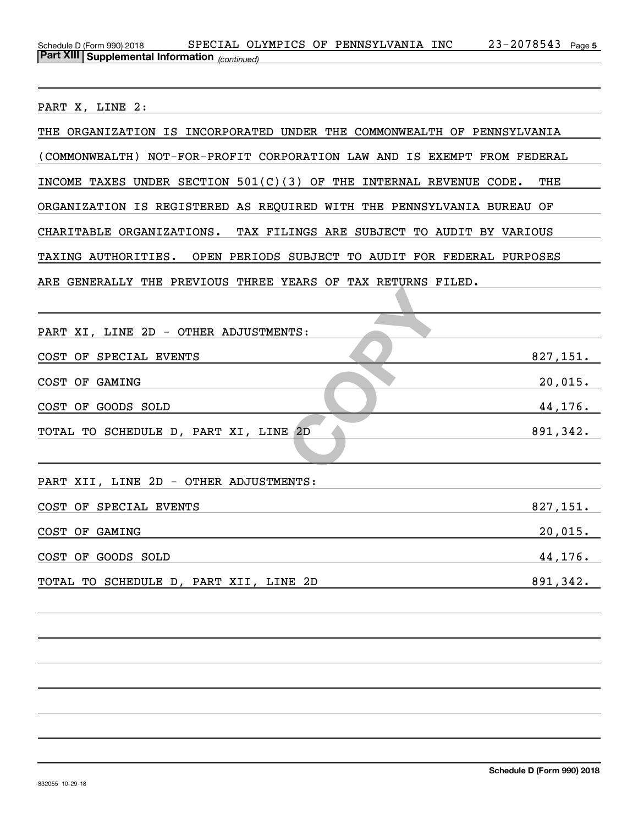#### Schedule D (Form 990) 2018 SPECIAL OLYMPICS OF PENNSYLVANIA INC 23-2078543 Page <del>5</del> *(continued)* **Part XIII Supplemental Information**

PART X, LINE 2:

| THE ORGANIZATION IS INCORPORATED UNDER THE COMMONWEALTH OF PENNSYLVANIA  |
|--------------------------------------------------------------------------|
| (COMMONWEALTH) NOT-FOR-PROFIT CORPORATION LAW AND IS EXEMPT FROM FEDERAL |
| INCOME TAXES UNDER SECTION $501(C)(3)$ OF THE INTERNAL REVENUE CODE. THE |
| ORGANIZATION IS REGISTERED AS REQUIRED WITH THE PENNSYLVANIA BUREAU OF   |
| CHARITABLE ORGANIZATIONS. TAX FILINGS ARE SUBJECT TO AUDIT BY VARIOUS    |
| TAXING AUTHORITIES. OPEN PERIODS SUBJECT TO AUDIT FOR FEDERAL PURPOSES   |
| ARE GENERALLY THE PREVIOUS THREE YEARS OF TAX RETURNS FILED.             |
|                                                                          |
| PART XI, LINE 2D - OTHER ADJUSTMENTS:                                    |
| 827,151.<br>COST OF SPECIAL EVENTS                                       |
| COST OF GAMING<br>$20,015$ .                                             |
| 44,176.<br>COST OF GOODS SOLD                                            |
| 891,342.<br>TOTAL TO SCHEDULE D, PART XI, LINE 2D                        |
|                                                                          |
| PART XII, LINE 2D - OTHER ADJUSTMENTS:                                   |
| 827,151.<br>COST OF SPECIAL EVENTS                                       |
| COST OF GAMING<br>$20,015$ .                                             |
| 44,176.<br>COST OF GOODS SOLD                                            |
| 891,342.<br>TOTAL TO SCHEDULE D, PART XII, LINE 2D                       |
|                                                                          |
|                                                                          |
|                                                                          |
|                                                                          |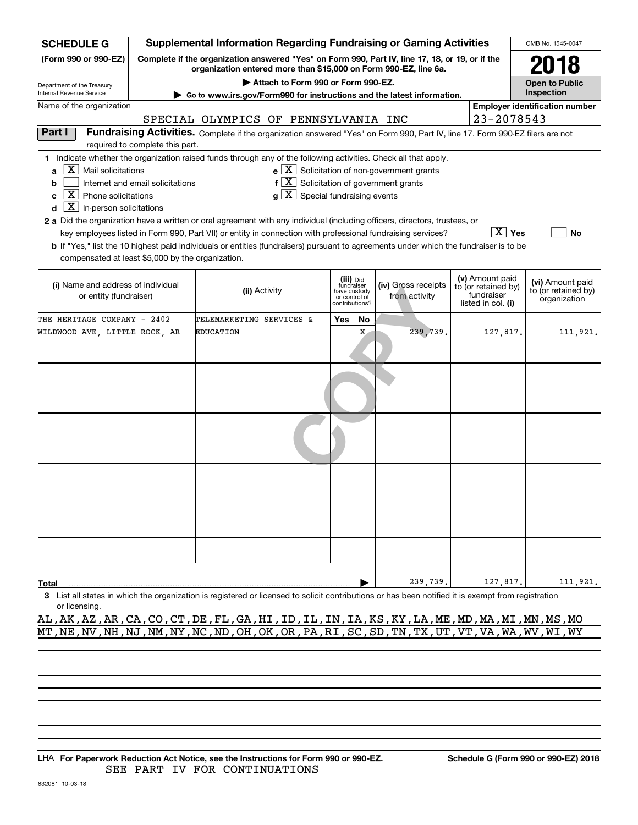| <b>SCHEDULE G</b>                                                                                                                                                   |                                                                                                                                                                             |                                      |                                          |     |                                         | <b>Supplemental Information Regarding Fundraising or Gaming Activities</b>                                                    |  |                                  | OMB No. 1545-0047                       |
|---------------------------------------------------------------------------------------------------------------------------------------------------------------------|-----------------------------------------------------------------------------------------------------------------------------------------------------------------------------|--------------------------------------|------------------------------------------|-----|-----------------------------------------|-------------------------------------------------------------------------------------------------------------------------------|--|----------------------------------|-----------------------------------------|
| (Form 990 or 990-EZ)                                                                                                                                                | Complete if the organization answered "Yes" on Form 990, Part IV, line 17, 18, or 19, or if the<br>2018<br>organization entered more than \$15,000 on Form 990-EZ, line 6a. |                                      |                                          |     |                                         |                                                                                                                               |  |                                  |                                         |
| Department of the Treasury                                                                                                                                          |                                                                                                                                                                             |                                      | Attach to Form 990 or Form 990-EZ.       |     |                                         |                                                                                                                               |  |                                  | <b>Open to Public</b>                   |
| Internal Revenue Service                                                                                                                                            |                                                                                                                                                                             |                                      |                                          |     |                                         | Go to www.irs.gov/Form990 for instructions and the latest information.                                                        |  |                                  | Inspection                              |
| Name of the organization                                                                                                                                            |                                                                                                                                                                             |                                      |                                          |     |                                         |                                                                                                                               |  |                                  | <b>Employer identification number</b>   |
|                                                                                                                                                                     |                                                                                                                                                                             | SPECIAL OLYMPICS OF PENNSYLVANIA INC |                                          |     |                                         |                                                                                                                               |  | 23-2078543                       |                                         |
| Part I                                                                                                                                                              | required to complete this part.                                                                                                                                             |                                      |                                          |     |                                         | Fundraising Activities. Complete if the organization answered "Yes" on Form 990, Part IV, line 17. Form 990-EZ filers are not |  |                                  |                                         |
| 1 Indicate whether the organization raised funds through any of the following activities. Check all that apply.                                                     |                                                                                                                                                                             |                                      |                                          |     |                                         |                                                                                                                               |  |                                  |                                         |
| $ X $ Mail solicitations<br>$\mathbf{a}$                                                                                                                            |                                                                                                                                                                             |                                      |                                          |     |                                         | $e$ $\boxed{\text{X}}$ Solicitation of non-government grants                                                                  |  |                                  |                                         |
| b                                                                                                                                                                   | Internet and email solicitations                                                                                                                                            |                                      | $f[X]$ Solicitation of government grants |     |                                         |                                                                                                                               |  |                                  |                                         |
| $\boxed{\textbf{X}}$ Phone solicitations<br>C                                                                                                                       |                                                                                                                                                                             |                                      | $g\mid X$ Special fundraising events     |     |                                         |                                                                                                                               |  |                                  |                                         |
| $\boxed{\textbf{X}}$ In-person solicitations<br>d                                                                                                                   |                                                                                                                                                                             |                                      |                                          |     |                                         |                                                                                                                               |  |                                  |                                         |
| 2 a Did the organization have a written or oral agreement with any individual (including officers, directors, trustees, or                                          |                                                                                                                                                                             |                                      |                                          |     |                                         |                                                                                                                               |  |                                  |                                         |
|                                                                                                                                                                     |                                                                                                                                                                             |                                      |                                          |     |                                         | key employees listed in Form 990, Part VII) or entity in connection with professional fundraising services?                   |  | $X$ Yes                          | No                                      |
| b If "Yes," list the 10 highest paid individuals or entities (fundraisers) pursuant to agreements under which the fundraiser is to be                               |                                                                                                                                                                             |                                      |                                          |     |                                         |                                                                                                                               |  |                                  |                                         |
| compensated at least \$5,000 by the organization.                                                                                                                   |                                                                                                                                                                             |                                      |                                          |     |                                         |                                                                                                                               |  |                                  |                                         |
|                                                                                                                                                                     |                                                                                                                                                                             |                                      |                                          |     |                                         |                                                                                                                               |  | (v) Amount paid                  |                                         |
| (i) Name and address of individual                                                                                                                                  |                                                                                                                                                                             | (ii) Activity                        |                                          |     | (iii) Did<br>fundraiser<br>have custody | (iv) Gross receipts                                                                                                           |  | to (or retained by)              | (vi) Amount paid<br>to (or retained by) |
| or entity (fundraiser)                                                                                                                                              |                                                                                                                                                                             |                                      |                                          |     | or control of<br>contributions?         | from activity                                                                                                                 |  | fundraiser<br>listed in col. (i) | organization                            |
| THE HERITAGE COMPANY - 2402                                                                                                                                         |                                                                                                                                                                             | TELEMARKETING SERVICES &             |                                          | Yes | No                                      |                                                                                                                               |  |                                  |                                         |
| WILDWOOD AVE, LITTLE ROCK, AR                                                                                                                                       |                                                                                                                                                                             | <b>EDUCATION</b>                     |                                          |     | X                                       | 239,739.                                                                                                                      |  | 127,817.                         | 111,921.                                |
|                                                                                                                                                                     |                                                                                                                                                                             |                                      |                                          |     |                                         |                                                                                                                               |  |                                  |                                         |
|                                                                                                                                                                     |                                                                                                                                                                             |                                      |                                          |     |                                         |                                                                                                                               |  |                                  |                                         |
|                                                                                                                                                                     |                                                                                                                                                                             |                                      |                                          |     |                                         |                                                                                                                               |  |                                  |                                         |
|                                                                                                                                                                     |                                                                                                                                                                             |                                      |                                          |     |                                         |                                                                                                                               |  |                                  |                                         |
|                                                                                                                                                                     |                                                                                                                                                                             |                                      |                                          |     |                                         |                                                                                                                               |  |                                  |                                         |
|                                                                                                                                                                     |                                                                                                                                                                             |                                      |                                          |     |                                         |                                                                                                                               |  |                                  |                                         |
|                                                                                                                                                                     |                                                                                                                                                                             |                                      |                                          |     |                                         |                                                                                                                               |  |                                  |                                         |
|                                                                                                                                                                     |                                                                                                                                                                             |                                      |                                          |     |                                         |                                                                                                                               |  |                                  |                                         |
|                                                                                                                                                                     |                                                                                                                                                                             |                                      |                                          |     |                                         |                                                                                                                               |  |                                  |                                         |
|                                                                                                                                                                     |                                                                                                                                                                             |                                      |                                          |     |                                         |                                                                                                                               |  |                                  |                                         |
|                                                                                                                                                                     |                                                                                                                                                                             |                                      |                                          |     |                                         |                                                                                                                               |  |                                  |                                         |
|                                                                                                                                                                     |                                                                                                                                                                             |                                      |                                          |     |                                         |                                                                                                                               |  |                                  |                                         |
|                                                                                                                                                                     |                                                                                                                                                                             |                                      |                                          |     |                                         |                                                                                                                               |  |                                  |                                         |
|                                                                                                                                                                     |                                                                                                                                                                             |                                      |                                          |     |                                         |                                                                                                                               |  |                                  |                                         |
|                                                                                                                                                                     |                                                                                                                                                                             |                                      |                                          |     |                                         |                                                                                                                               |  |                                  |                                         |
|                                                                                                                                                                     |                                                                                                                                                                             |                                      |                                          |     |                                         |                                                                                                                               |  |                                  |                                         |
|                                                                                                                                                                     |                                                                                                                                                                             |                                      |                                          |     |                                         |                                                                                                                               |  |                                  |                                         |
|                                                                                                                                                                     |                                                                                                                                                                             |                                      |                                          |     |                                         |                                                                                                                               |  |                                  |                                         |
|                                                                                                                                                                     |                                                                                                                                                                             |                                      |                                          |     |                                         |                                                                                                                               |  |                                  |                                         |
| Total                                                                                                                                                               |                                                                                                                                                                             |                                      |                                          |     |                                         | 239,739.                                                                                                                      |  | 127,817.                         | 111,921.                                |
| 3 List all states in which the organization is registered or licensed to solicit contributions or has been notified it is exempt from registration<br>or licensing. |                                                                                                                                                                             |                                      |                                          |     |                                         |                                                                                                                               |  |                                  |                                         |

AL,AK,AZ,AR,CA,CO,CT,DE,FL,GA,HI,ID,IL,IN,IA,KS,KY,LA,ME,MD,MA,MI,MN,MS,MO MT,NE,NV,NH,NJ,NM,NY,NC,ND,OH,OK,OR,PA,RI,SC,SD,TN,TX,UT,VT,VA,WA,WV,WI,WY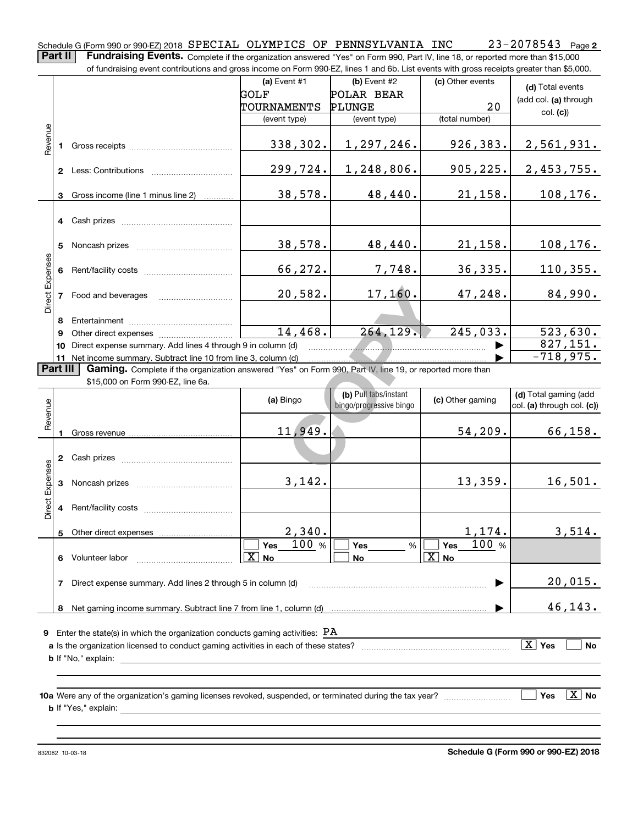23-2078543 Page 2 Schedule G (Form 990 or 990-EZ) 2018  ${\tt SPECIAL}$   ${\tt OLYMPICS}$   ${\tt OF}$   ${\tt PENNSYLVANIA}$   ${\tt INC}$   $23$  –  $2078543$   ${\tt Page}$ **Part II** | Fundraising Events. Complete if the organization answered "Yes" on Form 990, Part IV, line 18, or reported more than \$15,000

of fundraising event contributions and gross income on Form 990-EZ, lines 1 and 6b. List events with gross receipts greater than \$5,000.

|                        |                                                                                                                             | of fundraising event contributions and gross income on Form 990-EZ, lines 1 and 6b. List events with gross receipts greater than \$5,000. |              |                                                  |                     |                                                     |  |  |
|------------------------|-----------------------------------------------------------------------------------------------------------------------------|-------------------------------------------------------------------------------------------------------------------------------------------|--------------|--------------------------------------------------|---------------------|-----------------------------------------------------|--|--|
|                        |                                                                                                                             |                                                                                                                                           | (a) Event #1 | $(b)$ Event #2                                   | (c) Other events    | (d) Total events                                    |  |  |
|                        |                                                                                                                             |                                                                                                                                           | GOLF         | POLAR BEAR                                       |                     | (add col. (a) through                               |  |  |
|                        |                                                                                                                             |                                                                                                                                           | TOURNAMENTS  | <b>PLUNGE</b>                                    | 20                  | col. (c)                                            |  |  |
|                        |                                                                                                                             |                                                                                                                                           | (event type) | (event type)                                     | (total number)      |                                                     |  |  |
| Revenue                | 1.                                                                                                                          |                                                                                                                                           | 338,302.     | 1,297,246.                                       | 926,383.            | 2,561,931.                                          |  |  |
|                        |                                                                                                                             |                                                                                                                                           | 299,724.     | 1,248,806.                                       | 905, 225.           | 2,453,755.                                          |  |  |
|                        |                                                                                                                             | 3 Gross income (line 1 minus line 2)                                                                                                      | 38,578.      | 48,440.                                          | 21, 158.            | 108,176.                                            |  |  |
|                        |                                                                                                                             |                                                                                                                                           |              |                                                  |                     |                                                     |  |  |
|                        |                                                                                                                             |                                                                                                                                           | 38,578.      | 48,440.                                          | 21,158.             | 108, 176.                                           |  |  |
| Direct Expenses        |                                                                                                                             |                                                                                                                                           | 66,272.      | 7,748.                                           | 36,335.             | 110, 355.                                           |  |  |
|                        |                                                                                                                             | 7 Food and beverages                                                                                                                      | 20,582.      | 17, 160.                                         | 47,248.             | 84,990.                                             |  |  |
|                        | 8                                                                                                                           |                                                                                                                                           |              |                                                  |                     |                                                     |  |  |
|                        | 9                                                                                                                           |                                                                                                                                           | 14,468.      | 264, 129.                                        | 245,033.            | 523, 630.                                           |  |  |
|                        |                                                                                                                             | 10 Direct expense summary. Add lines 4 through 9 in column (d)                                                                            |              |                                                  |                     | 827,151.                                            |  |  |
|                        |                                                                                                                             | 11 Net income summary. Subtract line 10 from line 3, column (d)                                                                           |              |                                                  |                     | $-718,975.$                                         |  |  |
|                        | <b>Part III</b><br>Gaming. Complete if the organization answered "Yes" on Form 990, Part IV, line 19, or reported more than |                                                                                                                                           |              |                                                  |                     |                                                     |  |  |
|                        |                                                                                                                             | \$15,000 on Form 990-EZ, line 6a.                                                                                                         |              |                                                  |                     |                                                     |  |  |
| Revenue                |                                                                                                                             |                                                                                                                                           | (a) Bingo    | (b) Pull tabs/instant<br>bingo/progressive bingo | (c) Other gaming    | (d) Total gaming (add<br>col. (a) through col. (c)) |  |  |
|                        |                                                                                                                             |                                                                                                                                           | 11,949.      |                                                  | 54, 209.            | 66, 158.                                            |  |  |
|                        |                                                                                                                             |                                                                                                                                           |              |                                                  |                     |                                                     |  |  |
| <b>Direct Expenses</b> |                                                                                                                             |                                                                                                                                           | 3,142.       |                                                  | 13,359.             | 16,501.                                             |  |  |
|                        |                                                                                                                             |                                                                                                                                           |              |                                                  |                     |                                                     |  |  |
|                        | 5                                                                                                                           | Other direct expenses                                                                                                                     | 2,340.       |                                                  | 1,174.              | 3,514.                                              |  |  |
|                        |                                                                                                                             |                                                                                                                                           | 100 %<br>Yes | Yes<br>%                                         | 100 %<br><b>Yes</b> |                                                     |  |  |

**9**Enter the state(s) in which the organization conducts gaming activities: PA **10a** Were any of the organization's gaming licenses revoked, suspended, or terminated during the tax year? \_\_\_\_\_\_\_\_\_\_\_\_\_\_\_\_\_ **a** Is the organization licensed to conduct gaming activities in each of these states? \_\_\_\_\_\_\_\_\_\_\_\_\_\_\_\_\_\_\_\_\_\_\_\_\_\_\_\_\_\_\_ **b**If "No," explain: **X** Yes **No Yes** es  $|\,\texttt{X}\,|$  No

**No** X X

 $\sqrt{X}$  No  $\sqrt{X}$  No  $\sqrt{X}$ 

~~~~~~~~~~~~~~~~~~~~~~~~ |

**b** If "Yes," explain:

**6** Volunteer labor  $\ldots \ldots \ldots \ldots \ldots \ldots \ldots \ldots \ldots \ldots$ 

**7**Direct expense summary. Add lines 2 through 5 in column (d)

**8**Net gaming income summary. Subtract line 7 from line 1, column (d)

832082 10-03-18

 $\blacktriangleright$ 

20,015.

46,143.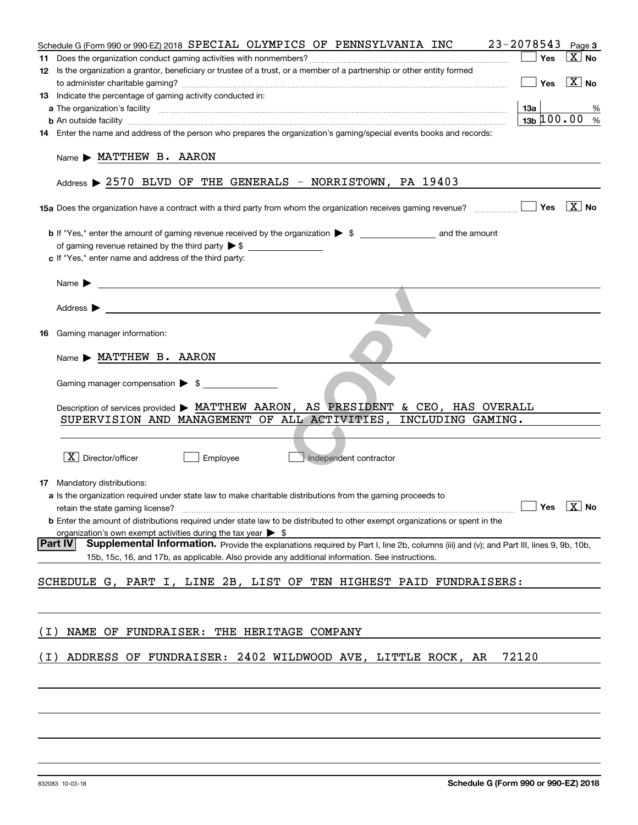|       | Schedule G (Form 990 or 990-EZ) 2018 SPECIAL OLYMPICS OF PENNSYLVANIA INC                                                                                                                                                                          | 23-2078543                    | Page 3                |
|-------|----------------------------------------------------------------------------------------------------------------------------------------------------------------------------------------------------------------------------------------------------|-------------------------------|-----------------------|
|       |                                                                                                                                                                                                                                                    | Yes                           | $\boxed{\text{X}}$ No |
|       | 12 Is the organization a grantor, beneficiary or trustee of a trust, or a member of a partnership or other entity formed                                                                                                                           |                               |                       |
|       |                                                                                                                                                                                                                                                    | Yes                           | $\boxed{\text{X}}$ No |
|       | 13 Indicate the percentage of gaming activity conducted in:                                                                                                                                                                                        |                               |                       |
|       |                                                                                                                                                                                                                                                    | 13а                           | %                     |
|       | <b>b</b> An outside facility <b>contained and the contract of the contract of the contract of the contract of the contract of the contract of the contract of the contract of the contract of the contract of the contract of the con</b>          | $13b \, 100.00$ %             |                       |
|       | 14 Enter the name and address of the person who prepares the organization's gaming/special events books and records:                                                                                                                               |                               |                       |
|       | Name > MATTHEW B. AARON<br>Address $\triangleright$ 2570 BLVD OF THE GENERALS - NORRISTOWN, PA 19403                                                                                                                                               |                               |                       |
|       |                                                                                                                                                                                                                                                    |                               |                       |
|       |                                                                                                                                                                                                                                                    |                               | $\boxed{\text{X}}$ No |
|       | c If "Yes," enter name and address of the third party:                                                                                                                                                                                             |                               |                       |
|       | Name $\blacktriangleright$                                                                                                                                                                                                                         |                               |                       |
|       | Address $\blacktriangleright$                                                                                                                                                                                                                      |                               |                       |
| 16    | Gaming manager information:                                                                                                                                                                                                                        |                               |                       |
|       | $Name$ $MATTHEW$ B. AARON                                                                                                                                                                                                                          |                               |                       |
|       | Gaming manager compensation $\triangleright$ \$<br>Description of services provided > MATTHEW AARON, AS PRESIDENT & CEO, HAS OVERALL                                                                                                               |                               |                       |
|       | SUPERVISION AND MANAGEMENT OF ALL ACTIVITIES, INCLUDING GAMING.                                                                                                                                                                                    |                               |                       |
|       |                                                                                                                                                                                                                                                    |                               |                       |
|       | $X$ Director/officer<br>Employee<br>Independent contractor                                                                                                                                                                                         |                               |                       |
|       | <b>17</b> Mandatory distributions:                                                                                                                                                                                                                 |                               |                       |
|       | a Is the organization required under state law to make charitable distributions from the gaming proceeds to<br><b>b</b> Enter the amount of distributions required under state law to be distributed to other exempt organizations or spent in the | $\sqrt{Y}$ Yes $\boxed{X}$ No |                       |
|       | organization's own exempt activities during the tax year $\triangleright$ \$<br><b>Part IV</b><br>Supplemental Information. Provide the explanations required by Part I, line 2b, columns (iii) and (v); and Part III, lines 9, 9b, 10b,           |                               |                       |
|       | 15b, 15c, 16, and 17b, as applicable. Also provide any additional information. See instructions.                                                                                                                                                   |                               |                       |
|       |                                                                                                                                                                                                                                                    |                               |                       |
|       | SCHEDULE G, PART I, LINE 2B, LIST OF TEN HIGHEST PAID FUNDRAISERS:                                                                                                                                                                                 |                               |                       |
|       |                                                                                                                                                                                                                                                    |                               |                       |
| ( I ) | NAME OF FUNDRAISER: THE HERITAGE COMPANY                                                                                                                                                                                                           |                               |                       |
| ( I ) | ADDRESS OF FUNDRAISER: 2402 WILDWOOD AVE, LITTLE ROCK, AR                                                                                                                                                                                          | 72120                         |                       |
|       |                                                                                                                                                                                                                                                    |                               |                       |
|       |                                                                                                                                                                                                                                                    |                               |                       |
|       |                                                                                                                                                                                                                                                    |                               |                       |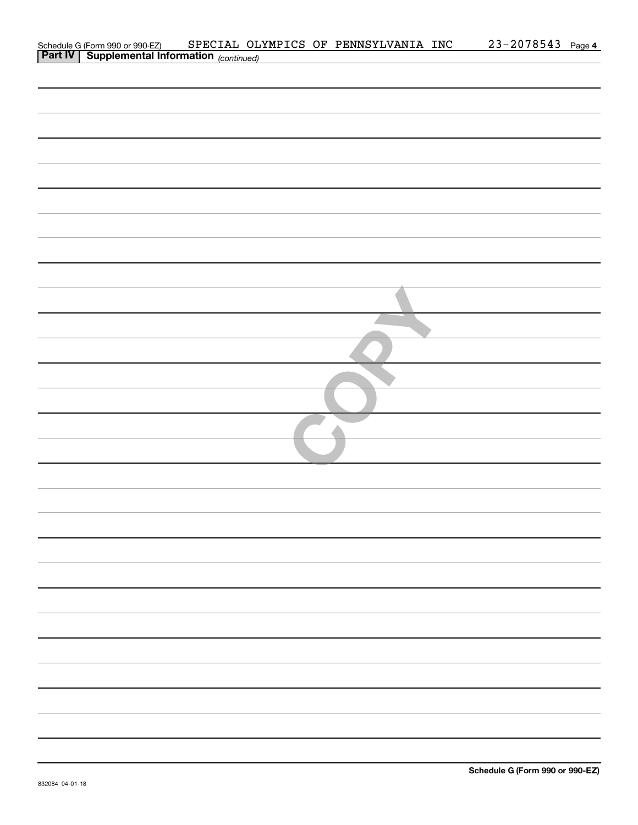| Schedule G (Form 990 or 990-EZ) SPECIAL OLI<br>Part IV Supplemental Information (continued) |  | SPECIAL OLYMPICS OF PENNSYLVANIA INC | $23 - 2078543$ Page 4 |  |
|---------------------------------------------------------------------------------------------|--|--------------------------------------|-----------------------|--|
|                                                                                             |  |                                      |                       |  |
|                                                                                             |  |                                      |                       |  |
|                                                                                             |  |                                      |                       |  |
|                                                                                             |  |                                      |                       |  |
|                                                                                             |  |                                      |                       |  |
|                                                                                             |  |                                      |                       |  |
|                                                                                             |  |                                      |                       |  |
|                                                                                             |  |                                      |                       |  |
|                                                                                             |  |                                      |                       |  |
|                                                                                             |  |                                      |                       |  |
|                                                                                             |  |                                      |                       |  |
|                                                                                             |  |                                      |                       |  |
|                                                                                             |  |                                      |                       |  |
|                                                                                             |  |                                      |                       |  |
|                                                                                             |  |                                      |                       |  |
|                                                                                             |  |                                      |                       |  |
|                                                                                             |  |                                      |                       |  |
|                                                                                             |  |                                      |                       |  |
|                                                                                             |  |                                      |                       |  |
|                                                                                             |  |                                      |                       |  |
|                                                                                             |  |                                      |                       |  |
|                                                                                             |  |                                      |                       |  |
|                                                                                             |  |                                      |                       |  |
|                                                                                             |  |                                      |                       |  |
|                                                                                             |  |                                      |                       |  |
|                                                                                             |  |                                      |                       |  |
|                                                                                             |  |                                      |                       |  |
|                                                                                             |  |                                      |                       |  |
|                                                                                             |  |                                      |                       |  |
|                                                                                             |  |                                      |                       |  |
|                                                                                             |  |                                      |                       |  |
|                                                                                             |  |                                      |                       |  |
|                                                                                             |  |                                      |                       |  |
|                                                                                             |  |                                      |                       |  |
|                                                                                             |  |                                      |                       |  |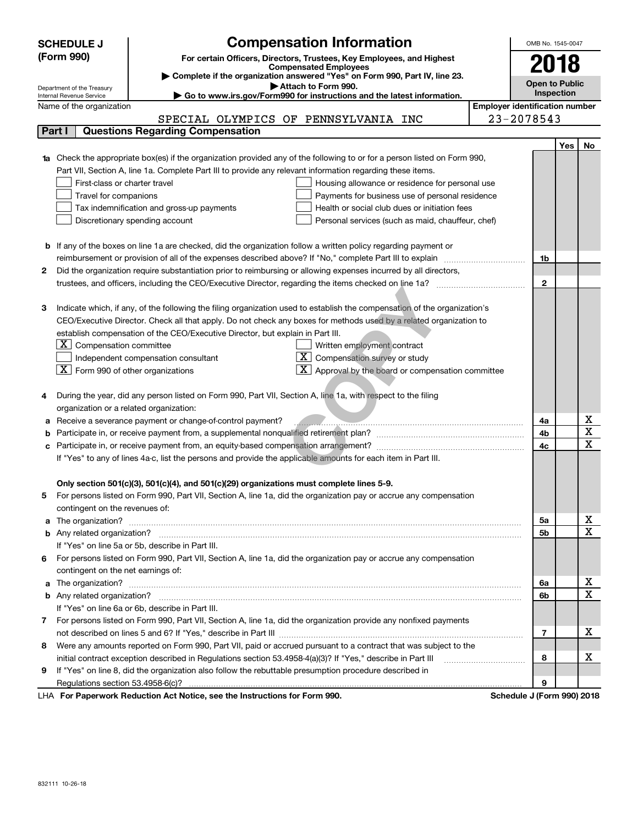|   | <b>SCHEDULE J</b>                                                                                                                                  | <b>Compensation Information</b>                                                                                                                                                                                                                 |  | OMB No. 1545-0047                     |            |             |  |  |
|---|----------------------------------------------------------------------------------------------------------------------------------------------------|-------------------------------------------------------------------------------------------------------------------------------------------------------------------------------------------------------------------------------------------------|--|---------------------------------------|------------|-------------|--|--|
|   | (Form 990)                                                                                                                                         | For certain Officers, Directors, Trustees, Key Employees, and Highest                                                                                                                                                                           |  |                                       | 2018       |             |  |  |
|   |                                                                                                                                                    | <b>Compensated Employees</b>                                                                                                                                                                                                                    |  |                                       |            |             |  |  |
|   |                                                                                                                                                    | Complete if the organization answered "Yes" on Form 990, Part IV, line 23.<br>Attach to Form 990.                                                                                                                                               |  | <b>Open to Public</b>                 |            |             |  |  |
|   | Department of the Treasury<br>Internal Revenue Service                                                                                             | ► Go to www.irs.gov/Form990 for instructions and the latest information.                                                                                                                                                                        |  |                                       | Inspection |             |  |  |
|   | Name of the organization                                                                                                                           |                                                                                                                                                                                                                                                 |  | <b>Employer identification number</b> |            |             |  |  |
|   |                                                                                                                                                    | SPECIAL OLYMPICS OF PENNSYLVANIA INC                                                                                                                                                                                                            |  | 23-2078543                            |            |             |  |  |
|   | Part I                                                                                                                                             | <b>Questions Regarding Compensation</b>                                                                                                                                                                                                         |  |                                       |            |             |  |  |
|   |                                                                                                                                                    |                                                                                                                                                                                                                                                 |  |                                       | Yes        | No          |  |  |
|   |                                                                                                                                                    | Check the appropriate box(es) if the organization provided any of the following to or for a person listed on Form 990,                                                                                                                          |  |                                       |            |             |  |  |
|   |                                                                                                                                                    | Part VII, Section A, line 1a. Complete Part III to provide any relevant information regarding these items.                                                                                                                                      |  |                                       |            |             |  |  |
|   | First-class or charter travel<br>Housing allowance or residence for personal use                                                                   |                                                                                                                                                                                                                                                 |  |                                       |            |             |  |  |
|   | Travel for companions                                                                                                                              | Payments for business use of personal residence                                                                                                                                                                                                 |  |                                       |            |             |  |  |
|   |                                                                                                                                                    | Tax indemnification and gross-up payments<br>Health or social club dues or initiation fees                                                                                                                                                      |  |                                       |            |             |  |  |
|   |                                                                                                                                                    | Discretionary spending account<br>Personal services (such as maid, chauffeur, chef)                                                                                                                                                             |  |                                       |            |             |  |  |
|   |                                                                                                                                                    |                                                                                                                                                                                                                                                 |  |                                       |            |             |  |  |
| b |                                                                                                                                                    | If any of the boxes on line 1a are checked, did the organization follow a written policy regarding payment or                                                                                                                                   |  | 1b                                    |            |             |  |  |
|   | reimbursement or provision of all of the expenses described above? If "No," complete Part III to explain                                           |                                                                                                                                                                                                                                                 |  |                                       |            |             |  |  |
| 2 |                                                                                                                                                    | Did the organization require substantiation prior to reimbursing or allowing expenses incurred by all directors,                                                                                                                                |  |                                       |            |             |  |  |
|   |                                                                                                                                                    |                                                                                                                                                                                                                                                 |  | $\mathbf{2}$                          |            |             |  |  |
|   |                                                                                                                                                    |                                                                                                                                                                                                                                                 |  |                                       |            |             |  |  |
| 3 |                                                                                                                                                    | Indicate which, if any, of the following the filing organization used to establish the compensation of the organization's<br>CEO/Executive Director. Check all that apply. Do not check any boxes for methods used by a related organization to |  |                                       |            |             |  |  |
|   |                                                                                                                                                    |                                                                                                                                                                                                                                                 |  |                                       |            |             |  |  |
|   | establish compensation of the CEO/Executive Director, but explain in Part III.<br>$X$ Compensation committee<br>Written employment contract        |                                                                                                                                                                                                                                                 |  |                                       |            |             |  |  |
|   |                                                                                                                                                    | $X$ Compensation survey or study                                                                                                                                                                                                                |  |                                       |            |             |  |  |
|   | Independent compensation consultant<br>$\boxed{\textbf{X}}$ Form 990 of other organizations<br>$X$ Approval by the board or compensation committee |                                                                                                                                                                                                                                                 |  |                                       |            |             |  |  |
|   |                                                                                                                                                    |                                                                                                                                                                                                                                                 |  |                                       |            |             |  |  |
| 4 |                                                                                                                                                    | During the year, did any person listed on Form 990, Part VII, Section A, line 1a, with respect to the filing                                                                                                                                    |  |                                       |            |             |  |  |
|   | organization or a related organization:                                                                                                            |                                                                                                                                                                                                                                                 |  |                                       |            |             |  |  |
| а |                                                                                                                                                    | Receive a severance payment or change-of-control payment?                                                                                                                                                                                       |  | 4a                                    |            | х           |  |  |
|   |                                                                                                                                                    |                                                                                                                                                                                                                                                 |  | 4b                                    |            | $\mathbf X$ |  |  |
| с |                                                                                                                                                    |                                                                                                                                                                                                                                                 |  | 4c                                    |            | X           |  |  |
|   |                                                                                                                                                    | If "Yes" to any of lines 4a-c, list the persons and provide the applicable amounts for each item in Part III.                                                                                                                                   |  |                                       |            |             |  |  |
|   |                                                                                                                                                    |                                                                                                                                                                                                                                                 |  |                                       |            |             |  |  |
|   |                                                                                                                                                    | Only section 501(c)(3), 501(c)(4), and 501(c)(29) organizations must complete lines 5-9.                                                                                                                                                        |  |                                       |            |             |  |  |
| 5 |                                                                                                                                                    | For persons listed on Form 990, Part VII, Section A, line 1a, did the organization pay or accrue any compensation                                                                                                                               |  |                                       |            |             |  |  |
|   | contingent on the revenues of:                                                                                                                     |                                                                                                                                                                                                                                                 |  | 5а                                    |            | х           |  |  |
| a |                                                                                                                                                    |                                                                                                                                                                                                                                                 |  |                                       |            |             |  |  |
|   |                                                                                                                                                    |                                                                                                                                                                                                                                                 |  | 5b                                    |            | X           |  |  |
|   |                                                                                                                                                    | If "Yes" on line 5a or 5b, describe in Part III.                                                                                                                                                                                                |  |                                       |            |             |  |  |
|   |                                                                                                                                                    | 6 For persons listed on Form 990, Part VII, Section A, line 1a, did the organization pay or accrue any compensation                                                                                                                             |  |                                       |            |             |  |  |
|   | contingent on the net earnings of:                                                                                                                 |                                                                                                                                                                                                                                                 |  | 6a                                    |            | x           |  |  |
| a |                                                                                                                                                    |                                                                                                                                                                                                                                                 |  |                                       |            |             |  |  |
|   |                                                                                                                                                    |                                                                                                                                                                                                                                                 |  | 6b                                    |            | X           |  |  |
|   |                                                                                                                                                    | If "Yes" on line 6a or 6b, describe in Part III.                                                                                                                                                                                                |  |                                       |            |             |  |  |
|   |                                                                                                                                                    | 7 For persons listed on Form 990, Part VII, Section A, line 1a, did the organization provide any nonfixed payments                                                                                                                              |  |                                       |            | x           |  |  |
|   |                                                                                                                                                    | Were any amounts reported on Form 990, Part VII, paid or accrued pursuant to a contract that was subject to the                                                                                                                                 |  | 7                                     |            |             |  |  |
| 8 |                                                                                                                                                    |                                                                                                                                                                                                                                                 |  | 8                                     |            | x           |  |  |
| 9 |                                                                                                                                                    | initial contract exception described in Regulations section 53.4958-4(a)(3)? If "Yes," describe in Part III<br>If "Yes" on line 8, did the organization also follow the rebuttable presumption procedure described in                           |  |                                       |            |             |  |  |
|   |                                                                                                                                                    |                                                                                                                                                                                                                                                 |  | 9                                     |            |             |  |  |
|   |                                                                                                                                                    |                                                                                                                                                                                                                                                 |  |                                       |            |             |  |  |

LHA For Paperwork Reduction Act Notice, see the Instructions for Form 990. Schedule J (Form 990) 2018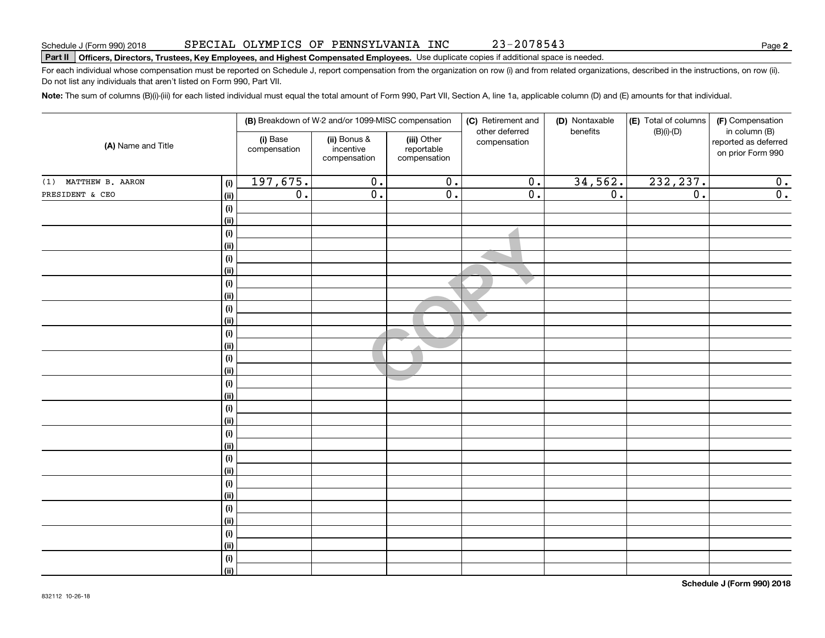# **Part II Officers, Directors, Trustees, Key Employees, and Highest Compensated Employees.**  Schedule J (Form 990) 2018 Page Use duplicate copies if additional space is needed.

For each individual whose compensation must be reported on Schedule J, report compensation from the organization on row (i) and from related organizations, described in the instructions, on row (ii). Do not list any individuals that aren't listed on Form 990, Part VII.

**Note:**  The sum of columns (B)(i)-(iii) for each listed individual must equal the total amount of Form 990, Part VII, Section A, line 1a, applicable column (D) and (E) amounts for that individual.

|                      |                           |                          | (B) Breakdown of W-2 and/or 1099-MISC compensation                                                     |                  | (C) Retirement and<br>other deferred | (D) Nontaxable<br>benefits | (E) Total of columns<br>$(B)(i)-(D)$      | (F) Compensation<br>in column (B) |  |
|----------------------|---------------------------|--------------------------|--------------------------------------------------------------------------------------------------------|------------------|--------------------------------------|----------------------------|-------------------------------------------|-----------------------------------|--|
| (A) Name and Title   |                           | (i) Base<br>compensation | (ii) Bonus &<br>(iii) Other<br>compensation<br>incentive<br>reportable<br>compensation<br>compensation |                  |                                      |                            | reported as deferred<br>on prior Form 990 |                                   |  |
| (1) MATTHEW B. AARON | (i)                       | 197,675.                 | $\overline{0}$ .                                                                                       | $\overline{0}$ . | $\overline{0}$ .                     | 34,562.                    | 232, 237.                                 | 0.                                |  |
| PRESIDENT & CEO      | <u>(ii)</u>               | $\overline{0}$ .         | $\overline{0}$ .                                                                                       | $\overline{0}$ . | $\overline{0}$ .                     | $\overline{0}$ .           | $\overline{0}$ .                          | $\overline{0}$ .                  |  |
|                      | (i)                       |                          |                                                                                                        |                  |                                      |                            |                                           |                                   |  |
|                      | <u>(ii)</u>               |                          |                                                                                                        |                  |                                      |                            |                                           |                                   |  |
|                      | (i)                       |                          |                                                                                                        |                  |                                      |                            |                                           |                                   |  |
|                      | <u>(ii)</u>               |                          |                                                                                                        |                  |                                      |                            |                                           |                                   |  |
|                      | $(\sf{i})$                |                          |                                                                                                        |                  |                                      |                            |                                           |                                   |  |
|                      | (ii)                      |                          |                                                                                                        |                  |                                      |                            |                                           |                                   |  |
|                      | $(\sf{i})$                |                          |                                                                                                        |                  |                                      |                            |                                           |                                   |  |
|                      | (ii)                      |                          |                                                                                                        |                  |                                      |                            |                                           |                                   |  |
|                      | $(\sf{i})$                |                          |                                                                                                        |                  |                                      |                            |                                           |                                   |  |
|                      | (ii)                      |                          |                                                                                                        |                  |                                      |                            |                                           |                                   |  |
|                      | $(\sf{i})$                |                          |                                                                                                        |                  |                                      |                            |                                           |                                   |  |
|                      | <u>(ii)</u><br>$(\sf{i})$ |                          |                                                                                                        |                  |                                      |                            |                                           |                                   |  |
|                      | <u>(ii)</u>               |                          |                                                                                                        |                  |                                      |                            |                                           |                                   |  |
|                      | $(\sf{i})$                |                          |                                                                                                        |                  |                                      |                            |                                           |                                   |  |
|                      | <u>(ii)</u>               |                          |                                                                                                        |                  |                                      |                            |                                           |                                   |  |
|                      | $(\sf{i})$                |                          |                                                                                                        |                  |                                      |                            |                                           |                                   |  |
|                      | (ii)                      |                          |                                                                                                        |                  |                                      |                            |                                           |                                   |  |
|                      | (i)                       |                          |                                                                                                        |                  |                                      |                            |                                           |                                   |  |
|                      | (ii)                      |                          |                                                                                                        |                  |                                      |                            |                                           |                                   |  |
|                      | (i)                       |                          |                                                                                                        |                  |                                      |                            |                                           |                                   |  |
|                      | (ii)                      |                          |                                                                                                        |                  |                                      |                            |                                           |                                   |  |
|                      | (i)                       |                          |                                                                                                        |                  |                                      |                            |                                           |                                   |  |
|                      | (ii)                      |                          |                                                                                                        |                  |                                      |                            |                                           |                                   |  |
|                      | (i)                       |                          |                                                                                                        |                  |                                      |                            |                                           |                                   |  |
|                      | (ii)                      |                          |                                                                                                        |                  |                                      |                            |                                           |                                   |  |
|                      | (i)                       |                          |                                                                                                        |                  |                                      |                            |                                           |                                   |  |
|                      | <u>(ii)</u>               |                          |                                                                                                        |                  |                                      |                            |                                           |                                   |  |
|                      | (i)                       |                          |                                                                                                        |                  |                                      |                            |                                           |                                   |  |
|                      | $\overline{}}$            |                          |                                                                                                        |                  |                                      |                            |                                           |                                   |  |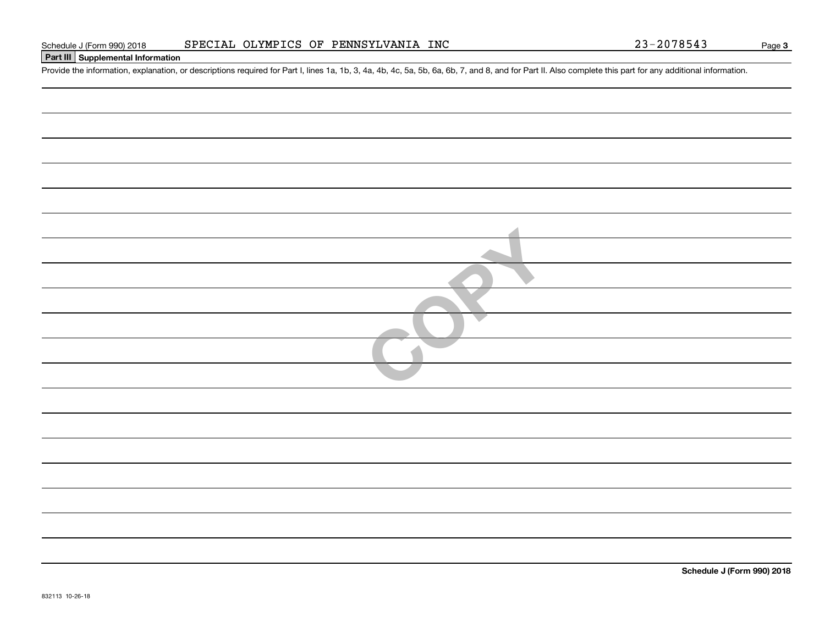## **Part III Supplemental Information**

Schedule J (Form 990) 2018 SPECIAL OLYMPICS OF PENNSYLVANIA INC<br>Part III Supplemental Information<br>Provide the information, explanation, or descriptions required for Part I, lines 1a, 1b, 3, 4a, 4b, 4c, 5a, 5b, 6a, 6b, 7, a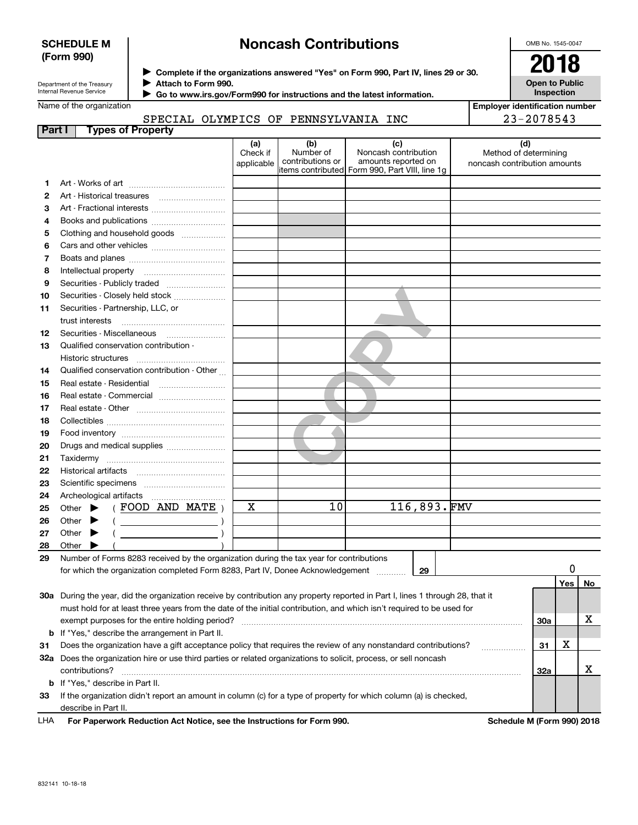#### **SCHEDULE M (Form 990)**

# **Noncash Contributions**

OMB No. 1545-0047

**Open to Public Inspection**

| Department of the Treasury |
|----------------------------|
| Internal Revenue Service   |

**Complete if the organizations answered "Yes" on Form 990, Part IV, lines 29 or 30.** <sup>J</sup>**2018**

**Attach to Form 990.** J

 **Go to www.irs.gov/Form990 for instructions and the latest information.** J

Name of the organization

#### SPECIAL OLYMPICS OF PENNSYLVANIA INC

| <b>Employer identification number</b> |
|---------------------------------------|
| 23-2078543                            |

|  | SPECIAL OLYMPICS OF PENNSYLVANIA INC |  |
|--|--------------------------------------|--|
|  |                                      |  |

| Part I | <b>Types of Property</b>                                                                                                       |                               |                                      |                                                                                                      |                                                       |                            |    |
|--------|--------------------------------------------------------------------------------------------------------------------------------|-------------------------------|--------------------------------------|------------------------------------------------------------------------------------------------------|-------------------------------------------------------|----------------------------|----|
|        |                                                                                                                                | (a)<br>Check if<br>applicable | (b)<br>Number of<br>contributions or | (c)<br>Noncash contribution<br>amounts reported on<br>items contributed Form 990, Part VIII, line 1g | Method of determining<br>noncash contribution amounts | (d)                        |    |
| 1      |                                                                                                                                |                               |                                      |                                                                                                      |                                                       |                            |    |
| 2      |                                                                                                                                |                               |                                      |                                                                                                      |                                                       |                            |    |
| з      | Art - Fractional interests                                                                                                     |                               |                                      |                                                                                                      |                                                       |                            |    |
| 4      | Books and publications                                                                                                         |                               |                                      |                                                                                                      |                                                       |                            |    |
| 5      | Clothing and household goods                                                                                                   |                               |                                      |                                                                                                      |                                                       |                            |    |
| 6      |                                                                                                                                |                               |                                      |                                                                                                      |                                                       |                            |    |
| 7      |                                                                                                                                |                               |                                      |                                                                                                      |                                                       |                            |    |
| 8      | Intellectual property                                                                                                          |                               |                                      |                                                                                                      |                                                       |                            |    |
| 9      | Securities - Publicly traded                                                                                                   |                               |                                      |                                                                                                      |                                                       |                            |    |
| 10     | Securities - Closely held stock                                                                                                |                               |                                      |                                                                                                      |                                                       |                            |    |
|        | Securities - Partnership, LLC, or                                                                                              |                               |                                      |                                                                                                      |                                                       |                            |    |
| 11     | trust interests                                                                                                                |                               |                                      |                                                                                                      |                                                       |                            |    |
| 12     | Securities - Miscellaneous                                                                                                     |                               |                                      |                                                                                                      |                                                       |                            |    |
| 13     | Qualified conservation contribution -                                                                                          |                               |                                      |                                                                                                      |                                                       |                            |    |
|        | Historic structures                                                                                                            |                               |                                      |                                                                                                      |                                                       |                            |    |
| 14     | Qualified conservation contribution - Other                                                                                    |                               |                                      |                                                                                                      |                                                       |                            |    |
| 15     | Real estate - Residential                                                                                                      |                               |                                      |                                                                                                      |                                                       |                            |    |
| 16     | Real estate - Commercial                                                                                                       |                               |                                      |                                                                                                      |                                                       |                            |    |
| 17     |                                                                                                                                |                               |                                      |                                                                                                      |                                                       |                            |    |
| 18     |                                                                                                                                |                               |                                      |                                                                                                      |                                                       |                            |    |
| 19     |                                                                                                                                |                               |                                      |                                                                                                      |                                                       |                            |    |
| 20     | Drugs and medical supplies                                                                                                     |                               |                                      |                                                                                                      |                                                       |                            |    |
| 21     |                                                                                                                                |                               |                                      |                                                                                                      |                                                       |                            |    |
| 22     |                                                                                                                                |                               |                                      |                                                                                                      |                                                       |                            |    |
| 23     |                                                                                                                                |                               |                                      |                                                                                                      |                                                       |                            |    |
| 24     | Archeological artifacts                                                                                                        |                               |                                      |                                                                                                      |                                                       |                            |    |
| 25     | (FOOD AND MATE)<br>Other $\blacktriangleright$                                                                                 | х                             | 10                                   | 116,893.FMV                                                                                          |                                                       |                            |    |
| 26     | Other<br>$\left(\begin{array}{ccc}\n\end{array}\right)$                                                                        |                               |                                      |                                                                                                      |                                                       |                            |    |
| 27     | $($ $)$<br>Other                                                                                                               |                               |                                      |                                                                                                      |                                                       |                            |    |
| 28     | Other                                                                                                                          |                               |                                      |                                                                                                      |                                                       |                            |    |
| 29     | Number of Forms 8283 received by the organization during the tax year for contributions                                        |                               |                                      |                                                                                                      |                                                       |                            |    |
|        | for which the organization completed Form 8283, Part IV, Donee Acknowledgement                                                 |                               |                                      | 29                                                                                                   |                                                       |                            |    |
|        |                                                                                                                                |                               |                                      |                                                                                                      |                                                       | Yes                        | No |
|        | 30a During the year, did the organization receive by contribution any property reported in Part I, lines 1 through 28, that it |                               |                                      |                                                                                                      |                                                       |                            |    |
|        | must hold for at least three years from the date of the initial contribution, and which isn't required to be used for          |                               |                                      |                                                                                                      |                                                       |                            |    |
|        | exempt purposes for the entire holding period?                                                                                 |                               |                                      |                                                                                                      |                                                       | 30a                        | х  |
|        | <b>b</b> If "Yes," describe the arrangement in Part II.                                                                        |                               |                                      |                                                                                                      |                                                       |                            |    |
| 31     | Does the organization have a gift acceptance policy that requires the review of any nonstandard contributions?                 |                               |                                      |                                                                                                      |                                                       | х<br>31                    |    |
|        | 32a Does the organization hire or use third parties or related organizations to solicit, process, or sell noncash              |                               |                                      |                                                                                                      |                                                       |                            |    |
|        | contributions?                                                                                                                 |                               |                                      |                                                                                                      |                                                       | <b>32a</b>                 | x  |
|        | <b>b</b> If "Yes," describe in Part II.                                                                                        |                               |                                      |                                                                                                      |                                                       |                            |    |
| 33     | If the organization didn't report an amount in column (c) for a type of property for which column (a) is checked,              |                               |                                      |                                                                                                      |                                                       |                            |    |
|        | describe in Part II.                                                                                                           |                               |                                      |                                                                                                      |                                                       |                            |    |
| LHA    | For Paperwork Reduction Act Notice, see the Instructions for Form 990.                                                         |                               |                                      |                                                                                                      |                                                       | Schedule M (Form 990) 2018 |    |
|        |                                                                                                                                |                               |                                      |                                                                                                      |                                                       |                            |    |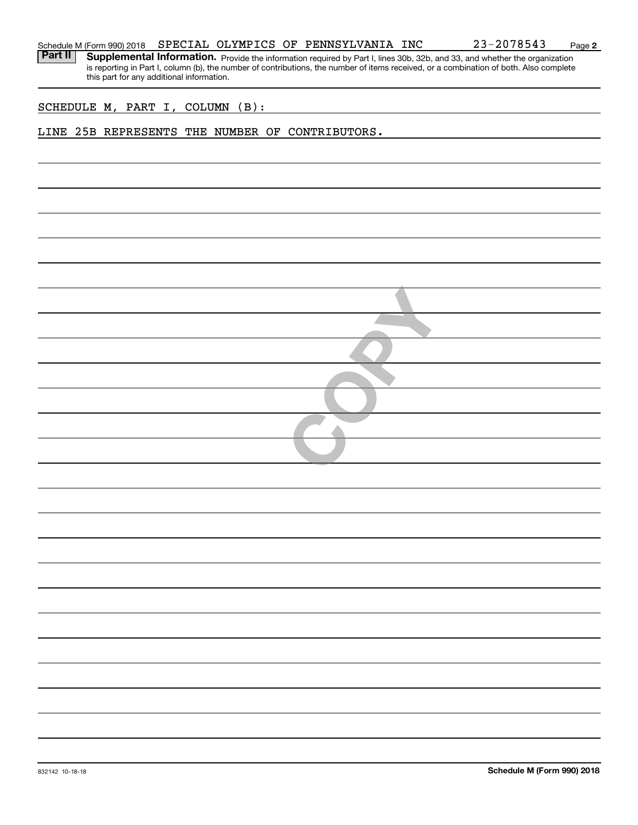**2**

Part II | Supplemental Information. Provide the information required by Part I, lines 30b, 32b, and 33, and whether the organization is reporting in Part I, column (b), the number of contributions, the number of items received, or a combination of both. Also complete this part for any additional information.

SCHEDULE M, PART I, COLUMN (B):

#### LINE 25B REPRESENTS THE NUMBER OF CONTRIBUTORS.

| $\leftarrow$ |  |
|--------------|--|
|              |  |
|              |  |
|              |  |
|              |  |
|              |  |
|              |  |
|              |  |
|              |  |
|              |  |
|              |  |
|              |  |
|              |  |
|              |  |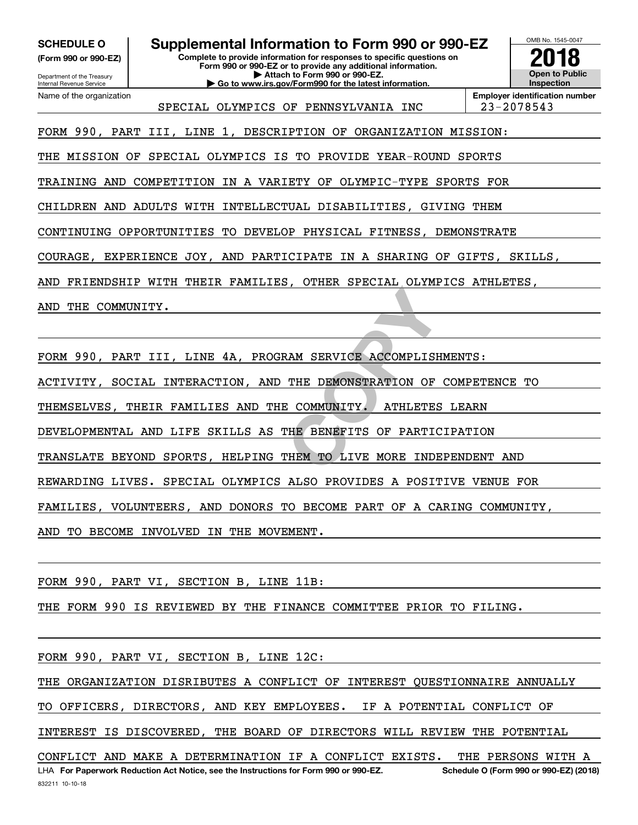Department of the Treasury **(Form 990 or 990-EZ)**

Name of the organization

Internal Revenue Service

### **SCHEDULE O Supplemental Information to Form 990 or 990-EZ**

**Complete to provide information for responses to specific questions on Form 990 or 990-EZ or to provide any additional information. | Attach to Form 990 or 990-EZ. | Go to www.irs.gov/Form990 for the latest information.**



SPECIAL OLYMPICS OF PENNSYLVANIA INC | 23-2078543

**Employer identification number**

FORM 990, PART III, LINE 1, DESCRIPTION OF ORGANIZATION MISSION:

THE MISSION OF SPECIAL OLYMPICS IS TO PROVIDE YEAR-ROUND SPORTS

TRAINING AND COMPETITION IN A VARIETY OF OLYMPIC-TYPE SPORTS FOR

CHILDREN AND ADULTS WITH INTELLECTUAL DISABILITIES, GIVING THEM

CONTINUING OPPORTUNITIES TO DEVELOP PHYSICAL FITNESS, DEMONSTRATE

COURAGE, EXPERIENCE JOY, AND PARTICIPATE IN A SHARING OF GIFTS, SKILLS,

AND FRIENDSHIP WITH THEIR FAMILIES, OTHER SPECIAL OLYMPICS ATHLETES,

AND THE COMMUNITY.

**EXAM SERVICE ACCOMPLISH<br>THE DEMONSTRATION OF<br>E COMMUNITY. ATHLETES<br>THE BENEFITS OF PARTIC<br>THEM TO LIVE MORE INDE** FORM 990, PART III, LINE 4A, PROGRAM SERVICE ACCOMPLISHMENTS:

ACTIVITY, SOCIAL INTERACTION, AND THE DEMONSTRATION OF COMPETENCE TO

THEMSELVES, THEIR FAMILIES AND THE COMMUNITY. ATHLETES LEARN

DEVELOPMENTAL AND LIFE SKILLS AS THE BENEFITS OF PARTICIPATION

TRANSLATE BEYOND SPORTS, HELPING THEM TO LIVE MORE INDEPENDENT AND

REWARDING LIVES. SPECIAL OLYMPICS ALSO PROVIDES A POSITIVE VENUE FOR

FAMILIES, VOLUNTEERS, AND DONORS TO BECOME PART OF A CARING COMMUNITY,

AND TO BECOME INVOLVED IN THE MOVEMENT.

FORM 990, PART VI, SECTION B, LINE 11B:

THE FORM 990 IS REVIEWED BY THE FINANCE COMMITTEE PRIOR TO FILING.

FORM 990, PART VI, SECTION B, LINE 12C:

THE ORGANIZATION DISRIBUTES A CONFLICT OF INTEREST QUESTIONNAIRE ANNUALLY

TO OFFICERS, DIRECTORS, AND KEY EMPLOYEES. IF A POTENTIAL CONFLICT OF

INTEREST IS DISCOVERED, THE BOARD OF DIRECTORS WILL REVIEW THE POTENTIAL

832211 10-10-18 LHA For Paperwork Reduction Act Notice, see the Instructions for Form 990 or 990-EZ. Schedule O (Form 990 or 990-EZ) (2018) CONFLICT AND MAKE A DETERMINATION IF A CONFLICT EXISTS. THE PERSONS WITH A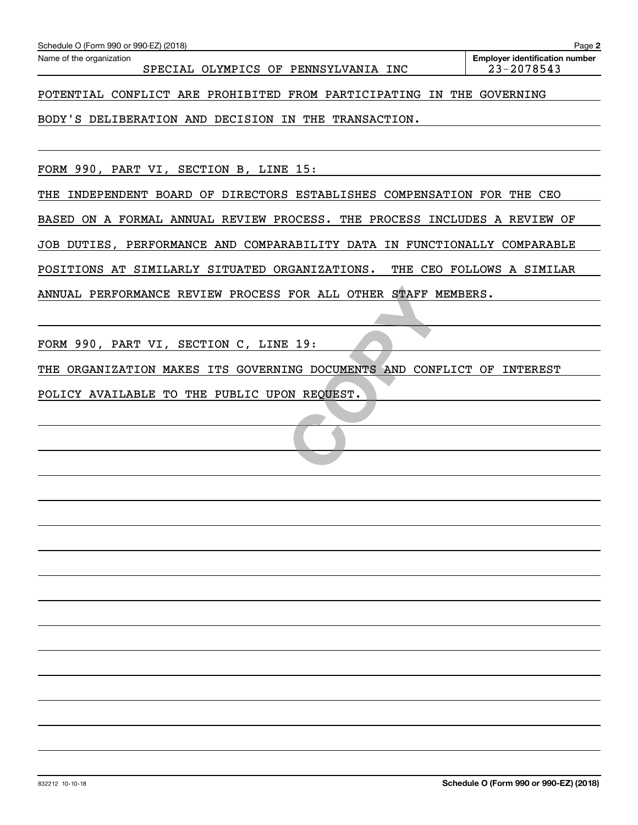| Schedule O (Form 990 or 990-EZ) (2018)                                     | Page 2                                              |
|----------------------------------------------------------------------------|-----------------------------------------------------|
| Name of the organization<br>SPECIAL OLYMPICS OF PENNSYLVANIA INC           | <b>Employer identification number</b><br>23-2078543 |
| POTENTIAL CONFLICT ARE PROHIBITED FROM PARTICIPATING IN THE GOVERNING      |                                                     |
| BODY'S DELIBERATION AND DECISION IN THE TRANSACTION.                       |                                                     |
|                                                                            |                                                     |
| FORM 990, PART VI, SECTION B, LINE 15:                                     |                                                     |
| INDEPENDENT BOARD OF DIRECTORS ESTABLISHES COMPENSATION FOR THE CEO<br>THE |                                                     |

BASED ON A FORMAL ANNUAL REVIEW PROCESS. THE PROCESS INCLUDES A REVIEW OF JOB DUTIES, PERFORMANCE AND COMPARABILITY DATA IN FUNCTIONALLY COMPARABLE POSITIONS AT SIMILARLY SITUATED ORGANIZATIONS. THE CEO FOLLOWS A SIMILAR ANNUAL PERFORMANCE REVIEW PROCESS FOR ALL OTHER STAFF MEMBERS.

FORM 990, PART VI, SECTION C, LINE 19:

FOR ALL OTHER STAFF M THE ORGANIZATION MAKES ITS GOVERNING DOCUMENTS AND CONFLICT OF INTEREST

POLICY AVAILABLE TO THE PUBLIC UPON REQUEST.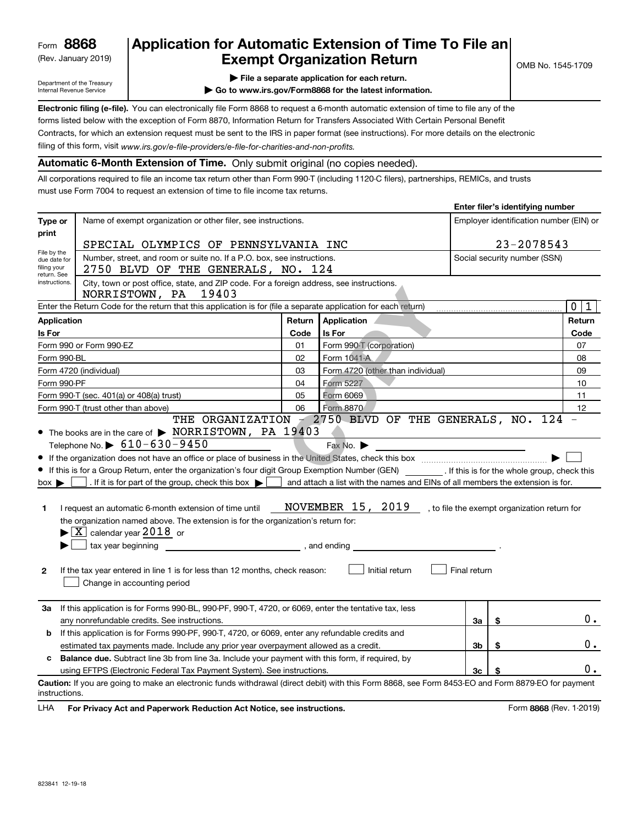(Rev. January 2019)

## **Application for Automatic Extension of Time To File an Exempt Organization Return**

**Enter filer's identifying number**

Department of the Treasury Internal Revenue Service

- **| File a separate application for each return.**
- **| Go to www.irs.gov/Form8868 for the latest information.**

**Electronic filing (e-file).**  You can electronically file Form 8868 to request a 6-month automatic extension of time to file any of the filing of this form, visit www.irs.gov/e-file-providers/e-file-for-charities-and-non-profits. forms listed below with the exception of Form 8870, Information Return for Transfers Associated With Certain Personal Benefit Contracts, for which an extension request must be sent to the IRS in paper format (see instructions). For more details on the electronic

**Automatic 6-Month Extension of Time.** Only submit original (no copies needed).

All corporations required to file an income tax return other than Form 990-T (including 1120-C filers), partnerships, REMICs, and trusts must use Form 7004 to request an extension of time to file income tax returns.

|                                      |                                                                                                                                                                                                                                                                                                                                                                                                                                                                                                                                                                                                                                                                                                |              |                                                                                                                                  |              | Enter mer s identifying number               |                                         |
|--------------------------------------|------------------------------------------------------------------------------------------------------------------------------------------------------------------------------------------------------------------------------------------------------------------------------------------------------------------------------------------------------------------------------------------------------------------------------------------------------------------------------------------------------------------------------------------------------------------------------------------------------------------------------------------------------------------------------------------------|--------------|----------------------------------------------------------------------------------------------------------------------------------|--------------|----------------------------------------------|-----------------------------------------|
| Type or                              | Name of exempt organization or other filer, see instructions.                                                                                                                                                                                                                                                                                                                                                                                                                                                                                                                                                                                                                                  |              |                                                                                                                                  |              |                                              | Employer identification number (EIN) or |
| print                                | SPECIAL OLYMPICS OF PENNSYLVANIA INC                                                                                                                                                                                                                                                                                                                                                                                                                                                                                                                                                                                                                                                           |              |                                                                                                                                  |              | 23-2078543                                   |                                         |
| File by the<br>due date for          | Number, street, and room or suite no. If a P.O. box, see instructions.                                                                                                                                                                                                                                                                                                                                                                                                                                                                                                                                                                                                                         |              |                                                                                                                                  |              | Social security number (SSN)                 |                                         |
| filing your<br>return. See           | 2750 BLVD OF THE GENERALS, NO. 124                                                                                                                                                                                                                                                                                                                                                                                                                                                                                                                                                                                                                                                             |              |                                                                                                                                  |              |                                              |                                         |
| instructions.                        | City, town or post office, state, and ZIP code. For a foreign address, see instructions.<br>NORRISTOWN, PA<br>19403                                                                                                                                                                                                                                                                                                                                                                                                                                                                                                                                                                            |              |                                                                                                                                  |              |                                              |                                         |
|                                      | Enter the Return Code for the return that this application is for (file a separate application for each return)                                                                                                                                                                                                                                                                                                                                                                                                                                                                                                                                                                                |              |                                                                                                                                  |              |                                              | $\mathbf 0$<br>1                        |
| <b>Application</b>                   |                                                                                                                                                                                                                                                                                                                                                                                                                                                                                                                                                                                                                                                                                                | Return       | Application                                                                                                                      |              |                                              | Return                                  |
| Is For                               |                                                                                                                                                                                                                                                                                                                                                                                                                                                                                                                                                                                                                                                                                                | Code         | Is For                                                                                                                           |              |                                              | Code                                    |
|                                      | Form 990 or Form 990-EZ                                                                                                                                                                                                                                                                                                                                                                                                                                                                                                                                                                                                                                                                        | 01           | Form 990-T (corporation)                                                                                                         |              |                                              | 07                                      |
| Form 990-BL                          |                                                                                                                                                                                                                                                                                                                                                                                                                                                                                                                                                                                                                                                                                                | 02           | Form 1041-A                                                                                                                      |              |                                              | 08                                      |
|                                      | Form 4720 (individual)                                                                                                                                                                                                                                                                                                                                                                                                                                                                                                                                                                                                                                                                         | 03           | Form 4720 (other than individual)                                                                                                |              |                                              | 09                                      |
| Form 990-PF                          |                                                                                                                                                                                                                                                                                                                                                                                                                                                                                                                                                                                                                                                                                                | 04           | Form 5227                                                                                                                        |              |                                              | 10                                      |
|                                      | Form 990-T (sec. 401(a) or 408(a) trust)                                                                                                                                                                                                                                                                                                                                                                                                                                                                                                                                                                                                                                                       | 05           | Form 6069                                                                                                                        |              |                                              | 11                                      |
|                                      | Form 990-T (trust other than above)                                                                                                                                                                                                                                                                                                                                                                                                                                                                                                                                                                                                                                                            | 06           | Form 8870<br>THE ORGANIZATION - 2750 BLVD OF THE GENERALS, NO. 124                                                               |              |                                              | 12                                      |
| $box \blacktriangleright$<br>1.<br>2 | • The books are in the care of > NORRISTOWN, PA 19403<br>Telephone No. $\triangleright$ 610-630-9450<br>If this is for a Group Return, enter the organization's four digit Group Exemption Number (GEN) _________. If this is for the whole group, check this<br>. If it is for part of the group, check this box $\blacktriangleright$ [<br>I request an automatic 6-month extension of time until<br>the organization named above. The extension is for the organization's return for:<br>$\blacktriangleright$ $\boxed{\text{X}}$ calendar year 2018 or<br>tax year beginning<br>If the tax year entered in line 1 is for less than 12 months, check reason:<br>Change in accounting period | , and ending | Fax No.<br>and attach a list with the names and EINs of all members the extension is for.<br>NOVEMBER 15, 2019<br>Initial return | Final return | , to file the exempt organization return for |                                         |
| За                                   | If this application is for Forms 990-BL, 990-PF, 990-T, 4720, or 6069, enter the tentative tax, less<br>any nonrefundable credits. See instructions.                                                                                                                                                                                                                                                                                                                                                                                                                                                                                                                                           |              |                                                                                                                                  | За           | \$                                           | 0.                                      |
| b                                    | If this application is for Forms 990-PF, 990-T, 4720, or 6069, enter any refundable credits and                                                                                                                                                                                                                                                                                                                                                                                                                                                                                                                                                                                                |              |                                                                                                                                  |              |                                              |                                         |
|                                      | estimated tax payments made. Include any prior year overpayment allowed as a credit.                                                                                                                                                                                                                                                                                                                                                                                                                                                                                                                                                                                                           |              |                                                                                                                                  | 3b           | \$                                           | 0.                                      |
| c                                    | <b>Balance due.</b> Subtract line 3b from line 3a. Include your payment with this form, if required, by                                                                                                                                                                                                                                                                                                                                                                                                                                                                                                                                                                                        |              |                                                                                                                                  |              |                                              |                                         |
|                                      | using EFTPS (Electronic Federal Tax Payment System). See instructions.                                                                                                                                                                                                                                                                                                                                                                                                                                                                                                                                                                                                                         |              |                                                                                                                                  | 3c           |                                              | 0.                                      |
| instructions.                        | Caution: If you are going to make an electronic funds withdrawal (direct debit) with this Form 8868, see Form 8453-EO and Form 8879-EO for payment                                                                                                                                                                                                                                                                                                                                                                                                                                                                                                                                             |              |                                                                                                                                  |              |                                              |                                         |

**HA** For Privacy Act and Paperwork Reduction Act Notice, see instructions. **But a struction of the Community Community** Form 8868 (Rev. 1-2019) LHA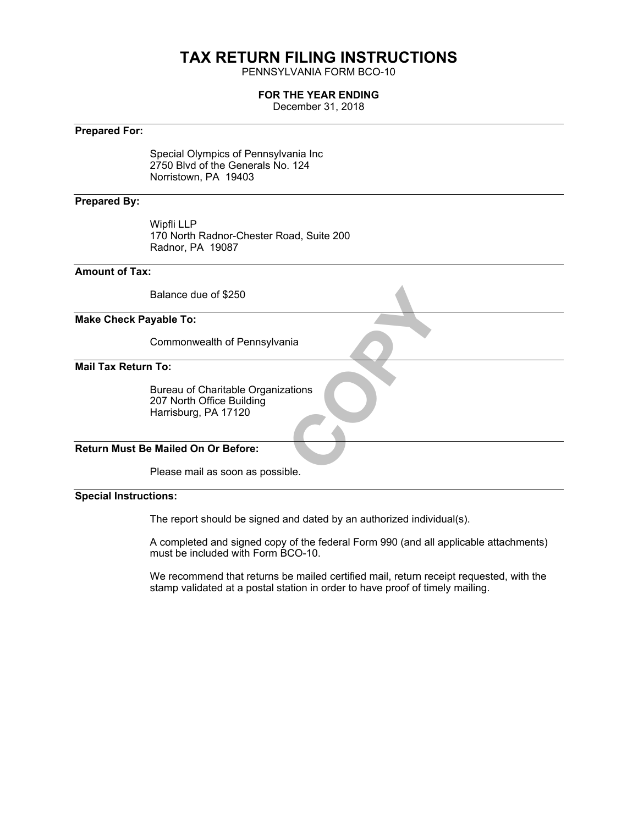# **TAX RETURN FILING INSTRUCTIONS**

PENNSYLVANIA FORM BCO-10

#### **FOR THE YEAR ENDING**

December 31, 2018

#### **Prepared For:**

Special Olympics of Pennsylvania Inc 2750 Blvd of the Generals No. 124 Norristown, PA 19403

#### **Prepared By:**

Wipfli LLP 170 North Radnor-Chester Road, Suite 200 Radnor, PA 19087

#### **Amount of Tax:**

Balance due of \$250

#### **Make Check Payable To:**

Commonwealth of Pennsylvania

**Mail Tax Return To:**

trations Bureau of Charitable Organizations 207 North Office Building Harrisburg, PA 17120

#### **Return Must Be Mailed On Or Before:**

Please mail as soon as possible.

#### **Special Instructions:**

The report should be signed and dated by an authorized individual(s).

A completed and signed copy of the federal Form 990 (and all applicable attachments) must be included with Form BCO-10.

We recommend that returns be mailed certified mail, return receipt requested, with the stamp validated at a postal station in order to have proof of timely mailing.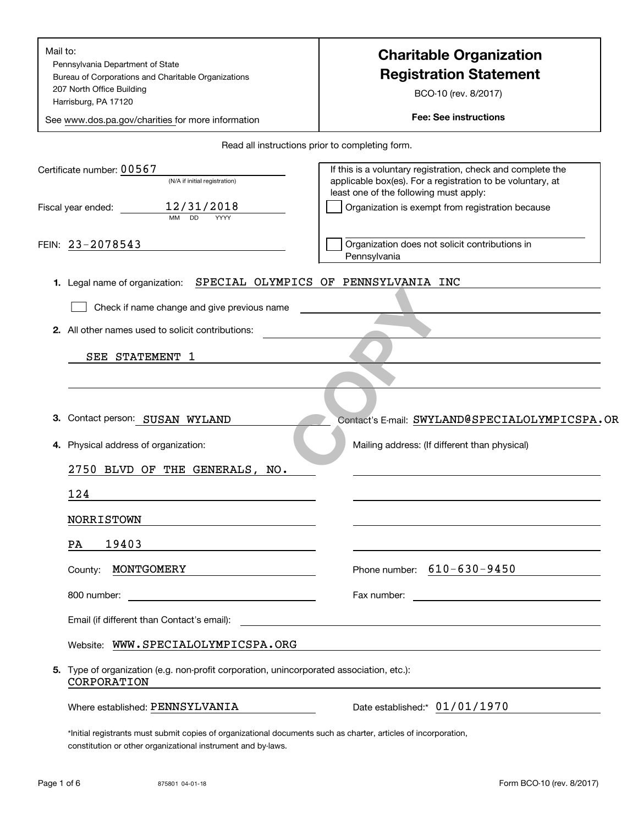| Mail to:<br>Pennsylvania Department of State<br>Bureau of Corporations and Charitable Organizations<br>207 North Office Building<br>Harrisburg, PA 17120<br>See www.dos.pa.gov/charities for more information | <b>Charitable Organization</b><br><b>Registration Statement</b><br>BCO-10 (rev. 8/2017)<br><b>Fee: See instructions</b>                                             |
|---------------------------------------------------------------------------------------------------------------------------------------------------------------------------------------------------------------|---------------------------------------------------------------------------------------------------------------------------------------------------------------------|
|                                                                                                                                                                                                               | Read all instructions prior to completing form.                                                                                                                     |
| Certificate number: 00567<br>(N/A if initial registration)                                                                                                                                                    | If this is a voluntary registration, check and complete the<br>applicable box(es). For a registration to be voluntary, at<br>least one of the following must apply: |
| 12/31/2018<br>Fiscal year ended:<br><b>MM</b><br><b>DD</b><br>YYYY                                                                                                                                            | Organization is exempt from registration because                                                                                                                    |
| FEIN: 23-2078543                                                                                                                                                                                              | Organization does not solicit contributions in<br>Pennsylvania                                                                                                      |
| 1. Legal name of organization:                                                                                                                                                                                | SPECIAL OLYMPICS OF PENNSYLVANIA INC                                                                                                                                |
| Check if name change and give previous name                                                                                                                                                                   |                                                                                                                                                                     |
| 2. All other names used to solicit contributions:                                                                                                                                                             |                                                                                                                                                                     |
| SEE STATEMENT 1                                                                                                                                                                                               |                                                                                                                                                                     |
|                                                                                                                                                                                                               |                                                                                                                                                                     |
|                                                                                                                                                                                                               |                                                                                                                                                                     |
| Contact person: SUSAN WYLAND<br>З.                                                                                                                                                                            | Contact's E-mail: SWYLAND@SPECIALOLYMPICSPA.OR                                                                                                                      |
| 4. Physical address of organization:                                                                                                                                                                          | Mailing address: (If different than physical)                                                                                                                       |
| 2750 BLVD OF THE GENERALS, NO.                                                                                                                                                                                |                                                                                                                                                                     |
| 124                                                                                                                                                                                                           |                                                                                                                                                                     |
| <b>NORRISTOWN</b>                                                                                                                                                                                             |                                                                                                                                                                     |
| 19403<br>PA                                                                                                                                                                                                   |                                                                                                                                                                     |
| MONTGOMERY<br>County:                                                                                                                                                                                         | Phone number: $610 - 630 - 9450$                                                                                                                                    |
| 800 number:                                                                                                                                                                                                   | Fax number:                                                                                                                                                         |
| Email (if different than Contact's email):                                                                                                                                                                    | <u> 1980 - Jan Stein Stein Stein Stein Stein Stein Stein Stein Stein Stein Stein Stein Stein Stein Stein Stein S</u>                                                |
| Website: WWW.SPECIALOLYMPICSPA.ORG                                                                                                                                                                            |                                                                                                                                                                     |
| 5. Type of organization (e.g. non-profit corporation, unincorporated association, etc.):<br>CORPORATION                                                                                                       |                                                                                                                                                                     |
| Where established: PENNSYLVANIA                                                                                                                                                                               | Date established: 01/01/1970                                                                                                                                        |
| *Initial registrants must submit copies of organizational documents such as charter, articles of incorporation                                                                                                |                                                                                                                                                                     |

egistrants must submit copies of organizational documents such as charter, articles of incorporation, constitution or other organizational instrument and by-laws.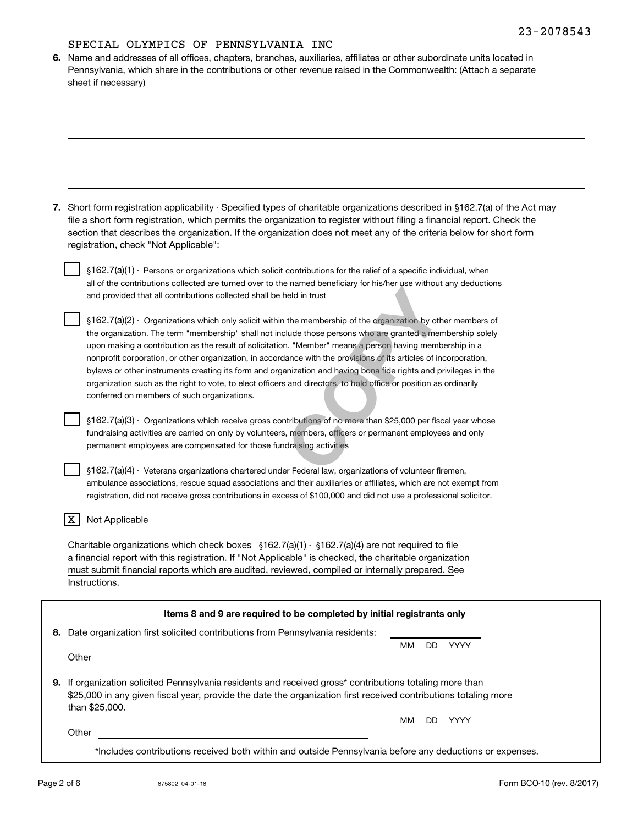#### SPECIAL OLYMPICS OF PENNSYLVANIA INC

| 6. Name and addresses of all offices, chapters, branches, auxiliaries, affiliates or other subordinate units located in |
|-------------------------------------------------------------------------------------------------------------------------|
| Pennsylvania, which share in the contributions or other revenue raised in the Commonwealth: (Attach a separate          |
| sheet if necessary)                                                                                                     |

| 7. Short form registration applicability - Specified types of charitable organizations described in §162.7(a) of the Act may |
|------------------------------------------------------------------------------------------------------------------------------|
| file a short form registration, which permits the organization to register without filing a financial report. Check the      |
| section that describes the organization. If the organization does not meet any of the criteria below for short form          |
| registration, check "Not Applicable":                                                                                        |

 $\S 162.7$ (a)(1) - Persons or organizations which solicit contributions for the relief of a specific individual, when all of the contributions collected are turned over to the named beneficiary for his/her use without any deductions and provided that all contributions collected shall be held in trust

 $$162.7(a)(2)$  - Organizations which only solicit within the membership of the organization by other members of the organization. The term "membership" shall not include those persons who are granted a membership solely upon making a contribution as the result of solicitation. "Member" means a person having membership in a nonprofit corporation, or other organization, in accordance with the provisions of its articles of incorporation, bylaws or other instruments creating its form and organization and having bona fide rights and privileges in the organization such as the right to vote, to elect officers and directors, to hold office or position as ordinarily conferred on members of such organizations. The membership of the organization by other data was theld in trust<br>theld in trust<br>the membership of the organization by oth<br>clude those persons who are granted a mem<br>n. "Member" means a person having memb<br>ance with the pr

¤ Organizations which receive gross contributions of no more than \$25,000 per fiscal year whose 162.7(a)(3) fundraising activities are carried on only by volunteers, members, officers or permanent employees and only permanent employees are compensated for those fundraising activities

¤ Veterans organizations chartered under Federal law, organizations of volunteer firemen, 162.7(a)(4) ambulance associations, rescue squad associations and their auxiliaries or affiliates, which are not exempt from registration, did not receive gross contributions in excess of \$100,000 and did not use a professional solicitor.

#### | X | Not Applicable

Charitable organizations which check boxes  $\,$  §162.7(a)(1)  $\,$  §162.7(a)(4) are not required to file a financial report with this registration. If "Not Applicable" is checked, the charitable organization must submit financial reports which are audited, reviewed, compiled or internally prepared. See Instructions.

| Date organization first solicited contributions from Pennsylvania residents:                                                                                                                                                               |           |     |      |
|--------------------------------------------------------------------------------------------------------------------------------------------------------------------------------------------------------------------------------------------|-----------|-----|------|
|                                                                                                                                                                                                                                            | <b>MM</b> | DD  | YYYY |
| Other                                                                                                                                                                                                                                      |           |     |      |
|                                                                                                                                                                                                                                            |           |     |      |
| If organization solicited Pennsylvania residents and received gross* contributions totaling more than<br>\$25,000 in any given fiscal year, provide the date the organization first received contributions totaling more<br>than \$25,000. |           |     |      |
|                                                                                                                                                                                                                                            | MМ        | DD. | YYYY |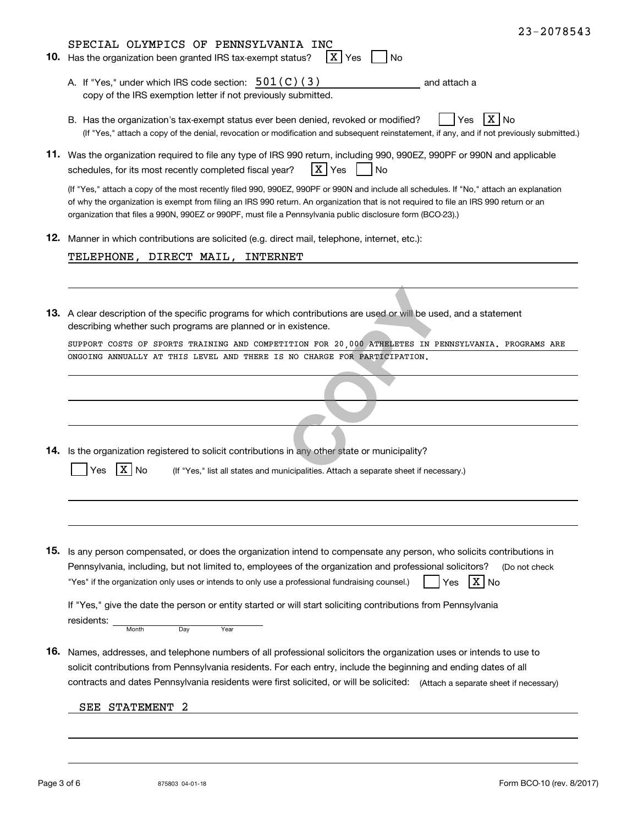|     | 23-2078543                                                                                                                                                                                                                                                                                                                                                                                     |
|-----|------------------------------------------------------------------------------------------------------------------------------------------------------------------------------------------------------------------------------------------------------------------------------------------------------------------------------------------------------------------------------------------------|
|     | SPECIAL OLYMPICS OF PENNSYLVANIA INC<br>X Yes<br>10. Has the organization been granted IRS tax-exempt status?<br>No                                                                                                                                                                                                                                                                            |
|     | A. If "Yes," under which IRS code section: $501(C)(3)$<br>and attach a<br>copy of the IRS exemption letter if not previously submitted.                                                                                                                                                                                                                                                        |
|     | X No<br>B. Has the organization's tax-exempt status ever been denied, revoked or modified?<br>Yes<br>(If "Yes," attach a copy of the denial, revocation or modification and subsequent reinstatement, if any, and if not previously submitted.)                                                                                                                                                |
|     | 11. Was the organization required to file any type of IRS 990 return, including 990, 990EZ, 990PF or 990N and applicable<br>X Yes<br>schedules, for its most recently completed fiscal year?<br><b>No</b>                                                                                                                                                                                      |
|     | (If "Yes," attach a copy of the most recently filed 990, 990EZ, 990PF or 990N and include all schedules. If "No," attach an explanation<br>of why the organization is exempt from filing an IRS 990 return. An organization that is not required to file an IRS 990 return or an<br>organization that files a 990N, 990EZ or 990PF, must file a Pennsylvania public disclosure form (BCO-23).) |
|     | 12. Manner in which contributions are solicited (e.g. direct mail, telephone, internet, etc.):                                                                                                                                                                                                                                                                                                 |
|     | TELEPHONE, DIRECT MAIL, INTERNET                                                                                                                                                                                                                                                                                                                                                               |
|     |                                                                                                                                                                                                                                                                                                                                                                                                |
|     | 13. A clear description of the specific programs for which contributions are used or will be used, and a statement<br>describing whether such programs are planned or in existence.                                                                                                                                                                                                            |
|     | SUPPORT COSTS OF SPORTS TRAINING AND COMPETITION FOR 20,000 ATHELETES IN PENNSYLVANIA. PROGRAMS ARE                                                                                                                                                                                                                                                                                            |
|     | ONGOING ANNUALLY AT THIS LEVEL AND THERE IS NO CHARGE FOR PARTICIPATION.                                                                                                                                                                                                                                                                                                                       |
|     |                                                                                                                                                                                                                                                                                                                                                                                                |
|     |                                                                                                                                                                                                                                                                                                                                                                                                |
|     |                                                                                                                                                                                                                                                                                                                                                                                                |
|     | 14. Is the organization registered to solicit contributions in any other state or municipality?                                                                                                                                                                                                                                                                                                |
|     | ΧI<br><b>No</b><br>(If "Yes," list all states and municipalities. Attach a separate sheet if necessary.)<br>Yes                                                                                                                                                                                                                                                                                |
|     |                                                                                                                                                                                                                                                                                                                                                                                                |
|     |                                                                                                                                                                                                                                                                                                                                                                                                |
|     |                                                                                                                                                                                                                                                                                                                                                                                                |
|     | 15. Is any person compensated, or does the organization intend to compensate any person, who solicits contributions in<br>Pennsylvania, including, but not limited to, employees of the organization and professional solicitors?<br>(Do not check                                                                                                                                             |
|     | X No<br>"Yes" if the organization only uses or intends to only use a professional fundraising counsel.)<br>Yes                                                                                                                                                                                                                                                                                 |
|     | If "Yes," give the date the person or entity started or will start soliciting contributions from Pennsylvania<br>residents:<br>Month<br>Day<br>Year                                                                                                                                                                                                                                            |
| 16. | Names, addresses, and telephone numbers of all professional solicitors the organization uses or intends to use to                                                                                                                                                                                                                                                                              |
|     | solicit contributions from Pennsylvania residents. For each entry, include the beginning and ending dates of all<br>contracts and dates Pennsylvania residents were first solicited, or will be solicited: (Attach a separate sheet if necessary)                                                                                                                                              |
|     | STATEMENT<br>2<br>SEE                                                                                                                                                                                                                                                                                                                                                                          |
|     |                                                                                                                                                                                                                                                                                                                                                                                                |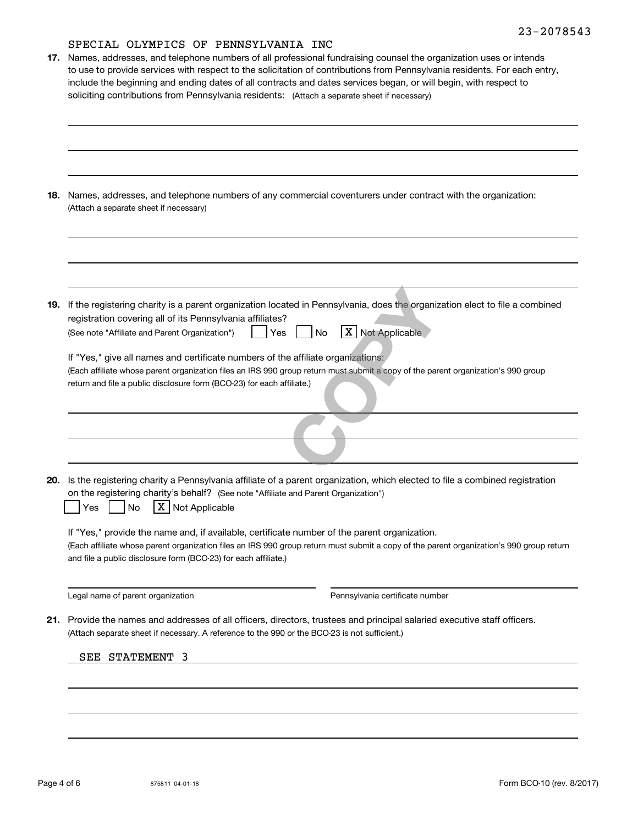## SPECIAL OLYMPICS OF PENNSYLVANIA INC.

| 17. | PLECTUD ONIMEICS OF FEMMOINAMIN INC<br>Names, addresses, and telephone numbers of all professional fundraising counsel the organization uses or intends<br>to use to provide services with respect to the solicitation of contributions from Pennsylvania residents. For each entry,<br>include the beginning and ending dates of all contracts and dates services began, or will begin, with respect to<br>soliciting contributions from Pennsylvania residents: (Attach a separate sheet if necessary)                                                                       |
|-----|--------------------------------------------------------------------------------------------------------------------------------------------------------------------------------------------------------------------------------------------------------------------------------------------------------------------------------------------------------------------------------------------------------------------------------------------------------------------------------------------------------------------------------------------------------------------------------|
| 18. | Names, addresses, and telephone numbers of any commercial coventurers under contract with the organization:<br>(Attach a separate sheet if necessary)                                                                                                                                                                                                                                                                                                                                                                                                                          |
| 19. | If the registering charity is a parent organization located in Pennsylvania, does the organization elect to file a combined<br>registration covering all of its Pennsylvania affiliates?<br>X Not Applicable<br>No<br>(See note "Affiliate and Parent Organization")<br>Yes<br>If "Yes," give all names and certificate numbers of the affiliate organizations:<br>(Each affiliate whose parent organization files an IRS 990 group return must submit a copy of the parent organization's 990 group<br>return and file a public disclosure form (BCO-23) for each affiliate.) |
| 20. | Is the registering charity a Pennsylvania affiliate of a parent organization, which elected to file a combined registration<br>on the registering charity's behalf? (See note "Affiliate and Parent Organization")                                                                                                                                                                                                                                                                                                                                                             |
|     | X   Not Applicable<br>No<br>Yes<br>If "Yes," provide the name and, if available, certificate number of the parent organization.<br>(Each affiliate whose parent organization files an IRS 990 group return must submit a copy of the parent organization's 990 group return<br>and file a public disclosure form (BCO-23) for each affiliate.)                                                                                                                                                                                                                                 |
|     | Legal name of parent organization<br>Pennsylvania certificate number                                                                                                                                                                                                                                                                                                                                                                                                                                                                                                           |
| 21. | Provide the names and addresses of all officers, directors, trustees and principal salaried executive staff officers.<br>(Attach separate sheet if necessary. A reference to the 990 or the BCO-23 is not sufficient.)                                                                                                                                                                                                                                                                                                                                                         |
|     | SEE STATEMENT 3                                                                                                                                                                                                                                                                                                                                                                                                                                                                                                                                                                |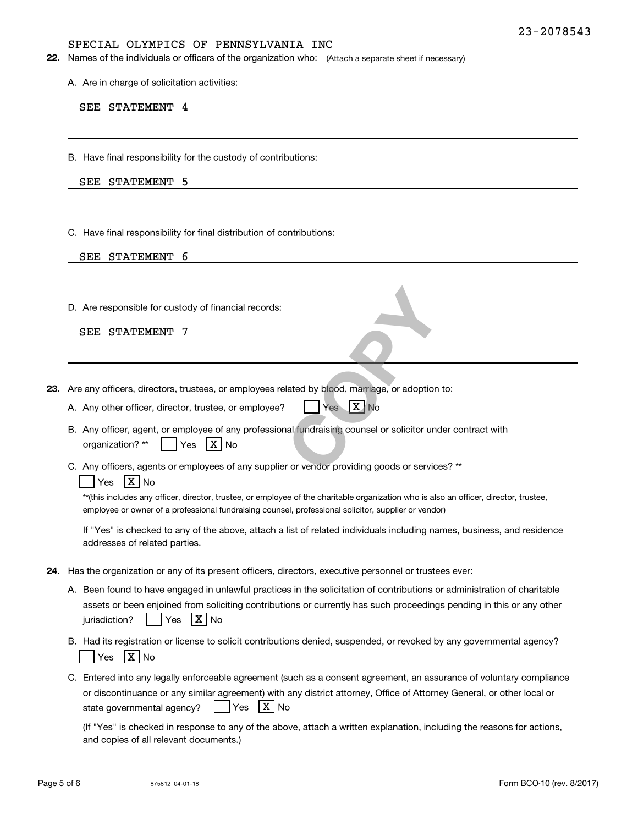#### SPECIAL OLYMPICS OF PENNSYLVANIA INC

**22.** Names of the individuals or officers of the organization who: (Attach a separate sheet if necessary)

A. Are in charge of solicitation activities:

#### SEE STATEMENT 4

B. Have final responsibility for the custody of contributions:

| SEE | <b>STATEMENT</b> | 5 |
|-----|------------------|---|
|-----|------------------|---|

C. Have final responsibility for final distribution of contributions:

|  | SEE STATEMENT | 6 |
|--|---------------|---|
|--|---------------|---|

D. Are responsible for custody of financial records:

| STATEMENT<br>SEE | 7 |
|------------------|---|
|------------------|---|

- **23.**Are any officers, directors, trustees, or employees related by blood, marriage, or adoption to:
	- A. Any other officer, director, trustee, or employee?  $\blacksquare$  Yes  $\blacksquare$  X No Yes X No
- B. Any officer, agent, or employee of any professional fundraising counsel or solicitor under contract with organization? \*\* es | X | No Plated by blood, marriage, or adoption
	- C. Any officers, agents or employees of any supplier or vendor providing goods or services? \*\*

#### Yes |X|No

\*\*(this includes any officer, director, trustee, or employee of the charitable organization who is also an officer, director, trustee, employee or owner of a professional fundraising counsel, professional solicitor, supplier or vendor)

If "Yes" is checked to any of the above, attach a list of related individuals including names, business, and residence addresses of related parties.

- **24.** Has the organization or any of its present officers, directors, executive personnel or trustees ever:
	- A. Been found to have engaged in unlawful practices in the solicitation of contributions or administration of charitable assets or been enjoined from soliciting contributions or currently has such proceedings pending in this or any other jurisdiction?n? | |Yes |X|No
	- B. Had its registration or license to solicit contributions denied, suspended, or revoked by any governmental agency? Yes |X|No
	- C. Entered into any legally enforceable agreement (such as a consent agreement, an assurance of voluntary compliance or discontinuance or any similar agreement) with any district attorney, Office of Attorney General, or other local or state governmental agency? | Yes X No

(If "Yes" is checked in response to any of the above, attach a written explanation, including the reasons for actions, and copies of all relevant documents.)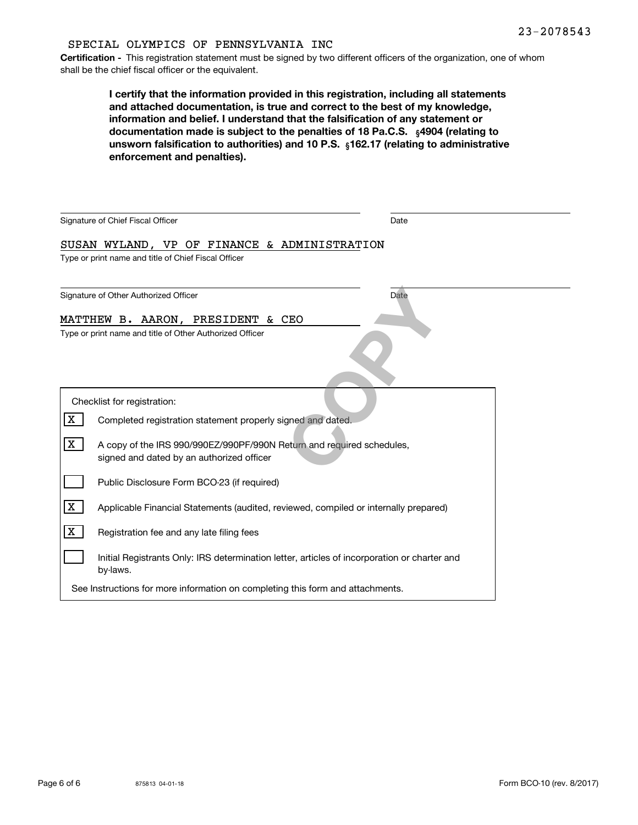#### SPECIAL OLYMPICS OF PENNSYLVANIA INC

**Certification -** This registration statement must be signed by two different officers of the organization, one of whom shall be the chief fiscal officer or the equivalent.

| I certify that the information provided in this registration, including all statements      |
|---------------------------------------------------------------------------------------------|
| and attached documentation, is true and correct to the best of my knowledge,                |
| information and belief. I understand that the falsification of any statement or             |
| documentation made is subject to the penalties of 18 Pa.C.S. $\frac{4904}{16}$ (relating to |
| unsworn falsification to authorities) and 10 P.S. $\,$ 162.17 (relating to administrative   |
| enforcement and penalties).                                                                 |

| Signature of Chief Fiscal Officer                                                                                       | Date        |
|-------------------------------------------------------------------------------------------------------------------------|-------------|
| SUSAN WYLAND, VP OF FINANCE & ADMINISTRATION                                                                            |             |
| Type or print name and title of Chief Fiscal Officer                                                                    |             |
| Signature of Other Authorized Officer                                                                                   | <b>Date</b> |
| MATTHEW B. AARON, PRESIDENT & CEO                                                                                       |             |
| Type or print name and title of Other Authorized Officer                                                                |             |
| Checklist for registration:                                                                                             |             |
| X<br>Completed registration statement properly signed and dated.                                                        |             |
| X<br>A copy of the IRS 990/990EZ/990PF/990N Return and required schedules,<br>signed and dated by an authorized officer |             |
| Public Disclosure Form BCO-23 (if required)                                                                             |             |
| X<br>Applicable Financial Statements (audited, reviewed, compiled or internally prepared)                               |             |
| X<br>Registration fee and any late filing fees                                                                          |             |
| Initial Registrants Only: IRS determination letter, articles of incorporation or charter and<br>by-laws.                |             |
| See Instructions for more information on completing this form and attachments.                                          |             |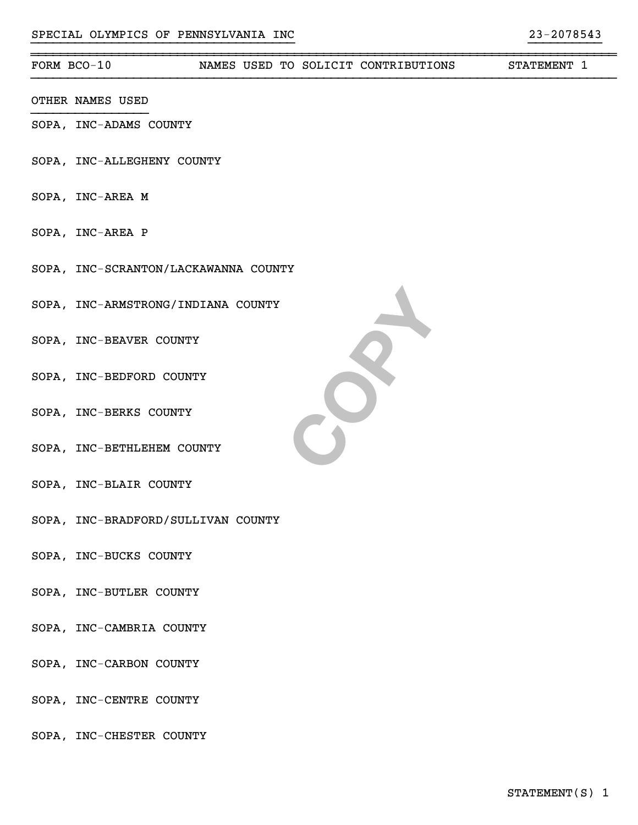#### ~~~~~~~~~~~~~~~~~~~~~~~~~~~~~~~~~~~~~~~~~~~~~~~~~~~~~~~~~~~~~~~~~~~~~~~~~~~~~~~~FORM BCO-10 NAMES USED TO SOLICIT CONTRIBUTIONS STATEMENT 1

- OTHER NAMES USED
- SOPA, INC-ADAMS COUNTY
- SOPA, INC-ALLEGHENY COUNTY
- SOPA, INC-AREA M
- SOPA, INC-AREA P
- SOPA, INC-SCRANTON/LACKAWANNA COUNTY
- SOPA, INC-ARMSTRONG/INDIANA COUNTY
- SOPA, INC-BEAVER COUNTY
- SOPA, INC-BEDFORD COUNTY
- SOPA, INC-BERKS COUNTY
- SOPA, INC-BETHLEHEM COUNTY
- SOPA, INC-BLAIR COUNTY
- SOPA, INC-BRADFORD/SULLIVAN COUNTY
- SOPA, INC-BUCKS COUNTY
- SOPA, INC-BUTLER COUNTY
- SOPA, INC-CAMBRIA COUNTY
- SOPA, INC-CARBON COUNTY
- SOPA, INC-CENTRE COUNTY
- SOPA, INC-CHESTER COUNTY

**COPY**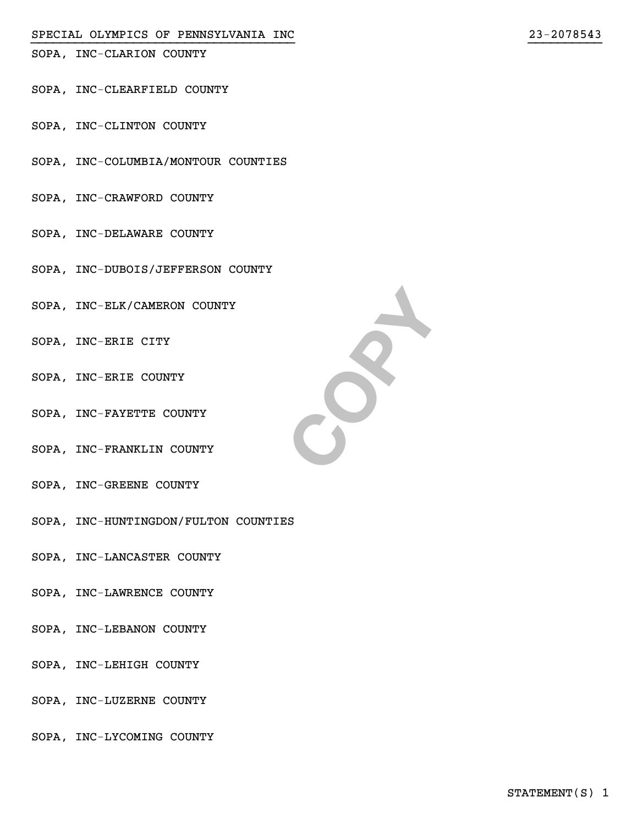SOPA, INC-CLARION COUNTY

- SOPA, INC-CLEARFIELD COUNTY
- SOPA, INC-CLINTON COUNTY
- SOPA, INC-COLUMBIA/MONTOUR COUNTIES
- SOPA, INC-CRAWFORD COUNTY
- SOPA, INC-DELAWARE COUNTY
- SOPA, INC-DUBOIS/JEFFERSON COUNTY
- SOPA, INC-ELK/CAMERON COUNTY
- SOPA, INC-ERIE CITY
- SOPA, INC-ERIE COUNTY
- SOPA, INC-FAYETTE COUNTY
- SOPA, INC-FRANKLIN COUNTY
- SOPA, INC-GREENE COUNTY
- SOPA, INC-HUNTINGDON/FULTON COUNTIES
- SOPA, INC-LANCASTER COUNTY
- SOPA, INC-LAWRENCE COUNTY
- SOPA, INC-LEBANON COUNTY
- SOPA, INC-LEHIGH COUNTY
- SOPA, INC-LUZERNE COUNTY
- SOPA, INC-LYCOMING COUNTY



}}}}}}}}}}}}}}}}}}}}}}}}}}}}}}}}}}}} }}}}}}}}}}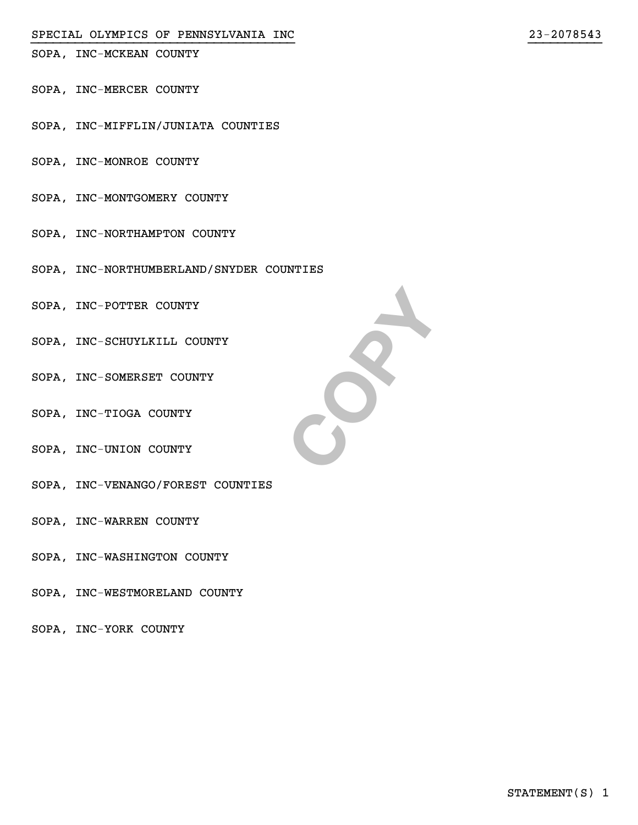#### SPECIAL OLYMPICS OF PENNSYLVANIA INC 23-2078543

SOPA, INC-MCKEAN COUNTY

- SOPA, INC-MERCER COUNTY
- SOPA, INC-MIFFLIN/JUNIATA COUNTIES
- SOPA, INC-MONROE COUNTY
- SOPA, INC-MONTGOMERY COUNTY
- SOPA, INC-NORTHAMPTON COUNTY
- SOPA, INC-NORTHUMBERLAND/SNYDER COUNTIES
- SOPA, INC-POTTER COUNTY
- SOPA, INC-SCHUYLKILL COUNTY
- SOPA, INC-SOMERSET COUNTY
- SOPA, INC-TIOGA COUNTY
- SOPA, INC-UNION COUNTY
- SOPA, INC-VENANGO/FOREST COUNTIES
- SOPA, INC-WARREN COUNTY
- SOPA, INC-WASHINGTON COUNTY
- SOPA, INC-WESTMORELAND COUNTY
- SOPA, INC-YORK COUNTY



}}}}}}}}}}}}}}}}}}}}}}}}}}}}}}}}}}}} }}}}}}}}}}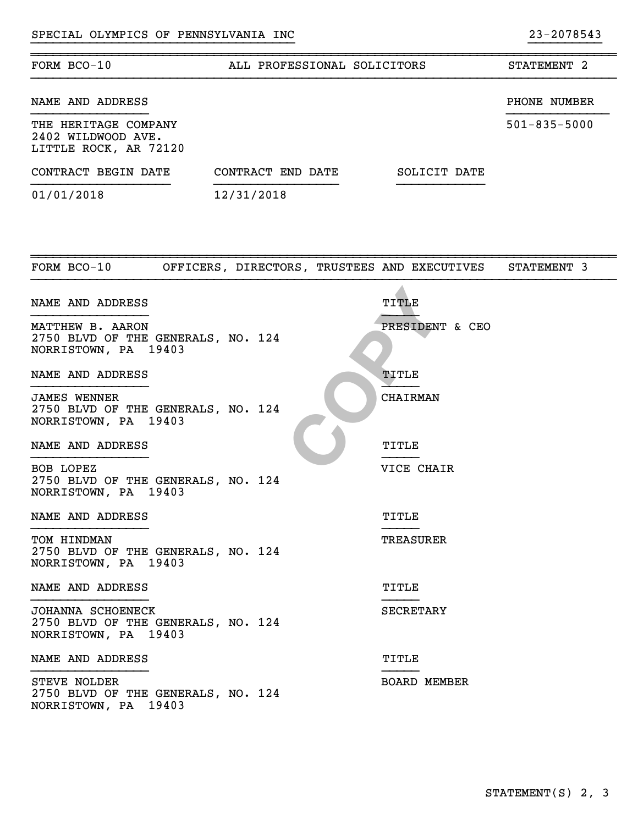| FORM BCO-10<br>ALL PROFESSIONAL SOLICITORS                                        |                                              |                     | STATEMENT 2        |  |
|-----------------------------------------------------------------------------------|----------------------------------------------|---------------------|--------------------|--|
| NAME AND ADDRESS                                                                  |                                              |                     | PHONE NUMBER       |  |
| THE HERITAGE COMPANY<br>2402 WILDWOOD AVE.<br>LITTLE ROCK, AR 72120               |                                              |                     | $501 - 835 - 5000$ |  |
| CONTRACT BEGIN DATE                                                               | CONTRACT END DATE                            | SOLICIT DATE        |                    |  |
| 01/01/2018                                                                        | 12/31/2018                                   |                     |                    |  |
|                                                                                   |                                              |                     |                    |  |
| FORM BCO-10                                                                       | OFFICERS, DIRECTORS, TRUSTEES AND EXECUTIVES |                     | STATEMENT 3        |  |
| NAME AND ADDRESS                                                                  |                                              | TITLE               |                    |  |
| MATTHEW B. AARON<br>2750 BLVD OF THE GENERALS, NO. 124<br>NORRISTOWN, PA 19403    |                                              | PRESIDENT & CEO     |                    |  |
| NAME AND ADDRESS                                                                  |                                              | TITLE               |                    |  |
| <b>JAMES WENNER</b><br>2750 BLVD OF THE GENERALS, NO. 124<br>NORRISTOWN, PA 19403 |                                              | <b>CHAIRMAN</b>     |                    |  |
| NAME AND ADDRESS                                                                  |                                              | TITLE               |                    |  |
| BOB LOPEZ<br>2750 BLVD OF THE GENERALS, NO. 124<br>NORRISTOWN, PA 19403           |                                              | VICE CHAIR          |                    |  |
| NAME AND ADDRESS                                                                  |                                              | TITLE               |                    |  |
| TOM HINDMAN<br>2750 BLVD OF THE GENERALS, NO. 124<br>NORRISTOWN, PA 19403         |                                              | <b>TREASURER</b>    |                    |  |
| NAME AND ADDRESS                                                                  |                                              | TITLE               |                    |  |
| JOHANNA SCHOENECK<br>2750 BLVD OF THE GENERALS, NO. 124<br>NORRISTOWN, PA 19403   |                                              | <b>SECRETARY</b>    |                    |  |
| NAME AND ADDRESS                                                                  |                                              | TITLE               |                    |  |
| STEVE NOLDER<br>2750 BLVD OF THE GENERALS, NO. 124<br>NORRISTOWN, PA 19403        |                                              | <b>BOARD MEMBER</b> |                    |  |

}}}}}}}}}}}}}}}}}}}}}}}}}}}}}}}}}}}} }}}}}}}}}}

~~~~~~~~~~~~~~~~~~~~~~~~~~~~~~~~~~~~~~~~~~~~~~~~~~~~~~~~~~~~~~~~~~~~~~~~~~~~~~~~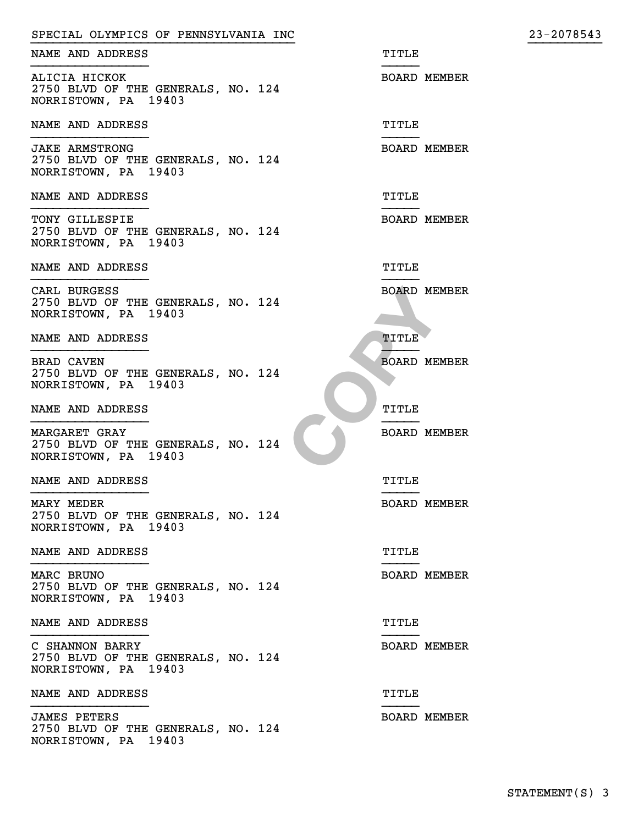| SPECIAL OLYMPICS OF PENNSYLVANIA INC                                                | 23-2078543          |
|-------------------------------------------------------------------------------------|---------------------|
| NAME AND ADDRESS<br>TITLE                                                           |                     |
| ALICIA HICKOK<br>2750 BLVD OF THE GENERALS, NO. 124<br>NORRISTOWN, PA 19403         | <b>BOARD MEMBER</b> |
| NAME AND ADDRESS<br>TITLE                                                           |                     |
| <b>JAKE ARMSTRONG</b><br>2750 BLVD OF THE GENERALS, NO. 124<br>NORRISTOWN, PA 19403 | <b>BOARD MEMBER</b> |
| NAME AND ADDRESS<br>TITLE                                                           |                     |
| TONY GILLESPIE<br>2750 BLVD OF THE GENERALS, NO. 124<br>NORRISTOWN, PA 19403        | <b>BOARD MEMBER</b> |
| NAME AND ADDRESS<br>TITLE                                                           |                     |
| CARL BURGESS<br>2750 BLVD OF THE GENERALS, NO. 124<br>NORRISTOWN, PA 19403          | <b>BOARD MEMBER</b> |
| NAME AND ADDRESS<br>TITLE                                                           |                     |
| BRAD CAVEN<br>2750 BLVD OF THE GENERALS, NO. 124<br>NORRISTOWN, PA 19403            | <b>BOARD MEMBER</b> |
| NAME AND ADDRESS<br>TITLE                                                           |                     |
| <b>MARGARET GRAY</b><br>2750 BLVD OF THE GENERALS, NO. 124<br>NORRISTOWN, PA 19403  | <b>BOARD MEMBER</b> |
| NAME AND ADDRESS<br>TITLE                                                           |                     |
| MARY MEDER<br>2750 BLVD OF THE GENERALS, NO. 124<br>NORRISTOWN, PA 19403            | <b>BOARD MEMBER</b> |
| NAME AND ADDRESS<br>TITLE                                                           |                     |
| MARC BRUNO<br>2750 BLVD OF THE GENERALS, NO. 124<br>NORRISTOWN, PA 19403            | <b>BOARD MEMBER</b> |
| NAME AND ADDRESS<br>TITLE                                                           |                     |
| C SHANNON BARRY<br>2750 BLVD OF THE GENERALS, NO. 124<br>NORRISTOWN, PA 19403       | <b>BOARD MEMBER</b> |
| NAME AND ADDRESS<br>TITLE                                                           |                     |
| <b>JAMES PETERS</b><br>2750 BLVD OF THE GENERALS, NO. 124<br>NORRISTOWN, PA 19403   | <b>BOARD MEMBER</b> |

 $23 - 2078543$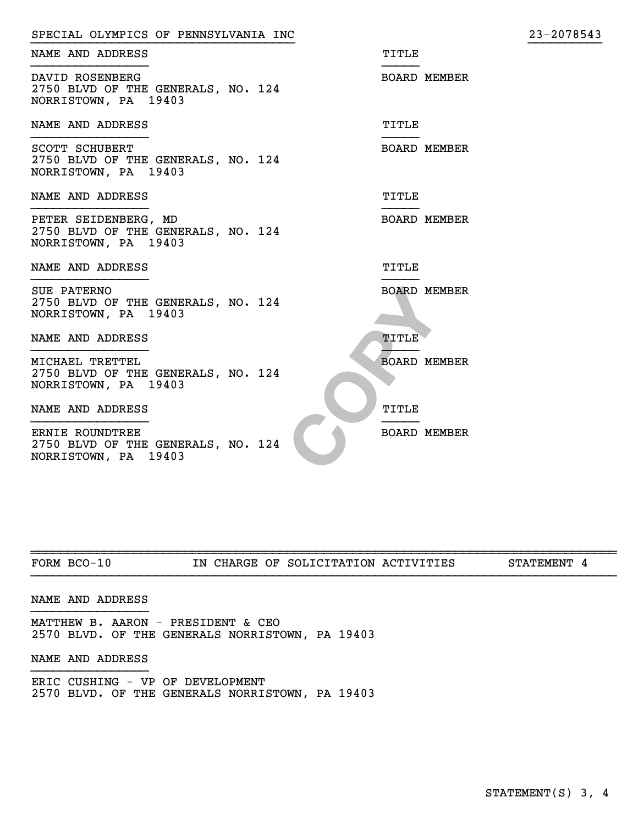| SPECIAL OLYMPICS OF PENNSYLVANIA INC                                                | 23-2078543          |
|-------------------------------------------------------------------------------------|---------------------|
| NAME AND ADDRESS<br>TITLE                                                           |                     |
| DAVID ROSENBERG<br>2750 BLVD OF THE GENERALS, NO. 124<br>NORRISTOWN, PA 19403       | <b>BOARD MEMBER</b> |
| NAME AND ADDRESS<br>TITLE                                                           |                     |
| <b>SCOTT SCHUBERT</b><br>2750 BLVD OF THE GENERALS, NO. 124<br>NORRISTOWN, PA 19403 | <b>BOARD MEMBER</b> |
| NAME AND ADDRESS<br>TITLE                                                           |                     |
| PETER SEIDENBERG, MD<br>2750 BLVD OF THE GENERALS, NO. 124<br>NORRISTOWN, PA 19403  | <b>BOARD MEMBER</b> |
| NAME AND ADDRESS<br><b>TITLE</b>                                                    |                     |
| SUE PATERNO<br>2750 BLVD OF THE GENERALS, NO. 124<br>NORRISTOWN, PA 19403           | <b>BOARD MEMBER</b> |
| NAME AND ADDRESS<br>TITLE                                                           |                     |
| MICHAEL TRETTEL<br>2750 BLVD OF THE GENERALS, NO. 124<br>NORRISTOWN, PA 19403       | <b>BOARD MEMBER</b> |
| NAME AND ADDRESS<br>TITLE                                                           |                     |
| ERNIE ROUNDTREE<br>2750 BLVD OF THE GENERALS, NO. 124<br>NORRISTOWN, PA 19403       | <b>BOARD MEMBER</b> |

| ᅲᄉ<br>. )RM<br>BC. | τN.<br>. . | OF | <b>888</b><br>DИ<br>דחתמה<br>50 I | רדס<br>m<br>ACT <sup>T</sup><br>v<br>د 1. | ידור<br>ּ בידי<br>"ЕМЬ. |
|--------------------|------------|----|-----------------------------------|-------------------------------------------|-------------------------|

#### NAME AND ADDRESS

MATTHEW B. AARON - PRESIDENT & CEO 2570 BLVD. OF THE GENERALS NORRISTOWN, PA 19403

#### NAME AND ADDRESS

ERIC CUSHING - VP OF DEVELOPMENT 2570 BLVD. OF THE GENERALS NORRISTOWN, PA 19403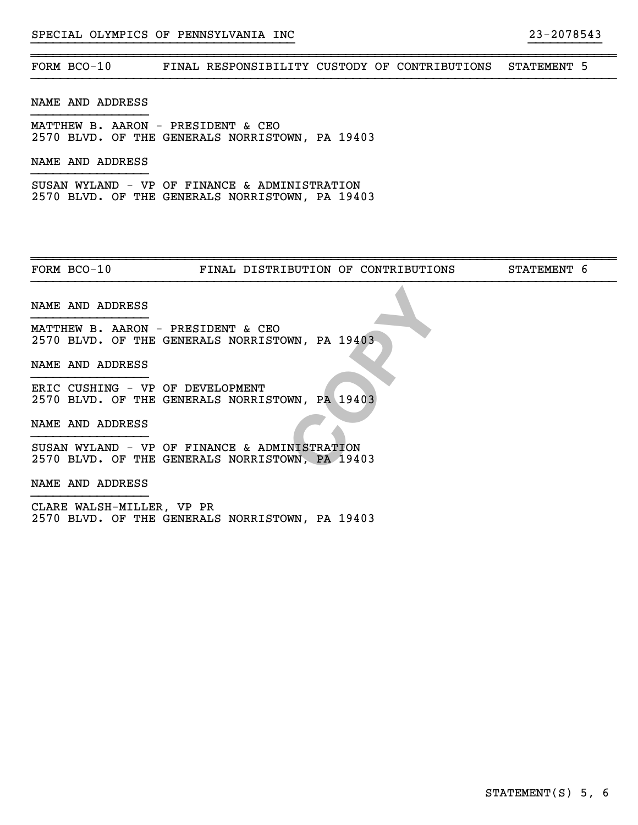#### SPECIAL OLYMPICS OF PENNSYLVANIA INC 23-2078543

### FORM BCO-10 FINAL RESPONSIBILITY CUSTODY OF CONTRIBUTIONS STATEMENT 5

}}}}}}}}}}}}}}}}}}}}}}}}}}}}}}}}}}}} }}}}}}}}}}

~~~~~~~~~~~~~~~~~~~~~~~~~~~~~~~~~~~~~~~~~~~~~~~~~~~~~~~~~~~~~~~~~~~~~~~~~~~~~~~~

#### NAME AND ADDRESS

MATTHEW B. AARON - PRESIDENT & CEO 2570 BLVD. OF THE GENERALS NORRISTOWN, PA 19403

#### NAME AND ADDRESS

SUSAN WYLAND - VP OF FINANCE & ADMINISTRATION 2570 BLVD. OF THE GENERALS NORRISTOWN, PA 19403

FORM BCO-10 **FINAL DISTRIBUTION OF CONTRIBUTIONS** STATEMENT 6

~~~~~~~~~~~~~~~~~~~~~~~~~~~~~~~~~~~~~~~~~~~~~~~~~~~~~~~~~~~~~~~~~~~~~~~~~~~~~~~~

#### NAME AND ADDRESS

MATTHEW B. AARON - PRESIDENT & CEO 2570 BLVD. OF THE GENERALS NORRISTOWN, PA 19403

#### NAME AND ADDRESS

**CONTRATE SERVING PROOF**<br>
CONTRATE SERVING PROOF<br>
COPYRESS PROOF<br>
COPYRESS PROOF<br>
COPYRESS PROOF<br>
COPYRESS PROOF<br>
COPYRESS PROOF<br>
COPYRESS PROOF<br>
COPYRESS PROOF<br>
COPYRESS PROOF<br>
COPYRESS PROOF<br>
COPYRESS PROOF<br>
COPYRESS PRO ERIC CUSHING - VP OF DEVELOPMENT 2570 BLVD. OF THE GENERALS NORRISTOWN, PA 19403

NAME AND ADDRESS

SUSAN WYLAND - VP OF FINANCE & ADMINISTRATION 2570 BLVD. OF THE GENERALS NORRISTOWN, PA 19403

NAME AND ADDRESS

CLARE WALSH-MILLER, VP PR 2570 BLVD. OF THE GENERALS NORRISTOWN, PA 19403